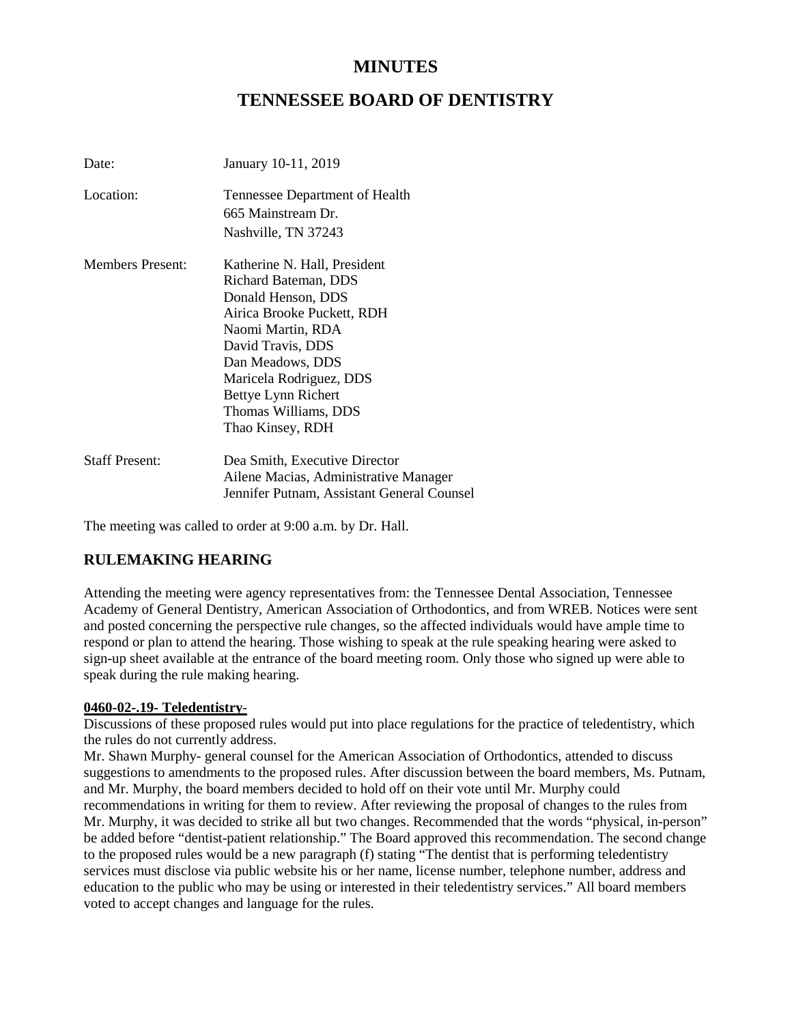# **MINUTES**

# **TENNESSEE BOARD OF DENTISTRY**

| Date:                   | January 10-11, 2019                                                                                                                                                                                                                                                  |
|-------------------------|----------------------------------------------------------------------------------------------------------------------------------------------------------------------------------------------------------------------------------------------------------------------|
| Location:               | Tennessee Department of Health<br>665 Mainstream Dr.<br>Nashville, TN 37243                                                                                                                                                                                          |
| <b>Members Present:</b> | Katherine N. Hall, President<br>Richard Bateman, DDS<br>Donald Henson, DDS<br>Airica Brooke Puckett, RDH<br>Naomi Martin, RDA<br>David Travis, DDS<br>Dan Meadows, DDS<br>Maricela Rodriguez, DDS<br>Bettye Lynn Richert<br>Thomas Williams, DDS<br>Thao Kinsey, RDH |
| <b>Staff Present:</b>   | Dea Smith, Executive Director<br>Ailene Macias, Administrative Manager<br>Jennifer Putnam, Assistant General Counsel                                                                                                                                                 |

The meeting was called to order at 9:00 a.m. by Dr. Hall.

## **RULEMAKING HEARING**

Attending the meeting were agency representatives from: the Tennessee Dental Association, Tennessee Academy of General Dentistry, American Association of Orthodontics, and from WREB. Notices were sent and posted concerning the perspective rule changes, so the affected individuals would have ample time to respond or plan to attend the hearing. Those wishing to speak at the rule speaking hearing were asked to sign-up sheet available at the entrance of the board meeting room. Only those who signed up were able to speak during the rule making hearing.

#### **0460-02-.19- Teledentistry**-

Discussions of these proposed rules would put into place regulations for the practice of teledentistry, which the rules do not currently address.

Mr. Shawn Murphy- general counsel for the American Association of Orthodontics, attended to discuss suggestions to amendments to the proposed rules. After discussion between the board members, Ms. Putnam, and Mr. Murphy, the board members decided to hold off on their vote until Mr. Murphy could recommendations in writing for them to review. After reviewing the proposal of changes to the rules from Mr. Murphy, it was decided to strike all but two changes. Recommended that the words "physical, in-person" be added before "dentist-patient relationship." The Board approved this recommendation. The second change to the proposed rules would be a new paragraph (f) stating "The dentist that is performing teledentistry services must disclose via public website his or her name, license number, telephone number, address and education to the public who may be using or interested in their teledentistry services." All board members voted to accept changes and language for the rules.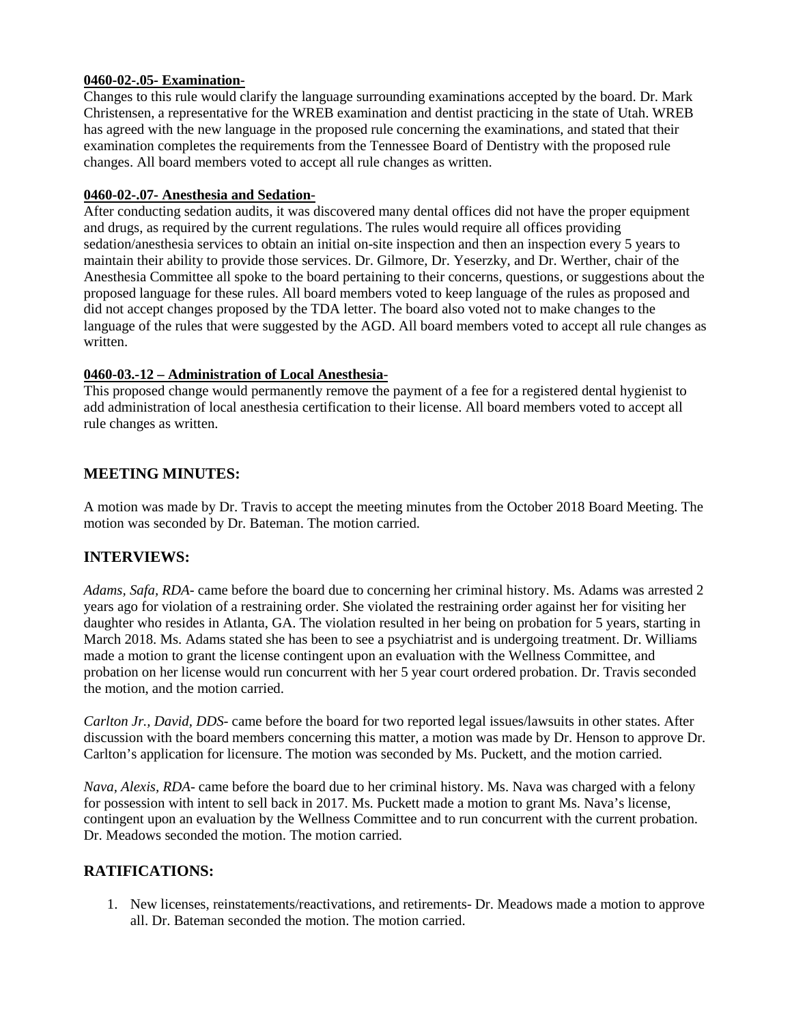#### **0460-02-.05- Examination**-

Changes to this rule would clarify the language surrounding examinations accepted by the board. Dr. Mark Christensen, a representative for the WREB examination and dentist practicing in the state of Utah. WREB has agreed with the new language in the proposed rule concerning the examinations, and stated that their examination completes the requirements from the Tennessee Board of Dentistry with the proposed rule changes. All board members voted to accept all rule changes as written.

#### **0460-02-.07- Anesthesia and Sedation**-

After conducting sedation audits, it was discovered many dental offices did not have the proper equipment and drugs, as required by the current regulations. The rules would require all offices providing sedation/anesthesia services to obtain an initial on-site inspection and then an inspection every 5 years to maintain their ability to provide those services. Dr. Gilmore, Dr. Yeserzky, and Dr. Werther, chair of the Anesthesia Committee all spoke to the board pertaining to their concerns, questions, or suggestions about the proposed language for these rules. All board members voted to keep language of the rules as proposed and did not accept changes proposed by the TDA letter. The board also voted not to make changes to the language of the rules that were suggested by the AGD. All board members voted to accept all rule changes as written.

#### **0460-03.-12 – Administration of Local Anesthesia**-

This proposed change would permanently remove the payment of a fee for a registered dental hygienist to add administration of local anesthesia certification to their license. All board members voted to accept all rule changes as written.

#### **MEETING MINUTES:**

A motion was made by Dr. Travis to accept the meeting minutes from the October 2018 Board Meeting. The motion was seconded by Dr. Bateman. The motion carried.

## **INTERVIEWS:**

*Adams, Safa, RDA*- came before the board due to concerning her criminal history. Ms. Adams was arrested 2 years ago for violation of a restraining order. She violated the restraining order against her for visiting her daughter who resides in Atlanta, GA. The violation resulted in her being on probation for 5 years, starting in March 2018. Ms. Adams stated she has been to see a psychiatrist and is undergoing treatment. Dr. Williams made a motion to grant the license contingent upon an evaluation with the Wellness Committee, and probation on her license would run concurrent with her 5 year court ordered probation. Dr. Travis seconded the motion, and the motion carried.

*Carlton Jr., David, DDS*- came before the board for two reported legal issues/lawsuits in other states. After discussion with the board members concerning this matter, a motion was made by Dr. Henson to approve Dr. Carlton's application for licensure. The motion was seconded by Ms. Puckett, and the motion carried.

*Nava, Alexis, RDA*- came before the board due to her criminal history. Ms. Nava was charged with a felony for possession with intent to sell back in 2017. Ms. Puckett made a motion to grant Ms. Nava's license, contingent upon an evaluation by the Wellness Committee and to run concurrent with the current probation. Dr. Meadows seconded the motion. The motion carried.

## **RATIFICATIONS:**

1. New licenses, reinstatements/reactivations, and retirements- Dr. Meadows made a motion to approve all. Dr. Bateman seconded the motion. The motion carried.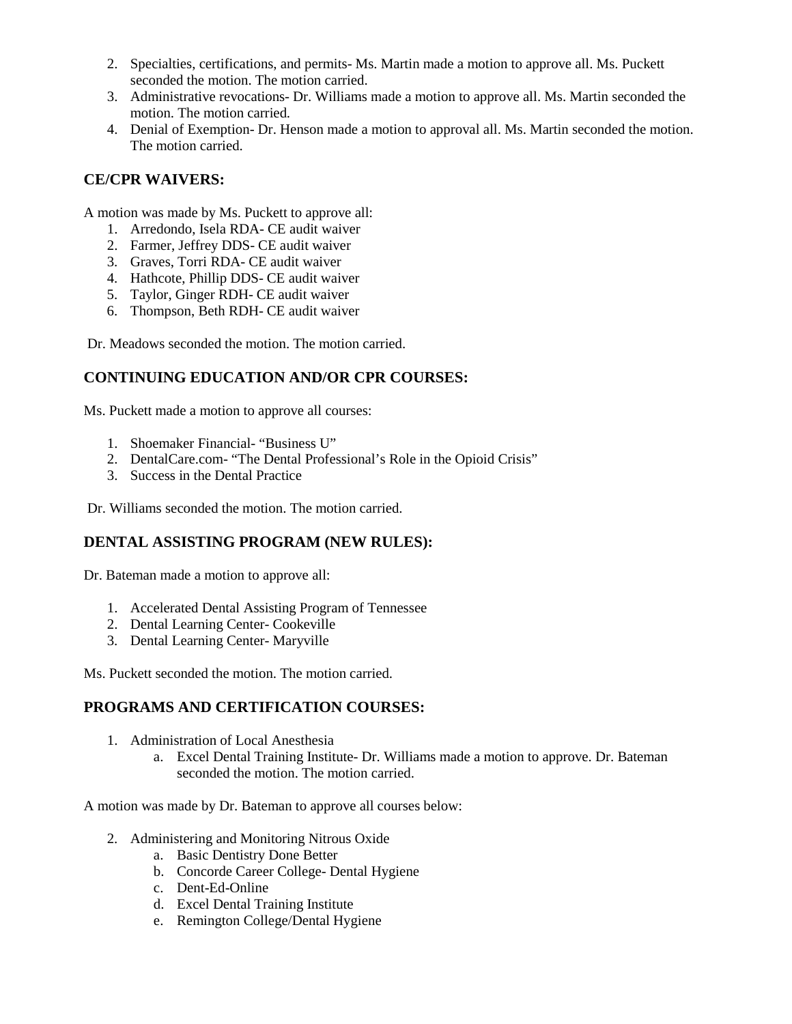- 2. Specialties, certifications, and permits- Ms. Martin made a motion to approve all. Ms. Puckett seconded the motion. The motion carried.
- 3. Administrative revocations- Dr. Williams made a motion to approve all. Ms. Martin seconded the motion. The motion carried.
- 4. Denial of Exemption- Dr. Henson made a motion to approval all. Ms. Martin seconded the motion. The motion carried.

## **CE/CPR WAIVERS:**

A motion was made by Ms. Puckett to approve all:

- 1. Arredondo, Isela RDA- CE audit waiver
- 2. Farmer, Jeffrey DDS- CE audit waiver
- 3. Graves, Torri RDA- CE audit waiver
- 4. Hathcote, Phillip DDS- CE audit waiver
- 5. Taylor, Ginger RDH- CE audit waiver
- 6. Thompson, Beth RDH- CE audit waiver

Dr. Meadows seconded the motion. The motion carried.

## **CONTINUING EDUCATION AND/OR CPR COURSES:**

Ms. Puckett made a motion to approve all courses:

- 1. Shoemaker Financial- "Business U"
- 2. DentalCare.com- "The Dental Professional's Role in the Opioid Crisis"
- 3. Success in the Dental Practice

Dr. Williams seconded the motion. The motion carried.

## **DENTAL ASSISTING PROGRAM (NEW RULES):**

Dr. Bateman made a motion to approve all:

- 1. Accelerated Dental Assisting Program of Tennessee
- 2. Dental Learning Center- Cookeville
- 3. Dental Learning Center- Maryville

Ms. Puckett seconded the motion. The motion carried.

## **PROGRAMS AND CERTIFICATION COURSES:**

- 1. Administration of Local Anesthesia
	- a. Excel Dental Training Institute- Dr. Williams made a motion to approve. Dr. Bateman seconded the motion. The motion carried.

A motion was made by Dr. Bateman to approve all courses below:

- 2. Administering and Monitoring Nitrous Oxide
	- a. Basic Dentistry Done Better
	- b. Concorde Career College- Dental Hygiene
	- c. Dent-Ed-Online
	- d. Excel Dental Training Institute
	- e. Remington College/Dental Hygiene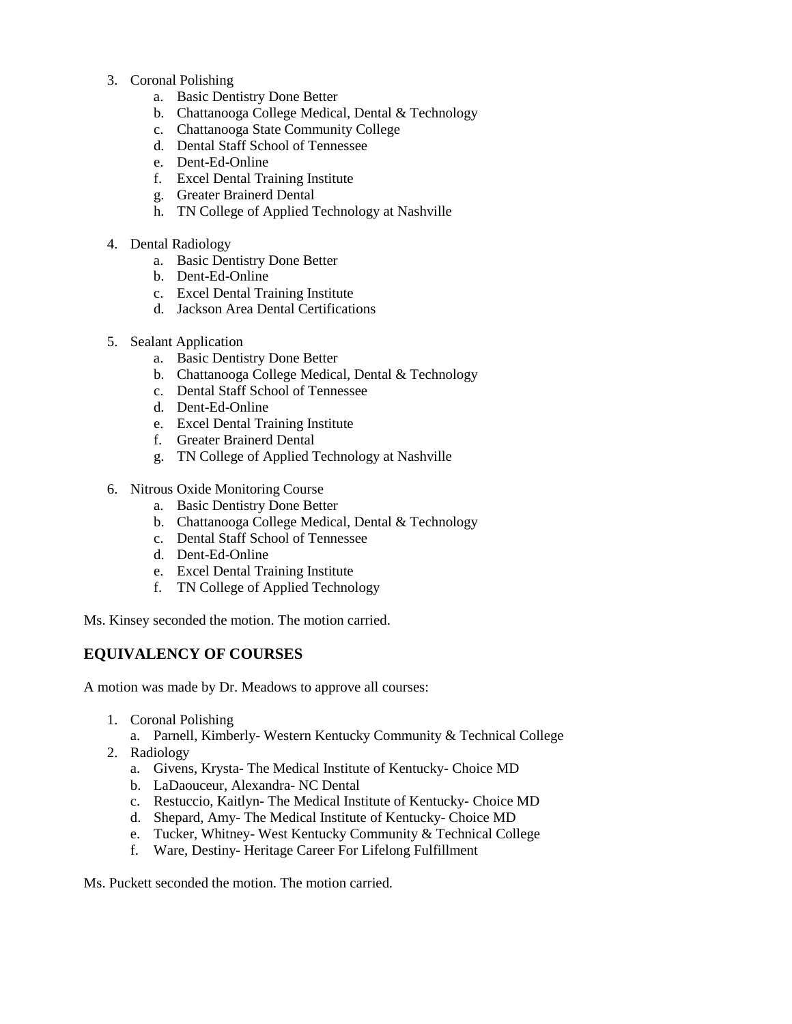- 3. Coronal Polishing
	- a. Basic Dentistry Done Better
	- b. Chattanooga College Medical, Dental & Technology
	- c. Chattanooga State Community College
	- d. Dental Staff School of Tennessee
	- e. Dent-Ed-Online
	- f. Excel Dental Training Institute
	- g. Greater Brainerd Dental
	- h. TN College of Applied Technology at Nashville
- 4. Dental Radiology
	- a. Basic Dentistry Done Better
	- b. Dent-Ed-Online
	- c. Excel Dental Training Institute
	- d. Jackson Area Dental Certifications
- 5. Sealant Application
	- a. Basic Dentistry Done Better
	- b. Chattanooga College Medical, Dental & Technology
	- c. Dental Staff School of Tennessee
	- d. Dent-Ed-Online
	- e. Excel Dental Training Institute
	- f. Greater Brainerd Dental
	- g. TN College of Applied Technology at Nashville
- 6. Nitrous Oxide Monitoring Course
	- a. Basic Dentistry Done Better
	- b. Chattanooga College Medical, Dental & Technology
	- c. Dental Staff School of Tennessee
	- d. Dent-Ed-Online
	- e. Excel Dental Training Institute
	- f. TN College of Applied Technology

Ms. Kinsey seconded the motion. The motion carried.

## **EQUIVALENCY OF COURSES**

A motion was made by Dr. Meadows to approve all courses:

- 1. Coronal Polishing
	- a. Parnell, Kimberly- Western Kentucky Community & Technical College
- 2. Radiology
	- a. Givens, Krysta- The Medical Institute of Kentucky- Choice MD
	- b. LaDaouceur, Alexandra- NC Dental
	- c. Restuccio, Kaitlyn- The Medical Institute of Kentucky- Choice MD
	- d. Shepard, Amy- The Medical Institute of Kentucky- Choice MD
	- e. Tucker, Whitney- West Kentucky Community & Technical College
	- f. Ware, Destiny- Heritage Career For Lifelong Fulfillment

Ms. Puckett seconded the motion. The motion carried.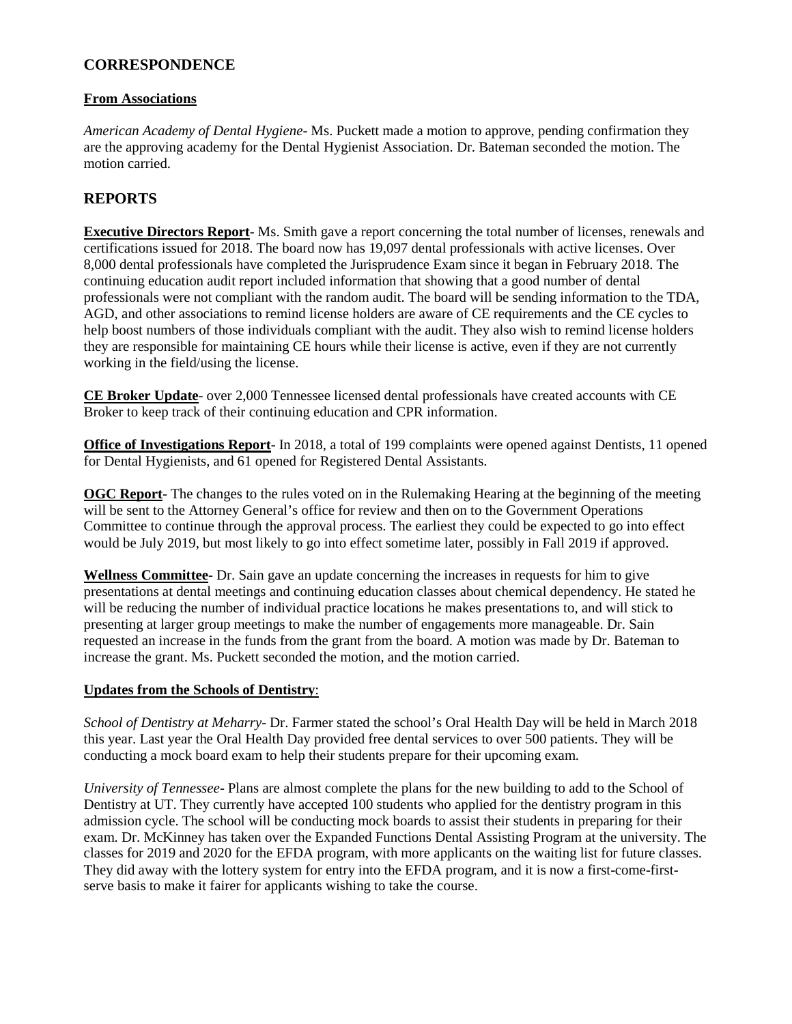#### **CORRESPONDENCE**

#### **From Associations**

*American Academy of Dental Hygiene*- Ms. Puckett made a motion to approve, pending confirmation they are the approving academy for the Dental Hygienist Association. Dr. Bateman seconded the motion. The motion carried.

## **REPORTS**

**Executive Directors Report**- Ms. Smith gave a report concerning the total number of licenses, renewals and certifications issued for 2018. The board now has 19,097 dental professionals with active licenses. Over 8,000 dental professionals have completed the Jurisprudence Exam since it began in February 2018. The continuing education audit report included information that showing that a good number of dental professionals were not compliant with the random audit. The board will be sending information to the TDA, AGD, and other associations to remind license holders are aware of CE requirements and the CE cycles to help boost numbers of those individuals compliant with the audit. They also wish to remind license holders they are responsible for maintaining CE hours while their license is active, even if they are not currently working in the field/using the license.

**CE Broker Update**- over 2,000 Tennessee licensed dental professionals have created accounts with CE Broker to keep track of their continuing education and CPR information.

**Office of Investigations Report**- In 2018, a total of 199 complaints were opened against Dentists, 11 opened for Dental Hygienists, and 61 opened for Registered Dental Assistants.

**OGC Report**- The changes to the rules voted on in the Rulemaking Hearing at the beginning of the meeting will be sent to the Attorney General's office for review and then on to the Government Operations Committee to continue through the approval process. The earliest they could be expected to go into effect would be July 2019, but most likely to go into effect sometime later, possibly in Fall 2019 if approved.

**Wellness Committee**- Dr. Sain gave an update concerning the increases in requests for him to give presentations at dental meetings and continuing education classes about chemical dependency. He stated he will be reducing the number of individual practice locations he makes presentations to, and will stick to presenting at larger group meetings to make the number of engagements more manageable. Dr. Sain requested an increase in the funds from the grant from the board. A motion was made by Dr. Bateman to increase the grant. Ms. Puckett seconded the motion, and the motion carried.

#### **Updates from the Schools of Dentistry**:

*School of Dentistry at Meharry*- Dr. Farmer stated the school's Oral Health Day will be held in March 2018 this year. Last year the Oral Health Day provided free dental services to over 500 patients. They will be conducting a mock board exam to help their students prepare for their upcoming exam.

*University of Tennessee*- Plans are almost complete the plans for the new building to add to the School of Dentistry at UT. They currently have accepted 100 students who applied for the dentistry program in this admission cycle. The school will be conducting mock boards to assist their students in preparing for their exam. Dr. McKinney has taken over the Expanded Functions Dental Assisting Program at the university. The classes for 2019 and 2020 for the EFDA program, with more applicants on the waiting list for future classes. They did away with the lottery system for entry into the EFDA program, and it is now a first-come-firstserve basis to make it fairer for applicants wishing to take the course.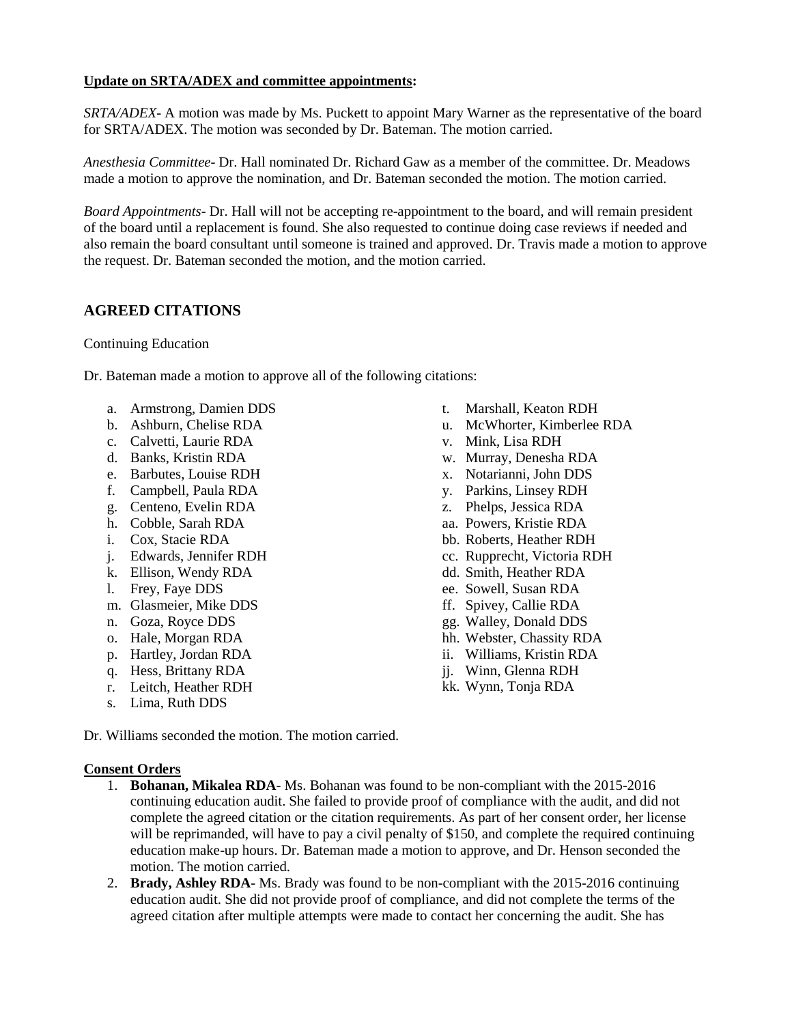#### **Update on SRTA/ADEX and committee appointments:**

*SRTA/ADEX*- A motion was made by Ms. Puckett to appoint Mary Warner as the representative of the board for SRTA/ADEX. The motion was seconded by Dr. Bateman. The motion carried.

*Anesthesia Committee*- Dr. Hall nominated Dr. Richard Gaw as a member of the committee. Dr. Meadows made a motion to approve the nomination, and Dr. Bateman seconded the motion. The motion carried.

*Board Appointments*- Dr. Hall will not be accepting re-appointment to the board, and will remain president of the board until a replacement is found. She also requested to continue doing case reviews if needed and also remain the board consultant until someone is trained and approved. Dr. Travis made a motion to approve the request. Dr. Bateman seconded the motion, and the motion carried.

#### **AGREED CITATIONS**

Continuing Education

Dr. Bateman made a motion to approve all of the following citations:

- a. Armstrong, Damien DDS
- b. Ashburn, Chelise RDA
- c. Calvetti, Laurie RDA
- d. Banks, Kristin RDA
- e. Barbutes, Louise RDH
- f. Campbell, Paula RDA
- g. Centeno, Evelin RDA
- h. Cobble, Sarah RDA
- i. Cox, Stacie RDA
- j. Edwards, Jennifer RDH
- k. Ellison, Wendy RDA
- l. Frey, Faye DDS
- m. Glasmeier, Mike DDS
- n. Goza, Royce DDS
- o. Hale, Morgan RDA
- p. Hartley, Jordan RDA
- q. Hess, Brittany RDA
- r. Leitch, Heather RDH
- s. Lima, Ruth DDS

Dr. Williams seconded the motion. The motion carried.

#### **Consent Orders**

- 1. **Bohanan, Mikalea RDA** Ms. Bohanan was found to be non-compliant with the 2015-2016 continuing education audit. She failed to provide proof of compliance with the audit, and did not complete the agreed citation or the citation requirements. As part of her consent order, her license will be reprimanded, will have to pay a civil penalty of \$150, and complete the required continuing education make-up hours. Dr. Bateman made a motion to approve, and Dr. Henson seconded the motion. The motion carried.
- 2. **Brady, Ashley RDA** Ms. Brady was found to be non-compliant with the 2015-2016 continuing education audit. She did not provide proof of compliance, and did not complete the terms of the agreed citation after multiple attempts were made to contact her concerning the audit. She has
- t. Marshall, Keaton RDH
- u. McWhorter, Kimberlee RDA
- v. Mink, Lisa RDH
- w. Murray, Denesha RDA
- x. Notarianni, John DDS
- y. Parkins, Linsey RDH
- z. Phelps, Jessica RDA
- aa. Powers, Kristie RDA
- bb. Roberts, Heather RDH
- cc. Rupprecht, Victoria RDH
- dd. Smith, Heather RDA
- ee. Sowell, Susan RDA
- ff. Spivey, Callie RDA
- gg. Walley, Donald DDS
- hh. Webster, Chassity RDA
- ii. Williams, Kristin RDA
- jj. Winn, Glenna RDH
- kk. Wynn, Tonja RDA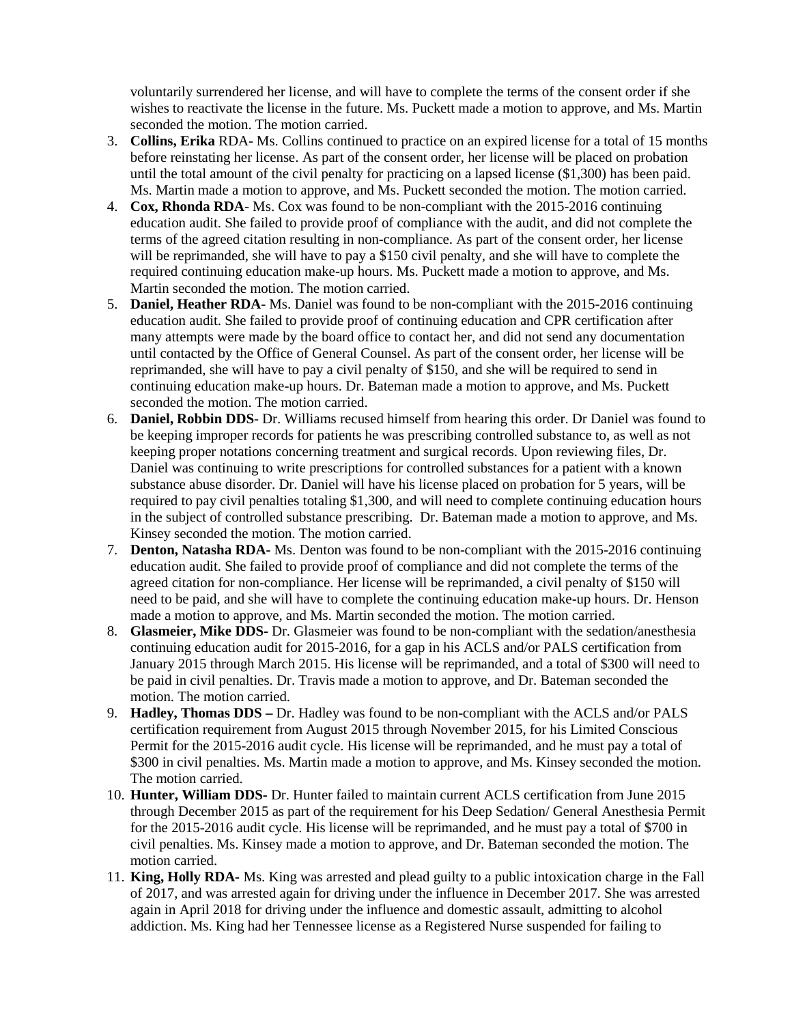voluntarily surrendered her license, and will have to complete the terms of the consent order if she wishes to reactivate the license in the future. Ms. Puckett made a motion to approve, and Ms. Martin seconded the motion. The motion carried.

- 3. **Collins, Erika** RDA- Ms. Collins continued to practice on an expired license for a total of 15 months before reinstating her license. As part of the consent order, her license will be placed on probation until the total amount of the civil penalty for practicing on a lapsed license (\$1,300) has been paid. Ms. Martin made a motion to approve, and Ms. Puckett seconded the motion. The motion carried.
- 4. **Cox, Rhonda RDA** Ms. Cox was found to be non-compliant with the 2015-2016 continuing education audit. She failed to provide proof of compliance with the audit, and did not complete the terms of the agreed citation resulting in non-compliance. As part of the consent order, her license will be reprimanded, she will have to pay a \$150 civil penalty, and she will have to complete the required continuing education make-up hours. Ms. Puckett made a motion to approve, and Ms. Martin seconded the motion. The motion carried.
- 5. **Daniel, Heather RDA** Ms. Daniel was found to be non-compliant with the 2015-2016 continuing education audit. She failed to provide proof of continuing education and CPR certification after many attempts were made by the board office to contact her, and did not send any documentation until contacted by the Office of General Counsel. As part of the consent order, her license will be reprimanded, she will have to pay a civil penalty of \$150, and she will be required to send in continuing education make-up hours. Dr. Bateman made a motion to approve, and Ms. Puckett seconded the motion. The motion carried.
- 6. **Daniel, Robbin DDS** Dr. Williams recused himself from hearing this order. Dr Daniel was found to be keeping improper records for patients he was prescribing controlled substance to, as well as not keeping proper notations concerning treatment and surgical records. Upon reviewing files, Dr. Daniel was continuing to write prescriptions for controlled substances for a patient with a known substance abuse disorder. Dr. Daniel will have his license placed on probation for 5 years, will be required to pay civil penalties totaling \$1,300, and will need to complete continuing education hours in the subject of controlled substance prescribing. Dr. Bateman made a motion to approve, and Ms. Kinsey seconded the motion. The motion carried.
- 7. **Denton, Natasha RDA-** Ms. Denton was found to be non-compliant with the 2015-2016 continuing education audit. She failed to provide proof of compliance and did not complete the terms of the agreed citation for non-compliance. Her license will be reprimanded, a civil penalty of \$150 will need to be paid, and she will have to complete the continuing education make-up hours. Dr. Henson made a motion to approve, and Ms. Martin seconded the motion. The motion carried.
- 8. **Glasmeier, Mike DDS-** Dr. Glasmeier was found to be non-compliant with the sedation/anesthesia continuing education audit for 2015-2016, for a gap in his ACLS and/or PALS certification from January 2015 through March 2015. His license will be reprimanded, and a total of \$300 will need to be paid in civil penalties. Dr. Travis made a motion to approve, and Dr. Bateman seconded the motion. The motion carried.
- 9. **Hadley, Thomas DDS –** Dr. Hadley was found to be non-compliant with the ACLS and/or PALS certification requirement from August 2015 through November 2015, for his Limited Conscious Permit for the 2015-2016 audit cycle. His license will be reprimanded, and he must pay a total of \$300 in civil penalties. Ms. Martin made a motion to approve, and Ms. Kinsey seconded the motion. The motion carried.
- 10. **Hunter, William DDS-** Dr. Hunter failed to maintain current ACLS certification from June 2015 through December 2015 as part of the requirement for his Deep Sedation/ General Anesthesia Permit for the 2015-2016 audit cycle. His license will be reprimanded, and he must pay a total of \$700 in civil penalties. Ms. Kinsey made a motion to approve, and Dr. Bateman seconded the motion. The motion carried.
- 11. **King, Holly RDA-** Ms. King was arrested and plead guilty to a public intoxication charge in the Fall of 2017, and was arrested again for driving under the influence in December 2017. She was arrested again in April 2018 for driving under the influence and domestic assault, admitting to alcohol addiction. Ms. King had her Tennessee license as a Registered Nurse suspended for failing to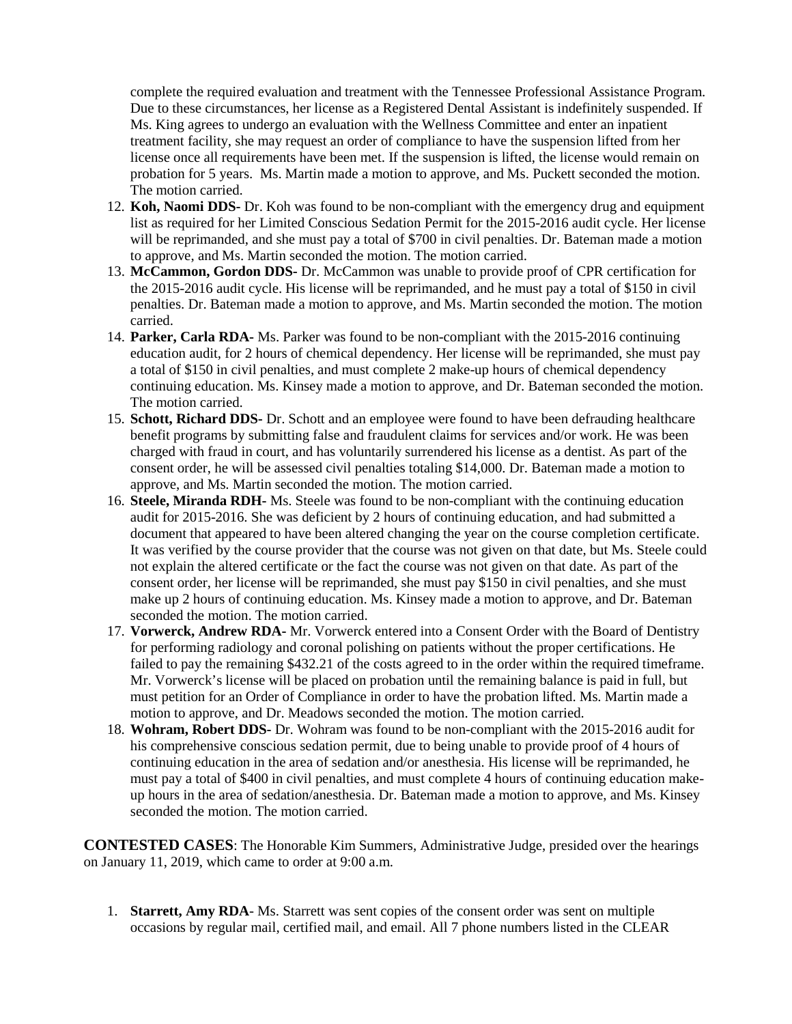complete the required evaluation and treatment with the Tennessee Professional Assistance Program. Due to these circumstances, her license as a Registered Dental Assistant is indefinitely suspended. If Ms. King agrees to undergo an evaluation with the Wellness Committee and enter an inpatient treatment facility, she may request an order of compliance to have the suspension lifted from her license once all requirements have been met. If the suspension is lifted, the license would remain on probation for 5 years. Ms. Martin made a motion to approve, and Ms. Puckett seconded the motion. The motion carried.

- 12. **Koh, Naomi DDS-** Dr. Koh was found to be non-compliant with the emergency drug and equipment list as required for her Limited Conscious Sedation Permit for the 2015-2016 audit cycle. Her license will be reprimanded, and she must pay a total of \$700 in civil penalties. Dr. Bateman made a motion to approve, and Ms. Martin seconded the motion. The motion carried.
- 13. **McCammon, Gordon DDS-** Dr. McCammon was unable to provide proof of CPR certification for the 2015-2016 audit cycle. His license will be reprimanded, and he must pay a total of \$150 in civil penalties. Dr. Bateman made a motion to approve, and Ms. Martin seconded the motion. The motion carried.
- 14. **Parker, Carla RDA-** Ms. Parker was found to be non-compliant with the 2015-2016 continuing education audit, for 2 hours of chemical dependency. Her license will be reprimanded, she must pay a total of \$150 in civil penalties, and must complete 2 make-up hours of chemical dependency continuing education. Ms. Kinsey made a motion to approve, and Dr. Bateman seconded the motion. The motion carried.
- 15. **Schott, Richard DDS-** Dr. Schott and an employee were found to have been defrauding healthcare benefit programs by submitting false and fraudulent claims for services and/or work. He was been charged with fraud in court, and has voluntarily surrendered his license as a dentist. As part of the consent order, he will be assessed civil penalties totaling \$14,000. Dr. Bateman made a motion to approve, and Ms. Martin seconded the motion. The motion carried.
- 16. **Steele, Miranda RDH-** Ms. Steele was found to be non-compliant with the continuing education audit for 2015-2016. She was deficient by 2 hours of continuing education, and had submitted a document that appeared to have been altered changing the year on the course completion certificate. It was verified by the course provider that the course was not given on that date, but Ms. Steele could not explain the altered certificate or the fact the course was not given on that date. As part of the consent order, her license will be reprimanded, she must pay \$150 in civil penalties, and she must make up 2 hours of continuing education. Ms. Kinsey made a motion to approve, and Dr. Bateman seconded the motion. The motion carried.
- 17. **Vorwerck, Andrew RDA-** Mr. Vorwerck entered into a Consent Order with the Board of Dentistry for performing radiology and coronal polishing on patients without the proper certifications. He failed to pay the remaining \$432.21 of the costs agreed to in the order within the required timeframe. Mr. Vorwerck's license will be placed on probation until the remaining balance is paid in full, but must petition for an Order of Compliance in order to have the probation lifted. Ms. Martin made a motion to approve, and Dr. Meadows seconded the motion. The motion carried.
- 18. **Wohram, Robert DDS-** Dr. Wohram was found to be non-compliant with the 2015-2016 audit for his comprehensive conscious sedation permit, due to being unable to provide proof of 4 hours of continuing education in the area of sedation and/or anesthesia. His license will be reprimanded, he must pay a total of \$400 in civil penalties, and must complete 4 hours of continuing education makeup hours in the area of sedation/anesthesia. Dr. Bateman made a motion to approve, and Ms. Kinsey seconded the motion. The motion carried.

**CONTESTED CASES**: The Honorable Kim Summers, Administrative Judge, presided over the hearings on January 11, 2019, which came to order at 9:00 a.m.

1. **Starrett, Amy RDA**- Ms. Starrett was sent copies of the consent order was sent on multiple occasions by regular mail, certified mail, and email. All 7 phone numbers listed in the CLEAR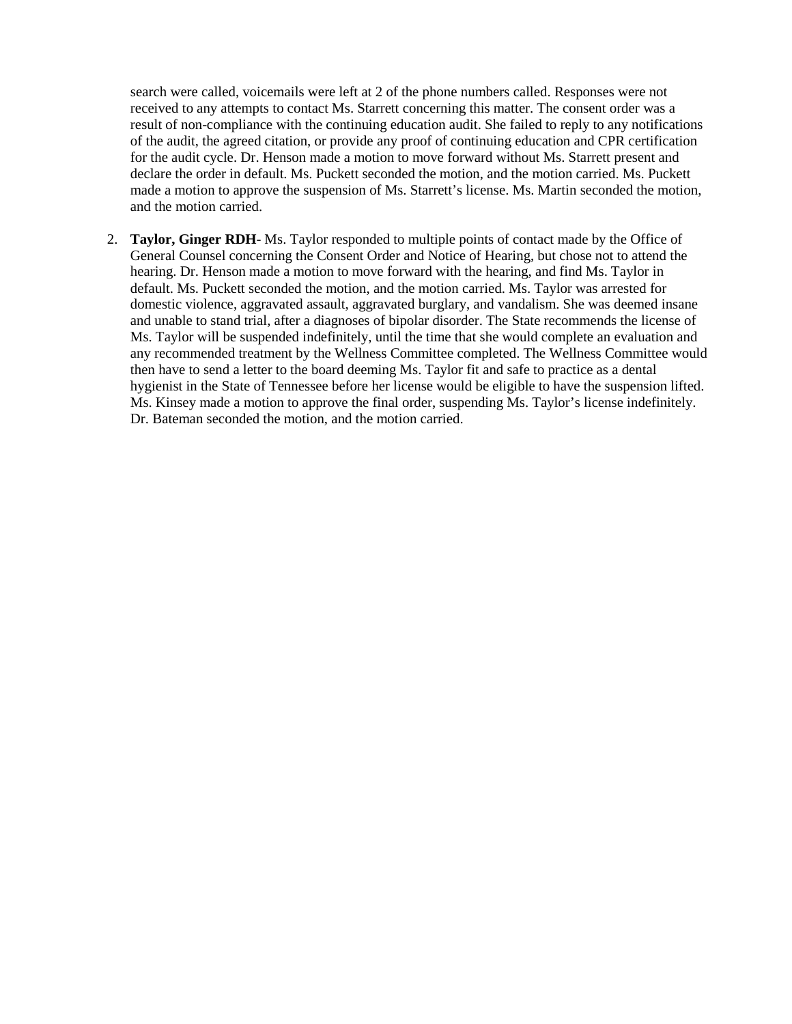search were called, voicemails were left at 2 of the phone numbers called. Responses were not received to any attempts to contact Ms. Starrett concerning this matter. The consent order was a result of non-compliance with the continuing education audit. She failed to reply to any notifications of the audit, the agreed citation, or provide any proof of continuing education and CPR certification for the audit cycle. Dr. Henson made a motion to move forward without Ms. Starrett present and declare the order in default. Ms. Puckett seconded the motion, and the motion carried. Ms. Puckett made a motion to approve the suspension of Ms. Starrett's license. Ms. Martin seconded the motion, and the motion carried.

2. **Taylor, Ginger RDH**- Ms. Taylor responded to multiple points of contact made by the Office of General Counsel concerning the Consent Order and Notice of Hearing, but chose not to attend the hearing. Dr. Henson made a motion to move forward with the hearing, and find Ms. Taylor in default. Ms. Puckett seconded the motion, and the motion carried. Ms. Taylor was arrested for domestic violence, aggravated assault, aggravated burglary, and vandalism. She was deemed insane and unable to stand trial, after a diagnoses of bipolar disorder. The State recommends the license of Ms. Taylor will be suspended indefinitely, until the time that she would complete an evaluation and any recommended treatment by the Wellness Committee completed. The Wellness Committee would then have to send a letter to the board deeming Ms. Taylor fit and safe to practice as a dental hygienist in the State of Tennessee before her license would be eligible to have the suspension lifted. Ms. Kinsey made a motion to approve the final order, suspending Ms. Taylor's license indefinitely. Dr. Bateman seconded the motion, and the motion carried.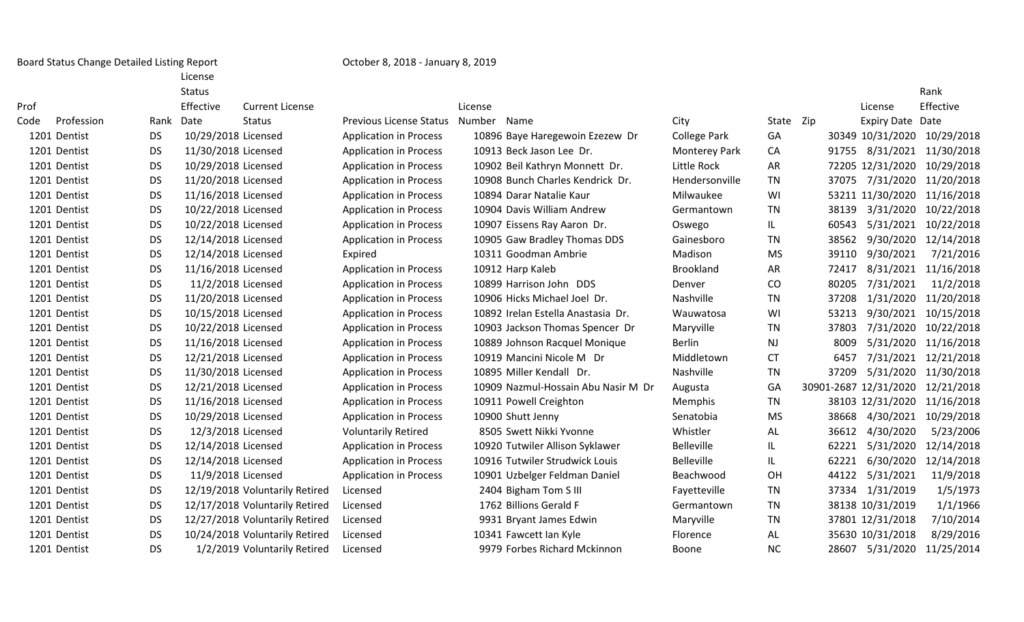Board Status Change Detailed Listing Report Change Communication Corober 8, 2018 - January 8, 2019

License

|      |              |           | <b>Status</b>       |                                |                                |         |                                     |                      |           |       |                       | Rank       |
|------|--------------|-----------|---------------------|--------------------------------|--------------------------------|---------|-------------------------------------|----------------------|-----------|-------|-----------------------|------------|
| Prof |              |           | Effective           | <b>Current License</b>         |                                | License |                                     |                      |           |       | License               | Effective  |
| Code | Profession   | Rank      | Date                | <b>Status</b>                  | <b>Previous License Status</b> | Number  | Name                                | City                 | State Zip |       | Expiry Date Date      |            |
|      | 1201 Dentist | <b>DS</b> | 10/29/2018 Licensed |                                | <b>Application in Process</b>  |         | 10896 Baye Haregewoin Ezezew Dr     | <b>College Park</b>  | GA        |       | 30349 10/31/2020      | 10/29/2018 |
|      | 1201 Dentist | <b>DS</b> | 11/30/2018 Licensed |                                | <b>Application in Process</b>  |         | 10913 Beck Jason Lee Dr.            | <b>Monterey Park</b> | CA        | 91755 | 8/31/2021             | 11/30/2018 |
|      | 1201 Dentist | <b>DS</b> | 10/29/2018 Licensed |                                | <b>Application in Process</b>  |         | 10902 Beil Kathryn Monnett Dr.      | Little Rock          | AR        |       | 72205 12/31/2020      | 10/29/2018 |
|      | 1201 Dentist | <b>DS</b> | 11/20/2018 Licensed |                                | <b>Application in Process</b>  |         | 10908 Bunch Charles Kendrick Dr.    | Hendersonville       | TN        | 37075 | 7/31/2020             | 11/20/2018 |
|      | 1201 Dentist | <b>DS</b> | 11/16/2018 Licensed |                                | <b>Application in Process</b>  |         | 10894 Darar Natalie Kaur            | Milwaukee            | WI        |       | 53211 11/30/2020      | 11/16/2018 |
|      | 1201 Dentist | <b>DS</b> | 10/22/2018 Licensed |                                | <b>Application in Process</b>  |         | 10904 Davis William Andrew          | Germantown           | <b>TN</b> | 38139 | 3/31/2020             | 10/22/2018 |
|      | 1201 Dentist | DS        | 10/22/2018 Licensed |                                | <b>Application in Process</b>  |         | 10907 Eissens Ray Aaron Dr.         | Oswego               | IL.       | 60543 | 5/31/2021             | 10/22/2018 |
|      | 1201 Dentist | <b>DS</b> | 12/14/2018 Licensed |                                | <b>Application in Process</b>  |         | 10905 Gaw Bradley Thomas DDS        | Gainesboro           | TN        | 38562 | 9/30/2020             | 12/14/2018 |
|      | 1201 Dentist | <b>DS</b> | 12/14/2018 Licensed |                                | Expired                        |         | 10311 Goodman Ambrie                | Madison              | <b>MS</b> | 39110 | 9/30/2021             | 7/21/2016  |
|      | 1201 Dentist | <b>DS</b> | 11/16/2018 Licensed |                                | <b>Application in Process</b>  |         | 10912 Harp Kaleb                    | Brookland            | AR        | 72417 | 8/31/2021             | 11/16/2018 |
|      | 1201 Dentist | <b>DS</b> | 11/2/2018 Licensed  |                                | <b>Application in Process</b>  |         | 10899 Harrison John DDS             | Denver               | CO        | 80205 | 7/31/2021             | 11/2/2018  |
|      | 1201 Dentist | <b>DS</b> | 11/20/2018 Licensed |                                | <b>Application in Process</b>  |         | 10906 Hicks Michael Joel Dr.        | Nashville            | TN        | 37208 | 1/31/2020             | 11/20/2018 |
|      | 1201 Dentist | <b>DS</b> | 10/15/2018 Licensed |                                | <b>Application in Process</b>  |         | 10892 Irelan Estella Anastasia Dr.  | Wauwatosa            | WI        | 53213 | 9/30/2021             | 10/15/2018 |
|      | 1201 Dentist | <b>DS</b> | 10/22/2018 Licensed |                                | <b>Application in Process</b>  |         | 10903 Jackson Thomas Spencer Dr     | Maryville            | TN        | 37803 | 7/31/2020             | 10/22/2018 |
|      | 1201 Dentist | <b>DS</b> | 11/16/2018 Licensed |                                | <b>Application in Process</b>  |         | 10889 Johnson Racquel Monique       | <b>Berlin</b>        | <b>NJ</b> | 8009  | 5/31/2020             | 11/16/2018 |
|      | 1201 Dentist | <b>DS</b> | 12/21/2018 Licensed |                                | <b>Application in Process</b>  |         | 10919 Mancini Nicole M Dr           | Middletown           | <b>CT</b> | 6457  | 7/31/2021             | 12/21/2018 |
|      | 1201 Dentist | <b>DS</b> | 11/30/2018 Licensed |                                | <b>Application in Process</b>  |         | 10895 Miller Kendall Dr.            | Nashville            | <b>TN</b> | 37209 | 5/31/2020             | 11/30/2018 |
|      | 1201 Dentist | <b>DS</b> | 12/21/2018 Licensed |                                | <b>Application in Process</b>  |         | 10909 Nazmul-Hossain Abu Nasir M Dr | Augusta              | GA        |       | 30901-2687 12/31/2020 | 12/21/2018 |
|      | 1201 Dentist | <b>DS</b> | 11/16/2018 Licensed |                                | <b>Application in Process</b>  |         | 10911 Powell Creighton              | Memphis              | TN        |       | 38103 12/31/2020      | 11/16/2018 |
|      | 1201 Dentist | <b>DS</b> | 10/29/2018 Licensed |                                | <b>Application in Process</b>  |         | 10900 Shutt Jenny                   | Senatobia            | <b>MS</b> | 38668 | 4/30/2021             | 10/29/2018 |
|      | 1201 Dentist | <b>DS</b> | 12/3/2018 Licensed  |                                | <b>Voluntarily Retired</b>     |         | 8505 Swett Nikki Yvonne             | Whistler             | AL        | 36612 | 4/30/2020             | 5/23/2006  |
|      | 1201 Dentist | <b>DS</b> | 12/14/2018 Licensed |                                | <b>Application in Process</b>  |         | 10920 Tutwiler Allison Syklawer     | Belleville           | IL.       | 62221 | 5/31/2020             | 12/14/2018 |
|      | 1201 Dentist | <b>DS</b> | 12/14/2018 Licensed |                                | <b>Application in Process</b>  |         | 10916 Tutwiler Strudwick Louis      | Belleville           | IL.       | 62221 | 6/30/2020             | 12/14/2018 |
|      | 1201 Dentist | <b>DS</b> | 11/9/2018 Licensed  |                                | <b>Application in Process</b>  |         | 10901 Uzbelger Feldman Daniel       | Beachwood            | OH        | 44122 | 5/31/2021             | 11/9/2018  |
|      | 1201 Dentist | <b>DS</b> |                     | 12/19/2018 Voluntarily Retired | Licensed                       |         | 2404 Bigham Tom S III               | Fayetteville         | <b>TN</b> |       | 37334 1/31/2019       | 1/5/1973   |
|      | 1201 Dentist | <b>DS</b> |                     | 12/17/2018 Voluntarily Retired | Licensed                       |         | 1762 Billions Gerald F              | Germantown           | <b>TN</b> |       | 38138 10/31/2019      | 1/1/1966   |
|      | 1201 Dentist | <b>DS</b> |                     | 12/27/2018 Voluntarily Retired | Licensed                       |         | 9931 Bryant James Edwin             | Maryville            | <b>TN</b> |       | 37801 12/31/2018      | 7/10/2014  |
|      | 1201 Dentist | DS        |                     | 10/24/2018 Voluntarily Retired | Licensed                       |         | 10341 Fawcett Ian Kyle              | Florence             | AL.       |       | 35630 10/31/2018      | 8/29/2016  |
|      | 1201 Dentist | DS        |                     | 1/2/2019 Voluntarily Retired   | Licensed                       |         | 9979 Forbes Richard Mckinnon        | Boone                | <b>NC</b> | 28607 | 5/31/2020             | 11/25/2014 |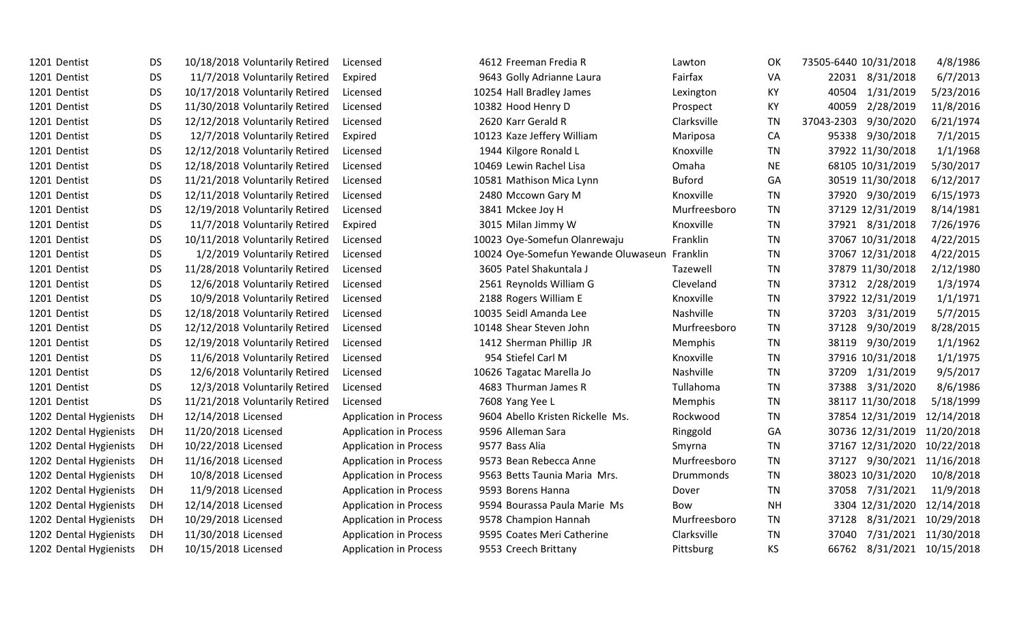| 1201 Dentist           | <b>DS</b> | 10/18/2018 Voluntarily Retired | Licensed                      | 4612 Freeman Fredia R               | Lawton           | OK        | 73505-6440 10/31/2018      | 4/8/1986   |
|------------------------|-----------|--------------------------------|-------------------------------|-------------------------------------|------------------|-----------|----------------------------|------------|
| 1201 Dentist           | <b>DS</b> | 11/7/2018 Voluntarily Retired  | Expired                       | 9643 Golly Adrianne Laura           | Fairfax          | VA        | 22031 8/31/2018            | 6/7/2013   |
| 1201 Dentist           | <b>DS</b> | 10/17/2018 Voluntarily Retired | Licensed                      | 10254 Hall Bradley James            | Lexington        | KY        | 40504<br>1/31/2019         | 5/23/2016  |
| 1201 Dentist           | <b>DS</b> | 11/30/2018 Voluntarily Retired | Licensed                      | 10382 Hood Henry D                  | Prospect         | KY        | 40059<br>2/28/2019         | 11/8/2016  |
| 1201 Dentist           | <b>DS</b> | 12/12/2018 Voluntarily Retired | Licensed                      | 2620 Karr Gerald R                  | Clarksville      | <b>TN</b> | 37043-2303<br>9/30/2020    | 6/21/1974  |
| 1201 Dentist           | <b>DS</b> | 12/7/2018 Voluntarily Retired  | Expired                       | 10123 Kaze Jeffery William          | Mariposa         | CA        | 95338 9/30/2018            | 7/1/2015   |
| 1201 Dentist           | <b>DS</b> | 12/12/2018 Voluntarily Retired | Licensed                      | 1944 Kilgore Ronald L               | Knoxville        | TN        | 37922 11/30/2018           | 1/1/1968   |
| 1201 Dentist           | <b>DS</b> | 12/18/2018 Voluntarily Retired | Licensed                      | 10469 Lewin Rachel Lisa             | Omaha            | <b>NE</b> | 68105 10/31/2019           | 5/30/2017  |
| 1201 Dentist           | <b>DS</b> | 11/21/2018 Voluntarily Retired | Licensed                      | 10581 Mathison Mica Lynn            | <b>Buford</b>    | GA        | 30519 11/30/2018           | 6/12/2017  |
| 1201 Dentist           | <b>DS</b> | 12/11/2018 Voluntarily Retired | Licensed                      | 2480 Mccown Gary M                  | Knoxville        | <b>TN</b> | 37920 9/30/2019            | 6/15/1973  |
| 1201 Dentist           | <b>DS</b> | 12/19/2018 Voluntarily Retired | Licensed                      | 3841 Mckee Joy H                    | Murfreesboro     | TN        | 37129 12/31/2019           | 8/14/1981  |
| 1201 Dentist           | <b>DS</b> | 11/7/2018 Voluntarily Retired  | Expired                       | 3015 Milan Jimmy W                  | Knoxville        | <b>TN</b> | 37921 8/31/2018            | 7/26/1976  |
| 1201 Dentist           | <b>DS</b> | 10/11/2018 Voluntarily Retired | Licensed                      | 10023 Oye-Somefun Olanrewaju        | Franklin         | <b>TN</b> | 37067 10/31/2018           | 4/22/2015  |
| 1201 Dentist           | <b>DS</b> | 1/2/2019 Voluntarily Retired   | Licensed                      | 10024 Oye-Somefun Yewande Oluwaseun | Franklin         | <b>TN</b> | 37067 12/31/2018           | 4/22/2015  |
| 1201 Dentist           | <b>DS</b> | 11/28/2018 Voluntarily Retired | Licensed                      | 3605 Patel Shakuntala J             | Tazewell         | <b>TN</b> | 37879 11/30/2018           | 2/12/1980  |
| 1201 Dentist           | <b>DS</b> | 12/6/2018 Voluntarily Retired  | Licensed                      | 2561 Reynolds William G             | Cleveland        | <b>TN</b> | 37312 2/28/2019            | 1/3/1974   |
| 1201 Dentist           | <b>DS</b> | 10/9/2018 Voluntarily Retired  | Licensed                      | 2188 Rogers William E               | Knoxville        | <b>TN</b> | 37922 12/31/2019           | 1/1/1971   |
| 1201 Dentist           | <b>DS</b> | 12/18/2018 Voluntarily Retired | Licensed                      | 10035 Seidl Amanda Lee              | Nashville        | <b>TN</b> | 3/31/2019<br>37203         | 5/7/2015   |
| 1201 Dentist           | <b>DS</b> | 12/12/2018 Voluntarily Retired | Licensed                      | 10148 Shear Steven John             | Murfreesboro     | <b>TN</b> | 37128<br>9/30/2019         | 8/28/2015  |
| 1201 Dentist           | <b>DS</b> | 12/19/2018 Voluntarily Retired | Licensed                      | 1412 Sherman Phillip JR             | Memphis          | <b>TN</b> | 38119 9/30/2019            | 1/1/1962   |
| 1201 Dentist           | <b>DS</b> | 11/6/2018 Voluntarily Retired  | Licensed                      | 954 Stiefel Carl M                  | Knoxville        | TN        | 37916 10/31/2018           | 1/1/1975   |
| 1201 Dentist           | <b>DS</b> | 12/6/2018 Voluntarily Retired  | Licensed                      | 10626 Tagatac Marella Jo            | Nashville        | TN        | 37209 1/31/2019            | 9/5/2017   |
| 1201 Dentist           | <b>DS</b> | 12/3/2018 Voluntarily Retired  | Licensed                      | 4683 Thurman James R                | Tullahoma        | <b>TN</b> | 37388<br>3/31/2020         | 8/6/1986   |
| 1201 Dentist           | <b>DS</b> | 11/21/2018 Voluntarily Retired | Licensed                      | 7608 Yang Yee L                     | Memphis          | <b>TN</b> | 38117 11/30/2018           | 5/18/1999  |
| 1202 Dental Hygienists | DH        | 12/14/2018 Licensed            | <b>Application in Process</b> | 9604 Abello Kristen Rickelle Ms.    | Rockwood         | <b>TN</b> | 37854 12/31/2019           | 12/14/2018 |
| 1202 Dental Hygienists | DH        | 11/20/2018 Licensed            | <b>Application in Process</b> | 9596 Alleman Sara                   | Ringgold         | GA        | 30736 12/31/2019           | 11/20/2018 |
| 1202 Dental Hygienists | DH        | 10/22/2018 Licensed            | <b>Application in Process</b> | 9577 Bass Alia                      | Smyrna           | <b>TN</b> | 37167 12/31/2020           | 10/22/2018 |
| 1202 Dental Hygienists | DH        | 11/16/2018 Licensed            | <b>Application in Process</b> | 9573 Bean Rebecca Anne              | Murfreesboro     | <b>TN</b> | 9/30/2021<br>37127         | 11/16/2018 |
| 1202 Dental Hygienists | DH        | 10/8/2018 Licensed             | <b>Application in Process</b> | 9563 Betts Taunia Maria Mrs.        | <b>Drummonds</b> | TN        | 38023 10/31/2020           | 10/8/2018  |
| 1202 Dental Hygienists | DH        | 11/9/2018 Licensed             | <b>Application in Process</b> | 9593 Borens Hanna                   | Dover            | <b>TN</b> | 37058 7/31/2021            | 11/9/2018  |
| 1202 Dental Hygienists | DH        | 12/14/2018 Licensed            | <b>Application in Process</b> | 9594 Bourassa Paula Marie Ms        | Bow              | <b>NH</b> | 3304 12/31/2020            | 12/14/2018 |
| 1202 Dental Hygienists | DH        | 10/29/2018 Licensed            | <b>Application in Process</b> | 9578 Champion Hannah                | Murfreesboro     | TN        | 8/31/2021<br>37128         | 10/29/2018 |
| 1202 Dental Hygienists | DH        | 11/30/2018 Licensed            | <b>Application in Process</b> | 9595 Coates Meri Catherine          | Clarksville      | <b>TN</b> | 7/31/2021<br>37040         | 11/30/2018 |
| 1202 Dental Hygienists | DH        | 10/15/2018 Licensed            | <b>Application in Process</b> | 9553 Creech Brittany                | Pittsburg        | <b>KS</b> | 66762 8/31/2021 10/15/2018 |            |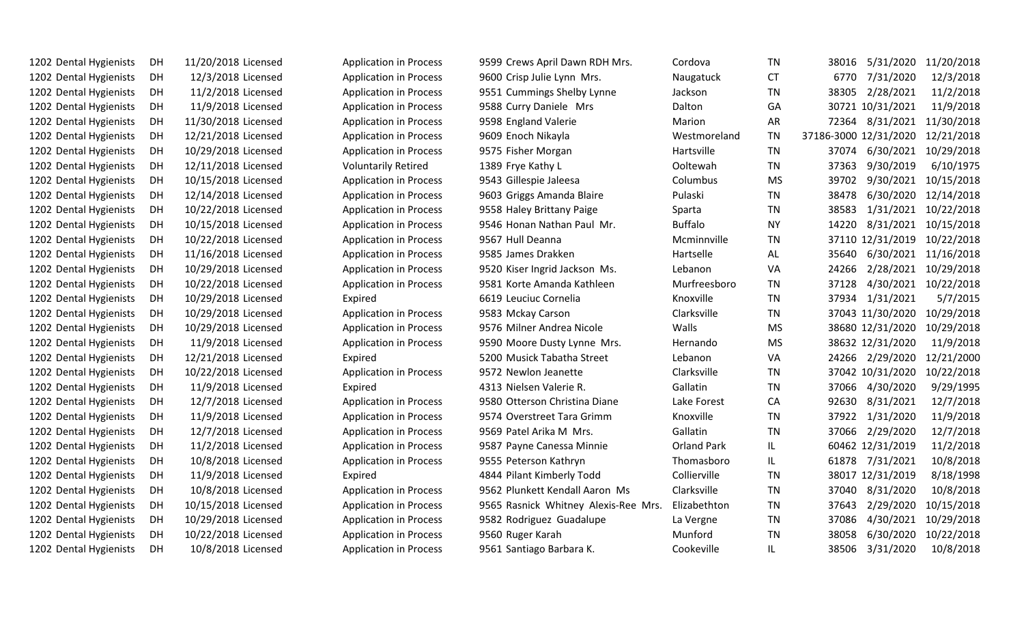| 1202 Dental Hygienists<br>DH | 11/20/2018 Licensed | <b>Application in Process</b> | 9599 Crews April Dawn RDH Mrs.       | Cordova            | <b>TN</b> | 38016                      | 5/31/2020 11/20/2018 |
|------------------------------|---------------------|-------------------------------|--------------------------------------|--------------------|-----------|----------------------------|----------------------|
| 1202 Dental Hygienists<br>DH | 12/3/2018 Licensed  | <b>Application in Process</b> | 9600 Crisp Julie Lynn Mrs.           | Naugatuck          | <b>CT</b> | 7/31/2020<br>6770          | 12/3/2018            |
| 1202 Dental Hygienists<br>DH | 11/2/2018 Licensed  | <b>Application in Process</b> | 9551 Cummings Shelby Lynne           | Jackson            | <b>TN</b> | 38305<br>2/28/2021         | 11/2/2018            |
| 1202 Dental Hygienists<br>DH | 11/9/2018 Licensed  | <b>Application in Process</b> | 9588 Curry Daniele Mrs               | Dalton             | GA        | 30721 10/31/2021           | 11/9/2018            |
| 1202 Dental Hygienists<br>DH | 11/30/2018 Licensed | <b>Application in Process</b> | 9598 England Valerie                 | Marion             | <b>AR</b> | 72364                      | 8/31/2021 11/30/2018 |
| 1202 Dental Hygienists<br>DH | 12/21/2018 Licensed | <b>Application in Process</b> | 9609 Enoch Nikayla                   | Westmoreland       | <b>TN</b> | 37186-3000 12/31/2020      | 12/21/2018           |
| 1202 Dental Hygienists<br>DH | 10/29/2018 Licensed | <b>Application in Process</b> | 9575 Fisher Morgan                   | Hartsville         | TN        | 6/30/2021<br>37074         | 10/29/2018           |
| 1202 Dental Hygienists<br>DH | 12/11/2018 Licensed | <b>Voluntarily Retired</b>    | 1389 Frye Kathy L                    | Ooltewah           | <b>TN</b> | 37363<br>9/30/2019         | 6/10/1975            |
| 1202 Dental Hygienists<br>DH | 10/15/2018 Licensed | <b>Application in Process</b> | 9543 Gillespie Jaleesa               | Columbus           | <b>MS</b> | 39702                      | 9/30/2021 10/15/2018 |
| 1202 Dental Hygienists<br>DH | 12/14/2018 Licensed | <b>Application in Process</b> | 9603 Griggs Amanda Blaire            | Pulaski            | <b>TN</b> | 6/30/2020<br>38478         | 12/14/2018           |
| 1202 Dental Hygienists<br>DH | 10/22/2018 Licensed | <b>Application in Process</b> | 9558 Haley Brittany Paige            | Sparta             | <b>TN</b> | 38583                      | 1/31/2021 10/22/2018 |
| 1202 Dental Hygienists<br>DH | 10/15/2018 Licensed | <b>Application in Process</b> | 9546 Honan Nathan Paul Mr.           | <b>Buffalo</b>     | <b>NY</b> | 8/31/2021<br>14220         | 10/15/2018           |
| 1202 Dental Hygienists<br>DH | 10/22/2018 Licensed | <b>Application in Process</b> | 9567 Hull Deanna                     | Mcminnville        | <b>TN</b> | 37110 12/31/2019           | 10/22/2018           |
| 1202 Dental Hygienists<br>DH | 11/16/2018 Licensed | <b>Application in Process</b> | 9585 James Drakken                   | Hartselle          | AL        | 35640                      | 6/30/2021 11/16/2018 |
| 1202 Dental Hygienists<br>DH | 10/29/2018 Licensed | <b>Application in Process</b> | 9520 Kiser Ingrid Jackson Ms.        | Lebanon            | VA        | 2/28/2021<br>24266         | 10/29/2018           |
| 1202 Dental Hygienists<br>DH | 10/22/2018 Licensed | <b>Application in Process</b> | 9581 Korte Amanda Kathleen           | Murfreesboro       | <b>TN</b> | 4/30/2021<br>37128         | 10/22/2018           |
| 1202 Dental Hygienists<br>DH | 10/29/2018 Licensed | Expired                       | 6619 Leuciuc Cornelia                | Knoxville          | <b>TN</b> | 1/31/2021<br>37934         | 5/7/2015             |
| 1202 Dental Hygienists<br>DH | 10/29/2018 Licensed | <b>Application in Process</b> | 9583 Mckay Carson                    | Clarksville        | <b>TN</b> | 37043 11/30/2020           | 10/29/2018           |
| 1202 Dental Hygienists<br>DH | 10/29/2018 Licensed | <b>Application in Process</b> | 9576 Milner Andrea Nicole            | Walls              | <b>MS</b> | 38680 12/31/2020           | 10/29/2018           |
| 1202 Dental Hygienists<br>DH | 11/9/2018 Licensed  | <b>Application in Process</b> | 9590 Moore Dusty Lynne Mrs.          | Hernando           | <b>MS</b> | 38632 12/31/2020           | 11/9/2018            |
| 1202 Dental Hygienists<br>DH | 12/21/2018 Licensed | Expired                       | 5200 Musick Tabatha Street           | Lebanon            | VA        | 24266 2/29/2020 12/21/2000 |                      |
| 1202 Dental Hygienists<br>DH | 10/22/2018 Licensed | <b>Application in Process</b> | 9572 Newlon Jeanette                 | Clarksville        | <b>TN</b> | 37042 10/31/2020           | 10/22/2018           |
| 1202 Dental Hygienists<br>DH | 11/9/2018 Licensed  | Expired                       | 4313 Nielsen Valerie R.              | Gallatin           | <b>TN</b> | 37066 4/30/2020            | 9/29/1995            |
| 1202 Dental Hygienists<br>DH | 12/7/2018 Licensed  | <b>Application in Process</b> | 9580 Otterson Christina Diane        | Lake Forest        | CA        | 92630<br>8/31/2021         | 12/7/2018            |
| 1202 Dental Hygienists<br>DH | 11/9/2018 Licensed  | <b>Application in Process</b> | 9574 Overstreet Tara Grimm           | Knoxville          | <b>TN</b> | 37922<br>1/31/2020         | 11/9/2018            |
| 1202 Dental Hygienists<br>DH | 12/7/2018 Licensed  | <b>Application in Process</b> | 9569 Patel Arika M Mrs.              | Gallatin           | <b>TN</b> | 37066 2/29/2020            | 12/7/2018            |
| 1202 Dental Hygienists<br>DH | 11/2/2018 Licensed  | <b>Application in Process</b> | 9587 Payne Canessa Minnie            | <b>Orland Park</b> | IL.       | 60462 12/31/2019           | 11/2/2018            |
| 1202 Dental Hygienists<br>DH | 10/8/2018 Licensed  | <b>Application in Process</b> | 9555 Peterson Kathryn                | Thomasboro         | IL        | 61878 7/31/2021            | 10/8/2018            |
| 1202 Dental Hygienists<br>DH | 11/9/2018 Licensed  | Expired                       | 4844 Pilant Kimberly Todd            | Collierville       | <b>TN</b> | 38017 12/31/2019           | 8/18/1998            |
| 1202 Dental Hygienists<br>DH | 10/8/2018 Licensed  | <b>Application in Process</b> | 9562 Plunkett Kendall Aaron Ms       | Clarksville        | <b>TN</b> | 37040<br>8/31/2020         | 10/8/2018            |
| 1202 Dental Hygienists<br>DH | 10/15/2018 Licensed | <b>Application in Process</b> | 9565 Rasnick Whitney Alexis-Ree Mrs. | Elizabethton       | <b>TN</b> | 2/29/2020<br>37643         | 10/15/2018           |
| 1202 Dental Hygienists<br>DH | 10/29/2018 Licensed | <b>Application in Process</b> | 9582 Rodriguez Guadalupe             | La Vergne          | TN        | 4/30/2021<br>37086         | 10/29/2018           |
| 1202 Dental Hygienists<br>DH | 10/22/2018 Licensed | <b>Application in Process</b> | 9560 Ruger Karah                     | Munford            | <b>TN</b> | 6/30/2020<br>38058         | 10/22/2018           |
| 1202 Dental Hygienists<br>DH | 10/8/2018 Licensed  | <b>Application in Process</b> | 9561 Santiago Barbara K.             | Cookeville         | IL.       | 38506<br>3/31/2020         | 10/8/2018            |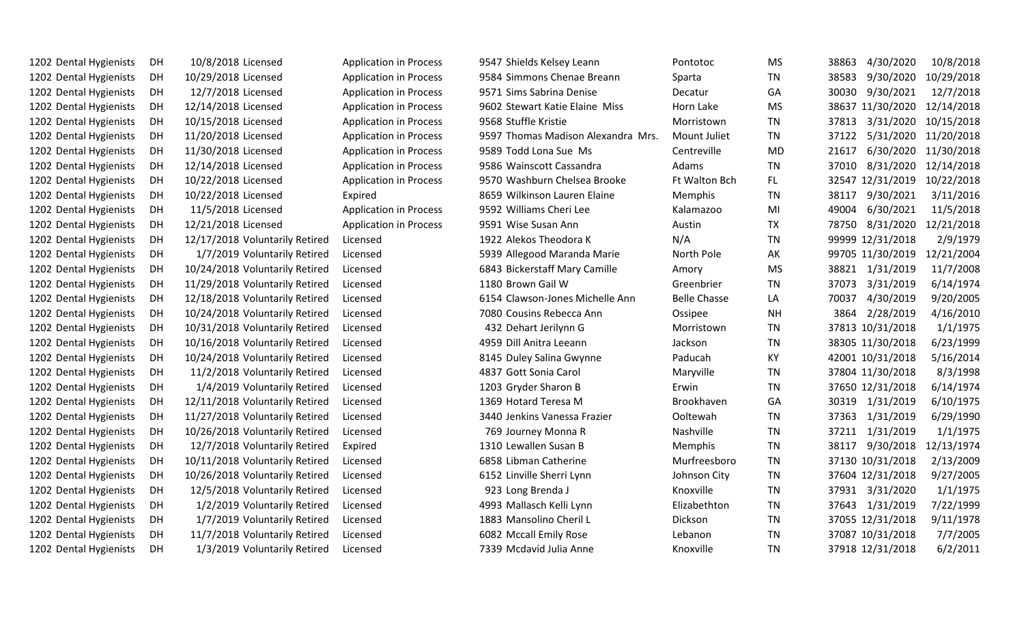| 1202 Dental Hygienists | DH | 10/8/2018 Licensed             | <b>Application in Process</b> | 9547 Shields Kelsey Leann          | Pontotoc            | MS.       | 4/30/2020<br>38863 | 10/8/2018  |
|------------------------|----|--------------------------------|-------------------------------|------------------------------------|---------------------|-----------|--------------------|------------|
| 1202 Dental Hygienists | DH | 10/29/2018 Licensed            | <b>Application in Process</b> | 9584 Simmons Chenae Breann         | Sparta              | <b>TN</b> | 38583<br>9/30/2020 | 10/29/2018 |
| 1202 Dental Hygienists | DH | 12/7/2018 Licensed             | <b>Application in Process</b> | 9571 Sims Sabrina Denise           | Decatur             | GA        | 30030<br>9/30/2021 | 12/7/2018  |
| 1202 Dental Hygienists | DH | 12/14/2018 Licensed            | <b>Application in Process</b> | 9602 Stewart Katie Elaine Miss     | Horn Lake           | <b>MS</b> | 38637 11/30/2020   | 12/14/2018 |
| 1202 Dental Hygienists | DH | 10/15/2018 Licensed            | <b>Application in Process</b> | 9568 Stuffle Kristie               | Morristown          | TN        | 3/31/2020<br>37813 | 10/15/2018 |
| 1202 Dental Hygienists | DH | 11/20/2018 Licensed            | <b>Application in Process</b> | 9597 Thomas Madison Alexandra Mrs. | Mount Juliet        | TN        | 5/31/2020<br>37122 | 11/20/2018 |
| 1202 Dental Hygienists | DH | 11/30/2018 Licensed            | <b>Application in Process</b> | 9589 Todd Lona Sue Ms              | Centreville         | <b>MD</b> | 6/30/2020<br>21617 | 11/30/2018 |
| 1202 Dental Hygienists | DH | 12/14/2018 Licensed            | <b>Application in Process</b> | 9586 Wainscott Cassandra           | Adams               | <b>TN</b> | 8/31/2020<br>37010 | 12/14/2018 |
| 1202 Dental Hygienists | DH | 10/22/2018 Licensed            | <b>Application in Process</b> | 9570 Washburn Chelsea Brooke       | Ft Walton Bch       | FL.       | 32547 12/31/2019   | 10/22/2018 |
| 1202 Dental Hygienists | DH | 10/22/2018 Licensed            | Expired                       | 8659 Wilkinson Lauren Elaine       | Memphis             | ΤN        | 9/30/2021<br>38117 | 3/11/2016  |
| 1202 Dental Hygienists | DH | 11/5/2018 Licensed             | <b>Application in Process</b> | 9592 Williams Cheri Lee            | Kalamazoo           | MI        | 49004<br>6/30/2021 | 11/5/2018  |
| 1202 Dental Hygienists | DH | 12/21/2018 Licensed            | <b>Application in Process</b> | 9591 Wise Susan Ann                | Austin              | <b>TX</b> | 8/31/2020<br>78750 | 12/21/2018 |
| 1202 Dental Hygienists | DH | 12/17/2018 Voluntarily Retired | Licensed                      | 1922 Alekos Theodora K             | N/A                 | <b>TN</b> | 99999 12/31/2018   | 2/9/1979   |
| 1202 Dental Hygienists | DH | 1/7/2019 Voluntarily Retired   | Licensed                      | 5939 Allegood Maranda Marie        | North Pole          | АK        | 99705 11/30/2019   | 12/21/2004 |
| 1202 Dental Hygienists | DH | 10/24/2018 Voluntarily Retired | Licensed                      | 6843 Bickerstaff Mary Camille      | Amory               | <b>MS</b> | 1/31/2019<br>38821 | 11/7/2008  |
| 1202 Dental Hygienists | DH | 11/29/2018 Voluntarily Retired | Licensed                      | 1180 Brown Gail W                  | Greenbrier          | <b>TN</b> | 3/31/2019<br>37073 | 6/14/1974  |
| 1202 Dental Hygienists | DH | 12/18/2018 Voluntarily Retired | Licensed                      | 6154 Clawson-Jones Michelle Ann    | <b>Belle Chasse</b> | LA        | 4/30/2019<br>70037 | 9/20/2005  |
| 1202 Dental Hygienists | DH | 10/24/2018 Voluntarily Retired | Licensed                      | 7080 Cousins Rebecca Ann           | Ossipee             | <b>NH</b> | 2/28/2019<br>3864  | 4/16/2010  |
| 1202 Dental Hygienists | DH | 10/31/2018 Voluntarily Retired | Licensed                      | 432 Dehart Jerilynn G              | Morristown          | <b>TN</b> | 37813 10/31/2018   | 1/1/1975   |
| 1202 Dental Hygienists | DH | 10/16/2018 Voluntarily Retired | Licensed                      | 4959 Dill Anitra Leeann            | Jackson             | TN        | 38305 11/30/2018   | 6/23/1999  |
| 1202 Dental Hygienists | DH | 10/24/2018 Voluntarily Retired | Licensed                      | 8145 Duley Salina Gwynne           | Paducah             | ΚY        | 42001 10/31/2018   | 5/16/2014  |
| 1202 Dental Hygienists | DH | 11/2/2018 Voluntarily Retired  | Licensed                      | 4837 Gott Sonia Carol              | Maryville           | TN        | 37804 11/30/2018   | 8/3/1998   |
| 1202 Dental Hygienists | DH | 1/4/2019 Voluntarily Retired   | Licensed                      | 1203 Gryder Sharon B               | Erwin               | <b>TN</b> | 37650 12/31/2018   | 6/14/1974  |
| 1202 Dental Hygienists | DH | 12/11/2018 Voluntarily Retired | Licensed                      | 1369 Hotard Teresa M               | Brookhaven          | GA        | 30319 1/31/2019    | 6/10/1975  |
| 1202 Dental Hygienists | DH | 11/27/2018 Voluntarily Retired | Licensed                      | 3440 Jenkins Vanessa Frazier       | Ooltewah            | <b>TN</b> | 37363<br>1/31/2019 | 6/29/1990  |
| 1202 Dental Hygienists | DH | 10/26/2018 Voluntarily Retired | Licensed                      | 769 Journey Monna R                | Nashville           | TN        | 1/31/2019<br>37211 | 1/1/1975   |
| 1202 Dental Hygienists | DH | 12/7/2018 Voluntarily Retired  | Expired                       | 1310 Lewallen Susan B              | Memphis             | TN        | 38117<br>9/30/2018 | 12/13/1974 |
| 1202 Dental Hygienists | DH | 10/11/2018 Voluntarily Retired | Licensed                      | 6858 Libman Catherine              | Murfreesboro        | <b>TN</b> | 37130 10/31/2018   | 2/13/2009  |
| 1202 Dental Hygienists | DH | 10/26/2018 Voluntarily Retired | Licensed                      | 6152 Linville Sherri Lynn          | Johnson City        | <b>TN</b> | 37604 12/31/2018   | 9/27/2005  |
| 1202 Dental Hygienists | DH | 12/5/2018 Voluntarily Retired  | Licensed                      | 923 Long Brenda J                  | Knoxville           | <b>TN</b> | 37931<br>3/31/2020 | 1/1/1975   |
| 1202 Dental Hygienists | DH | 1/2/2019 Voluntarily Retired   | Licensed                      | 4993 Mallasch Kelli Lynn           | Elizabethton        | TN        | 1/31/2019<br>37643 | 7/22/1999  |
| 1202 Dental Hygienists | DH | 1/7/2019 Voluntarily Retired   | Licensed                      | 1883 Mansolino Cheril L            | Dickson             | TN        | 37055 12/31/2018   | 9/11/1978  |
| 1202 Dental Hygienists | DH | 11/7/2018 Voluntarily Retired  | Licensed                      | 6082 Mccall Emily Rose             | Lebanon             | <b>TN</b> | 37087 10/31/2018   | 7/7/2005   |
| 1202 Dental Hygienists | DH | 1/3/2019 Voluntarily Retired   | Licensed                      | 7339 Mcdavid Julia Anne            | Knoxville           | <b>TN</b> | 37918 12/31/2018   | 6/2/2011   |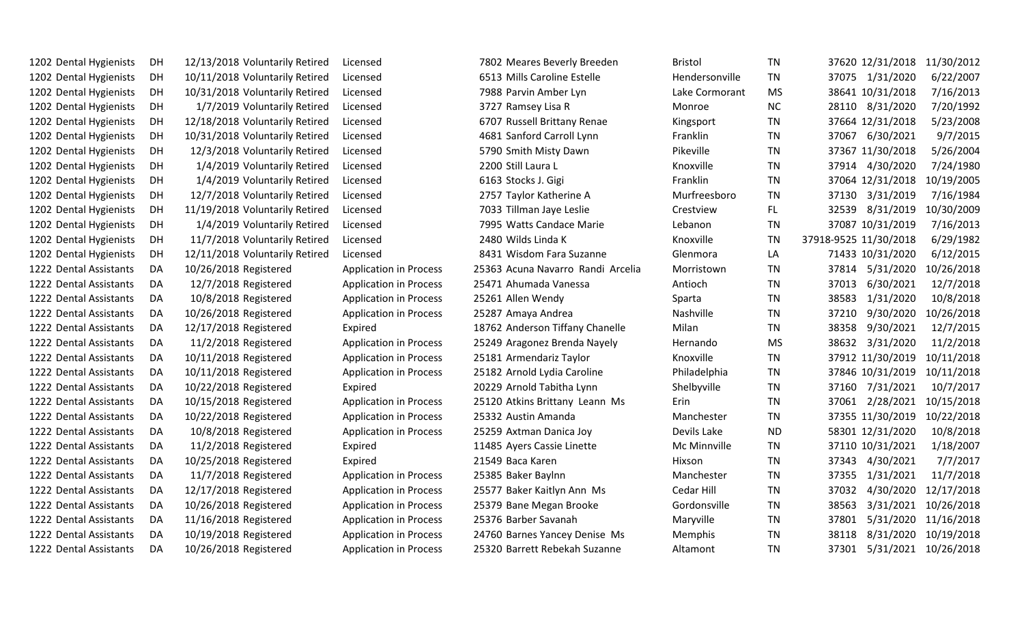| 1202 Dental Hygienists | DH | 12/13/2018 Voluntarily Retired | Licensed                      | 7802 Meares Beverly Breeden       | <b>Bristol</b> | TN        | 37620 12/31/2018      | 11/30/2012           |
|------------------------|----|--------------------------------|-------------------------------|-----------------------------------|----------------|-----------|-----------------------|----------------------|
| 1202 Dental Hygienists | DH | 10/11/2018 Voluntarily Retired | Licensed                      | 6513 Mills Caroline Estelle       | Hendersonville | TN        | 37075 1/31/2020       | 6/22/2007            |
| 1202 Dental Hygienists | DH | 10/31/2018 Voluntarily Retired | Licensed                      | 7988 Parvin Amber Lyn             | Lake Cormorant | <b>MS</b> | 38641 10/31/2018      | 7/16/2013            |
| 1202 Dental Hygienists | DH | 1/7/2019 Voluntarily Retired   | Licensed                      | 3727 Ramsey Lisa R                | Monroe         | <b>NC</b> | 28110 8/31/2020       | 7/20/1992            |
| 1202 Dental Hygienists | DH | 12/18/2018 Voluntarily Retired | Licensed                      | 6707 Russell Brittany Renae       | Kingsport      | TN        | 37664 12/31/2018      | 5/23/2008            |
| 1202 Dental Hygienists | DH | 10/31/2018 Voluntarily Retired | Licensed                      | 4681 Sanford Carroll Lynn         | Franklin       | <b>TN</b> | 37067<br>6/30/2021    | 9/7/2015             |
| 1202 Dental Hygienists | DH | 12/3/2018 Voluntarily Retired  | Licensed                      | 5790 Smith Misty Dawn             | Pikeville      | TN        | 37367 11/30/2018      | 5/26/2004            |
| 1202 Dental Hygienists | DH | 1/4/2019 Voluntarily Retired   | Licensed                      | 2200 Still Laura L                | Knoxville      | <b>TN</b> | 4/30/2020<br>37914    | 7/24/1980            |
| 1202 Dental Hygienists | DH | 1/4/2019 Voluntarily Retired   | Licensed                      | 6163 Stocks J. Gigi               | Franklin       | <b>TN</b> | 37064 12/31/2018      | 10/19/2005           |
| 1202 Dental Hygienists | DH | 12/7/2018 Voluntarily Retired  | Licensed                      | 2757 Taylor Katherine A           | Murfreesboro   | <b>TN</b> | 3/31/2019<br>37130    | 7/16/1984            |
| 1202 Dental Hygienists | DH | 11/19/2018 Voluntarily Retired | Licensed                      | 7033 Tillman Jaye Leslie          | Crestview      | FL.       | 8/31/2019<br>32539    | 10/30/2009           |
| 1202 Dental Hygienists | DH | 1/4/2019 Voluntarily Retired   | Licensed                      | 7995 Watts Candace Marie          | Lebanon        | <b>TN</b> | 37087 10/31/2019      | 7/16/2013            |
| 1202 Dental Hygienists | DH | 11/7/2018 Voluntarily Retired  | Licensed                      | 2480 Wilds Linda K                | Knoxville      | <b>TN</b> | 37918-9525 11/30/2018 | 6/29/1982            |
| 1202 Dental Hygienists | DH | 12/11/2018 Voluntarily Retired | Licensed                      | 8431 Wisdom Fara Suzanne          | Glenmora       | LA        | 71433 10/31/2020      | 6/12/2015            |
| 1222 Dental Assistants | DA | 10/26/2018 Registered          | <b>Application in Process</b> | 25363 Acuna Navarro Randi Arcelia | Morristown     | TN        | 5/31/2020<br>37814    | 10/26/2018           |
| 1222 Dental Assistants | DA | 12/7/2018 Registered           | <b>Application in Process</b> | 25471 Ahumada Vanessa             | Antioch        | <b>TN</b> | 6/30/2021<br>37013    | 12/7/2018            |
| 1222 Dental Assistants | DA | 10/8/2018 Registered           | <b>Application in Process</b> | 25261 Allen Wendy                 | Sparta         | TN        | 38583<br>1/31/2020    | 10/8/2018            |
| 1222 Dental Assistants | DA | 10/26/2018 Registered          | <b>Application in Process</b> | 25287 Amaya Andrea                | Nashville      | TN        | 37210<br>9/30/2020    | 10/26/2018           |
| 1222 Dental Assistants | DA | 12/17/2018 Registered          | Expired                       | 18762 Anderson Tiffany Chanelle   | Milan          | <b>TN</b> | 38358<br>9/30/2021    | 12/7/2015            |
| 1222 Dental Assistants | DA | 11/2/2018 Registered           | <b>Application in Process</b> | 25249 Aragonez Brenda Nayely      | Hernando       | <b>MS</b> | 38632<br>3/31/2020    | 11/2/2018            |
| 1222 Dental Assistants | DA | 10/11/2018 Registered          | <b>Application in Process</b> | 25181 Armendariz Taylor           | Knoxville      | TN        | 37912 11/30/2019      | 10/11/2018           |
| 1222 Dental Assistants | DA | 10/11/2018 Registered          | <b>Application in Process</b> | 25182 Arnold Lydia Caroline       | Philadelphia   | TN        | 37846 10/31/2019      | 10/11/2018           |
| 1222 Dental Assistants | DA | 10/22/2018 Registered          | Expired                       | 20229 Arnold Tabitha Lynn         | Shelbyville    | TN        | 7/31/2021<br>37160    | 10/7/2017            |
| 1222 Dental Assistants | DA | 10/15/2018 Registered          | <b>Application in Process</b> | 25120 Atkins Brittany Leann Ms    | Erin           | TN        | 2/28/2021<br>37061    | 10/15/2018           |
| 1222 Dental Assistants | DA | 10/22/2018 Registered          | <b>Application in Process</b> | 25332 Austin Amanda               | Manchester     | TN        | 37355 11/30/2019      | 10/22/2018           |
| 1222 Dental Assistants | DA | 10/8/2018 Registered           | <b>Application in Process</b> | 25259 Axtman Danica Joy           | Devils Lake    | <b>ND</b> | 58301 12/31/2020      | 10/8/2018            |
| 1222 Dental Assistants | DA | 11/2/2018 Registered           | Expired                       | 11485 Ayers Cassie Linette        | Mc Minnville   | TN        | 37110 10/31/2021      | 1/18/2007            |
| 1222 Dental Assistants | DA | 10/25/2018 Registered          | Expired                       | 21549 Baca Karen                  | Hixson         | TN        | 4/30/2021<br>37343    | 7/7/2017             |
| 1222 Dental Assistants | DA | 11/7/2018 Registered           | <b>Application in Process</b> | 25385 Baker Baylnn                | Manchester     | <b>TN</b> | 37355<br>1/31/2021    | 11/7/2018            |
| 1222 Dental Assistants | DA | 12/17/2018 Registered          | <b>Application in Process</b> | 25577 Baker Kaitlyn Ann Ms        | Cedar Hill     | TN        | 4/30/2020<br>37032    | 12/17/2018           |
| 1222 Dental Assistants | DA | 10/26/2018 Registered          | <b>Application in Process</b> | 25379 Bane Megan Brooke           | Gordonsville   | <b>TN</b> | 38563<br>3/31/2021    | 10/26/2018           |
| 1222 Dental Assistants | DA | 11/16/2018 Registered          | <b>Application in Process</b> | 25376 Barber Savanah              | Maryville      | TN        | 37801<br>5/31/2020    | 11/16/2018           |
| 1222 Dental Assistants | DA | 10/19/2018 Registered          | <b>Application in Process</b> | 24760 Barnes Yancey Denise Ms     | Memphis        | <b>TN</b> | 38118<br>8/31/2020    | 10/19/2018           |
| 1222 Dental Assistants | DA | 10/26/2018 Registered          | <b>Application in Process</b> | 25320 Barrett Rebekah Suzanne     | Altamont       | <b>TN</b> | 37301                 | 5/31/2021 10/26/2018 |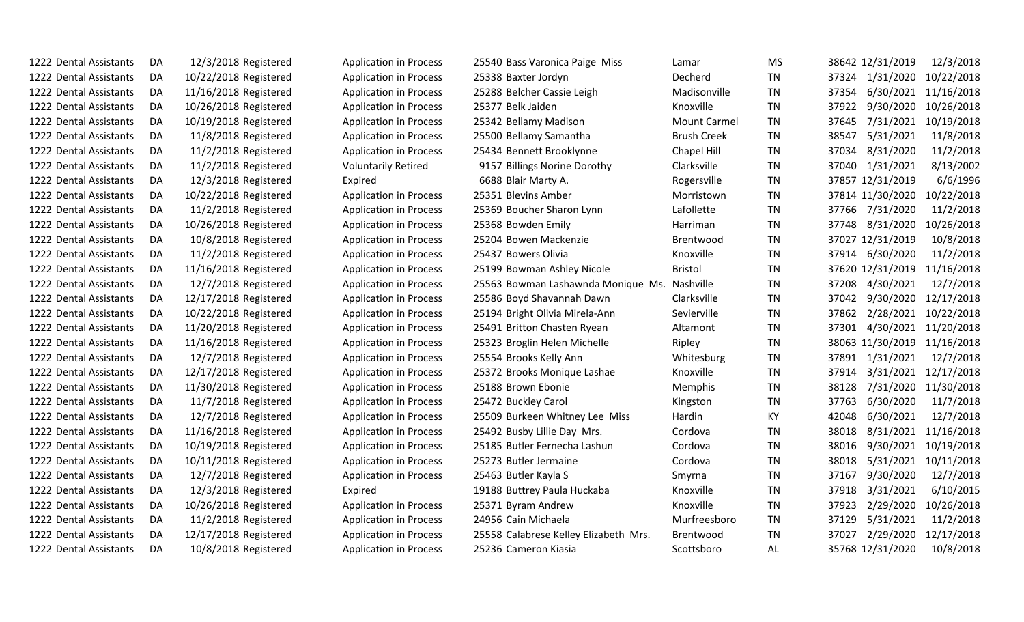| 1222 Dental Assistants | DA | 12/3/2018 Registered  | <b>Application in Process</b> | 25540 Bass Varonica Paige Miss        | Lamar               | <b>MS</b> | 38642 12/31/2019   | 12/3/2018  |
|------------------------|----|-----------------------|-------------------------------|---------------------------------------|---------------------|-----------|--------------------|------------|
| 1222 Dental Assistants | DA | 10/22/2018 Registered | <b>Application in Process</b> | 25338 Baxter Jordyn                   | Decherd             | <b>TN</b> | 37324 1/31/2020    | 10/22/2018 |
| 1222 Dental Assistants | DA | 11/16/2018 Registered | <b>Application in Process</b> | 25288 Belcher Cassie Leigh            | Madisonville        | <b>TN</b> | 37354<br>6/30/2021 | 11/16/2018 |
| 1222 Dental Assistants | DA | 10/26/2018 Registered | <b>Application in Process</b> | 25377 Belk Jaiden                     | Knoxville           | <b>TN</b> | 9/30/2020<br>37922 | 10/26/2018 |
| 1222 Dental Assistants | DA | 10/19/2018 Registered | <b>Application in Process</b> | 25342 Bellamy Madison                 | <b>Mount Carmel</b> | TN        | 7/31/2021<br>37645 | 10/19/2018 |
| 1222 Dental Assistants | DA | 11/8/2018 Registered  | <b>Application in Process</b> | 25500 Bellamy Samantha                | <b>Brush Creek</b>  | <b>TN</b> | 5/31/2021<br>38547 | 11/8/2018  |
| 1222 Dental Assistants | DA | 11/2/2018 Registered  | <b>Application in Process</b> | 25434 Bennett Brooklynne              | Chapel Hill         | <b>TN</b> | 37034<br>8/31/2020 | 11/2/2018  |
| 1222 Dental Assistants | DA | 11/2/2018 Registered  | <b>Voluntarily Retired</b>    | 9157 Billings Norine Dorothy          | Clarksville         | <b>TN</b> | 37040<br>1/31/2021 | 8/13/2002  |
| 1222 Dental Assistants | DA | 12/3/2018 Registered  | Expired                       | 6688 Blair Marty A.                   | Rogersville         | <b>TN</b> | 37857 12/31/2019   | 6/6/1996   |
| 1222 Dental Assistants | DA | 10/22/2018 Registered | <b>Application in Process</b> | 25351 Blevins Amber                   | Morristown          | <b>TN</b> | 37814 11/30/2020   | 10/22/2018 |
| 1222 Dental Assistants | DA | 11/2/2018 Registered  | <b>Application in Process</b> | 25369 Boucher Sharon Lynn             | Lafollette          | <b>TN</b> | 7/31/2020<br>37766 | 11/2/2018  |
| 1222 Dental Assistants | DA | 10/26/2018 Registered | <b>Application in Process</b> | 25368 Bowden Emily                    | Harriman            | TN        | 8/31/2020<br>37748 | 10/26/2018 |
| 1222 Dental Assistants | DA | 10/8/2018 Registered  | <b>Application in Process</b> | 25204 Bowen Mackenzie                 | Brentwood           | <b>TN</b> | 37027 12/31/2019   | 10/8/2018  |
| 1222 Dental Assistants | DA | 11/2/2018 Registered  | <b>Application in Process</b> | 25437 Bowers Olivia                   | Knoxville           | <b>TN</b> | 37914<br>6/30/2020 | 11/2/2018  |
| 1222 Dental Assistants | DA | 11/16/2018 Registered | <b>Application in Process</b> | 25199 Bowman Ashley Nicole            | <b>Bristol</b>      | <b>TN</b> | 37620 12/31/2019   | 11/16/2018 |
| 1222 Dental Assistants | DA | 12/7/2018 Registered  | <b>Application in Process</b> | 25563 Bowman Lashawnda Monique Ms.    | Nashville           | <b>TN</b> | 4/30/2021<br>37208 | 12/7/2018  |
| 1222 Dental Assistants | DA | 12/17/2018 Registered | <b>Application in Process</b> | 25586 Boyd Shavannah Dawn             | Clarksville         | <b>TN</b> | 9/30/2020<br>37042 | 12/17/2018 |
| 1222 Dental Assistants | DA | 10/22/2018 Registered | <b>Application in Process</b> | 25194 Bright Olivia Mirela-Ann        | Sevierville         | <b>TN</b> | 2/28/2021<br>37862 | 10/22/2018 |
| 1222 Dental Assistants | DA | 11/20/2018 Registered | <b>Application in Process</b> | 25491 Britton Chasten Ryean           | Altamont            | <b>TN</b> | 4/30/2021<br>37301 | 11/20/2018 |
| 1222 Dental Assistants | DA | 11/16/2018 Registered | <b>Application in Process</b> | 25323 Broglin Helen Michelle          | Ripley              | <b>TN</b> | 38063 11/30/2019   | 11/16/2018 |
| 1222 Dental Assistants | DA | 12/7/2018 Registered  | <b>Application in Process</b> | 25554 Brooks Kelly Ann                | Whitesburg          | <b>TN</b> | 1/31/2021<br>37891 | 12/7/2018  |
| 1222 Dental Assistants | DA | 12/17/2018 Registered | <b>Application in Process</b> | 25372 Brooks Monique Lashae           | Knoxville           | TN        | 3/31/2021<br>37914 | 12/17/2018 |
| 1222 Dental Assistants | DA | 11/30/2018 Registered | <b>Application in Process</b> | 25188 Brown Ebonie                    | Memphis             | <b>TN</b> | 7/31/2020<br>38128 | 11/30/2018 |
| 1222 Dental Assistants | DA | 11/7/2018 Registered  | <b>Application in Process</b> | 25472 Buckley Carol                   | Kingston            | <b>TN</b> | 6/30/2020<br>37763 | 11/7/2018  |
| 1222 Dental Assistants | DA | 12/7/2018 Registered  | <b>Application in Process</b> | 25509 Burkeen Whitney Lee Miss        | Hardin              | KY        | 6/30/2021<br>42048 | 12/7/2018  |
| 1222 Dental Assistants | DA | 11/16/2018 Registered | <b>Application in Process</b> | 25492 Busby Lillie Day Mrs.           | Cordova             | <b>TN</b> | 8/31/2021<br>38018 | 11/16/2018 |
| 1222 Dental Assistants | DA | 10/19/2018 Registered | <b>Application in Process</b> | 25185 Butler Fernecha Lashun          | Cordova             | <b>TN</b> | 38016<br>9/30/2021 | 10/19/2018 |
| 1222 Dental Assistants | DA | 10/11/2018 Registered | <b>Application in Process</b> | 25273 Butler Jermaine                 | Cordova             | <b>TN</b> | 5/31/2021<br>38018 | 10/11/2018 |
| 1222 Dental Assistants | DA | 12/7/2018 Registered  | <b>Application in Process</b> | 25463 Butler Kayla S                  | Smyrna              | <b>TN</b> | 37167<br>9/30/2020 | 12/7/2018  |
| 1222 Dental Assistants | DA | 12/3/2018 Registered  | Expired                       | 19188 Buttrey Paula Huckaba           | Knoxville           | <b>TN</b> | 37918<br>3/31/2021 | 6/10/2015  |
| 1222 Dental Assistants | DA | 10/26/2018 Registered | <b>Application in Process</b> | 25371 Byram Andrew                    | Knoxville           | <b>TN</b> | 37923<br>2/29/2020 | 10/26/2018 |
| 1222 Dental Assistants | DA | 11/2/2018 Registered  | <b>Application in Process</b> | 24956 Cain Michaela                   | Murfreesboro        | TN        | 37129<br>5/31/2021 | 11/2/2018  |
| 1222 Dental Assistants | DA | 12/17/2018 Registered | <b>Application in Process</b> | 25558 Calabrese Kelley Elizabeth Mrs. | Brentwood           | <b>TN</b> | 37027<br>2/29/2020 | 12/17/2018 |
| 1222 Dental Assistants | DA | 10/8/2018 Registered  | <b>Application in Process</b> | 25236 Cameron Kiasia                  | Scottsboro          | AL        | 35768 12/31/2020   | 10/8/2018  |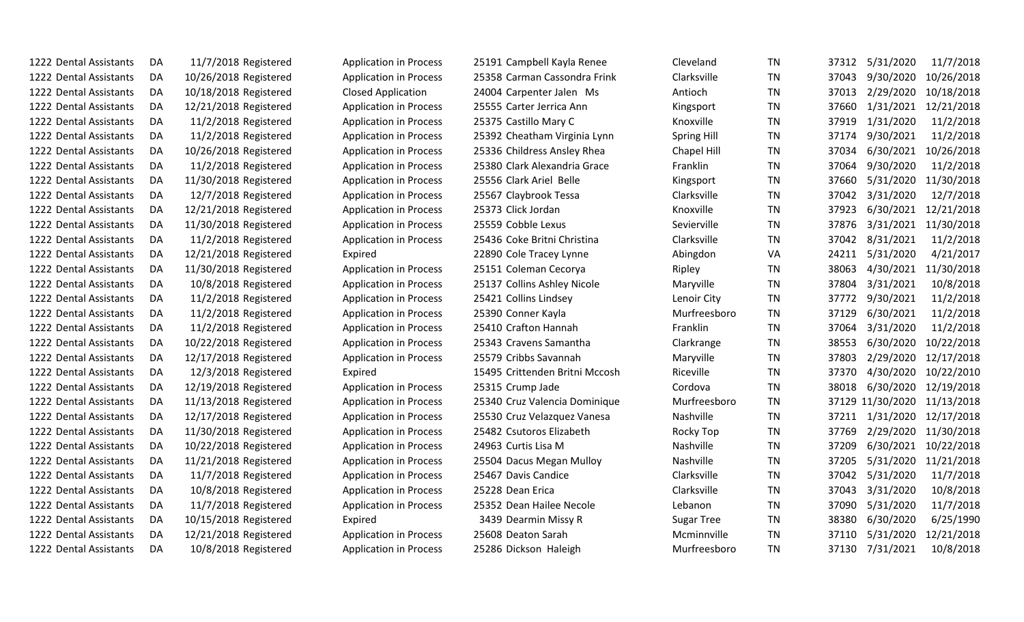| 1222 Dental Assistants | DA. | 11/7/2018 Registered  | <b>Application in Process</b> | 25191 Campbell Kayla Renee     | Cleveland          | <b>TN</b> | 37312 | 5/31/2020        | 11/7/2018  |
|------------------------|-----|-----------------------|-------------------------------|--------------------------------|--------------------|-----------|-------|------------------|------------|
| 1222 Dental Assistants | DA  | 10/26/2018 Registered | <b>Application in Process</b> | 25358 Carman Cassondra Frink   | Clarksville        | <b>TN</b> | 37043 | 9/30/2020        | 10/26/2018 |
| 1222 Dental Assistants | DA  | 10/18/2018 Registered | <b>Closed Application</b>     | 24004 Carpenter Jalen Ms       | Antioch            | TN        | 37013 | 2/29/2020        | 10/18/2018 |
| 1222 Dental Assistants | DA  | 12/21/2018 Registered | <b>Application in Process</b> | 25555 Carter Jerrica Ann       | Kingsport          | TN        | 37660 | 1/31/2021        | 12/21/2018 |
| 1222 Dental Assistants | DA  | 11/2/2018 Registered  | <b>Application in Process</b> | 25375 Castillo Mary C          | Knoxville          | <b>TN</b> | 37919 | 1/31/2020        | 11/2/2018  |
| 1222 Dental Assistants | DA  | 11/2/2018 Registered  | <b>Application in Process</b> | 25392 Cheatham Virginia Lynn   | <b>Spring Hill</b> | <b>TN</b> | 37174 | 9/30/2021        | 11/2/2018  |
| 1222 Dental Assistants | DA  | 10/26/2018 Registered | <b>Application in Process</b> | 25336 Childress Ansley Rhea    | Chapel Hill        | TN        | 37034 | 6/30/2021        | 10/26/2018 |
| 1222 Dental Assistants | DA  | 11/2/2018 Registered  | <b>Application in Process</b> | 25380 Clark Alexandria Grace   | Franklin           | <b>TN</b> | 37064 | 9/30/2020        | 11/2/2018  |
| 1222 Dental Assistants | DA  | 11/30/2018 Registered | <b>Application in Process</b> | 25556 Clark Ariel Belle        | Kingsport          | <b>TN</b> | 37660 | 5/31/2020        | 11/30/2018 |
| 1222 Dental Assistants | DA  | 12/7/2018 Registered  | <b>Application in Process</b> | 25567 Claybrook Tessa          | Clarksville        | TN        | 37042 | 3/31/2020        | 12/7/2018  |
| 1222 Dental Assistants | DA  | 12/21/2018 Registered | <b>Application in Process</b> | 25373 Click Jordan             | Knoxville          | <b>TN</b> | 37923 | 6/30/2021        | 12/21/2018 |
| 1222 Dental Assistants | DA  | 11/30/2018 Registered | <b>Application in Process</b> | 25559 Cobble Lexus             | Sevierville        | <b>TN</b> | 37876 | 3/31/2021        | 11/30/2018 |
| 1222 Dental Assistants | DA  | 11/2/2018 Registered  | <b>Application in Process</b> | 25436 Coke Britni Christina    | Clarksville        | <b>TN</b> | 37042 | 8/31/2021        | 11/2/2018  |
| 1222 Dental Assistants | DA  | 12/21/2018 Registered | Expired                       | 22890 Cole Tracey Lynne        | Abingdon           | VA        | 24211 | 5/31/2020        | 4/21/2017  |
| 1222 Dental Assistants | DA  | 11/30/2018 Registered | <b>Application in Process</b> | 25151 Coleman Cecorya          | Ripley             | TN        | 38063 | 4/30/2021        | 11/30/2018 |
| 1222 Dental Assistants | DA  | 10/8/2018 Registered  | <b>Application in Process</b> | 25137 Collins Ashley Nicole    | Maryville          | TN        | 37804 | 3/31/2021        | 10/8/2018  |
| 1222 Dental Assistants | DA  | 11/2/2018 Registered  | <b>Application in Process</b> | 25421 Collins Lindsey          | Lenoir City        | TN        | 37772 | 9/30/2021        | 11/2/2018  |
| 1222 Dental Assistants | DA  | 11/2/2018 Registered  | <b>Application in Process</b> | 25390 Conner Kayla             | Murfreesboro       | <b>TN</b> | 37129 | 6/30/2021        | 11/2/2018  |
| 1222 Dental Assistants | DA  | 11/2/2018 Registered  | <b>Application in Process</b> | 25410 Crafton Hannah           | Franklin           | <b>TN</b> | 37064 | 3/31/2020        | 11/2/2018  |
| 1222 Dental Assistants | DA  | 10/22/2018 Registered | <b>Application in Process</b> | 25343 Cravens Samantha         | Clarkrange         | <b>TN</b> | 38553 | 6/30/2020        | 10/22/2018 |
| 1222 Dental Assistants | DA  | 12/17/2018 Registered | <b>Application in Process</b> | 25579 Cribbs Savannah          | Maryville          | <b>TN</b> | 37803 | 2/29/2020        | 12/17/2018 |
| 1222 Dental Assistants | DA  | 12/3/2018 Registered  | Expired                       | 15495 Crittenden Britni Mccosh | Riceville          | <b>TN</b> | 37370 | 4/30/2020        | 10/22/2010 |
| 1222 Dental Assistants | DA  | 12/19/2018 Registered | <b>Application in Process</b> | 25315 Crump Jade               | Cordova            | <b>TN</b> | 38018 | 6/30/2020        | 12/19/2018 |
| 1222 Dental Assistants | DA  | 11/13/2018 Registered | <b>Application in Process</b> | 25340 Cruz Valencia Dominique  | Murfreesboro       | TN        |       | 37129 11/30/2020 | 11/13/2018 |
| 1222 Dental Assistants | DA  | 12/17/2018 Registered | <b>Application in Process</b> | 25530 Cruz Velazquez Vanesa    | Nashville          | TN        | 37211 | 1/31/2020        | 12/17/2018 |
| 1222 Dental Assistants | DA  | 11/30/2018 Registered | <b>Application in Process</b> | 25482 Csutoros Elizabeth       | Rocky Top          | <b>TN</b> | 37769 | 2/29/2020        | 11/30/2018 |
| 1222 Dental Assistants | DA  | 10/22/2018 Registered | <b>Application in Process</b> | 24963 Curtis Lisa M            | Nashville          | <b>TN</b> | 37209 | 6/30/2021        | 10/22/2018 |
| 1222 Dental Assistants | DA  | 11/21/2018 Registered | <b>Application in Process</b> | 25504 Dacus Megan Mulloy       | Nashville          | <b>TN</b> | 37205 | 5/31/2020        | 11/21/2018 |
| 1222 Dental Assistants | DA  | 11/7/2018 Registered  | <b>Application in Process</b> | 25467 Davis Candice            | Clarksville        | <b>TN</b> | 37042 | 5/31/2020        | 11/7/2018  |
| 1222 Dental Assistants | DA  | 10/8/2018 Registered  | <b>Application in Process</b> | 25228 Dean Erica               | Clarksville        | <b>TN</b> | 37043 | 3/31/2020        | 10/8/2018  |
| 1222 Dental Assistants | DA  | 11/7/2018 Registered  | <b>Application in Process</b> | 25352 Dean Hailee Necole       | Lebanon            | <b>TN</b> | 37090 | 5/31/2020        | 11/7/2018  |
| 1222 Dental Assistants | DA  | 10/15/2018 Registered | Expired                       | 3439 Dearmin Missy R           | <b>Sugar Tree</b>  | TN        | 38380 | 6/30/2020        | 6/25/1990  |
| 1222 Dental Assistants | DA  | 12/21/2018 Registered | <b>Application in Process</b> | 25608 Deaton Sarah             | Mcminnville        | <b>TN</b> | 37110 | 5/31/2020        | 12/21/2018 |
| 1222 Dental Assistants | DA  | 10/8/2018 Registered  | <b>Application in Process</b> | 25286 Dickson Haleigh          | Murfreesboro       | <b>TN</b> | 37130 | 7/31/2021        | 10/8/2018  |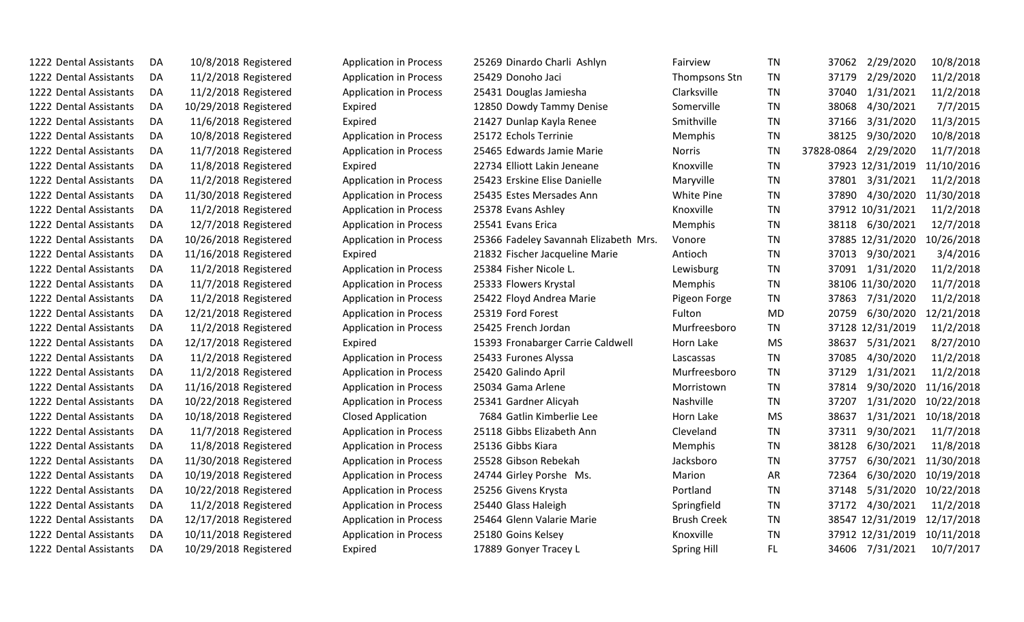| 1222 Dental Assistants | DA |                       | <b>Application in Process</b> | 25269 Dinardo Charli Ashlyn           | Fairview           | TN        | 2/29/2020<br>37062      | 10/8/2018  |
|------------------------|----|-----------------------|-------------------------------|---------------------------------------|--------------------|-----------|-------------------------|------------|
|                        |    | 10/8/2018 Registered  |                               |                                       |                    |           |                         |            |
| 1222 Dental Assistants | DA | 11/2/2018 Registered  | <b>Application in Process</b> | 25429 Donoho Jaci                     | Thompsons Stn      | <b>TN</b> | 37179<br>2/29/2020      | 11/2/2018  |
| 1222 Dental Assistants | DA | 11/2/2018 Registered  | <b>Application in Process</b> | 25431 Douglas Jamiesha                | Clarksville        | <b>TN</b> | 1/31/2021<br>37040      | 11/2/2018  |
| 1222 Dental Assistants | DA | 10/29/2018 Registered | Expired                       | 12850 Dowdy Tammy Denise              | Somerville         | <b>TN</b> | 38068<br>4/30/2021      | 7/7/2015   |
| 1222 Dental Assistants | DA | 11/6/2018 Registered  | Expired                       | 21427 Dunlap Kayla Renee              | Smithville         | <b>TN</b> | 37166<br>3/31/2020      | 11/3/2015  |
| 1222 Dental Assistants | DA | 10/8/2018 Registered  | <b>Application in Process</b> | 25172 Echols Terrinie                 | Memphis            | TN        | 38125<br>9/30/2020      | 10/8/2018  |
| 1222 Dental Assistants | DA | 11/7/2018 Registered  | <b>Application in Process</b> | 25465 Edwards Jamie Marie             | <b>Norris</b>      | <b>TN</b> | 37828-0864<br>2/29/2020 | 11/7/2018  |
| 1222 Dental Assistants | DA | 11/8/2018 Registered  | Expired                       | 22734 Elliott Lakin Jeneane           | Knoxville          | <b>TN</b> | 37923 12/31/2019        | 11/10/2016 |
| 1222 Dental Assistants | DA | 11/2/2018 Registered  | <b>Application in Process</b> | 25423 Erskine Elise Danielle          | Maryville          | <b>TN</b> | 37801<br>3/31/2021      | 11/2/2018  |
| 1222 Dental Assistants | DA | 11/30/2018 Registered | <b>Application in Process</b> | 25435 Estes Mersades Ann              | White Pine         | <b>TN</b> | 4/30/2020<br>37890      | 11/30/2018 |
| 1222 Dental Assistants | DA | 11/2/2018 Registered  | <b>Application in Process</b> | 25378 Evans Ashley                    | Knoxville          | <b>TN</b> | 37912 10/31/2021        | 11/2/2018  |
| 1222 Dental Assistants | DA | 12/7/2018 Registered  | <b>Application in Process</b> | 25541 Evans Erica                     | Memphis            | <b>TN</b> | 38118 6/30/2021         | 12/7/2018  |
| 1222 Dental Assistants | DA | 10/26/2018 Registered | <b>Application in Process</b> | 25366 Fadeley Savannah Elizabeth Mrs. | Vonore             | <b>TN</b> | 37885 12/31/2020        | 10/26/2018 |
| 1222 Dental Assistants | DA | 11/16/2018 Registered | Expired                       | 21832 Fischer Jacqueline Marie        | Antioch            | <b>TN</b> | 9/30/2021<br>37013      | 3/4/2016   |
| 1222 Dental Assistants | DA | 11/2/2018 Registered  | <b>Application in Process</b> | 25384 Fisher Nicole L.                | Lewisburg          | <b>TN</b> | 37091<br>1/31/2020      | 11/2/2018  |
| 1222 Dental Assistants | DA | 11/7/2018 Registered  | <b>Application in Process</b> | 25333 Flowers Krystal                 | Memphis            | <b>TN</b> | 38106 11/30/2020        | 11/7/2018  |
| 1222 Dental Assistants | DA | 11/2/2018 Registered  | <b>Application in Process</b> | 25422 Floyd Andrea Marie              | Pigeon Forge       | <b>TN</b> | 37863<br>7/31/2020      | 11/2/2018  |
| 1222 Dental Assistants | DA | 12/21/2018 Registered | <b>Application in Process</b> | 25319 Ford Forest                     | Fulton             | <b>MD</b> | 6/30/2020<br>20759      | 12/21/2018 |
| 1222 Dental Assistants | DA | 11/2/2018 Registered  | <b>Application in Process</b> | 25425 French Jordan                   | Murfreesboro       | <b>TN</b> | 37128 12/31/2019        | 11/2/2018  |
| 1222 Dental Assistants | DA | 12/17/2018 Registered | Expired                       | 15393 Fronabarger Carrie Caldwell     | Horn Lake          | <b>MS</b> | 38637<br>5/31/2021      | 8/27/2010  |
| 1222 Dental Assistants | DA | 11/2/2018 Registered  | <b>Application in Process</b> | 25433 Furones Alyssa                  | Lascassas          | <b>TN</b> | 37085<br>4/30/2020      | 11/2/2018  |
| 1222 Dental Assistants | DA | 11/2/2018 Registered  | <b>Application in Process</b> | 25420 Galindo April                   | Murfreesboro       | <b>TN</b> | 37129<br>1/31/2021      | 11/2/2018  |
| 1222 Dental Assistants | DA | 11/16/2018 Registered | <b>Application in Process</b> | 25034 Gama Arlene                     | Morristown         | TN        | 37814<br>9/30/2020      | 11/16/2018 |
| 1222 Dental Assistants | DA | 10/22/2018 Registered | <b>Application in Process</b> | 25341 Gardner Alicyah                 | Nashville          | <b>TN</b> | 37207<br>1/31/2020      | 10/22/2018 |
| 1222 Dental Assistants | DA | 10/18/2018 Registered | <b>Closed Application</b>     | 7684 Gatlin Kimberlie Lee             | Horn Lake          | MS        | 38637<br>1/31/2021      | 10/18/2018 |
| 1222 Dental Assistants | DA | 11/7/2018 Registered  | <b>Application in Process</b> | 25118 Gibbs Elizabeth Ann             | Cleveland          | <b>TN</b> | 37311<br>9/30/2021      | 11/7/2018  |
| 1222 Dental Assistants | DA | 11/8/2018 Registered  | <b>Application in Process</b> | 25136 Gibbs Kiara                     | Memphis            | <b>TN</b> | 38128<br>6/30/2021      | 11/8/2018  |
| 1222 Dental Assistants | DA | 11/30/2018 Registered | <b>Application in Process</b> | 25528 Gibson Rebekah                  | Jacksboro          | <b>TN</b> | 37757<br>6/30/2021      | 11/30/2018 |
| 1222 Dental Assistants | DA | 10/19/2018 Registered | <b>Application in Process</b> | 24744 Girley Porshe Ms.               | Marion             | <b>AR</b> | 6/30/2020<br>72364      | 10/19/2018 |
| 1222 Dental Assistants | DA | 10/22/2018 Registered | <b>Application in Process</b> | 25256 Givens Krysta                   | Portland           | <b>TN</b> | 5/31/2020<br>37148      | 10/22/2018 |
| 1222 Dental Assistants | DA | 11/2/2018 Registered  | <b>Application in Process</b> | 25440 Glass Haleigh                   | Springfield        | <b>TN</b> | 37172<br>4/30/2021      | 11/2/2018  |
| 1222 Dental Assistants | DA | 12/17/2018 Registered | <b>Application in Process</b> | 25464 Glenn Valarie Marie             | <b>Brush Creek</b> | <b>TN</b> | 38547 12/31/2019        | 12/17/2018 |
| 1222 Dental Assistants | DA | 10/11/2018 Registered | <b>Application in Process</b> | 25180 Goins Kelsey                    | Knoxville          | <b>TN</b> | 37912 12/31/2019        | 10/11/2018 |
| 1222 Dental Assistants | DA | 10/29/2018 Registered | Expired                       | 17889 Gonyer Tracey L                 | <b>Spring Hill</b> | FL.       | 34606 7/31/2021         | 10/7/2017  |
|                        |    |                       |                               |                                       |                    |           |                         |            |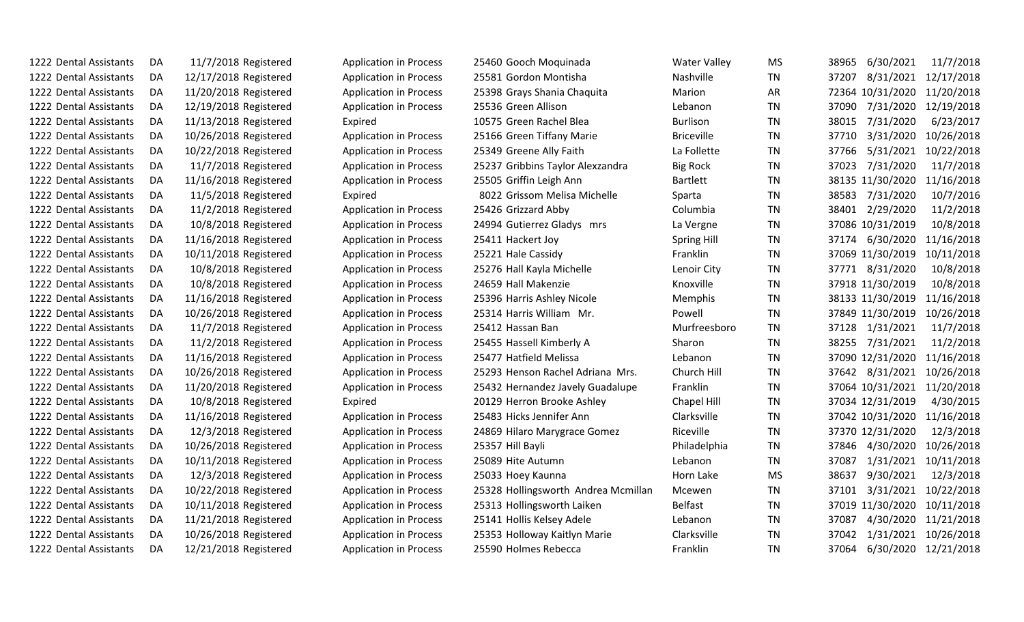| 1222 Dental Assistants | DA  | 11/7/2018 Registered  | <b>Application in Process</b> | 25460 Gooch Moquinada               | <b>Water Valley</b> | <b>MS</b> | 6/30/2021<br>11/7/2018<br>38965  |
|------------------------|-----|-----------------------|-------------------------------|-------------------------------------|---------------------|-----------|----------------------------------|
| 1222 Dental Assistants | DA  | 12/17/2018 Registered | <b>Application in Process</b> | 25581 Gordon Montisha               | <b>Nashville</b>    | <b>TN</b> | 37207<br>8/31/2021 12/17/2018    |
| 1222 Dental Assistants | DA  | 11/20/2018 Registered | <b>Application in Process</b> | 25398 Grays Shania Chaquita         | Marion              | AR        | 72364 10/31/2020 11/20/2018      |
| 1222 Dental Assistants | DA  | 12/19/2018 Registered | <b>Application in Process</b> | 25536 Green Allison                 | Lebanon             | <b>TN</b> | 37090<br>7/31/2020 12/19/2018    |
| 1222 Dental Assistants | DA  | 11/13/2018 Registered | Expired                       | 10575 Green Rachel Blea             | <b>Burlison</b>     | <b>TN</b> | 38015<br>7/31/2020<br>6/23/2017  |
| 1222 Dental Assistants | DA  | 10/26/2018 Registered | <b>Application in Process</b> | 25166 Green Tiffany Marie           | <b>Briceville</b>   | <b>TN</b> | 37710<br>3/31/2020<br>10/26/2018 |
| 1222 Dental Assistants | DA  | 10/22/2018 Registered | <b>Application in Process</b> | 25349 Greene Ally Faith             | La Follette         | <b>TN</b> | 5/31/2021<br>37766<br>10/22/2018 |
| 1222 Dental Assistants | DA  | 11/7/2018 Registered  | <b>Application in Process</b> | 25237 Gribbins Taylor Alexzandra    | <b>Big Rock</b>     | TN        | 37023<br>7/31/2020<br>11/7/2018  |
| 1222 Dental Assistants | DA. | 11/16/2018 Registered | <b>Application in Process</b> | 25505 Griffin Leigh Ann             | <b>Bartlett</b>     | <b>TN</b> | 38135 11/30/2020<br>11/16/2018   |
| 1222 Dental Assistants | DA  | 11/5/2018 Registered  | Expired                       | 8022 Grissom Melisa Michelle        | Sparta              | TN        | 38583<br>7/31/2020<br>10/7/2016  |
| 1222 Dental Assistants | DA  | 11/2/2018 Registered  | <b>Application in Process</b> | 25426 Grizzard Abby                 | Columbia            | TN        | 38401 2/29/2020<br>11/2/2018     |
| 1222 Dental Assistants | DA. | 10/8/2018 Registered  | <b>Application in Process</b> | 24994 Gutierrez Gladys mrs          | La Vergne           | <b>TN</b> | 37086 10/31/2019<br>10/8/2018    |
| 1222 Dental Assistants | DA  | 11/16/2018 Registered | <b>Application in Process</b> | 25411 Hackert Joy                   | <b>Spring Hill</b>  | TN        | 37174 6/30/2020<br>11/16/2018    |
| 1222 Dental Assistants | DA  | 10/11/2018 Registered | <b>Application in Process</b> | 25221 Hale Cassidy                  | Franklin            | <b>TN</b> | 37069 11/30/2019<br>10/11/2018   |
| 1222 Dental Assistants | DA  | 10/8/2018 Registered  | <b>Application in Process</b> | 25276 Hall Kayla Michelle           | Lenoir City         | TN        | 37771 8/31/2020<br>10/8/2018     |
| 1222 Dental Assistants | DA. | 10/8/2018 Registered  | <b>Application in Process</b> | 24659 Hall Makenzie                 | Knoxville           | <b>TN</b> | 37918 11/30/2019<br>10/8/2018    |
| 1222 Dental Assistants | DA  | 11/16/2018 Registered | <b>Application in Process</b> | 25396 Harris Ashley Nicole          | <b>Memphis</b>      | <b>TN</b> | 38133 11/30/2019<br>11/16/2018   |
| 1222 Dental Assistants | DA  | 10/26/2018 Registered | <b>Application in Process</b> | 25314 Harris William Mr.            | Powell              | TN        | 37849 11/30/2019<br>10/26/2018   |
| 1222 Dental Assistants | DA  | 11/7/2018 Registered  | <b>Application in Process</b> | 25412 Hassan Ban                    | Murfreesboro        | <b>TN</b> | 37128 1/31/2021<br>11/7/2018     |
| 1222 Dental Assistants | DA  | 11/2/2018 Registered  | <b>Application in Process</b> | 25455 Hassell Kimberly A            | Sharon              | <b>TN</b> | 38255 7/31/2021<br>11/2/2018     |
| 1222 Dental Assistants | DA. | 11/16/2018 Registered | <b>Application in Process</b> | 25477 Hatfield Melissa              | Lebanon             | <b>TN</b> | 37090 12/31/2020 11/16/2018      |
| 1222 Dental Assistants | DA  | 10/26/2018 Registered | <b>Application in Process</b> | 25293 Henson Rachel Adriana Mrs.    | Church Hill         | <b>TN</b> | 37642 8/31/2021 10/26/2018       |
| 1222 Dental Assistants | DA  | 11/20/2018 Registered | <b>Application in Process</b> | 25432 Hernandez Javely Guadalupe    | Franklin            | TN        | 37064 10/31/2021 11/20/2018      |
| 1222 Dental Assistants | DA  | 10/8/2018 Registered  | Expired                       | 20129 Herron Brooke Ashley          | Chapel Hill         | TN        | 37034 12/31/2019<br>4/30/2015    |
| 1222 Dental Assistants | DA  | 11/16/2018 Registered | <b>Application in Process</b> | 25483 Hicks Jennifer Ann            | Clarksville         | <b>TN</b> | 37042 10/31/2020 11/16/2018      |
| 1222 Dental Assistants | DA. | 12/3/2018 Registered  | <b>Application in Process</b> | 24869 Hilaro Marygrace Gomez        | Riceville           | <b>TN</b> | 37370 12/31/2020<br>12/3/2018    |
| 1222 Dental Assistants | DA  | 10/26/2018 Registered | <b>Application in Process</b> | 25357 Hill Bayli                    | Philadelphia        | TN        | 4/30/2020<br>10/26/2018<br>37846 |
| 1222 Dental Assistants | DA  | 10/11/2018 Registered | <b>Application in Process</b> | 25089 Hite Autumn                   | Lebanon             | <b>TN</b> | 1/31/2021<br>37087<br>10/11/2018 |
| 1222 Dental Assistants | DA  | 12/3/2018 Registered  | <b>Application in Process</b> | 25033 Hoey Kaunna                   | Horn Lake           | <b>MS</b> | 9/30/2021<br>38637<br>12/3/2018  |
| 1222 Dental Assistants | DA  | 10/22/2018 Registered | <b>Application in Process</b> | 25328 Hollingsworth Andrea Mcmillan | Mcewen              | <b>TN</b> | 3/31/2021 10/22/2018<br>37101    |
| 1222 Dental Assistants | DA  | 10/11/2018 Registered | <b>Application in Process</b> | 25313 Hollingsworth Laiken          | <b>Belfast</b>      | <b>TN</b> | 37019 11/30/2020 10/11/2018      |
| 1222 Dental Assistants | DA  | 11/21/2018 Registered | <b>Application in Process</b> | 25141 Hollis Kelsey Adele           | Lebanon             | <b>TN</b> | 37087<br>4/30/2020 11/21/2018    |
| 1222 Dental Assistants | DA  | 10/26/2018 Registered | <b>Application in Process</b> | 25353 Holloway Kaitlyn Marie        | Clarksville         | <b>TN</b> | 1/31/2021 10/26/2018<br>37042    |
| 1222 Dental Assistants | DA  | 12/21/2018 Registered | <b>Application in Process</b> | 25590 Holmes Rebecca                | Franklin            | <b>TN</b> | 6/30/2020 12/21/2018<br>37064    |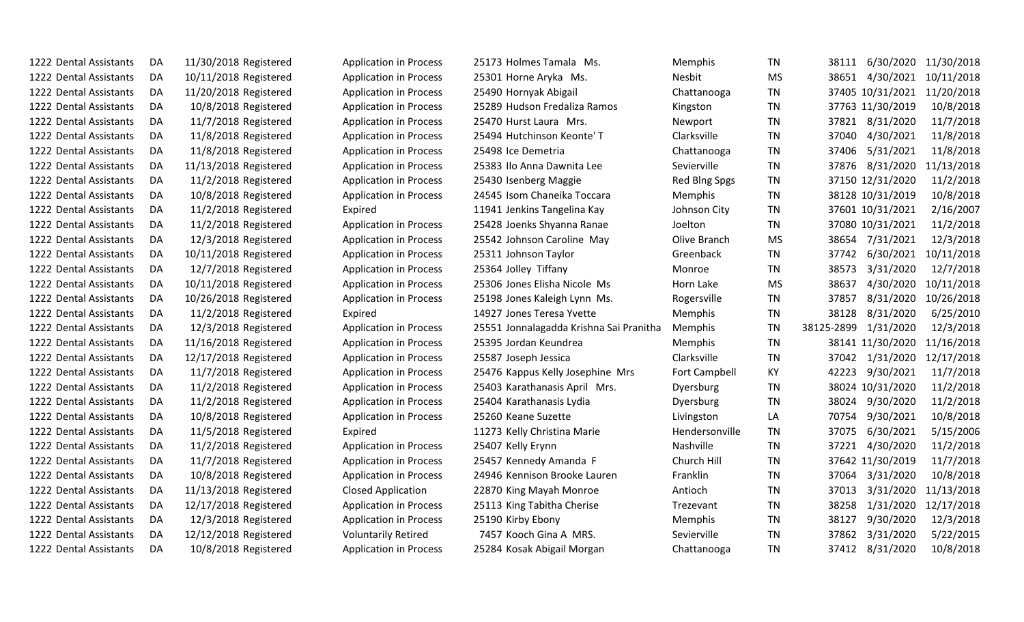| 1222 Dental Assistants | DA | 11/30/2018 Registered | <b>Application in Process</b> | 25173 Holmes Tamala Ms.                 | Memphis        | TN        | 38111                       | 6/30/2020 11/30/2018 |
|------------------------|----|-----------------------|-------------------------------|-----------------------------------------|----------------|-----------|-----------------------------|----------------------|
| 1222 Dental Assistants | DA | 10/11/2018 Registered | <b>Application in Process</b> | 25301 Horne Aryka Ms.                   | Nesbit         | <b>MS</b> | 38651<br>4/30/2021          | 10/11/2018           |
| 1222 Dental Assistants | DA | 11/20/2018 Registered | <b>Application in Process</b> | 25490 Hornyak Abigail                   | Chattanooga    | TN        | 37405 10/31/2021 11/20/2018 |                      |
| 1222 Dental Assistants | DA | 10/8/2018 Registered  | <b>Application in Process</b> | 25289 Hudson Fredaliza Ramos            | Kingston       | <b>TN</b> | 37763 11/30/2019            | 10/8/2018            |
| 1222 Dental Assistants | DA | 11/7/2018 Registered  | <b>Application in Process</b> | 25470 Hurst Laura Mrs.                  | Newport        | TN        | 8/31/2020<br>37821          | 11/7/2018            |
| 1222 Dental Assistants | DA | 11/8/2018 Registered  | <b>Application in Process</b> | 25494 Hutchinson Keonte' T              | Clarksville    | <b>TN</b> | 4/30/2021<br>37040          | 11/8/2018            |
| 1222 Dental Assistants | DA | 11/8/2018 Registered  | <b>Application in Process</b> | 25498 Ice Demetria                      | Chattanooga    | TN        | 37406<br>5/31/2021          | 11/8/2018            |
| 1222 Dental Assistants | DA | 11/13/2018 Registered | <b>Application in Process</b> | 25383 Ilo Anna Dawnita Lee              | Sevierville    | <b>TN</b> | 8/31/2020<br>37876          | 11/13/2018           |
| 1222 Dental Assistants | DA | 11/2/2018 Registered  | <b>Application in Process</b> | 25430 Isenberg Maggie                   | Red Blng Spgs  | TN        | 37150 12/31/2020            | 11/2/2018            |
| 1222 Dental Assistants | DA | 10/8/2018 Registered  | <b>Application in Process</b> | 24545 Isom Chaneika Toccara             | Memphis        | TN        | 38128 10/31/2019            | 10/8/2018            |
| 1222 Dental Assistants | DA | 11/2/2018 Registered  | Expired                       | 11941 Jenkins Tangelina Kay             | Johnson City   | TN        | 37601 10/31/2021            | 2/16/2007            |
| 1222 Dental Assistants | DA | 11/2/2018 Registered  | <b>Application in Process</b> | 25428 Joenks Shyanna Ranae              | Joelton        | <b>TN</b> | 37080 10/31/2021            | 11/2/2018            |
| 1222 Dental Assistants | DA | 12/3/2018 Registered  | <b>Application in Process</b> | 25542 Johnson Caroline May              | Olive Branch   | MS        | 38654<br>7/31/2021          | 12/3/2018            |
| 1222 Dental Assistants | DA | 10/11/2018 Registered | <b>Application in Process</b> | 25311 Johnson Taylor                    | Greenback      | <b>TN</b> | 6/30/2021<br>37742          | 10/11/2018           |
| 1222 Dental Assistants | DA | 12/7/2018 Registered  | <b>Application in Process</b> | 25364 Jolley Tiffany                    | Monroe         | TN        | 3/31/2020<br>38573          | 12/7/2018            |
| 1222 Dental Assistants | DA | 10/11/2018 Registered | <b>Application in Process</b> | 25306 Jones Elisha Nicole Ms            | Horn Lake      | <b>MS</b> | 38637<br>4/30/2020          | 10/11/2018           |
| 1222 Dental Assistants | DA | 10/26/2018 Registered | <b>Application in Process</b> | 25198 Jones Kaleigh Lynn Ms.            | Rogersville    | TN        | 8/31/2020<br>37857          | 10/26/2018           |
| 1222 Dental Assistants | DA | 11/2/2018 Registered  | Expired                       | 14927 Jones Teresa Yvette               | Memphis        | TN        | 38128<br>8/31/2020          | 6/25/2010            |
| 1222 Dental Assistants | DA | 12/3/2018 Registered  | <b>Application in Process</b> | 25551 Jonnalagadda Krishna Sai Pranitha | Memphis        | <b>TN</b> | 38125-2899<br>1/31/2020     | 12/3/2018            |
| 1222 Dental Assistants | DA | 11/16/2018 Registered | <b>Application in Process</b> | 25395 Jordan Keundrea                   | Memphis        | <b>TN</b> | 38141 11/30/2020            | 11/16/2018           |
| 1222 Dental Assistants | DA | 12/17/2018 Registered | <b>Application in Process</b> | 25587 Joseph Jessica                    | Clarksville    | TN        | 1/31/2020<br>37042          | 12/17/2018           |
| 1222 Dental Assistants | DA | 11/7/2018 Registered  | <b>Application in Process</b> | 25476 Kappus Kelly Josephine Mrs        | Fort Campbell  | KY        | 42223<br>9/30/2021          | 11/7/2018            |
| 1222 Dental Assistants | DA | 11/2/2018 Registered  | <b>Application in Process</b> | 25403 Karathanasis April Mrs.           | Dyersburg      | ΤN        | 38024 10/31/2020            | 11/2/2018            |
| 1222 Dental Assistants | DA | 11/2/2018 Registered  | <b>Application in Process</b> | 25404 Karathanasis Lydia                | Dyersburg      | <b>TN</b> | 38024<br>9/30/2020          | 11/2/2018            |
| 1222 Dental Assistants | DA | 10/8/2018 Registered  | <b>Application in Process</b> | 25260 Keane Suzette                     | Livingston     | LA        | 70754<br>9/30/2021          | 10/8/2018            |
| 1222 Dental Assistants | DA | 11/5/2018 Registered  | Expired                       | 11273 Kelly Christina Marie             | Hendersonville | <b>TN</b> | 6/30/2021<br>37075          | 5/15/2006            |
| 1222 Dental Assistants | DA | 11/2/2018 Registered  | <b>Application in Process</b> | 25407 Kelly Erynn                       | Nashville      | TN        | 37221<br>4/30/2020          | 11/2/2018            |
| 1222 Dental Assistants | DA | 11/7/2018 Registered  | <b>Application in Process</b> | 25457 Kennedy Amanda F                  | Church Hill    | <b>TN</b> | 37642 11/30/2019            | 11/7/2018            |
| 1222 Dental Assistants | DA | 10/8/2018 Registered  | <b>Application in Process</b> | 24946 Kennison Brooke Lauren            | Franklin       | <b>TN</b> | 3/31/2020<br>37064          | 10/8/2018            |
| 1222 Dental Assistants | DA | 11/13/2018 Registered | <b>Closed Application</b>     | 22870 King Mayah Monroe                 | Antioch        | <b>TN</b> | 3/31/2020<br>37013          | 11/13/2018           |
| 1222 Dental Assistants | DA | 12/17/2018 Registered | <b>Application in Process</b> | 25113 King Tabitha Cherise              | Trezevant      | ΤN        | 1/31/2020<br>38258          | 12/17/2018           |
| 1222 Dental Assistants | DA | 12/3/2018 Registered  | <b>Application in Process</b> | 25190 Kirby Ebony                       | Memphis        | <b>TN</b> | 38127<br>9/30/2020          | 12/3/2018            |
| 1222 Dental Assistants | DA | 12/12/2018 Registered | <b>Voluntarily Retired</b>    | 7457 Kooch Gina A MRS.                  | Sevierville    | <b>TN</b> | 3/31/2020<br>37862          | 5/22/2015            |
| 1222 Dental Assistants | DA | 10/8/2018 Registered  | <b>Application in Process</b> | 25284 Kosak Abigail Morgan              | Chattanooga    | ΤN        | 37412 8/31/2020             | 10/8/2018            |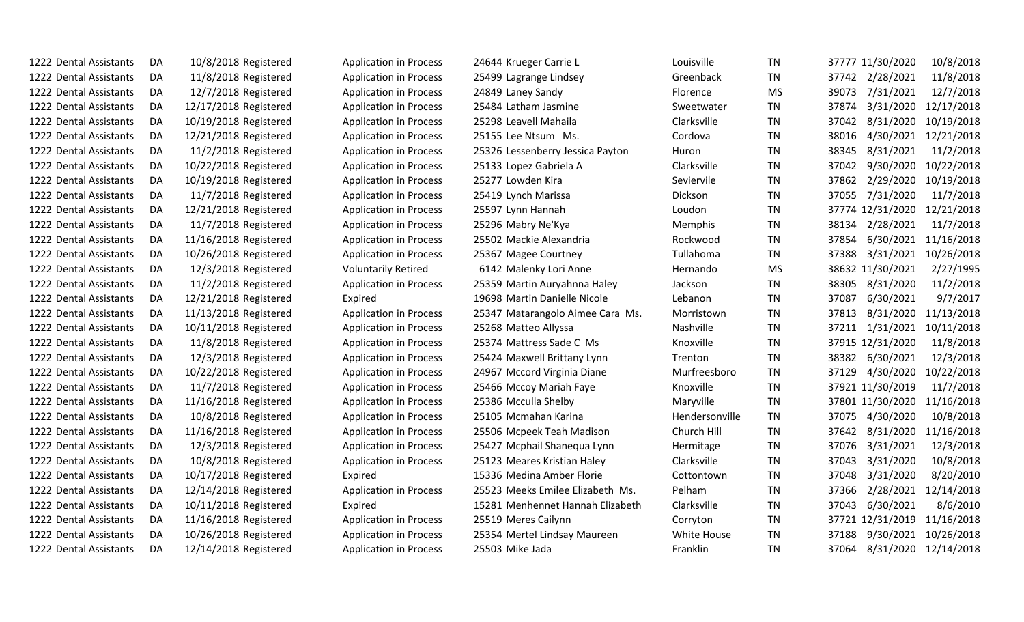| 1222 Dental Assistants | DA | 10/8/2018 Registered  | <b>Application in Process</b> | 24644 Krueger Carrie L           | Louisville     | TN        | 37777 11/30/2020              | 10/8/2018  |
|------------------------|----|-----------------------|-------------------------------|----------------------------------|----------------|-----------|-------------------------------|------------|
| 1222 Dental Assistants | DA | 11/8/2018 Registered  | <b>Application in Process</b> | 25499 Lagrange Lindsey           | Greenback      | <b>TN</b> | 37742 2/28/2021               | 11/8/2018  |
| 1222 Dental Assistants | DA | 12/7/2018 Registered  | <b>Application in Process</b> | 24849 Laney Sandy                | Florence       | <b>MS</b> | 7/31/2021<br>39073            | 12/7/2018  |
| 1222 Dental Assistants | DA | 12/17/2018 Registered | <b>Application in Process</b> | 25484 Latham Jasmine             | Sweetwater     | TN        | 37874<br>3/31/2020            | 12/17/2018 |
| 1222 Dental Assistants | DA | 10/19/2018 Registered | <b>Application in Process</b> | 25298 Leavell Mahaila            | Clarksville    | TN        | 8/31/2020<br>37042            | 10/19/2018 |
| 1222 Dental Assistants | DA | 12/21/2018 Registered | <b>Application in Process</b> | 25155 Lee Ntsum Ms.              | Cordova        | TN        | 4/30/2021<br>38016            | 12/21/2018 |
| 1222 Dental Assistants | DA | 11/2/2018 Registered  | <b>Application in Process</b> | 25326 Lessenberry Jessica Payton | Huron          | <b>TN</b> | 8/31/2021<br>38345            | 11/2/2018  |
| 1222 Dental Assistants | DA | 10/22/2018 Registered | <b>Application in Process</b> | 25133 Lopez Gabriela A           | Clarksville    | TN        | 9/30/2020<br>37042            | 10/22/2018 |
| 1222 Dental Assistants | DA | 10/19/2018 Registered | <b>Application in Process</b> | 25277 Lowden Kira                | Seviervile     | TN        | 37862<br>2/29/2020            | 10/19/2018 |
| 1222 Dental Assistants | DA | 11/7/2018 Registered  | <b>Application in Process</b> | 25419 Lynch Marissa              | Dickson        | <b>TN</b> | 7/31/2020<br>37055            | 11/7/2018  |
| 1222 Dental Assistants | DA | 12/21/2018 Registered | <b>Application in Process</b> | 25597 Lynn Hannah                | Loudon         | <b>TN</b> | 37774 12/31/2020              | 12/21/2018 |
| 1222 Dental Assistants | DA | 11/7/2018 Registered  | <b>Application in Process</b> | 25296 Mabry Ne'Kya               | Memphis        | <b>TN</b> | 2/28/2021<br>38134            | 11/7/2018  |
| 1222 Dental Assistants | DA | 11/16/2018 Registered | <b>Application in Process</b> | 25502 Mackie Alexandria          | Rockwood       | TN        | 6/30/2021<br>37854            | 11/16/2018 |
| 1222 Dental Assistants | DA | 10/26/2018 Registered | <b>Application in Process</b> | 25367 Magee Courtney             | Tullahoma      | TN.       | 3/31/2021<br>37388            | 10/26/2018 |
| 1222 Dental Assistants | DA | 12/3/2018 Registered  | <b>Voluntarily Retired</b>    | 6142 Malenky Lori Anne           | Hernando       | <b>MS</b> | 38632 11/30/2021              | 2/27/1995  |
| 1222 Dental Assistants | DA | 11/2/2018 Registered  | <b>Application in Process</b> | 25359 Martin Auryahnna Haley     | Jackson        | <b>TN</b> | 8/31/2020<br>38305            | 11/2/2018  |
| 1222 Dental Assistants | DA | 12/21/2018 Registered | Expired                       | 19698 Martin Danielle Nicole     | Lebanon        | TN        | 6/30/2021<br>37087            | 9/7/2017   |
| 1222 Dental Assistants | DA | 11/13/2018 Registered | <b>Application in Process</b> | 25347 Matarangolo Aimee Cara Ms. | Morristown     | <b>TN</b> | 8/31/2020<br>37813            | 11/13/2018 |
| 1222 Dental Assistants | DA | 10/11/2018 Registered | <b>Application in Process</b> | 25268 Matteo Allyssa             | Nashville      | <b>TN</b> | 37211<br>1/31/2021            | 10/11/2018 |
| 1222 Dental Assistants | DA | 11/8/2018 Registered  | <b>Application in Process</b> | 25374 Mattress Sade C Ms         | Knoxville      | <b>TN</b> | 37915 12/31/2020              | 11/8/2018  |
| 1222 Dental Assistants | DA | 12/3/2018 Registered  | <b>Application in Process</b> | 25424 Maxwell Brittany Lynn      | Trenton        | <b>TN</b> | 38382<br>6/30/2021            | 12/3/2018  |
| 1222 Dental Assistants | DA | 10/22/2018 Registered | <b>Application in Process</b> | 24967 Mccord Virginia Diane      | Murfreesboro   | <b>TN</b> | 4/30/2020<br>37129            | 10/22/2018 |
| 1222 Dental Assistants | DA | 11/7/2018 Registered  | <b>Application in Process</b> | 25466 Mccoy Mariah Faye          | Knoxville      | <b>TN</b> | 37921 11/30/2019              | 11/7/2018  |
| 1222 Dental Assistants | DA | 11/16/2018 Registered | <b>Application in Process</b> | 25386 Mcculla Shelby             | Maryville      | TN        | 37801 11/30/2020              | 11/16/2018 |
| 1222 Dental Assistants | DA | 10/8/2018 Registered  | <b>Application in Process</b> | 25105 Mcmahan Karina             | Hendersonville | TN        | 4/30/2020<br>37075            | 10/8/2018  |
| 1222 Dental Assistants | DA | 11/16/2018 Registered | <b>Application in Process</b> | 25506 Mcpeek Teah Madison        | Church Hill    | TN        | 8/31/2020<br>37642            | 11/16/2018 |
| 1222 Dental Assistants | DA | 12/3/2018 Registered  | <b>Application in Process</b> | 25427 Mcphail Shanequa Lynn      | Hermitage      | <b>TN</b> | 37076<br>3/31/2021            | 12/3/2018  |
| 1222 Dental Assistants | DA | 10/8/2018 Registered  | <b>Application in Process</b> | 25123 Meares Kristian Haley      | Clarksville    | <b>TN</b> | 37043<br>3/31/2020            | 10/8/2018  |
| 1222 Dental Assistants | DA | 10/17/2018 Registered | Expired                       | 15336 Medina Amber Florie        | Cottontown     | TN        | 3/31/2020<br>37048            | 8/20/2010  |
| 1222 Dental Assistants | DA | 12/14/2018 Registered | <b>Application in Process</b> | 25523 Meeks Emilee Elizabeth Ms. | Pelham         | TN        | 2/28/2021<br>37366            | 12/14/2018 |
| 1222 Dental Assistants | DA | 10/11/2018 Registered | Expired                       | 15281 Menhennet Hannah Elizabeth | Clarksville    | <b>TN</b> | 37043<br>6/30/2021            | 8/6/2010   |
| 1222 Dental Assistants | DA | 11/16/2018 Registered | <b>Application in Process</b> | 25519 Meres Cailynn              | Corryton       | <b>TN</b> | 37721 12/31/2019              | 11/16/2018 |
| 1222 Dental Assistants | DA | 10/26/2018 Registered | <b>Application in Process</b> | 25354 Mertel Lindsay Maureen     | White House    | TN        | 9/30/2021<br>37188            | 10/26/2018 |
| 1222 Dental Assistants | DA | 12/14/2018 Registered | <b>Application in Process</b> | 25503 Mike Jada                  | Franklin       | TN        | 8/31/2020 12/14/2018<br>37064 |            |
|                        |    |                       |                               |                                  |                |           |                               |            |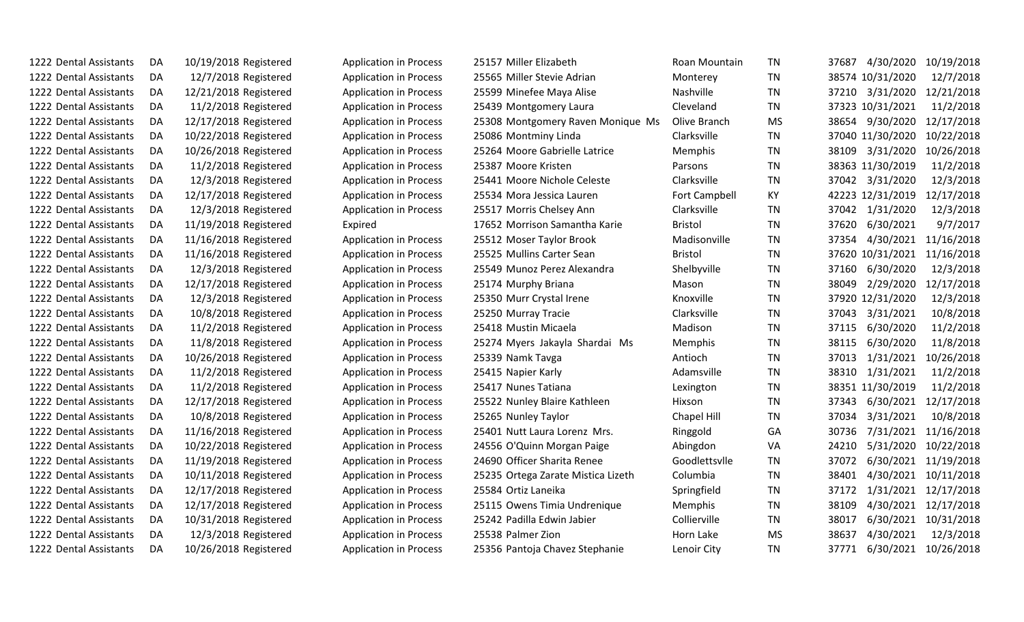| 1222 Dental Assistants | DA | 10/19/2018 Registered | <b>Application in Process</b> | 25157 Miller Elizabeth             | Roan Mountain | TN        | 37687 | 4/30/2020        | 10/19/2018           |
|------------------------|----|-----------------------|-------------------------------|------------------------------------|---------------|-----------|-------|------------------|----------------------|
| 1222 Dental Assistants | DA | 12/7/2018 Registered  | <b>Application in Process</b> | 25565 Miller Stevie Adrian         | Monterey      | <b>TN</b> |       | 38574 10/31/2020 | 12/7/2018            |
| 1222 Dental Assistants | DA | 12/21/2018 Registered | <b>Application in Process</b> | 25599 Minefee Maya Alise           | Nashville     | <b>TN</b> | 37210 | 3/31/2020        | 12/21/2018           |
| 1222 Dental Assistants | DA | 11/2/2018 Registered  | <b>Application in Process</b> | 25439 Montgomery Laura             | Cleveland     | <b>TN</b> |       | 37323 10/31/2021 | 11/2/2018            |
| 1222 Dental Assistants | DA | 12/17/2018 Registered | <b>Application in Process</b> | 25308 Montgomery Raven Monique Ms  | Olive Branch  | <b>MS</b> |       | 38654 9/30/2020  | 12/17/2018           |
| 1222 Dental Assistants | DA | 10/22/2018 Registered | <b>Application in Process</b> | 25086 Montminy Linda               | Clarksville   | <b>TN</b> |       | 37040 11/30/2020 | 10/22/2018           |
| 1222 Dental Assistants | DA | 10/26/2018 Registered | <b>Application in Process</b> | 25264 Moore Gabrielle Latrice      | Memphis       | <b>TN</b> | 38109 | 3/31/2020        | 10/26/2018           |
| 1222 Dental Assistants | DA | 11/2/2018 Registered  | <b>Application in Process</b> | 25387 Moore Kristen                | Parsons       | <b>TN</b> |       | 38363 11/30/2019 | 11/2/2018            |
| 1222 Dental Assistants | DA | 12/3/2018 Registered  | <b>Application in Process</b> | 25441 Moore Nichole Celeste        | Clarksville   | <b>TN</b> | 37042 | 3/31/2020        | 12/3/2018            |
| 1222 Dental Assistants | DA | 12/17/2018 Registered | <b>Application in Process</b> | 25534 Mora Jessica Lauren          | Fort Campbell | KY        |       | 42223 12/31/2019 | 12/17/2018           |
| 1222 Dental Assistants | DA | 12/3/2018 Registered  | <b>Application in Process</b> | 25517 Morris Chelsey Ann           | Clarksville   | <b>TN</b> |       | 37042 1/31/2020  | 12/3/2018            |
| 1222 Dental Assistants | DA | 11/19/2018 Registered | Expired                       | 17652 Morrison Samantha Karie      | Bristol       | TN        | 37620 | 6/30/2021        | 9/7/2017             |
| 1222 Dental Assistants | DA | 11/16/2018 Registered | <b>Application in Process</b> | 25512 Moser Taylor Brook           | Madisonville  | <b>TN</b> | 37354 | 4/30/2021        | 11/16/2018           |
| 1222 Dental Assistants | DA | 11/16/2018 Registered | <b>Application in Process</b> | 25525 Mullins Carter Sean          | Bristol       | TN        |       | 37620 10/31/2021 | 11/16/2018           |
| 1222 Dental Assistants | DA | 12/3/2018 Registered  | <b>Application in Process</b> | 25549 Munoz Perez Alexandra        | Shelbyville   | <b>TN</b> | 37160 | 6/30/2020        | 12/3/2018            |
| 1222 Dental Assistants | DA | 12/17/2018 Registered | <b>Application in Process</b> | 25174 Murphy Briana                | Mason         | <b>TN</b> | 38049 | 2/29/2020        | 12/17/2018           |
| 1222 Dental Assistants | DA | 12/3/2018 Registered  | <b>Application in Process</b> | 25350 Murr Crystal Irene           | Knoxville     | <b>TN</b> |       | 37920 12/31/2020 | 12/3/2018            |
| 1222 Dental Assistants | DA | 10/8/2018 Registered  | <b>Application in Process</b> | 25250 Murray Tracie                | Clarksville   | <b>TN</b> | 37043 | 3/31/2021        | 10/8/2018            |
| 1222 Dental Assistants | DA | 11/2/2018 Registered  | <b>Application in Process</b> | 25418 Mustin Micaela               | Madison       | <b>TN</b> | 37115 | 6/30/2020        | 11/2/2018            |
| 1222 Dental Assistants | DA | 11/8/2018 Registered  | <b>Application in Process</b> | 25274 Myers Jakayla Shardai Ms     | Memphis       | <b>TN</b> | 38115 | 6/30/2020        | 11/8/2018            |
| 1222 Dental Assistants | DA | 10/26/2018 Registered | <b>Application in Process</b> | 25339 Namk Tavga                   | Antioch       | TN        | 37013 | 1/31/2021        | 10/26/2018           |
| 1222 Dental Assistants | DA | 11/2/2018 Registered  | <b>Application in Process</b> | 25415 Napier Karly                 | Adamsville    | <b>TN</b> | 38310 | 1/31/2021        | 11/2/2018            |
| 1222 Dental Assistants | DA | 11/2/2018 Registered  | <b>Application in Process</b> | 25417 Nunes Tatiana                | Lexington     | <b>TN</b> |       | 38351 11/30/2019 | 11/2/2018            |
| 1222 Dental Assistants | DA | 12/17/2018 Registered | <b>Application in Process</b> | 25522 Nunley Blaire Kathleen       | Hixson        | <b>TN</b> | 37343 | 6/30/2021        | 12/17/2018           |
| 1222 Dental Assistants | DA | 10/8/2018 Registered  | <b>Application in Process</b> | 25265 Nunley Taylor                | Chapel Hill   | TN        | 37034 | 3/31/2021        | 10/8/2018            |
| 1222 Dental Assistants | DA | 11/16/2018 Registered | <b>Application in Process</b> | 25401 Nutt Laura Lorenz Mrs.       | Ringgold      | GA        | 30736 | 7/31/2021        | 11/16/2018           |
| 1222 Dental Assistants | DA | 10/22/2018 Registered | <b>Application in Process</b> | 24556 O'Quinn Morgan Paige         | Abingdon      | VA        | 24210 | 5/31/2020        | 10/22/2018           |
| 1222 Dental Assistants | DA | 11/19/2018 Registered | <b>Application in Process</b> | 24690 Officer Sharita Renee        | Goodlettsvlle | <b>TN</b> | 37072 | 6/30/2021        | 11/19/2018           |
| 1222 Dental Assistants | DA | 10/11/2018 Registered | <b>Application in Process</b> | 25235 Ortega Zarate Mistica Lizeth | Columbia      | TN        | 38401 | 4/30/2021        | 10/11/2018           |
| 1222 Dental Assistants | DA | 12/17/2018 Registered | <b>Application in Process</b> | 25584 Ortiz Laneika                | Springfield   | <b>TN</b> | 37172 | 1/31/2021        | 12/17/2018           |
| 1222 Dental Assistants | DA | 12/17/2018 Registered | <b>Application in Process</b> | 25115 Owens Timia Undrenique       | Memphis       | <b>TN</b> | 38109 | 4/30/2021        | 12/17/2018           |
| 1222 Dental Assistants | DA | 10/31/2018 Registered | <b>Application in Process</b> | 25242 Padilla Edwin Jabier         | Collierville  | <b>TN</b> | 38017 | 6/30/2021        | 10/31/2018           |
| 1222 Dental Assistants | DA | 12/3/2018 Registered  | <b>Application in Process</b> | 25538 Palmer Zion                  | Horn Lake     | <b>MS</b> | 38637 | 4/30/2021        | 12/3/2018            |
| 1222 Dental Assistants | DA | 10/26/2018 Registered | <b>Application in Process</b> | 25356 Pantoja Chavez Stephanie     | Lenoir City   | TN        | 37771 |                  | 6/30/2021 10/26/2018 |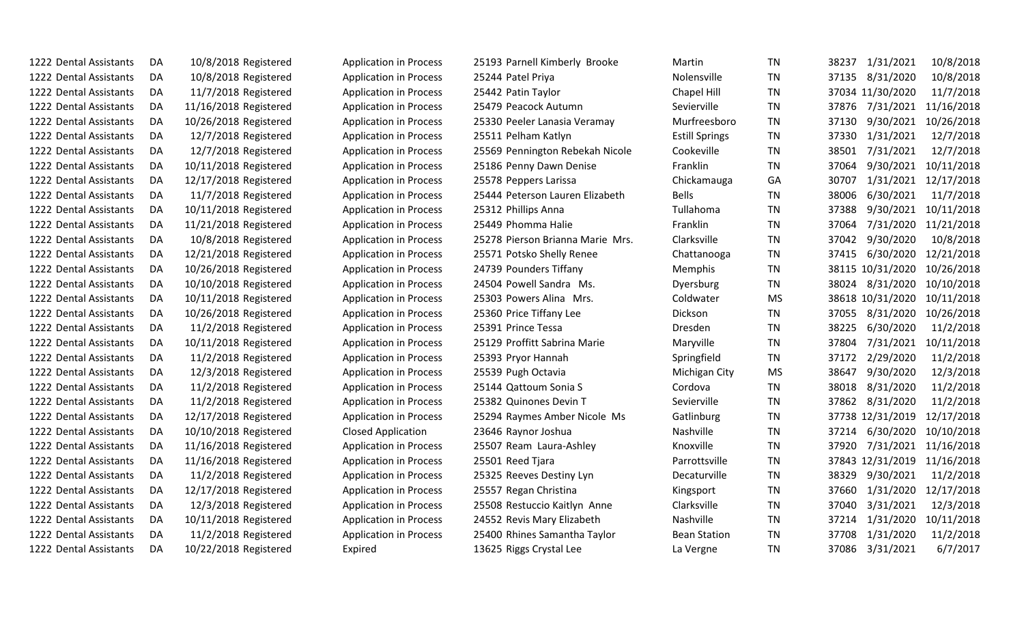| 1222 Dental Assistants | DA | 10/8/2018 Registered  | <b>Application in Process</b> | 25193 Parnell Kimberly Brooke    | Martin                | TN        |       | 38237 1/31/2021  | 10/8/2018  |
|------------------------|----|-----------------------|-------------------------------|----------------------------------|-----------------------|-----------|-------|------------------|------------|
| 1222 Dental Assistants | DA | 10/8/2018 Registered  | <b>Application in Process</b> | 25244 Patel Priya                | <b>Nolensville</b>    | <b>TN</b> | 37135 | 8/31/2020        | 10/8/2018  |
| 1222 Dental Assistants | DA | 11/7/2018 Registered  | <b>Application in Process</b> | 25442 Patin Taylor               | Chapel Hill           | TN        |       | 37034 11/30/2020 | 11/7/2018  |
| 1222 Dental Assistants | DA | 11/16/2018 Registered | <b>Application in Process</b> | 25479 Peacock Autumn             | Sevierville           | TN        | 37876 | 7/31/2021        | 11/16/2018 |
| 1222 Dental Assistants | DA | 10/26/2018 Registered | <b>Application in Process</b> | 25330 Peeler Lanasia Veramay     | Murfreesboro          | TN        | 37130 | 9/30/2021        | 10/26/2018 |
| 1222 Dental Assistants | DA | 12/7/2018 Registered  | <b>Application in Process</b> | 25511 Pelham Katlyn              | <b>Estill Springs</b> | <b>TN</b> | 37330 | 1/31/2021        | 12/7/2018  |
| 1222 Dental Assistants | DA | 12/7/2018 Registered  | <b>Application in Process</b> | 25569 Pennington Rebekah Nicole  | Cookeville            | <b>TN</b> | 38501 | 7/31/2021        | 12/7/2018  |
| 1222 Dental Assistants | DA | 10/11/2018 Registered | <b>Application in Process</b> | 25186 Penny Dawn Denise          | Franklin              | <b>TN</b> | 37064 | 9/30/2021        | 10/11/2018 |
| 1222 Dental Assistants | DA | 12/17/2018 Registered | <b>Application in Process</b> | 25578 Peppers Larissa            | Chickamauga           | GA        | 30707 | 1/31/2021        | 12/17/2018 |
| 1222 Dental Assistants | DA | 11/7/2018 Registered  | <b>Application in Process</b> | 25444 Peterson Lauren Elizabeth  | <b>Bells</b>          | TN.       | 38006 | 6/30/2021        | 11/7/2018  |
| 1222 Dental Assistants | DA | 10/11/2018 Registered | <b>Application in Process</b> | 25312 Phillips Anna              | Tullahoma             | TN        | 37388 | 9/30/2021        | 10/11/2018 |
| 1222 Dental Assistants | DA | 11/21/2018 Registered | <b>Application in Process</b> | 25449 Phomma Halie               | Franklin              | <b>TN</b> | 37064 | 7/31/2020        | 11/21/2018 |
| 1222 Dental Assistants | DA | 10/8/2018 Registered  | <b>Application in Process</b> | 25278 Pierson Brianna Marie Mrs. | Clarksville           | TN        | 37042 | 9/30/2020        | 10/8/2018  |
| 1222 Dental Assistants | DA | 12/21/2018 Registered | <b>Application in Process</b> | 25571 Potsko Shelly Renee        | Chattanooga           | <b>TN</b> | 37415 | 6/30/2020        | 12/21/2018 |
| 1222 Dental Assistants | DA | 10/26/2018 Registered | <b>Application in Process</b> | 24739 Pounders Tiffany           | Memphis               | <b>TN</b> |       | 38115 10/31/2020 | 10/26/2018 |
| 1222 Dental Assistants | DA | 10/10/2018 Registered | <b>Application in Process</b> | 24504 Powell Sandra Ms.          | Dyersburg             | TN        | 38024 | 8/31/2020        | 10/10/2018 |
| 1222 Dental Assistants | DA | 10/11/2018 Registered | <b>Application in Process</b> | 25303 Powers Alina Mrs.          | Coldwater             | <b>MS</b> |       | 38618 10/31/2020 | 10/11/2018 |
| 1222 Dental Assistants | DA | 10/26/2018 Registered | <b>Application in Process</b> | 25360 Price Tiffany Lee          | Dickson               | <b>TN</b> | 37055 | 8/31/2020        | 10/26/2018 |
| 1222 Dental Assistants | DA | 11/2/2018 Registered  | <b>Application in Process</b> | 25391 Prince Tessa               | Dresden               | <b>TN</b> | 38225 | 6/30/2020        | 11/2/2018  |
| 1222 Dental Assistants | DA | 10/11/2018 Registered | <b>Application in Process</b> | 25129 Proffitt Sabrina Marie     | Maryville             | <b>TN</b> | 37804 | 7/31/2021        | 10/11/2018 |
| 1222 Dental Assistants | DA | 11/2/2018 Registered  | <b>Application in Process</b> | 25393 Pryor Hannah               | Springfield           | TN        | 37172 | 2/29/2020        | 11/2/2018  |
| 1222 Dental Assistants | DA | 12/3/2018 Registered  | <b>Application in Process</b> | 25539 Pugh Octavia               | Michigan City         | <b>MS</b> | 38647 | 9/30/2020        | 12/3/2018  |
| 1222 Dental Assistants | DA | 11/2/2018 Registered  | <b>Application in Process</b> | 25144 Qattoum Sonia S            | Cordova               | <b>TN</b> | 38018 | 8/31/2020        | 11/2/2018  |
| 1222 Dental Assistants | DA | 11/2/2018 Registered  | <b>Application in Process</b> | 25382 Quinones Devin T           | Sevierville           | TN        | 37862 | 8/31/2020        | 11/2/2018  |
| 1222 Dental Assistants | DA | 12/17/2018 Registered | <b>Application in Process</b> | 25294 Raymes Amber Nicole Ms     | Gatlinburg            | <b>TN</b> |       | 37738 12/31/2019 | 12/17/2018 |
| 1222 Dental Assistants | DA | 10/10/2018 Registered | <b>Closed Application</b>     | 23646 Raynor Joshua              | Nashville             | <b>TN</b> | 37214 | 6/30/2020        | 10/10/2018 |
| 1222 Dental Assistants | DA | 11/16/2018 Registered | <b>Application in Process</b> | 25507 Ream Laura-Ashley          | Knoxville             | <b>TN</b> | 37920 | 7/31/2021        | 11/16/2018 |
| 1222 Dental Assistants | DA | 11/16/2018 Registered | <b>Application in Process</b> | 25501 Reed Tjara                 | Parrottsville         | <b>TN</b> |       | 37843 12/31/2019 | 11/16/2018 |
| 1222 Dental Assistants | DA | 11/2/2018 Registered  | <b>Application in Process</b> | 25325 Reeves Destiny Lyn         | Decaturville          | TN        | 38329 | 9/30/2021        | 11/2/2018  |
| 1222 Dental Assistants | DA | 12/17/2018 Registered | <b>Application in Process</b> | 25557 Regan Christina            | Kingsport             | TN        | 37660 | 1/31/2020        | 12/17/2018 |
| 1222 Dental Assistants | DA | 12/3/2018 Registered  | <b>Application in Process</b> | 25508 Restuccio Kaitlyn Anne     | Clarksville           | <b>TN</b> | 37040 | 3/31/2021        | 12/3/2018  |
| 1222 Dental Assistants | DA | 10/11/2018 Registered | <b>Application in Process</b> | 24552 Revis Mary Elizabeth       | Nashville             | TN        | 37214 | 1/31/2020        | 10/11/2018 |
| 1222 Dental Assistants | DA | 11/2/2018 Registered  | <b>Application in Process</b> | 25400 Rhines Samantha Taylor     | <b>Bean Station</b>   | TN        | 37708 | 1/31/2020        | 11/2/2018  |
| 1222 Dental Assistants | DA | 10/22/2018 Registered | Expired                       | 13625 Riggs Crystal Lee          | La Vergne             | <b>TN</b> | 37086 | 3/31/2021        | 6/7/2017   |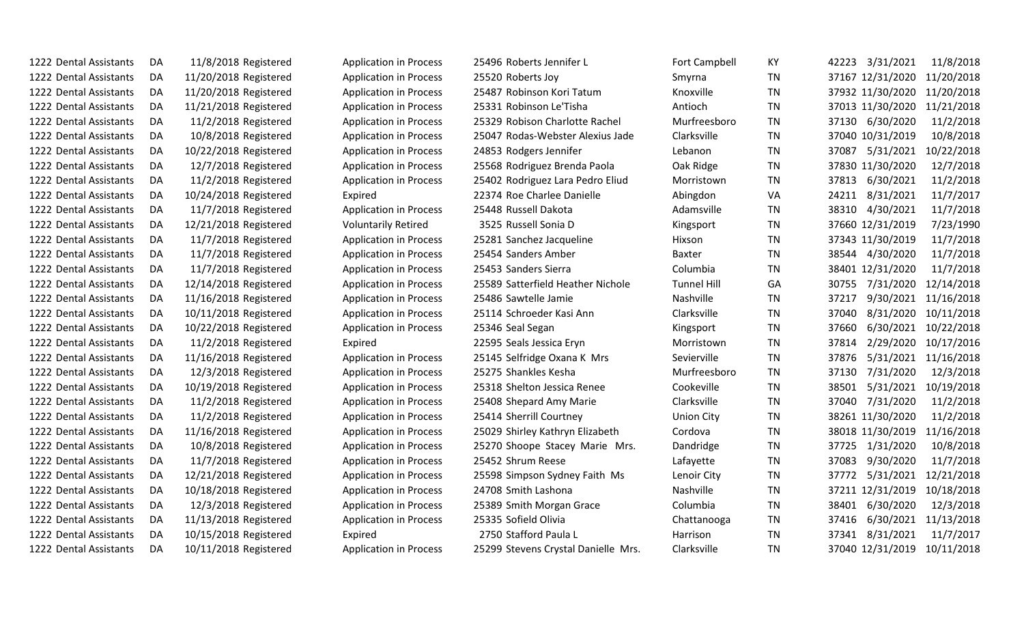| 1222 Dental Assistants | DA  | 11/8/2018 Registered  | <b>Application in Process</b> | 25496 Roberts Jennifer L            | <b>Fort Campbell</b> | KY.       | 42223 3/31/2021             | 11/8/2018  |
|------------------------|-----|-----------------------|-------------------------------|-------------------------------------|----------------------|-----------|-----------------------------|------------|
| 1222 Dental Assistants | DA  | 11/20/2018 Registered | <b>Application in Process</b> | 25520 Roberts Joy                   | Smyrna               | TN        | 37167 12/31/2020            | 11/20/2018 |
| 1222 Dental Assistants | DA  | 11/20/2018 Registered | <b>Application in Process</b> | 25487 Robinson Kori Tatum           | Knoxville            | <b>TN</b> | 37932 11/30/2020 11/20/2018 |            |
| 1222 Dental Assistants | DA  | 11/21/2018 Registered | <b>Application in Process</b> | 25331 Robinson Le'Tisha             | Antioch              | <b>TN</b> | 37013 11/30/2020            | 11/21/2018 |
| 1222 Dental Assistants | DA  | 11/2/2018 Registered  | <b>Application in Process</b> | 25329 Robison Charlotte Rachel      | Murfreesboro         | <b>TN</b> | 37130 6/30/2020             | 11/2/2018  |
| 1222 Dental Assistants | DA  | 10/8/2018 Registered  | <b>Application in Process</b> | 25047 Rodas-Webster Alexius Jade    | Clarksville          | TN        | 37040 10/31/2019            | 10/8/2018  |
| 1222 Dental Assistants | DA  | 10/22/2018 Registered | <b>Application in Process</b> | 24853 Rodgers Jennifer              | Lebanon              | TN        | 37087<br>5/31/2021          | 10/22/2018 |
| 1222 Dental Assistants | DA  | 12/7/2018 Registered  | <b>Application in Process</b> | 25568 Rodriguez Brenda Paola        | Oak Ridge            | TN        | 37830 11/30/2020            | 12/7/2018  |
| 1222 Dental Assistants | DA  | 11/2/2018 Registered  | <b>Application in Process</b> | 25402 Rodriguez Lara Pedro Eliud    | Morristown           | TN        | 37813 6/30/2021             | 11/2/2018  |
| 1222 Dental Assistants | DA  | 10/24/2018 Registered | Expired                       | 22374 Roe Charlee Danielle          | Abingdon             | VA        | 8/31/2021<br>24211          | 11/7/2017  |
| 1222 Dental Assistants | DA  | 11/7/2018 Registered  | <b>Application in Process</b> | 25448 Russell Dakota                | Adamsville           | TN        | 38310 4/30/2021             | 11/7/2018  |
| 1222 Dental Assistants | DA  | 12/21/2018 Registered | <b>Voluntarily Retired</b>    | 3525 Russell Sonia D                | Kingsport            | TN        | 37660 12/31/2019            | 7/23/1990  |
| 1222 Dental Assistants | DA  | 11/7/2018 Registered  | <b>Application in Process</b> | 25281 Sanchez Jacqueline            | Hixson               | TN        | 37343 11/30/2019            | 11/7/2018  |
| 1222 Dental Assistants | DA  | 11/7/2018 Registered  | <b>Application in Process</b> | 25454 Sanders Amber                 | Baxter               | TN        | 38544 4/30/2020             | 11/7/2018  |
| 1222 Dental Assistants | DA  | 11/7/2018 Registered  | <b>Application in Process</b> | 25453 Sanders Sierra                | Columbia             | TN        | 38401 12/31/2020            | 11/7/2018  |
| 1222 Dental Assistants | DA  | 12/14/2018 Registered | <b>Application in Process</b> | 25589 Satterfield Heather Nichole   | <b>Tunnel Hill</b>   | GA        | 7/31/2020<br>30755          | 12/14/2018 |
| 1222 Dental Assistants | DA  | 11/16/2018 Registered | <b>Application in Process</b> | 25486 Sawtelle Jamie                | Nashville            | TN        | 9/30/2021<br>37217          | 11/16/2018 |
| 1222 Dental Assistants | DA  | 10/11/2018 Registered | <b>Application in Process</b> | 25114 Schroeder Kasi Ann            | Clarksville          | ΤN        | 37040<br>8/31/2020          | 10/11/2018 |
| 1222 Dental Assistants | DA  | 10/22/2018 Registered | <b>Application in Process</b> | 25346 Seal Segan                    | Kingsport            | TN        | 37660<br>6/30/2021          | 10/22/2018 |
| 1222 Dental Assistants | DA  | 11/2/2018 Registered  | Expired                       | 22595 Seals Jessica Eryn            | Morristown           | TN        | 2/29/2020<br>37814          | 10/17/2016 |
| 1222 Dental Assistants | DA  | 11/16/2018 Registered | <b>Application in Process</b> | 25145 Selfridge Oxana K Mrs         | Sevierville          | <b>TN</b> | 5/31/2021<br>37876          | 11/16/2018 |
| 1222 Dental Assistants | DA  | 12/3/2018 Registered  | <b>Application in Process</b> | 25275 Shankles Kesha                | Murfreesboro         | ΤN        | 7/31/2020<br>37130          | 12/3/2018  |
| 1222 Dental Assistants | DA  | 10/19/2018 Registered | <b>Application in Process</b> | 25318 Shelton Jessica Renee         | Cookeville           | ΤN        | 5/31/2021<br>38501          | 10/19/2018 |
| 1222 Dental Assistants | DA  | 11/2/2018 Registered  | <b>Application in Process</b> | 25408 Shepard Amy Marie             | Clarksville          | TN        | 37040<br>7/31/2020          | 11/2/2018  |
| 1222 Dental Assistants | DA  | 11/2/2018 Registered  | <b>Application in Process</b> | 25414 Sherrill Courtney             | <b>Union City</b>    | TN        | 38261 11/30/2020            | 11/2/2018  |
| 1222 Dental Assistants | DA  | 11/16/2018 Registered | <b>Application in Process</b> | 25029 Shirley Kathryn Elizabeth     | Cordova              | TN        | 38018 11/30/2019            | 11/16/2018 |
| 1222 Dental Assistants | DA  | 10/8/2018 Registered  | <b>Application in Process</b> | 25270 Shoope Stacey Marie Mrs.      | Dandridge            | TN        | 37725 1/31/2020             | 10/8/2018  |
| 1222 Dental Assistants | DA. | 11/7/2018 Registered  | <b>Application in Process</b> | 25452 Shrum Reese                   | Lafayette            | <b>TN</b> | 37083<br>9/30/2020          | 11/7/2018  |
| 1222 Dental Assistants | DA  | 12/21/2018 Registered | <b>Application in Process</b> | 25598 Simpson Sydney Faith Ms       | Lenoir City          | TN        | 37772<br>5/31/2021          | 12/21/2018 |
| 1222 Dental Assistants | DA  | 10/18/2018 Registered | <b>Application in Process</b> | 24708 Smith Lashona                 | Nashville            | <b>TN</b> | 37211 12/31/2019            | 10/18/2018 |
| 1222 Dental Assistants | DA  | 12/3/2018 Registered  | <b>Application in Process</b> | 25389 Smith Morgan Grace            | Columbia             | TN        | 6/30/2020<br>38401          | 12/3/2018  |
| 1222 Dental Assistants | DA  | 11/13/2018 Registered | <b>Application in Process</b> | 25335 Sofield Olivia                | Chattanooga          | <b>TN</b> | 6/30/2021<br>37416          | 11/13/2018 |
| 1222 Dental Assistants | DA  | 10/15/2018 Registered | Expired                       | 2750 Stafford Paula L               | Harrison             | <b>TN</b> | 8/31/2021<br>37341          | 11/7/2017  |
| 1222 Dental Assistants | DA  | 10/11/2018 Registered | <b>Application in Process</b> | 25299 Stevens Crystal Danielle Mrs. | Clarksville          | <b>TN</b> | 37040 12/31/2019            | 10/11/2018 |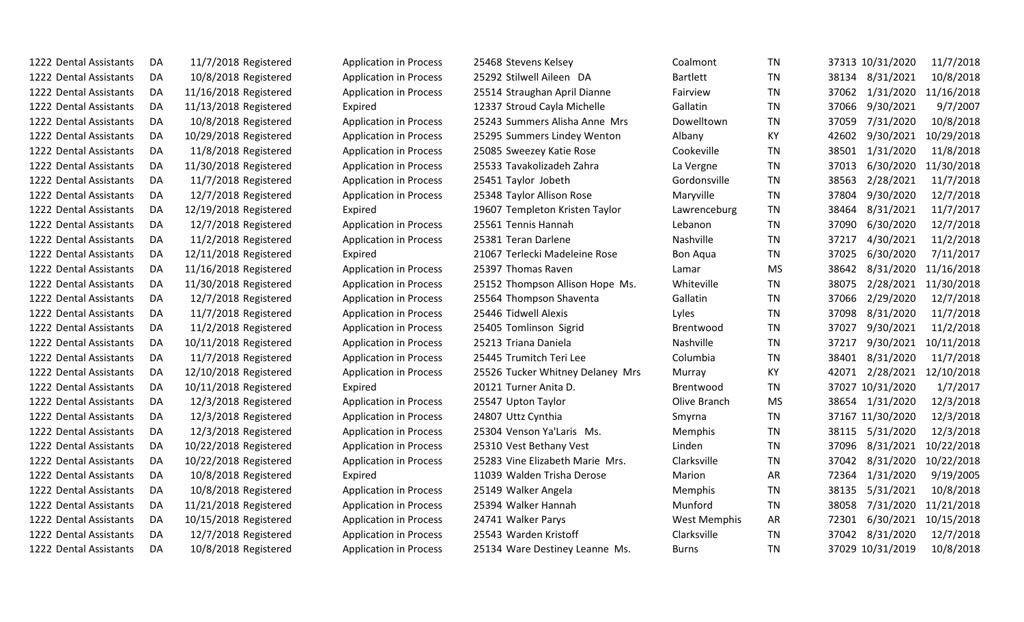| 1222 Dental Assistants | DA. | 11/7/2018 Registered  | <b>Application in Process</b> | 25468 Stevens Kelsey             | Coalmont            | TN        |       | 37313 10/31/2020 | 11/7/2018  |
|------------------------|-----|-----------------------|-------------------------------|----------------------------------|---------------------|-----------|-------|------------------|------------|
| 1222 Dental Assistants | DA  | 10/8/2018 Registered  | <b>Application in Process</b> | 25292 Stilwell Aileen DA         | <b>Bartlett</b>     | <b>TN</b> | 38134 | 8/31/2021        | 10/8/2018  |
| 1222 Dental Assistants | DA  | 11/16/2018 Registered | <b>Application in Process</b> | 25514 Straughan April Dianne     | Fairview            | <b>TN</b> | 37062 | 1/31/2020        | 11/16/2018 |
| 1222 Dental Assistants | DA  | 11/13/2018 Registered | Expired                       | 12337 Stroud Cayla Michelle      | Gallatin            | <b>TN</b> | 37066 | 9/30/2021        | 9/7/2007   |
| 1222 Dental Assistants | DA  | 10/8/2018 Registered  | <b>Application in Process</b> | 25243 Summers Alisha Anne Mrs    | Dowelltown          | <b>TN</b> | 37059 | 7/31/2020        | 10/8/2018  |
| 1222 Dental Assistants | DA  | 10/29/2018 Registered | <b>Application in Process</b> | 25295 Summers Lindey Wenton      | Albany              | KY        | 42602 | 9/30/2021        | 10/29/2018 |
| 1222 Dental Assistants | DA  | 11/8/2018 Registered  | <b>Application in Process</b> | 25085 Sweezey Katie Rose         | Cookeville          | <b>TN</b> | 38501 | 1/31/2020        | 11/8/2018  |
| 1222 Dental Assistants | DA  | 11/30/2018 Registered | <b>Application in Process</b> | 25533 Tavakolizadeh Zahra        | La Vergne           | <b>TN</b> | 37013 | 6/30/2020        | 11/30/2018 |
| 1222 Dental Assistants | DA  | 11/7/2018 Registered  | <b>Application in Process</b> | 25451 Taylor Jobeth              | Gordonsville        | TN        | 38563 | 2/28/2021        | 11/7/2018  |
| 1222 Dental Assistants | DA  | 12/7/2018 Registered  | <b>Application in Process</b> | 25348 Taylor Allison Rose        | Maryville           | TN        | 37804 | 9/30/2020        | 12/7/2018  |
| 1222 Dental Assistants | DA  | 12/19/2018 Registered | Expired                       | 19607 Templeton Kristen Taylor   | Lawrenceburg        | TN        | 38464 | 8/31/2021        | 11/7/2017  |
| 1222 Dental Assistants | DA  | 12/7/2018 Registered  | <b>Application in Process</b> | 25561 Tennis Hannah              | Lebanon             | <b>TN</b> | 37090 | 6/30/2020        | 12/7/2018  |
| 1222 Dental Assistants | DA  | 11/2/2018 Registered  | <b>Application in Process</b> | 25381 Teran Darlene              | Nashville           | <b>TN</b> | 37217 | 4/30/2021        | 11/2/2018  |
| 1222 Dental Assistants | DA  | 12/11/2018 Registered | Expired                       | 21067 Terlecki Madeleine Rose    | <b>Bon Aqua</b>     | <b>TN</b> | 37025 | 6/30/2020        | 7/11/2017  |
| 1222 Dental Assistants | DA  | 11/16/2018 Registered | <b>Application in Process</b> | 25397 Thomas Raven               | Lamar               | <b>MS</b> | 38642 | 8/31/2020        | 11/16/2018 |
| 1222 Dental Assistants | DA  | 11/30/2018 Registered | <b>Application in Process</b> | 25152 Thompson Allison Hope Ms.  | Whiteville          | TN        | 38075 | 2/28/2021        | 11/30/2018 |
| 1222 Dental Assistants | DA  | 12/7/2018 Registered  | <b>Application in Process</b> | 25564 Thompson Shaventa          | Gallatin            | TN        | 37066 | 2/29/2020        | 12/7/2018  |
| 1222 Dental Assistants | DA  | 11/7/2018 Registered  | <b>Application in Process</b> | 25446 Tidwell Alexis             | Lyles               | <b>TN</b> | 37098 | 8/31/2020        | 11/7/2018  |
| 1222 Dental Assistants | DA  | 11/2/2018 Registered  | <b>Application in Process</b> | 25405 Tomlinson Sigrid           | <b>Brentwood</b>    | <b>TN</b> | 37027 | 9/30/2021        | 11/2/2018  |
| 1222 Dental Assistants | DA  | 10/11/2018 Registered | <b>Application in Process</b> | 25213 Triana Daniela             | Nashville           | <b>TN</b> | 37217 | 9/30/2021        | 10/11/2018 |
| 1222 Dental Assistants | DA  | 11/7/2018 Registered  | <b>Application in Process</b> | 25445 Trumitch Teri Lee          | Columbia            | <b>TN</b> | 38401 | 8/31/2020        | 11/7/2018  |
| 1222 Dental Assistants | DA  | 12/10/2018 Registered | <b>Application in Process</b> | 25526 Tucker Whitney Delaney Mrs | Murray              | КY        | 42071 | 2/28/2021        | 12/10/2018 |
| 1222 Dental Assistants | DA  | 10/11/2018 Registered | Expired                       | 20121 Turner Anita D.            | Brentwood           | TN        |       | 37027 10/31/2020 | 1/7/2017   |
| 1222 Dental Assistants | DA  | 12/3/2018 Registered  | <b>Application in Process</b> | 25547 Upton Taylor               | Olive Branch        | <b>MS</b> | 38654 | 1/31/2020        | 12/3/2018  |
| 1222 Dental Assistants | DA  | 12/3/2018 Registered  | <b>Application in Process</b> | 24807 Uttz Cynthia               | Smyrna              | <b>TN</b> |       | 37167 11/30/2020 | 12/3/2018  |
| 1222 Dental Assistants | DA  | 12/3/2018 Registered  | <b>Application in Process</b> | 25304 Venson Ya'Laris Ms.        | Memphis             | <b>TN</b> | 38115 | 5/31/2020        | 12/3/2018  |
| 1222 Dental Assistants | DA  | 10/22/2018 Registered | <b>Application in Process</b> | 25310 Vest Bethany Vest          | Linden              | <b>TN</b> | 37096 | 8/31/2021        | 10/22/2018 |
| 1222 Dental Assistants | DA  | 10/22/2018 Registered | <b>Application in Process</b> | 25283 Vine Elizabeth Marie Mrs.  | Clarksville         | <b>TN</b> | 37042 | 8/31/2020        | 10/22/2018 |
| 1222 Dental Assistants | DA  | 10/8/2018 Registered  | Expired                       | 11039 Walden Trisha Derose       | <b>Marion</b>       | AR        | 72364 | 1/31/2020        | 9/19/2005  |
| 1222 Dental Assistants | DA  | 10/8/2018 Registered  | <b>Application in Process</b> | 25149 Walker Angela              | Memphis             | <b>TN</b> | 38135 | 5/31/2021        | 10/8/2018  |
| 1222 Dental Assistants | DA  | 11/21/2018 Registered | <b>Application in Process</b> | 25394 Walker Hannah              | Munford             | TN        | 38058 | 7/31/2020        | 11/21/2018 |
| 1222 Dental Assistants | DA  | 10/15/2018 Registered | <b>Application in Process</b> | 24741 Walker Parys               | <b>West Memphis</b> | AR        | 72301 | 6/30/2021        | 10/15/2018 |
| 1222 Dental Assistants | DA  | 12/7/2018 Registered  | <b>Application in Process</b> | 25543 Warden Kristoff            | Clarksville         | TN        | 37042 | 8/31/2020        | 12/7/2018  |
| 1222 Dental Assistants | DA  | 10/8/2018 Registered  | <b>Application in Process</b> | 25134 Ware Destiney Leanne Ms.   | <b>Burns</b>        | <b>TN</b> |       | 37029 10/31/2019 | 10/8/2018  |
|                        |     |                       |                               |                                  |                     |           |       |                  |            |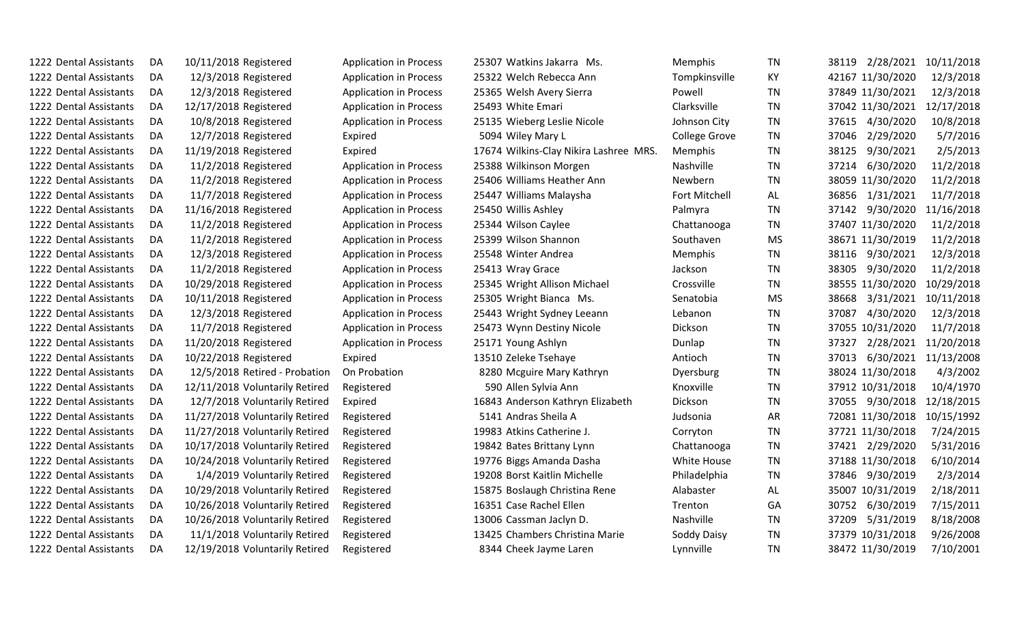| 1222 Dental Assistants | DA | 10/11/2018 Registered          | <b>Application in Process</b> | 25307 Watkins Jakarra Ms.              | <b>Memphis</b>       | ΤN        | 38119 2/28/2021    | 10/11/2018 |
|------------------------|----|--------------------------------|-------------------------------|----------------------------------------|----------------------|-----------|--------------------|------------|
| 1222 Dental Assistants | DA | 12/3/2018 Registered           | <b>Application in Process</b> | 25322 Welch Rebecca Ann                | Tompkinsville        | KY        | 42167 11/30/2020   | 12/3/2018  |
| 1222 Dental Assistants | DA | 12/3/2018 Registered           | <b>Application in Process</b> | 25365 Welsh Avery Sierra               | Powell               | <b>TN</b> | 37849 11/30/2021   | 12/3/2018  |
| 1222 Dental Assistants | DA | 12/17/2018 Registered          | <b>Application in Process</b> | 25493 White Emari                      | Clarksville          | <b>TN</b> | 37042 11/30/2021   | 12/17/2018 |
| 1222 Dental Assistants | DA | 10/8/2018 Registered           | <b>Application in Process</b> | 25135 Wieberg Leslie Nicole            | Johnson City         | <b>TN</b> | 37615 4/30/2020    | 10/8/2018  |
| 1222 Dental Assistants | DA | 12/7/2018 Registered           | Expired                       | 5094 Wiley Mary L                      | <b>College Grove</b> | <b>TN</b> | 37046 2/29/2020    | 5/7/2016   |
| 1222 Dental Assistants | DA | 11/19/2018 Registered          | Expired                       | 17674 Wilkins-Clay Nikira Lashree MRS. | Memphis              | TN        | 38125<br>9/30/2021 | 2/5/2013   |
| 1222 Dental Assistants | DA | 11/2/2018 Registered           | <b>Application in Process</b> | 25388 Wilkinson Morgen                 | Nashville            | TN        | 37214<br>6/30/2020 | 11/2/2018  |
| 1222 Dental Assistants | DA | 11/2/2018 Registered           | <b>Application in Process</b> | 25406 Williams Heather Ann             | Newbern              | TN        | 38059 11/30/2020   | 11/2/2018  |
| 1222 Dental Assistants | DA | 11/7/2018 Registered           | <b>Application in Process</b> | 25447 Williams Malaysha                | Fort Mitchell        | AL        | 36856 1/31/2021    | 11/7/2018  |
| 1222 Dental Assistants | DA | 11/16/2018 Registered          | <b>Application in Process</b> | 25450 Willis Ashley                    | Palmyra              | TN        | 37142 9/30/2020    | 11/16/2018 |
| 1222 Dental Assistants | DA | 11/2/2018 Registered           | <b>Application in Process</b> | 25344 Wilson Caylee                    | Chattanooga          | <b>TN</b> | 37407 11/30/2020   | 11/2/2018  |
| 1222 Dental Assistants | DA | 11/2/2018 Registered           | <b>Application in Process</b> | 25399 Wilson Shannon                   | Southaven            | MS        | 38671 11/30/2019   | 11/2/2018  |
| 1222 Dental Assistants | DA | 12/3/2018 Registered           | <b>Application in Process</b> | 25548 Winter Andrea                    | Memphis              | TN        | 38116 9/30/2021    | 12/3/2018  |
| 1222 Dental Assistants | DA | 11/2/2018 Registered           | <b>Application in Process</b> | 25413 Wray Grace                       | Jackson              | TN        | 38305<br>9/30/2020 | 11/2/2018  |
| 1222 Dental Assistants | DA | 10/29/2018 Registered          | <b>Application in Process</b> | 25345 Wright Allison Michael           | Crossville           | <b>TN</b> | 38555 11/30/2020   | 10/29/2018 |
| 1222 Dental Assistants | DA | 10/11/2018 Registered          | <b>Application in Process</b> | 25305 Wright Bianca Ms.                | Senatobia            | MS        | 38668 3/31/2021    | 10/11/2018 |
| 1222 Dental Assistants | DA | 12/3/2018 Registered           | <b>Application in Process</b> | 25443 Wright Sydney Leeann             | Lebanon              | TN        | 37087<br>4/30/2020 | 12/3/2018  |
| 1222 Dental Assistants | DA | 11/7/2018 Registered           | <b>Application in Process</b> | 25473 Wynn Destiny Nicole              | Dickson              | TN        | 37055 10/31/2020   | 11/7/2018  |
| 1222 Dental Assistants | DA | 11/20/2018 Registered          | <b>Application in Process</b> | 25171 Young Ashlyn                     | Dunlap               | <b>TN</b> | 2/28/2021<br>37327 | 11/20/2018 |
| 1222 Dental Assistants | DA | 10/22/2018 Registered          | Expired                       | 13510 Zeleke Tsehaye                   | Antioch              | TN        | 37013 6/30/2021    | 11/13/2008 |
| 1222 Dental Assistants | DA | 12/5/2018 Retired - Probation  | On Probation                  | 8280 Mcguire Mary Kathryn              | Dyersburg            | <b>TN</b> | 38024 11/30/2018   | 4/3/2002   |
| 1222 Dental Assistants | DA | 12/11/2018 Voluntarily Retired | Registered                    | 590 Allen Sylvia Ann                   | Knoxville            | <b>TN</b> | 37912 10/31/2018   | 10/4/1970  |
| 1222 Dental Assistants | DA | 12/7/2018 Voluntarily Retired  | Expired                       | 16843 Anderson Kathryn Elizabeth       | Dickson              | TN        | 37055 9/30/2018    | 12/18/2015 |
| 1222 Dental Assistants | DA | 11/27/2018 Voluntarily Retired | Registered                    | 5141 Andras Sheila A                   | Judsonia             | AR        | 72081 11/30/2018   | 10/15/1992 |
| 1222 Dental Assistants | DA | 11/27/2018 Voluntarily Retired | Registered                    | 19983 Atkins Catherine J.              | Corryton             | <b>TN</b> | 37721 11/30/2018   | 7/24/2015  |
| 1222 Dental Assistants | DA | 10/17/2018 Voluntarily Retired | Registered                    | 19842 Bates Brittany Lynn              | Chattanooga          | TN        | 37421 2/29/2020    | 5/31/2016  |
| 1222 Dental Assistants | DA | 10/24/2018 Voluntarily Retired | Registered                    | 19776 Biggs Amanda Dasha               | White House          | <b>TN</b> | 37188 11/30/2018   | 6/10/2014  |
| 1222 Dental Assistants | DA | 1/4/2019 Voluntarily Retired   | Registered                    | 19208 Borst Kaitlin Michelle           | Philadelphia         | TN        | 37846 9/30/2019    | 2/3/2014   |
| 1222 Dental Assistants | DA | 10/29/2018 Voluntarily Retired | Registered                    | 15875 Boslaugh Christina Rene          | Alabaster            | AL        | 35007 10/31/2019   | 2/18/2011  |
| 1222 Dental Assistants | DA | 10/26/2018 Voluntarily Retired | Registered                    | 16351 Case Rachel Ellen                | Trenton              | GA        | 6/30/2019<br>30752 | 7/15/2011  |
| 1222 Dental Assistants | DA | 10/26/2018 Voluntarily Retired | Registered                    | 13006 Cassman Jaclyn D.                | Nashville            | <b>TN</b> | 37209 5/31/2019    | 8/18/2008  |
| 1222 Dental Assistants | DA | 11/1/2018 Voluntarily Retired  | Registered                    | 13425 Chambers Christina Marie         | Soddy Daisy          | <b>TN</b> | 37379 10/31/2018   | 9/26/2008  |
| 1222 Dental Assistants | DA | 12/19/2018 Voluntarily Retired | Registered                    | 8344 Cheek Jayme Laren                 | Lynnville            | TN        | 38472 11/30/2019   | 7/10/2001  |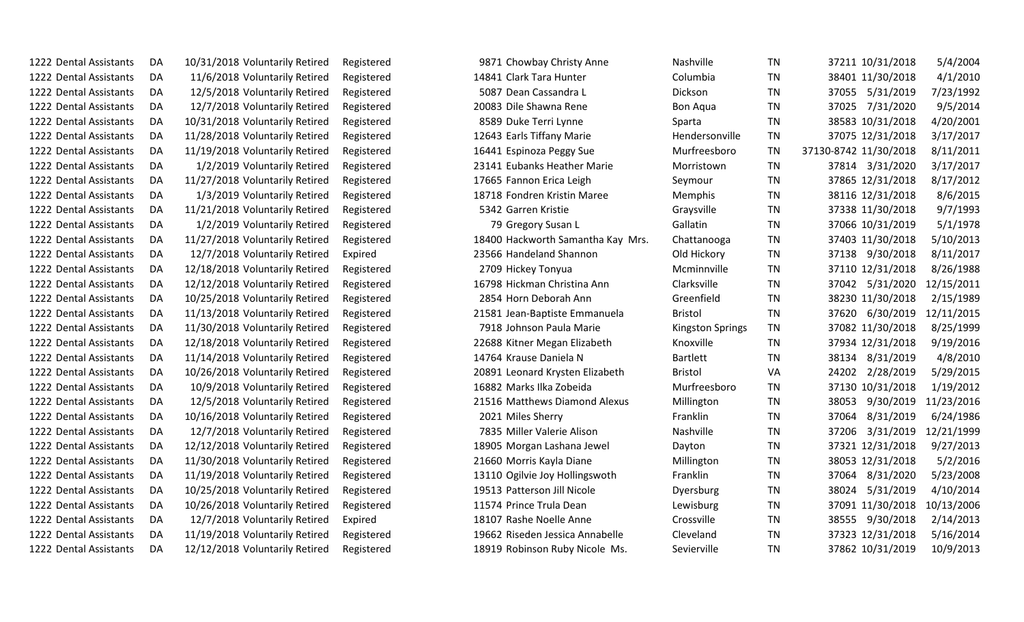| 1222 Dental Assistants | DA | 10/31/2018 Voluntarily Retired | Registered | 9871 Chowbay Christy Anne         | Nashville               | TN        | 37211 10/31/2018      | 5/4/2004   |
|------------------------|----|--------------------------------|------------|-----------------------------------|-------------------------|-----------|-----------------------|------------|
| 1222 Dental Assistants | DA | 11/6/2018 Voluntarily Retired  | Registered | 14841 Clark Tara Hunter           | Columbia                | TN        | 38401 11/30/2018      | 4/1/2010   |
| 1222 Dental Assistants | DA | 12/5/2018 Voluntarily Retired  | Registered | 5087 Dean Cassandra L             | Dickson                 | TN        | 37055 5/31/2019       | 7/23/1992  |
| 1222 Dental Assistants | DA | 12/7/2018 Voluntarily Retired  | Registered | 20083 Dile Shawna Rene            | <b>Bon Aqua</b>         | TN        | 7/31/2020<br>37025    | 9/5/2014   |
| 1222 Dental Assistants | DA | 10/31/2018 Voluntarily Retired | Registered | 8589 Duke Terri Lynne             | Sparta                  | <b>TN</b> | 38583 10/31/2018      | 4/20/2001  |
| 1222 Dental Assistants | DA | 11/28/2018 Voluntarily Retired | Registered | 12643 Earls Tiffany Marie         | Hendersonville          | <b>TN</b> | 37075 12/31/2018      | 3/17/2017  |
| 1222 Dental Assistants | DA | 11/19/2018 Voluntarily Retired | Registered | 16441 Espinoza Peggy Sue          | Murfreesboro            | TN        | 37130-8742 11/30/2018 | 8/11/2011  |
| 1222 Dental Assistants | DA | 1/2/2019 Voluntarily Retired   | Registered | 23141 Eubanks Heather Marie       | Morristown              | <b>TN</b> | 37814 3/31/2020       | 3/17/2017  |
| 1222 Dental Assistants | DA | 11/27/2018 Voluntarily Retired | Registered | 17665 Fannon Erica Leigh          | Seymour                 | TN        | 37865 12/31/2018      | 8/17/2012  |
| 1222 Dental Assistants | DA | 1/3/2019 Voluntarily Retired   | Registered | 18718 Fondren Kristin Maree       | Memphis                 | TN        | 38116 12/31/2018      | 8/6/2015   |
| 1222 Dental Assistants | DA | 11/21/2018 Voluntarily Retired | Registered | 5342 Garren Kristie               | Graysville              | <b>TN</b> | 37338 11/30/2018      | 9/7/1993   |
| 1222 Dental Assistants | DA | 1/2/2019 Voluntarily Retired   | Registered | 79 Gregory Susan L                | Gallatin                | TN        | 37066 10/31/2019      | 5/1/1978   |
| 1222 Dental Assistants | DA | 11/27/2018 Voluntarily Retired | Registered | 18400 Hackworth Samantha Kay Mrs. | Chattanooga             | TN        | 37403 11/30/2018      | 5/10/2013  |
| 1222 Dental Assistants | DA | 12/7/2018 Voluntarily Retired  | Expired    | 23566 Handeland Shannon           | Old Hickory             | TN        | 37138 9/30/2018       | 8/11/2017  |
| 1222 Dental Assistants | DA | 12/18/2018 Voluntarily Retired | Registered | 2709 Hickey Tonyua                | Mcminnville             | TN        | 37110 12/31/2018      | 8/26/1988  |
| 1222 Dental Assistants | DA | 12/12/2018 Voluntarily Retired | Registered | 16798 Hickman Christina Ann       | Clarksville             | TN        | 5/31/2020<br>37042    | 12/15/2011 |
| 1222 Dental Assistants | DA | 10/25/2018 Voluntarily Retired | Registered | 2854 Horn Deborah Ann             | Greenfield              | TN        | 38230 11/30/2018      | 2/15/1989  |
| 1222 Dental Assistants | DA | 11/13/2018 Voluntarily Retired | Registered | 21581 Jean-Baptiste Emmanuela     | <b>Bristol</b>          | <b>TN</b> | 37620<br>6/30/2019    | 12/11/2015 |
| 1222 Dental Assistants | DA | 11/30/2018 Voluntarily Retired | Registered | 7918 Johnson Paula Marie          | <b>Kingston Springs</b> | TN        | 37082 11/30/2018      | 8/25/1999  |
| 1222 Dental Assistants | DA | 12/18/2018 Voluntarily Retired | Registered | 22688 Kitner Megan Elizabeth      | Knoxville               | TN        | 37934 12/31/2018      | 9/19/2016  |
| 1222 Dental Assistants | DA | 11/14/2018 Voluntarily Retired | Registered | 14764 Krause Daniela N            | <b>Bartlett</b>         | TN        | 38134 8/31/2019       | 4/8/2010   |
| 1222 Dental Assistants | DA | 10/26/2018 Voluntarily Retired | Registered | 20891 Leonard Krysten Elizabeth   | <b>Bristol</b>          | VA        | 24202<br>2/28/2019    | 5/29/2015  |
| 1222 Dental Assistants | DA | 10/9/2018 Voluntarily Retired  | Registered | 16882 Marks Ilka Zobeida          | Murfreesboro            | TN        | 37130 10/31/2018      | 1/19/2012  |
| 1222 Dental Assistants | DA | 12/5/2018 Voluntarily Retired  | Registered | 21516 Matthews Diamond Alexus     | Millington              | <b>TN</b> | 38053<br>9/30/2019    | 11/23/2016 |
| 1222 Dental Assistants | DA | 10/16/2018 Voluntarily Retired | Registered | 2021 Miles Sherry                 | Franklin                | TN        | 8/31/2019<br>37064    | 6/24/1986  |
| 1222 Dental Assistants | DA | 12/7/2018 Voluntarily Retired  | Registered | 7835 Miller Valerie Alison        | Nashville               | TN        | 37206<br>3/31/2019    | 12/21/1999 |
| 1222 Dental Assistants | DA | 12/12/2018 Voluntarily Retired | Registered | 18905 Morgan Lashana Jewel        | Dayton                  | TN        | 37321 12/31/2018      | 9/27/2013  |
| 1222 Dental Assistants | DA | 11/30/2018 Voluntarily Retired | Registered | 21660 Morris Kayla Diane          | Millington              | TN        | 38053 12/31/2018      | 5/2/2016   |
| 1222 Dental Assistants | DA | 11/19/2018 Voluntarily Retired | Registered | 13110 Ogilvie Joy Hollingswoth    | Franklin                | <b>TN</b> | 37064<br>8/31/2020    | 5/23/2008  |
| 1222 Dental Assistants | DA | 10/25/2018 Voluntarily Retired | Registered | 19513 Patterson Jill Nicole       | Dyersburg               | TN        | 38024<br>5/31/2019    | 4/10/2014  |
| 1222 Dental Assistants | DA | 10/26/2018 Voluntarily Retired | Registered | 11574 Prince Trula Dean           | Lewisburg               | TN        | 37091 11/30/2018      | 10/13/2006 |
| 1222 Dental Assistants | DA | 12/7/2018 Voluntarily Retired  | Expired    | 18107 Rashe Noelle Anne           | Crossville              | <b>TN</b> | 38555 9/30/2018       | 2/14/2013  |
| 1222 Dental Assistants | DA | 11/19/2018 Voluntarily Retired | Registered | 19662 Riseden Jessica Annabelle   | Cleveland               | TN        | 37323 12/31/2018      | 5/16/2014  |
| 1222 Dental Assistants | DA | 12/12/2018 Voluntarily Retired | Registered | 18919 Robinson Ruby Nicole Ms.    | Sevierville             | <b>TN</b> | 37862 10/31/2019      | 10/9/2013  |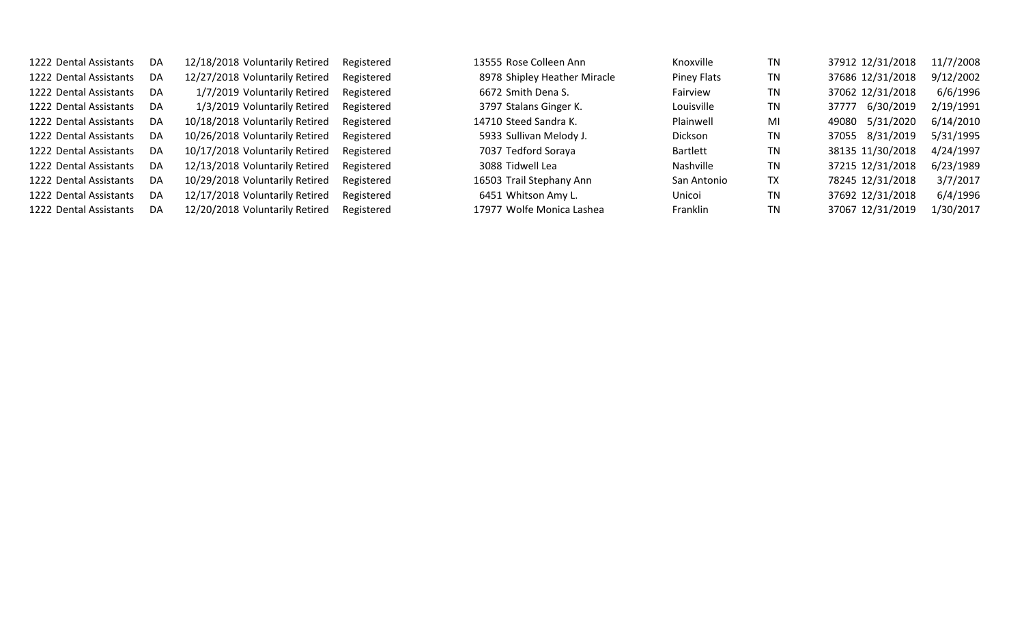Dental Assistants DA 12/20/2018 Voluntarily Retired Registered 17977 Wolfe Monica Lashea Franklin TN 37067 12/31/2019 1/30/2017

| 1222 Dental Assistants | DA. | 12/18/2018 Voluntarily Retired | Registered | 13555 Rose Colleen Ann       | Knoxville       | TN | 37912 12/31/2018   | 11/7/2008 |
|------------------------|-----|--------------------------------|------------|------------------------------|-----------------|----|--------------------|-----------|
| 1222 Dental Assistants | DA. | 12/27/2018 Voluntarily Retired | Registered | 8978 Shipley Heather Miracle | Piney Flats     | TN | 37686 12/31/2018   | 9/12/2002 |
| 1222 Dental Assistants | DA. | 1/7/2019 Voluntarily Retired   | Registered | 6672 Smith Dena S.           | Fairview        | TN | 37062 12/31/2018   | 6/6/1996  |
| 1222 Dental Assistants | DA  | 1/3/2019 Voluntarily Retired   | Registered | 3797 Stalans Ginger K.       | Louisville      | TN | 6/30/2019<br>37777 | 2/19/1991 |
| 1222 Dental Assistants | DA. | 10/18/2018 Voluntarily Retired | Registered | 14710 Steed Sandra K.        | Plainwell       | MI | 5/31/2020<br>49080 | 6/14/2010 |
| 1222 Dental Assistants | DA  | 10/26/2018 Voluntarily Retired | Registered | 5933 Sullivan Melody J.      | <b>Dickson</b>  | TN | 37055 8/31/2019    | 5/31/1995 |
| 1222 Dental Assistants | DA  | 10/17/2018 Voluntarily Retired | Registered | 7037 Tedford Soraya          | <b>Bartlett</b> | ΤN | 38135 11/30/2018   | 4/24/1997 |
| 1222 Dental Assistants | DA  | 12/13/2018 Voluntarily Retired | Registered | 3088 Tidwell Lea             | Nashville       | TN | 37215 12/31/2018   | 6/23/1989 |
| 1222 Dental Assistants | DA  | 10/29/2018 Voluntarily Retired | Registered | 16503 Trail Stephany Ann     | San Antonio     | ТX | 78245 12/31/2018   | 3/7/2017  |
| 1222 Dental Assistants | DA  | 12/17/2018 Voluntarily Retired | Registered | 6451 Whitson Amy L.          | Unicoi          | ΤN | 37692 12/31/2018   | 6/4/1996  |
| 1222 Dental Assistants | DA. | 12/20/2018 Voluntarily Retired | Registered | 17977 Wolfe Monica Lashea    | <b>Franklin</b> | ΤN | 37067 12/31/2019   | 1/30/2017 |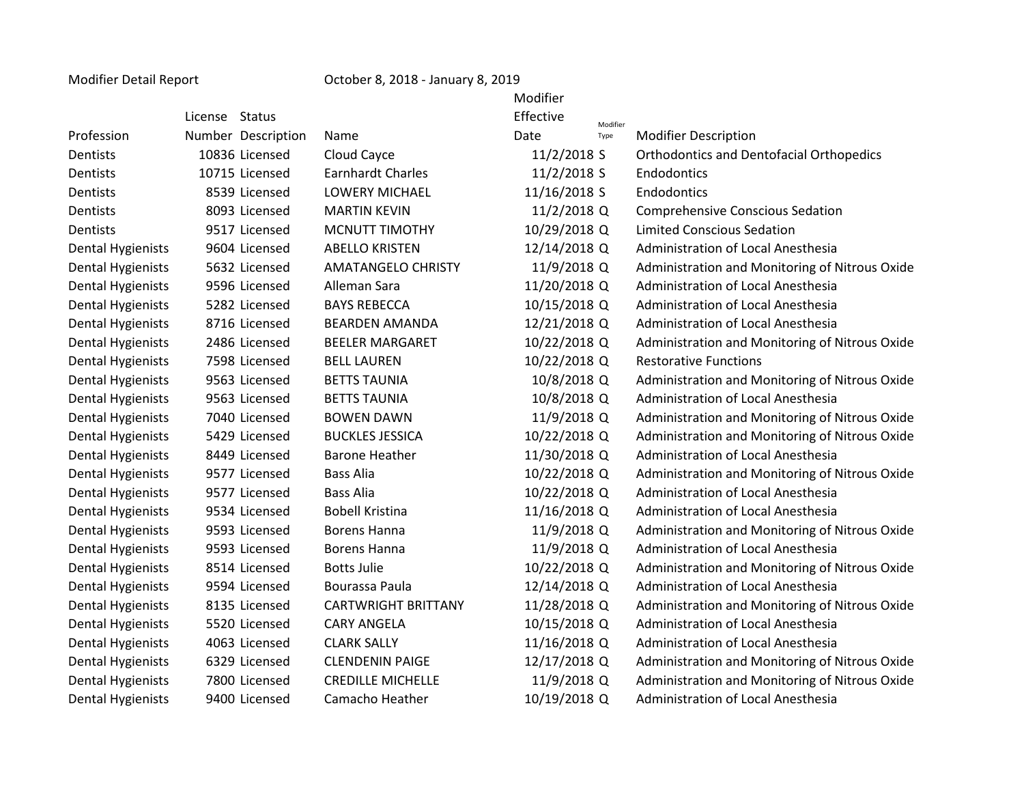## Modifier Detail Report Contract Corollary 8, 2018 - January 8, 2019

|                          |                    |                            | Modifier     |          |                                                 |
|--------------------------|--------------------|----------------------------|--------------|----------|-------------------------------------------------|
|                          | License Status     |                            | Effective    | Modifier |                                                 |
| Profession               | Number Description | Name                       | Date         | Type     | <b>Modifier Description</b>                     |
| Dentists                 | 10836 Licensed     | Cloud Cayce                | 11/2/2018 S  |          | <b>Orthodontics and Dentofacial Orthopedics</b> |
| Dentists                 | 10715 Licensed     | <b>Earnhardt Charles</b>   | 11/2/2018 S  |          | Endodontics                                     |
| Dentists                 | 8539 Licensed      | <b>LOWERY MICHAEL</b>      | 11/16/2018 S |          | Endodontics                                     |
| Dentists                 | 8093 Licensed      | <b>MARTIN KEVIN</b>        | 11/2/2018 Q  |          | <b>Comprehensive Conscious Sedation</b>         |
| Dentists                 | 9517 Licensed      | <b>MCNUTT TIMOTHY</b>      | 10/29/2018 Q |          | <b>Limited Conscious Sedation</b>               |
| <b>Dental Hygienists</b> | 9604 Licensed      | <b>ABELLO KRISTEN</b>      | 12/14/2018 Q |          | Administration of Local Anesthesia              |
| <b>Dental Hygienists</b> | 5632 Licensed      | <b>AMATANGELO CHRISTY</b>  | 11/9/2018 Q  |          | Administration and Monitoring of Nitrous Oxide  |
| <b>Dental Hygienists</b> | 9596 Licensed      | Alleman Sara               | 11/20/2018 Q |          | Administration of Local Anesthesia              |
| <b>Dental Hygienists</b> | 5282 Licensed      | <b>BAYS REBECCA</b>        | 10/15/2018 Q |          | Administration of Local Anesthesia              |
| <b>Dental Hygienists</b> | 8716 Licensed      | <b>BEARDEN AMANDA</b>      | 12/21/2018 Q |          | Administration of Local Anesthesia              |
| <b>Dental Hygienists</b> | 2486 Licensed      | <b>BEELER MARGARET</b>     | 10/22/2018 Q |          | Administration and Monitoring of Nitrous Oxide  |
| <b>Dental Hygienists</b> | 7598 Licensed      | <b>BELL LAUREN</b>         | 10/22/2018 Q |          | <b>Restorative Functions</b>                    |
| <b>Dental Hygienists</b> | 9563 Licensed      | <b>BETTS TAUNIA</b>        | 10/8/2018 Q  |          | Administration and Monitoring of Nitrous Oxide  |
| <b>Dental Hygienists</b> | 9563 Licensed      | <b>BETTS TAUNIA</b>        | 10/8/2018 Q  |          | Administration of Local Anesthesia              |
| <b>Dental Hygienists</b> | 7040 Licensed      | <b>BOWEN DAWN</b>          | 11/9/2018 Q  |          | Administration and Monitoring of Nitrous Oxide  |
| <b>Dental Hygienists</b> | 5429 Licensed      | <b>BUCKLES JESSICA</b>     | 10/22/2018 Q |          | Administration and Monitoring of Nitrous Oxide  |
| <b>Dental Hygienists</b> | 8449 Licensed      | <b>Barone Heather</b>      | 11/30/2018 Q |          | Administration of Local Anesthesia              |
| <b>Dental Hygienists</b> | 9577 Licensed      | <b>Bass Alia</b>           | 10/22/2018 Q |          | Administration and Monitoring of Nitrous Oxide  |
| <b>Dental Hygienists</b> | 9577 Licensed      | <b>Bass Alia</b>           | 10/22/2018 Q |          | Administration of Local Anesthesia              |
| <b>Dental Hygienists</b> | 9534 Licensed      | <b>Bobell Kristina</b>     | 11/16/2018 Q |          | Administration of Local Anesthesia              |
| <b>Dental Hygienists</b> | 9593 Licensed      | <b>Borens Hanna</b>        | 11/9/2018 Q  |          | Administration and Monitoring of Nitrous Oxide  |
| <b>Dental Hygienists</b> | 9593 Licensed      | Borens Hanna               | 11/9/2018 Q  |          | Administration of Local Anesthesia              |
| <b>Dental Hygienists</b> | 8514 Licensed      | <b>Botts Julie</b>         | 10/22/2018 Q |          | Administration and Monitoring of Nitrous Oxide  |
| <b>Dental Hygienists</b> | 9594 Licensed      | Bourassa Paula             | 12/14/2018 Q |          | Administration of Local Anesthesia              |
| <b>Dental Hygienists</b> | 8135 Licensed      | <b>CARTWRIGHT BRITTANY</b> | 11/28/2018 Q |          | Administration and Monitoring of Nitrous Oxide  |
| <b>Dental Hygienists</b> | 5520 Licensed      | <b>CARY ANGELA</b>         | 10/15/2018 Q |          | Administration of Local Anesthesia              |
| <b>Dental Hygienists</b> | 4063 Licensed      | <b>CLARK SALLY</b>         | 11/16/2018 Q |          | Administration of Local Anesthesia              |
| <b>Dental Hygienists</b> | 6329 Licensed      | <b>CLENDENIN PAIGE</b>     | 12/17/2018 Q |          | Administration and Monitoring of Nitrous Oxide  |
| <b>Dental Hygienists</b> | 7800 Licensed      | <b>CREDILLE MICHELLE</b>   | 11/9/2018 Q  |          | Administration and Monitoring of Nitrous Oxide  |
| <b>Dental Hygienists</b> | 9400 Licensed      | Camacho Heather            | 10/19/2018 Q |          | Administration of Local Anesthesia              |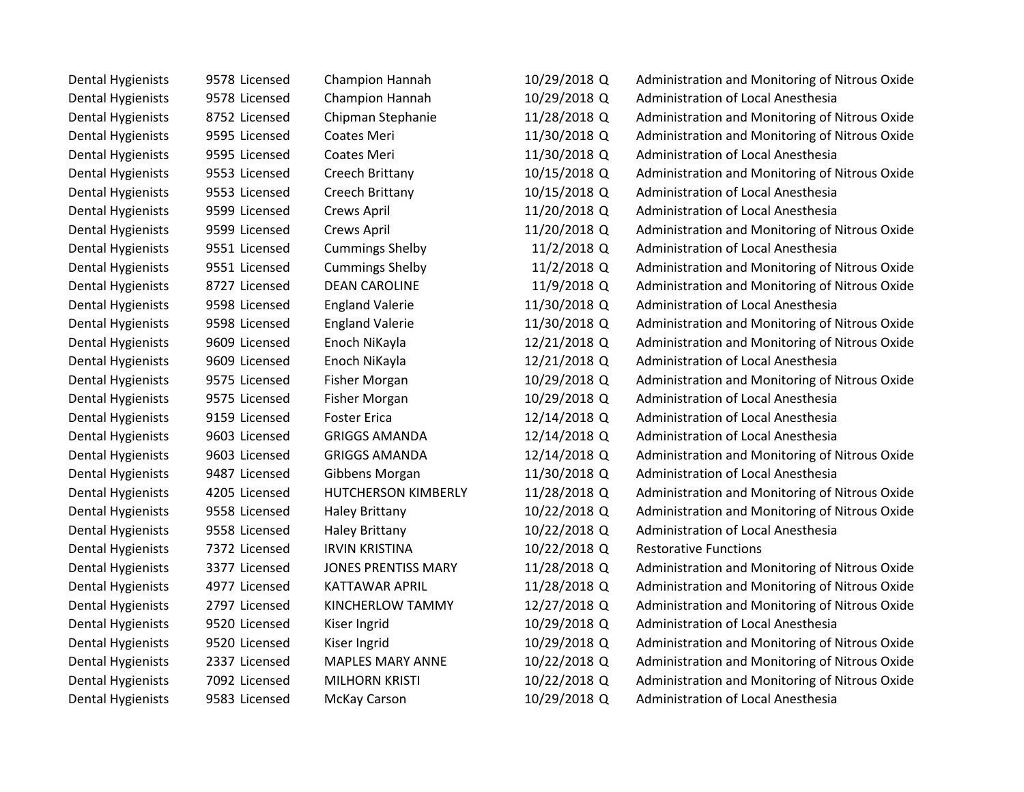| <b>Dental Hygienists</b> | 9578 Licensed | Champion Hannah            | 10/29/2018 Q | Administration and Monitoring of Nitrous Oxide |
|--------------------------|---------------|----------------------------|--------------|------------------------------------------------|
| <b>Dental Hygienists</b> | 9578 Licensed | Champion Hannah            | 10/29/2018 Q | Administration of Local Anesthesia             |
| <b>Dental Hygienists</b> | 8752 Licensed | Chipman Stephanie          | 11/28/2018 Q | Administration and Monitoring of Nitrous Oxide |
| <b>Dental Hygienists</b> | 9595 Licensed | Coates Meri                | 11/30/2018 Q | Administration and Monitoring of Nitrous Oxide |
| <b>Dental Hygienists</b> | 9595 Licensed | <b>Coates Meri</b>         | 11/30/2018 Q | Administration of Local Anesthesia             |
| <b>Dental Hygienists</b> | 9553 Licensed | Creech Brittany            | 10/15/2018 Q | Administration and Monitoring of Nitrous Oxide |
| <b>Dental Hygienists</b> | 9553 Licensed | Creech Brittany            | 10/15/2018 Q | Administration of Local Anesthesia             |
| <b>Dental Hygienists</b> | 9599 Licensed | Crews April                | 11/20/2018 Q | Administration of Local Anesthesia             |
| <b>Dental Hygienists</b> | 9599 Licensed | Crews April                | 11/20/2018 Q | Administration and Monitoring of Nitrous Oxide |
| <b>Dental Hygienists</b> | 9551 Licensed | <b>Cummings Shelby</b>     | 11/2/2018 Q  | Administration of Local Anesthesia             |
| <b>Dental Hygienists</b> | 9551 Licensed | <b>Cummings Shelby</b>     | 11/2/2018 Q  | Administration and Monitoring of Nitrous Oxide |
| <b>Dental Hygienists</b> | 8727 Licensed | <b>DEAN CAROLINE</b>       | 11/9/2018 Q  | Administration and Monitoring of Nitrous Oxide |
| <b>Dental Hygienists</b> | 9598 Licensed | <b>England Valerie</b>     | 11/30/2018 Q | Administration of Local Anesthesia             |
| <b>Dental Hygienists</b> | 9598 Licensed | <b>England Valerie</b>     | 11/30/2018 Q | Administration and Monitoring of Nitrous Oxide |
| <b>Dental Hygienists</b> | 9609 Licensed | Enoch NiKayla              | 12/21/2018 Q | Administration and Monitoring of Nitrous Oxide |
| <b>Dental Hygienists</b> | 9609 Licensed | Enoch NiKayla              | 12/21/2018 Q | Administration of Local Anesthesia             |
| <b>Dental Hygienists</b> | 9575 Licensed | Fisher Morgan              | 10/29/2018 Q | Administration and Monitoring of Nitrous Oxide |
| <b>Dental Hygienists</b> | 9575 Licensed | <b>Fisher Morgan</b>       | 10/29/2018 Q | Administration of Local Anesthesia             |
| <b>Dental Hygienists</b> | 9159 Licensed | <b>Foster Erica</b>        | 12/14/2018 Q | Administration of Local Anesthesia             |
| <b>Dental Hygienists</b> | 9603 Licensed | <b>GRIGGS AMANDA</b>       | 12/14/2018 Q | Administration of Local Anesthesia             |
| <b>Dental Hygienists</b> | 9603 Licensed | <b>GRIGGS AMANDA</b>       | 12/14/2018 Q | Administration and Monitoring of Nitrous Oxide |
| <b>Dental Hygienists</b> | 9487 Licensed | Gibbens Morgan             | 11/30/2018 Q | Administration of Local Anesthesia             |
| <b>Dental Hygienists</b> | 4205 Licensed | <b>HUTCHERSON KIMBERLY</b> | 11/28/2018 Q | Administration and Monitoring of Nitrous Oxide |
| <b>Dental Hygienists</b> | 9558 Licensed | <b>Haley Brittany</b>      | 10/22/2018 Q | Administration and Monitoring of Nitrous Oxide |
| <b>Dental Hygienists</b> | 9558 Licensed | <b>Haley Brittany</b>      | 10/22/2018 Q | Administration of Local Anesthesia             |
| <b>Dental Hygienists</b> | 7372 Licensed | <b>IRVIN KRISTINA</b>      | 10/22/2018 Q | <b>Restorative Functions</b>                   |
| <b>Dental Hygienists</b> | 3377 Licensed | <b>JONES PRENTISS MARY</b> | 11/28/2018 Q | Administration and Monitoring of Nitrous Oxide |
| <b>Dental Hygienists</b> | 4977 Licensed | <b>KATTAWAR APRIL</b>      | 11/28/2018 Q | Administration and Monitoring of Nitrous Oxide |
| <b>Dental Hygienists</b> | 2797 Licensed | <b>KINCHERLOW TAMMY</b>    | 12/27/2018 Q | Administration and Monitoring of Nitrous Oxide |
| <b>Dental Hygienists</b> | 9520 Licensed | Kiser Ingrid               | 10/29/2018 Q | Administration of Local Anesthesia             |
| <b>Dental Hygienists</b> | 9520 Licensed | Kiser Ingrid               | 10/29/2018 Q | Administration and Monitoring of Nitrous Oxide |
| <b>Dental Hygienists</b> | 2337 Licensed | <b>MAPLES MARY ANNE</b>    | 10/22/2018 Q | Administration and Monitoring of Nitrous Oxide |
| <b>Dental Hygienists</b> | 7092 Licensed | <b>MILHORN KRISTI</b>      | 10/22/2018 Q | Administration and Monitoring of Nitrous Oxide |
| <b>Dental Hygienists</b> | 9583 Licensed | <b>McKay Carson</b>        | 10/29/2018 Q | Administration of Local Anesthesia             |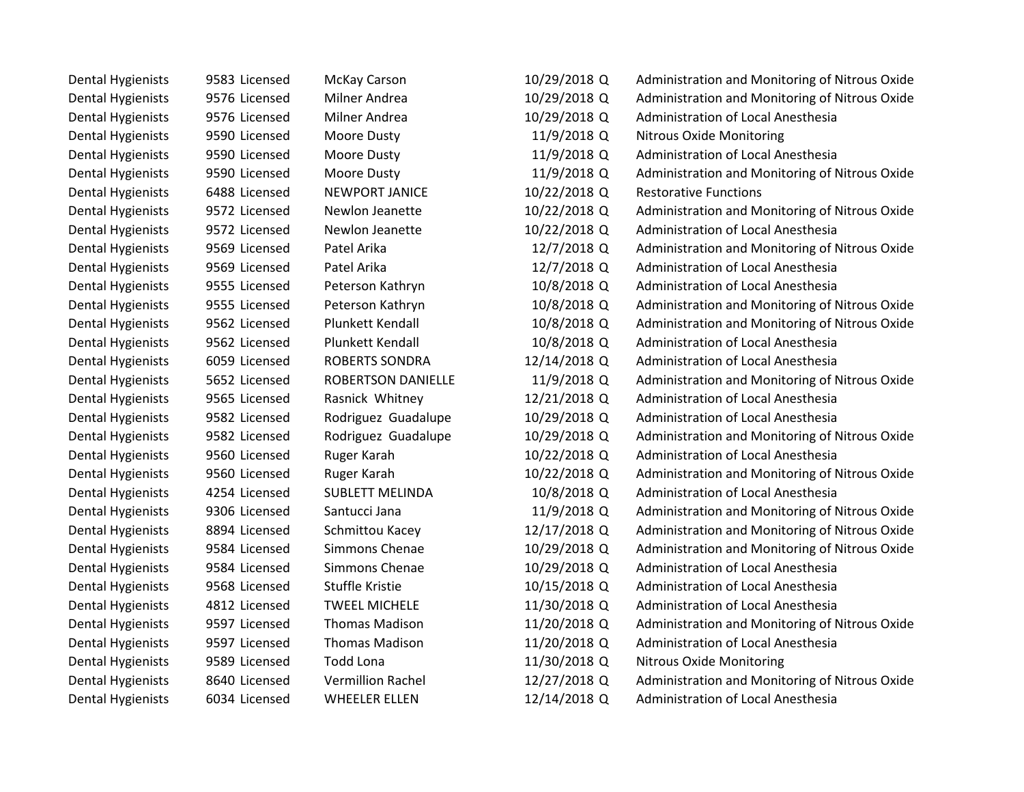| <b>Dental Hygienists</b> | 9583 Licensed | <b>McKay Carson</b>       | 10/29/2018 Q | Administration and Monitoring of Nitrous Oxide |
|--------------------------|---------------|---------------------------|--------------|------------------------------------------------|
| <b>Dental Hygienists</b> | 9576 Licensed | Milner Andrea             | 10/29/2018 Q | Administration and Monitoring of Nitrous Oxide |
| <b>Dental Hygienists</b> | 9576 Licensed | Milner Andrea             | 10/29/2018 Q | Administration of Local Anesthesia             |
| <b>Dental Hygienists</b> | 9590 Licensed | Moore Dusty               | 11/9/2018 Q  | <b>Nitrous Oxide Monitoring</b>                |
| <b>Dental Hygienists</b> | 9590 Licensed | Moore Dusty               | 11/9/2018 Q  | Administration of Local Anesthesia             |
| <b>Dental Hygienists</b> | 9590 Licensed | Moore Dusty               | 11/9/2018 Q  | Administration and Monitoring of Nitrous Oxide |
| <b>Dental Hygienists</b> | 6488 Licensed | NEWPORT JANICE            | 10/22/2018 Q | <b>Restorative Functions</b>                   |
| <b>Dental Hygienists</b> | 9572 Licensed | Newlon Jeanette           | 10/22/2018 Q | Administration and Monitoring of Nitrous Oxide |
| <b>Dental Hygienists</b> | 9572 Licensed | Newlon Jeanette           | 10/22/2018 Q | Administration of Local Anesthesia             |
| <b>Dental Hygienists</b> | 9569 Licensed | Patel Arika               | 12/7/2018 Q  | Administration and Monitoring of Nitrous Oxide |
| <b>Dental Hygienists</b> | 9569 Licensed | Patel Arika               | 12/7/2018 Q  | Administration of Local Anesthesia             |
| <b>Dental Hygienists</b> | 9555 Licensed | Peterson Kathryn          | 10/8/2018 Q  | <b>Administration of Local Anesthesia</b>      |
| <b>Dental Hygienists</b> | 9555 Licensed | Peterson Kathryn          | 10/8/2018 Q  | Administration and Monitoring of Nitrous Oxide |
| <b>Dental Hygienists</b> | 9562 Licensed | Plunkett Kendall          | 10/8/2018 Q  | Administration and Monitoring of Nitrous Oxide |
| <b>Dental Hygienists</b> | 9562 Licensed | Plunkett Kendall          | 10/8/2018 Q  | Administration of Local Anesthesia             |
| <b>Dental Hygienists</b> | 6059 Licensed | ROBERTS SONDRA            | 12/14/2018 Q | Administration of Local Anesthesia             |
| <b>Dental Hygienists</b> | 5652 Licensed | <b>ROBERTSON DANIELLE</b> | 11/9/2018 Q  | Administration and Monitoring of Nitrous Oxide |
| <b>Dental Hygienists</b> | 9565 Licensed | Rasnick Whitney           | 12/21/2018 Q | Administration of Local Anesthesia             |
| <b>Dental Hygienists</b> | 9582 Licensed | Rodriguez Guadalupe       | 10/29/2018 Q | Administration of Local Anesthesia             |
| <b>Dental Hygienists</b> | 9582 Licensed | Rodriguez Guadalupe       | 10/29/2018 Q | Administration and Monitoring of Nitrous Oxide |
| <b>Dental Hygienists</b> | 9560 Licensed | Ruger Karah               | 10/22/2018 Q | Administration of Local Anesthesia             |
| <b>Dental Hygienists</b> | 9560 Licensed | Ruger Karah               | 10/22/2018 Q | Administration and Monitoring of Nitrous Oxide |
| <b>Dental Hygienists</b> | 4254 Licensed | <b>SUBLETT MELINDA</b>    | 10/8/2018 Q  | Administration of Local Anesthesia             |
| <b>Dental Hygienists</b> | 9306 Licensed | Santucci Jana             | 11/9/2018 Q  | Administration and Monitoring of Nitrous Oxide |
| <b>Dental Hygienists</b> | 8894 Licensed | Schmittou Kacey           | 12/17/2018 Q | Administration and Monitoring of Nitrous Oxide |
| <b>Dental Hygienists</b> | 9584 Licensed | Simmons Chenae            | 10/29/2018 Q | Administration and Monitoring of Nitrous Oxide |
| <b>Dental Hygienists</b> | 9584 Licensed | Simmons Chenae            | 10/29/2018 Q | Administration of Local Anesthesia             |
| <b>Dental Hygienists</b> | 9568 Licensed | <b>Stuffle Kristie</b>    | 10/15/2018 Q | Administration of Local Anesthesia             |
| <b>Dental Hygienists</b> | 4812 Licensed | <b>TWEEL MICHELE</b>      | 11/30/2018 Q | Administration of Local Anesthesia             |
| <b>Dental Hygienists</b> | 9597 Licensed | <b>Thomas Madison</b>     | 11/20/2018 Q | Administration and Monitoring of Nitrous Oxide |
| <b>Dental Hygienists</b> | 9597 Licensed | <b>Thomas Madison</b>     | 11/20/2018 Q | Administration of Local Anesthesia             |
| <b>Dental Hygienists</b> | 9589 Licensed | <b>Todd Lona</b>          | 11/30/2018 Q | <b>Nitrous Oxide Monitoring</b>                |
| <b>Dental Hygienists</b> | 8640 Licensed | <b>Vermillion Rachel</b>  | 12/27/2018 Q | Administration and Monitoring of Nitrous Oxide |
| <b>Dental Hygienists</b> | 6034 Licensed | <b>WHEELER ELLEN</b>      | 12/14/2018 Q | Administration of Local Anesthesia             |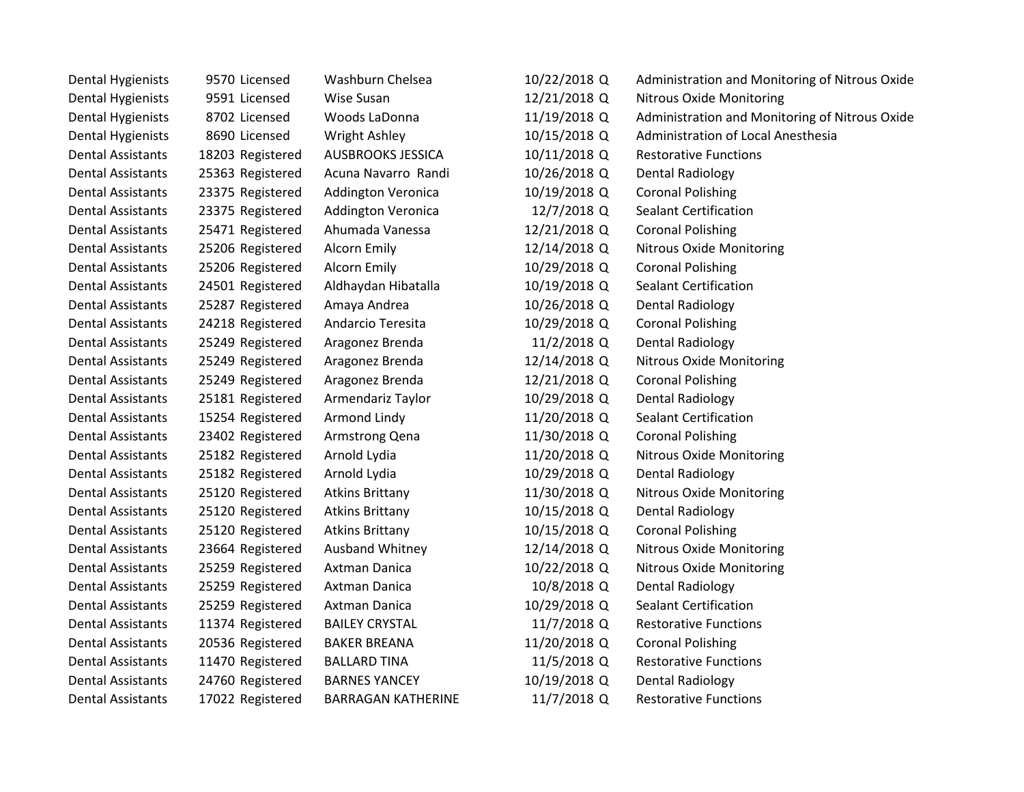| <b>Dental Hygienists</b> | 9570 Licensed    | Washburn Chelsea          | 10/22/2018 Q | Administration and Monitoring of Nitrous Oxide |
|--------------------------|------------------|---------------------------|--------------|------------------------------------------------|
| <b>Dental Hygienists</b> | 9591 Licensed    | Wise Susan                | 12/21/2018 Q | <b>Nitrous Oxide Monitoring</b>                |
| <b>Dental Hygienists</b> | 8702 Licensed    | Woods LaDonna             | 11/19/2018 Q | Administration and Monitoring of Nitrous Oxide |
| <b>Dental Hygienists</b> | 8690 Licensed    | Wright Ashley             | 10/15/2018 Q | Administration of Local Anesthesia             |
| <b>Dental Assistants</b> | 18203 Registered | <b>AUSBROOKS JESSICA</b>  | 10/11/2018 Q | <b>Restorative Functions</b>                   |
| <b>Dental Assistants</b> | 25363 Registered | Acuna Navarro Randi       | 10/26/2018 Q | <b>Dental Radiology</b>                        |
| <b>Dental Assistants</b> | 23375 Registered | <b>Addington Veronica</b> | 10/19/2018 Q | <b>Coronal Polishing</b>                       |
| <b>Dental Assistants</b> | 23375 Registered | <b>Addington Veronica</b> | 12/7/2018 Q  | <b>Sealant Certification</b>                   |
| <b>Dental Assistants</b> | 25471 Registered | Ahumada Vanessa           | 12/21/2018 Q | <b>Coronal Polishing</b>                       |
| <b>Dental Assistants</b> | 25206 Registered | Alcorn Emily              | 12/14/2018 Q | Nitrous Oxide Monitoring                       |
| <b>Dental Assistants</b> | 25206 Registered | Alcorn Emily              | 10/29/2018 Q | <b>Coronal Polishing</b>                       |
| <b>Dental Assistants</b> | 24501 Registered | Aldhaydan Hibatalla       | 10/19/2018 Q | <b>Sealant Certification</b>                   |
| <b>Dental Assistants</b> | 25287 Registered | Amaya Andrea              | 10/26/2018 Q | <b>Dental Radiology</b>                        |
| <b>Dental Assistants</b> | 24218 Registered | Andarcio Teresita         | 10/29/2018 Q | <b>Coronal Polishing</b>                       |
| <b>Dental Assistants</b> | 25249 Registered | Aragonez Brenda           | 11/2/2018 Q  | <b>Dental Radiology</b>                        |
| <b>Dental Assistants</b> | 25249 Registered | Aragonez Brenda           | 12/14/2018 Q | Nitrous Oxide Monitoring                       |
| <b>Dental Assistants</b> | 25249 Registered | Aragonez Brenda           | 12/21/2018 Q | <b>Coronal Polishing</b>                       |
| <b>Dental Assistants</b> | 25181 Registered | Armendariz Taylor         | 10/29/2018 Q | <b>Dental Radiology</b>                        |
| <b>Dental Assistants</b> | 15254 Registered | Armond Lindy              | 11/20/2018 Q | <b>Sealant Certification</b>                   |
| <b>Dental Assistants</b> | 23402 Registered | Armstrong Qena            | 11/30/2018 Q | <b>Coronal Polishing</b>                       |
| <b>Dental Assistants</b> | 25182 Registered | Arnold Lydia              | 11/20/2018 Q | Nitrous Oxide Monitoring                       |
| <b>Dental Assistants</b> | 25182 Registered | Arnold Lydia              | 10/29/2018 Q | Dental Radiology                               |
| <b>Dental Assistants</b> | 25120 Registered | <b>Atkins Brittany</b>    | 11/30/2018 Q | <b>Nitrous Oxide Monitoring</b>                |
| <b>Dental Assistants</b> | 25120 Registered | <b>Atkins Brittany</b>    | 10/15/2018 Q | Dental Radiology                               |
| <b>Dental Assistants</b> | 25120 Registered | <b>Atkins Brittany</b>    | 10/15/2018 Q | <b>Coronal Polishing</b>                       |
| <b>Dental Assistants</b> | 23664 Registered | <b>Ausband Whitney</b>    | 12/14/2018 Q | <b>Nitrous Oxide Monitoring</b>                |
| <b>Dental Assistants</b> | 25259 Registered | Axtman Danica             | 10/22/2018 Q | <b>Nitrous Oxide Monitoring</b>                |
| <b>Dental Assistants</b> | 25259 Registered | Axtman Danica             | 10/8/2018 Q  | <b>Dental Radiology</b>                        |
| <b>Dental Assistants</b> | 25259 Registered | Axtman Danica             | 10/29/2018 Q | <b>Sealant Certification</b>                   |
| <b>Dental Assistants</b> | 11374 Registered | <b>BAILEY CRYSTAL</b>     | 11/7/2018 Q  | <b>Restorative Functions</b>                   |
| <b>Dental Assistants</b> | 20536 Registered | <b>BAKER BREANA</b>       | 11/20/2018 Q | <b>Coronal Polishing</b>                       |
| <b>Dental Assistants</b> | 11470 Registered | <b>BALLARD TINA</b>       | 11/5/2018 Q  | <b>Restorative Functions</b>                   |
| <b>Dental Assistants</b> | 24760 Registered | <b>BARNES YANCEY</b>      | 10/19/2018 Q | <b>Dental Radiology</b>                        |
| <b>Dental Assistants</b> | 17022 Registered | <b>BARRAGAN KATHERINE</b> | 11/7/2018 Q  | <b>Restorative Functions</b>                   |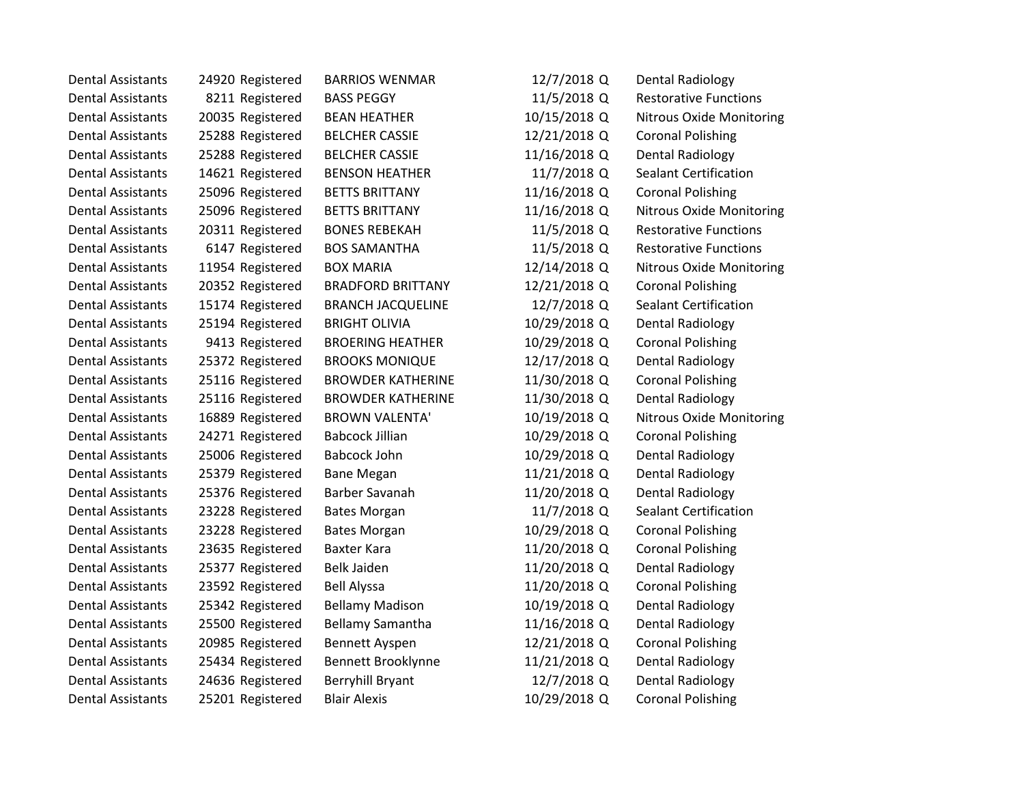| Dental Assistants        | 24920 Registered | <b>BARRIOS WENMAR</b>    | 12/7/2018 Q  | Dental Radiology                |
|--------------------------|------------------|--------------------------|--------------|---------------------------------|
| <b>Dental Assistants</b> | 8211 Registered  | <b>BASS PEGGY</b>        | 11/5/2018 Q  | <b>Restorative Functions</b>    |
| <b>Dental Assistants</b> | 20035 Registered | <b>BEAN HEATHER</b>      | 10/15/2018 Q | <b>Nitrous Oxide Monitoring</b> |
| <b>Dental Assistants</b> | 25288 Registered | <b>BELCHER CASSIE</b>    | 12/21/2018 Q | <b>Coronal Polishing</b>        |
| <b>Dental Assistants</b> | 25288 Registered | <b>BELCHER CASSIE</b>    | 11/16/2018 Q | <b>Dental Radiology</b>         |
| <b>Dental Assistants</b> | 14621 Registered | <b>BENSON HEATHER</b>    | 11/7/2018 Q  | <b>Sealant Certification</b>    |
| <b>Dental Assistants</b> | 25096 Registered | <b>BETTS BRITTANY</b>    | 11/16/2018 Q | <b>Coronal Polishing</b>        |
| <b>Dental Assistants</b> | 25096 Registered | <b>BETTS BRITTANY</b>    | 11/16/2018 Q | <b>Nitrous Oxide Monitoring</b> |
| <b>Dental Assistants</b> | 20311 Registered | <b>BONES REBEKAH</b>     | 11/5/2018 Q  | <b>Restorative Functions</b>    |
| <b>Dental Assistants</b> | 6147 Registered  | <b>BOS SAMANTHA</b>      | 11/5/2018 Q  | <b>Restorative Functions</b>    |
| <b>Dental Assistants</b> | 11954 Registered | <b>BOX MARIA</b>         | 12/14/2018 Q | <b>Nitrous Oxide Monitoring</b> |
| <b>Dental Assistants</b> | 20352 Registered | <b>BRADFORD BRITTANY</b> | 12/21/2018 Q | <b>Coronal Polishing</b>        |
| <b>Dental Assistants</b> | 15174 Registered | <b>BRANCH JACQUELINE</b> | 12/7/2018 Q  | <b>Sealant Certification</b>    |
| <b>Dental Assistants</b> | 25194 Registered | <b>BRIGHT OLIVIA</b>     | 10/29/2018 Q | <b>Dental Radiology</b>         |
| <b>Dental Assistants</b> | 9413 Registered  | <b>BROERING HEATHER</b>  | 10/29/2018 Q | <b>Coronal Polishing</b>        |
| <b>Dental Assistants</b> | 25372 Registered | <b>BROOKS MONIQUE</b>    | 12/17/2018 Q | <b>Dental Radiology</b>         |
| <b>Dental Assistants</b> | 25116 Registered | <b>BROWDER KATHERINE</b> | 11/30/2018 Q | <b>Coronal Polishing</b>        |
| <b>Dental Assistants</b> | 25116 Registered | <b>BROWDER KATHERINE</b> | 11/30/2018 Q | <b>Dental Radiology</b>         |
| <b>Dental Assistants</b> | 16889 Registered | <b>BROWN VALENTA'</b>    | 10/19/2018 Q | <b>Nitrous Oxide Monitoring</b> |
| <b>Dental Assistants</b> | 24271 Registered | <b>Babcock Jillian</b>   | 10/29/2018 Q | <b>Coronal Polishing</b>        |
| <b>Dental Assistants</b> | 25006 Registered | Babcock John             | 10/29/2018 Q | <b>Dental Radiology</b>         |
| <b>Dental Assistants</b> | 25379 Registered | <b>Bane Megan</b>        | 11/21/2018 Q | Dental Radiology                |
| <b>Dental Assistants</b> | 25376 Registered | Barber Savanah           | 11/20/2018 Q | <b>Dental Radiology</b>         |
| <b>Dental Assistants</b> | 23228 Registered | <b>Bates Morgan</b>      | 11/7/2018 Q  | <b>Sealant Certification</b>    |
| <b>Dental Assistants</b> | 23228 Registered | <b>Bates Morgan</b>      | 10/29/2018 Q | <b>Coronal Polishing</b>        |
| <b>Dental Assistants</b> | 23635 Registered | <b>Baxter Kara</b>       | 11/20/2018 Q | <b>Coronal Polishing</b>        |
| <b>Dental Assistants</b> | 25377 Registered | <b>Belk Jaiden</b>       | 11/20/2018 Q | <b>Dental Radiology</b>         |
| <b>Dental Assistants</b> | 23592 Registered | <b>Bell Alyssa</b>       | 11/20/2018 Q | <b>Coronal Polishing</b>        |
| <b>Dental Assistants</b> | 25342 Registered | <b>Bellamy Madison</b>   | 10/19/2018 Q | Dental Radiology                |
| <b>Dental Assistants</b> | 25500 Registered | Bellamy Samantha         | 11/16/2018 Q | <b>Dental Radiology</b>         |
| <b>Dental Assistants</b> | 20985 Registered | Bennett Ayspen           | 12/21/2018 Q | <b>Coronal Polishing</b>        |
| <b>Dental Assistants</b> | 25434 Registered | Bennett Brooklynne       | 11/21/2018 Q | Dental Radiology                |
| <b>Dental Assistants</b> | 24636 Registered | <b>Berryhill Bryant</b>  | 12/7/2018 Q  | <b>Dental Radiology</b>         |
| <b>Dental Assistants</b> | 25201 Registered | <b>Blair Alexis</b>      | 10/29/2018 Q | <b>Coronal Polishing</b>        |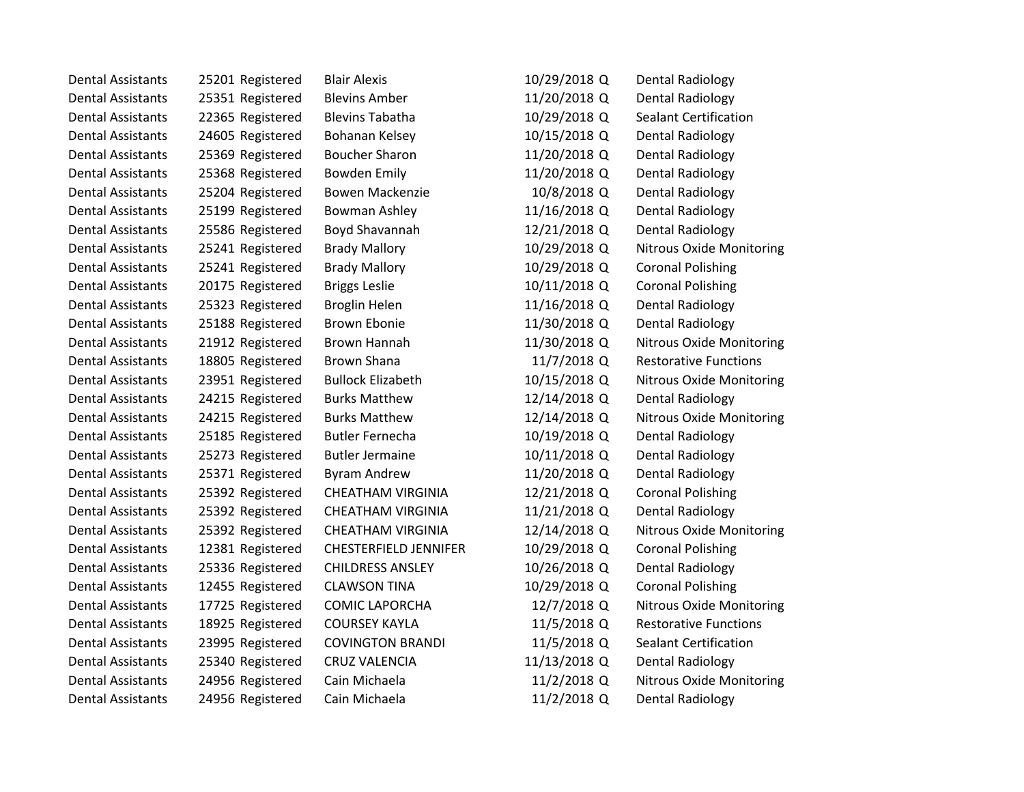| <b>Dental Assistants</b> | 25201 Registered | <b>Blair Alexis</b>          | 10/29/2018 Q | Dental Radiology                |
|--------------------------|------------------|------------------------------|--------------|---------------------------------|
| <b>Dental Assistants</b> | 25351 Registered | <b>Blevins Amber</b>         | 11/20/2018 Q | <b>Dental Radiology</b>         |
| <b>Dental Assistants</b> | 22365 Registered | <b>Blevins Tabatha</b>       | 10/29/2018 Q | <b>Sealant Certification</b>    |
| <b>Dental Assistants</b> | 24605 Registered | Bohanan Kelsey               | 10/15/2018 Q | Dental Radiology                |
| <b>Dental Assistants</b> | 25369 Registered | <b>Boucher Sharon</b>        | 11/20/2018 Q | Dental Radiology                |
| <b>Dental Assistants</b> | 25368 Registered | <b>Bowden Emily</b>          | 11/20/2018 Q | Dental Radiology                |
| <b>Dental Assistants</b> | 25204 Registered | Bowen Mackenzie              | 10/8/2018 Q  | <b>Dental Radiology</b>         |
| <b>Dental Assistants</b> | 25199 Registered | Bowman Ashley                | 11/16/2018 Q | Dental Radiology                |
| <b>Dental Assistants</b> | 25586 Registered | Boyd Shavannah               | 12/21/2018 Q | <b>Dental Radiology</b>         |
| <b>Dental Assistants</b> | 25241 Registered | <b>Brady Mallory</b>         | 10/29/2018 Q | <b>Nitrous Oxide Monitoring</b> |
| <b>Dental Assistants</b> | 25241 Registered | <b>Brady Mallory</b>         | 10/29/2018 Q | <b>Coronal Polishing</b>        |
| <b>Dental Assistants</b> | 20175 Registered | <b>Briggs Leslie</b>         | 10/11/2018 Q | <b>Coronal Polishing</b>        |
| <b>Dental Assistants</b> | 25323 Registered | Broglin Helen                | 11/16/2018 Q | Dental Radiology                |
| <b>Dental Assistants</b> | 25188 Registered | <b>Brown Ebonie</b>          | 11/30/2018 Q | Dental Radiology                |
| <b>Dental Assistants</b> | 21912 Registered | Brown Hannah                 | 11/30/2018 Q | <b>Nitrous Oxide Monitoring</b> |
| <b>Dental Assistants</b> | 18805 Registered | <b>Brown Shana</b>           | 11/7/2018 Q  | <b>Restorative Functions</b>    |
| <b>Dental Assistants</b> | 23951 Registered | <b>Bullock Elizabeth</b>     | 10/15/2018 Q | Nitrous Oxide Monitoring        |
| <b>Dental Assistants</b> | 24215 Registered | <b>Burks Matthew</b>         | 12/14/2018 Q | Dental Radiology                |
| <b>Dental Assistants</b> | 24215 Registered | <b>Burks Matthew</b>         | 12/14/2018 Q | <b>Nitrous Oxide Monitoring</b> |
| <b>Dental Assistants</b> | 25185 Registered | <b>Butler Fernecha</b>       | 10/19/2018 Q | Dental Radiology                |
| <b>Dental Assistants</b> | 25273 Registered | <b>Butler Jermaine</b>       | 10/11/2018 Q | <b>Dental Radiology</b>         |
| <b>Dental Assistants</b> | 25371 Registered | <b>Byram Andrew</b>          | 11/20/2018 Q | <b>Dental Radiology</b>         |
| <b>Dental Assistants</b> | 25392 Registered | <b>CHEATHAM VIRGINIA</b>     | 12/21/2018 Q | <b>Coronal Polishing</b>        |
| <b>Dental Assistants</b> | 25392 Registered | <b>CHEATHAM VIRGINIA</b>     | 11/21/2018 Q | Dental Radiology                |
| <b>Dental Assistants</b> | 25392 Registered | <b>CHEATHAM VIRGINIA</b>     | 12/14/2018 Q | <b>Nitrous Oxide Monitoring</b> |
| <b>Dental Assistants</b> | 12381 Registered | <b>CHESTERFIELD JENNIFER</b> | 10/29/2018 Q | <b>Coronal Polishing</b>        |
| <b>Dental Assistants</b> | 25336 Registered | <b>CHILDRESS ANSLEY</b>      | 10/26/2018 Q | <b>Dental Radiology</b>         |
| <b>Dental Assistants</b> | 12455 Registered | <b>CLAWSON TINA</b>          | 10/29/2018 Q | <b>Coronal Polishing</b>        |
| <b>Dental Assistants</b> | 17725 Registered | <b>COMIC LAPORCHA</b>        | 12/7/2018 Q  | <b>Nitrous Oxide Monitoring</b> |
| <b>Dental Assistants</b> | 18925 Registered | <b>COURSEY KAYLA</b>         | 11/5/2018 Q  | <b>Restorative Functions</b>    |
| <b>Dental Assistants</b> | 23995 Registered | <b>COVINGTON BRANDI</b>      | 11/5/2018 Q  | <b>Sealant Certification</b>    |
| <b>Dental Assistants</b> | 25340 Registered | <b>CRUZ VALENCIA</b>         | 11/13/2018 Q | <b>Dental Radiology</b>         |
| <b>Dental Assistants</b> | 24956 Registered | Cain Michaela                | 11/2/2018 Q  | Nitrous Oxide Monitoring        |
| <b>Dental Assistants</b> | 24956 Registered | Cain Michaela                | 11/2/2018 Q  | <b>Dental Radiology</b>         |
|                          |                  |                              |              |                                 |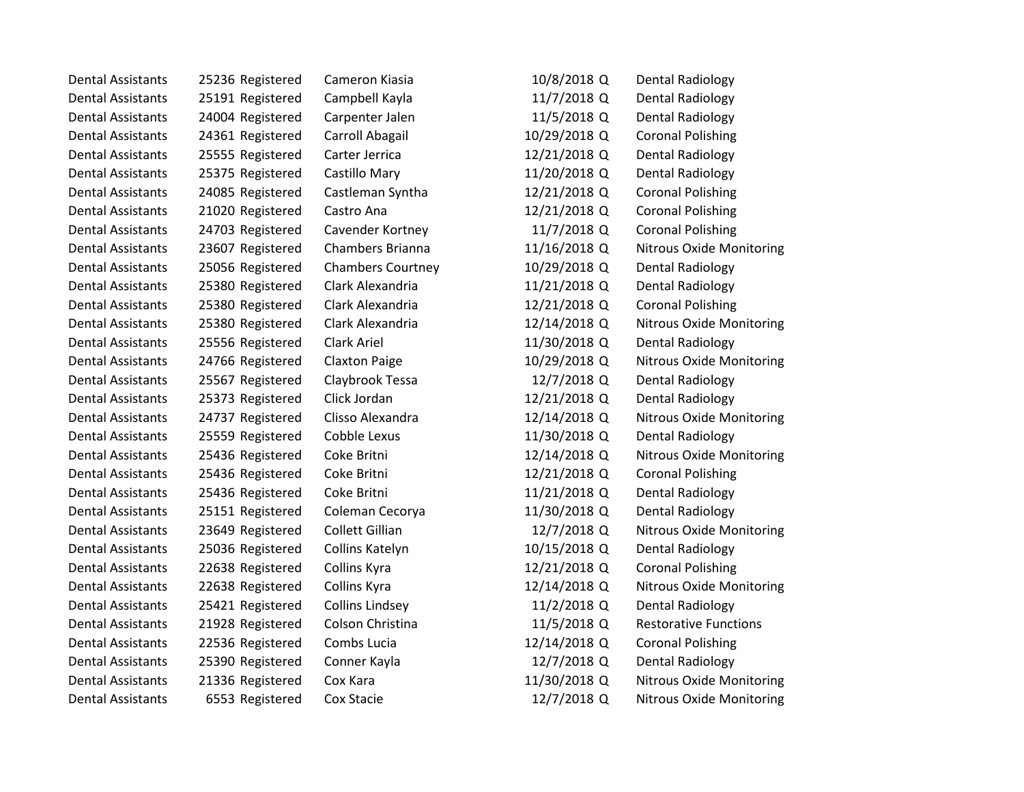| <b>Dental Assistants</b> | 25236 Registered | Cameron Kiasia           | 10/8/2018 Q  | Dental Radiology                |
|--------------------------|------------------|--------------------------|--------------|---------------------------------|
| <b>Dental Assistants</b> | 25191 Registered | Campbell Kayla           | 11/7/2018 Q  | <b>Dental Radiology</b>         |
| <b>Dental Assistants</b> | 24004 Registered | Carpenter Jalen          | 11/5/2018 Q  | Dental Radiology                |
| <b>Dental Assistants</b> | 24361 Registered | Carroll Abagail          | 10/29/2018 Q | <b>Coronal Polishing</b>        |
| <b>Dental Assistants</b> | 25555 Registered | Carter Jerrica           | 12/21/2018 Q | <b>Dental Radiology</b>         |
| <b>Dental Assistants</b> | 25375 Registered | Castillo Mary            | 11/20/2018 Q | <b>Dental Radiology</b>         |
| <b>Dental Assistants</b> | 24085 Registered | Castleman Syntha         | 12/21/2018 Q | <b>Coronal Polishing</b>        |
| <b>Dental Assistants</b> | 21020 Registered | Castro Ana               | 12/21/2018 Q | <b>Coronal Polishing</b>        |
| <b>Dental Assistants</b> | 24703 Registered | Cavender Kortney         | 11/7/2018 Q  | <b>Coronal Polishing</b>        |
| <b>Dental Assistants</b> | 23607 Registered | Chambers Brianna         | 11/16/2018 Q | Nitrous Oxide Monitoring        |
| <b>Dental Assistants</b> | 25056 Registered | <b>Chambers Courtney</b> | 10/29/2018 Q | <b>Dental Radiology</b>         |
| <b>Dental Assistants</b> | 25380 Registered | Clark Alexandria         | 11/21/2018 Q | <b>Dental Radiology</b>         |
| <b>Dental Assistants</b> | 25380 Registered | Clark Alexandria         | 12/21/2018 Q | <b>Coronal Polishing</b>        |
| <b>Dental Assistants</b> | 25380 Registered | Clark Alexandria         | 12/14/2018 Q | <b>Nitrous Oxide Monitoring</b> |
| <b>Dental Assistants</b> | 25556 Registered | <b>Clark Ariel</b>       | 11/30/2018 Q | Dental Radiology                |
| <b>Dental Assistants</b> | 24766 Registered | <b>Claxton Paige</b>     | 10/29/2018 Q | <b>Nitrous Oxide Monitoring</b> |
| <b>Dental Assistants</b> | 25567 Registered | Claybrook Tessa          | 12/7/2018 Q  | Dental Radiology                |
| <b>Dental Assistants</b> | 25373 Registered | Click Jordan             | 12/21/2018 Q | <b>Dental Radiology</b>         |
| <b>Dental Assistants</b> | 24737 Registered | Clisso Alexandra         | 12/14/2018 Q | <b>Nitrous Oxide Monitoring</b> |
| <b>Dental Assistants</b> | 25559 Registered | Cobble Lexus             | 11/30/2018 Q | Dental Radiology                |
| <b>Dental Assistants</b> | 25436 Registered | Coke Britni              | 12/14/2018 Q | <b>Nitrous Oxide Monitoring</b> |
| <b>Dental Assistants</b> | 25436 Registered | Coke Britni              | 12/21/2018 Q | <b>Coronal Polishing</b>        |
| <b>Dental Assistants</b> | 25436 Registered | Coke Britni              | 11/21/2018 Q | <b>Dental Radiology</b>         |
| <b>Dental Assistants</b> | 25151 Registered | Coleman Cecorya          | 11/30/2018 Q | <b>Dental Radiology</b>         |
| <b>Dental Assistants</b> | 23649 Registered | <b>Collett Gillian</b>   | 12/7/2018 Q  | <b>Nitrous Oxide Monitoring</b> |
| <b>Dental Assistants</b> | 25036 Registered | Collins Katelyn          | 10/15/2018 Q | <b>Dental Radiology</b>         |
| <b>Dental Assistants</b> | 22638 Registered | Collins Kyra             | 12/21/2018 Q | <b>Coronal Polishing</b>        |
| <b>Dental Assistants</b> | 22638 Registered | Collins Kyra             | 12/14/2018 Q | <b>Nitrous Oxide Monitoring</b> |
| <b>Dental Assistants</b> | 25421 Registered | <b>Collins Lindsey</b>   | 11/2/2018 Q  | <b>Dental Radiology</b>         |
| <b>Dental Assistants</b> | 21928 Registered | Colson Christina         | 11/5/2018 Q  | <b>Restorative Functions</b>    |
| <b>Dental Assistants</b> | 22536 Registered | Combs Lucia              | 12/14/2018 Q | <b>Coronal Polishing</b>        |
| <b>Dental Assistants</b> | 25390 Registered | Conner Kayla             | 12/7/2018 Q  | <b>Dental Radiology</b>         |
| <b>Dental Assistants</b> | 21336 Registered | Cox Kara                 | 11/30/2018 Q | <b>Nitrous Oxide Monitoring</b> |
| <b>Dental Assistants</b> | 6553 Registered  | Cox Stacie               | 12/7/2018 Q  | <b>Nitrous Oxide Monitoring</b> |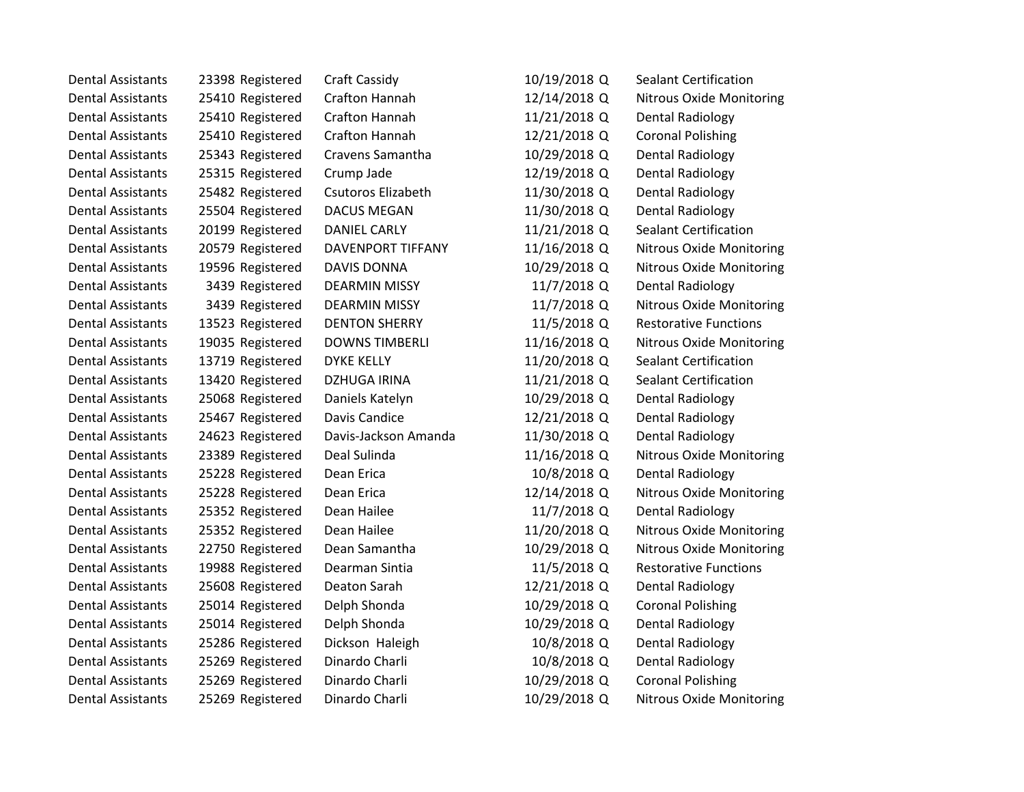| Dental Assistants        | 23398 Registered | <b>Craft Cassidy</b>      | 10/19/2018 Q | Sealant Certification           |  |
|--------------------------|------------------|---------------------------|--------------|---------------------------------|--|
| <b>Dental Assistants</b> | 25410 Registered | Crafton Hannah            | 12/14/2018 Q | <b>Nitrous Oxide Monitoring</b> |  |
| <b>Dental Assistants</b> | 25410 Registered | Crafton Hannah            | 11/21/2018 Q | <b>Dental Radiology</b>         |  |
| <b>Dental Assistants</b> | 25410 Registered | Crafton Hannah            | 12/21/2018 Q | <b>Coronal Polishing</b>        |  |
| <b>Dental Assistants</b> | 25343 Registered | Cravens Samantha          | 10/29/2018 Q | <b>Dental Radiology</b>         |  |
| <b>Dental Assistants</b> | 25315 Registered | Crump Jade                | 12/19/2018 Q | Dental Radiology                |  |
| <b>Dental Assistants</b> | 25482 Registered | <b>Csutoros Elizabeth</b> | 11/30/2018 Q | <b>Dental Radiology</b>         |  |
| <b>Dental Assistants</b> | 25504 Registered | <b>DACUS MEGAN</b>        | 11/30/2018 Q | <b>Dental Radiology</b>         |  |
| <b>Dental Assistants</b> | 20199 Registered | <b>DANIEL CARLY</b>       | 11/21/2018 Q | <b>Sealant Certification</b>    |  |
| <b>Dental Assistants</b> | 20579 Registered | <b>DAVENPORT TIFFANY</b>  | 11/16/2018 Q | <b>Nitrous Oxide Monitoring</b> |  |
| <b>Dental Assistants</b> | 19596 Registered | <b>DAVIS DONNA</b>        | 10/29/2018 Q | <b>Nitrous Oxide Monitoring</b> |  |
| <b>Dental Assistants</b> | 3439 Registered  | <b>DEARMIN MISSY</b>      | 11/7/2018 Q  | <b>Dental Radiology</b>         |  |
| <b>Dental Assistants</b> | 3439 Registered  | <b>DEARMIN MISSY</b>      | 11/7/2018 Q  | Nitrous Oxide Monitoring        |  |
| <b>Dental Assistants</b> | 13523 Registered | <b>DENTON SHERRY</b>      | 11/5/2018 Q  | <b>Restorative Functions</b>    |  |
| <b>Dental Assistants</b> | 19035 Registered | <b>DOWNS TIMBERLI</b>     | 11/16/2018 Q | <b>Nitrous Oxide Monitoring</b> |  |
| <b>Dental Assistants</b> | 13719 Registered | <b>DYKE KELLY</b>         | 11/20/2018 Q | <b>Sealant Certification</b>    |  |
| <b>Dental Assistants</b> | 13420 Registered | <b>DZHUGA IRINA</b>       | 11/21/2018 Q | <b>Sealant Certification</b>    |  |
| <b>Dental Assistants</b> | 25068 Registered | Daniels Katelyn           | 10/29/2018 Q | <b>Dental Radiology</b>         |  |
| <b>Dental Assistants</b> | 25467 Registered | Davis Candice             | 12/21/2018 Q | <b>Dental Radiology</b>         |  |
| <b>Dental Assistants</b> | 24623 Registered | Davis-Jackson Amanda      | 11/30/2018 Q | <b>Dental Radiology</b>         |  |
| <b>Dental Assistants</b> | 23389 Registered | Deal Sulinda              | 11/16/2018 Q | <b>Nitrous Oxide Monitoring</b> |  |
| <b>Dental Assistants</b> | 25228 Registered | Dean Erica                | 10/8/2018 Q  | <b>Dental Radiology</b>         |  |
| <b>Dental Assistants</b> | 25228 Registered | Dean Erica                | 12/14/2018 Q | Nitrous Oxide Monitoring        |  |
| <b>Dental Assistants</b> | 25352 Registered | Dean Hailee               | 11/7/2018 Q  | <b>Dental Radiology</b>         |  |
| <b>Dental Assistants</b> | 25352 Registered | Dean Hailee               | 11/20/2018 Q | <b>Nitrous Oxide Monitoring</b> |  |
| <b>Dental Assistants</b> | 22750 Registered | Dean Samantha             | 10/29/2018 Q | Nitrous Oxide Monitoring        |  |
| <b>Dental Assistants</b> | 19988 Registered | Dearman Sintia            | 11/5/2018 Q  | <b>Restorative Functions</b>    |  |
| <b>Dental Assistants</b> | 25608 Registered | Deaton Sarah              | 12/21/2018 Q | <b>Dental Radiology</b>         |  |
| <b>Dental Assistants</b> | 25014 Registered | Delph Shonda              | 10/29/2018 Q | <b>Coronal Polishing</b>        |  |
| <b>Dental Assistants</b> | 25014 Registered | Delph Shonda              | 10/29/2018 Q | <b>Dental Radiology</b>         |  |
| <b>Dental Assistants</b> | 25286 Registered | Dickson Haleigh           | 10/8/2018 Q  | Dental Radiology                |  |
| <b>Dental Assistants</b> | 25269 Registered | Dinardo Charli            | 10/8/2018 Q  | <b>Dental Radiology</b>         |  |
| <b>Dental Assistants</b> | 25269 Registered | Dinardo Charli            | 10/29/2018 Q | <b>Coronal Polishing</b>        |  |
| <b>Dental Assistants</b> | 25269 Registered | Dinardo Charli            | 10/29/2018 Q | <b>Nitrous Oxide Monitoring</b> |  |
|                          |                  |                           |              |                                 |  |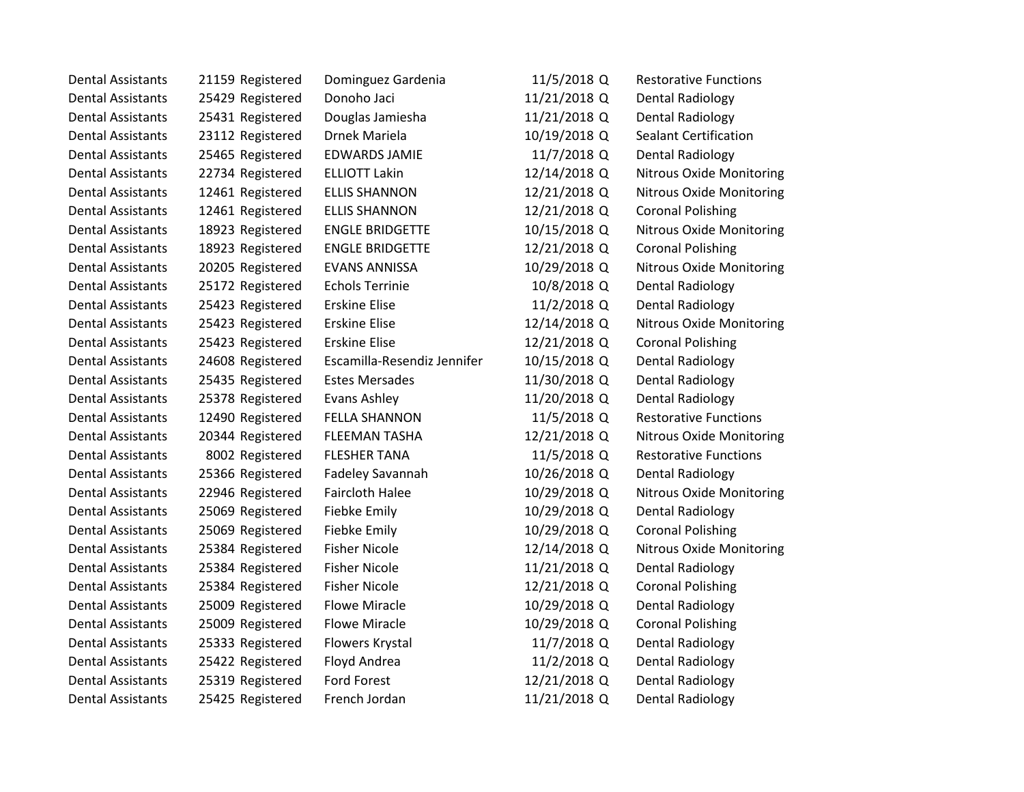| <b>Dental Assistants</b> | 21159 Registered | Dominguez Gardenia          | 11/5/2018 Q  | <b>Restorative Functions</b>    |
|--------------------------|------------------|-----------------------------|--------------|---------------------------------|
| <b>Dental Assistants</b> | 25429 Registered | Donoho Jaci                 | 11/21/2018 Q | <b>Dental Radiology</b>         |
| <b>Dental Assistants</b> | 25431 Registered | Douglas Jamiesha            | 11/21/2018 Q | Dental Radiology                |
| <b>Dental Assistants</b> | 23112 Registered | Drnek Mariela               | 10/19/2018 Q | <b>Sealant Certification</b>    |
| <b>Dental Assistants</b> | 25465 Registered | <b>EDWARDS JAMIE</b>        | 11/7/2018 Q  | <b>Dental Radiology</b>         |
| <b>Dental Assistants</b> | 22734 Registered | <b>ELLIOTT Lakin</b>        | 12/14/2018 Q | Nitrous Oxide Monitoring        |
| <b>Dental Assistants</b> | 12461 Registered | <b>ELLIS SHANNON</b>        | 12/21/2018 Q | <b>Nitrous Oxide Monitoring</b> |
| <b>Dental Assistants</b> | 12461 Registered | <b>ELLIS SHANNON</b>        | 12/21/2018 Q | <b>Coronal Polishing</b>        |
| <b>Dental Assistants</b> | 18923 Registered | <b>ENGLE BRIDGETTE</b>      | 10/15/2018 Q | Nitrous Oxide Monitoring        |
| <b>Dental Assistants</b> | 18923 Registered | <b>ENGLE BRIDGETTE</b>      | 12/21/2018 Q | <b>Coronal Polishing</b>        |
| <b>Dental Assistants</b> | 20205 Registered | <b>EVANS ANNISSA</b>        | 10/29/2018 Q | <b>Nitrous Oxide Monitoring</b> |
| <b>Dental Assistants</b> | 25172 Registered | <b>Echols Terrinie</b>      | 10/8/2018 Q  | <b>Dental Radiology</b>         |
| <b>Dental Assistants</b> | 25423 Registered | <b>Erskine Elise</b>        | 11/2/2018 Q  | <b>Dental Radiology</b>         |
| <b>Dental Assistants</b> | 25423 Registered | <b>Erskine Elise</b>        | 12/14/2018 Q | <b>Nitrous Oxide Monitoring</b> |
| <b>Dental Assistants</b> | 25423 Registered | <b>Erskine Elise</b>        | 12/21/2018 Q | <b>Coronal Polishing</b>        |
| <b>Dental Assistants</b> | 24608 Registered | Escamilla-Resendiz Jennifer | 10/15/2018 Q | Dental Radiology                |
| <b>Dental Assistants</b> | 25435 Registered | <b>Estes Mersades</b>       | 11/30/2018 Q | Dental Radiology                |
| <b>Dental Assistants</b> | 25378 Registered | Evans Ashley                | 11/20/2018 Q | <b>Dental Radiology</b>         |
| <b>Dental Assistants</b> | 12490 Registered | <b>FELLA SHANNON</b>        | 11/5/2018 Q  | <b>Restorative Functions</b>    |
| <b>Dental Assistants</b> | 20344 Registered | <b>FLEEMAN TASHA</b>        | 12/21/2018 Q | <b>Nitrous Oxide Monitoring</b> |
| <b>Dental Assistants</b> | 8002 Registered  | <b>FLESHER TANA</b>         | 11/5/2018 Q  | <b>Restorative Functions</b>    |
| <b>Dental Assistants</b> | 25366 Registered | <b>Fadeley Savannah</b>     | 10/26/2018 Q | <b>Dental Radiology</b>         |
| <b>Dental Assistants</b> | 22946 Registered | <b>Faircloth Halee</b>      | 10/29/2018 Q | Nitrous Oxide Monitoring        |
| <b>Dental Assistants</b> | 25069 Registered | Fiebke Emily                | 10/29/2018 Q | <b>Dental Radiology</b>         |
| <b>Dental Assistants</b> | 25069 Registered | Fiebke Emily                | 10/29/2018 Q | <b>Coronal Polishing</b>        |
| <b>Dental Assistants</b> | 25384 Registered | <b>Fisher Nicole</b>        | 12/14/2018 Q | <b>Nitrous Oxide Monitoring</b> |
| <b>Dental Assistants</b> | 25384 Registered | <b>Fisher Nicole</b>        | 11/21/2018 Q | <b>Dental Radiology</b>         |
| <b>Dental Assistants</b> | 25384 Registered | <b>Fisher Nicole</b>        | 12/21/2018 Q | <b>Coronal Polishing</b>        |
| <b>Dental Assistants</b> | 25009 Registered | <b>Flowe Miracle</b>        | 10/29/2018 Q | <b>Dental Radiology</b>         |
| <b>Dental Assistants</b> | 25009 Registered | <b>Flowe Miracle</b>        | 10/29/2018 Q | <b>Coronal Polishing</b>        |
| <b>Dental Assistants</b> | 25333 Registered | Flowers Krystal             | 11/7/2018 Q  | Dental Radiology                |
| <b>Dental Assistants</b> | 25422 Registered | Floyd Andrea                | 11/2/2018 Q  | <b>Dental Radiology</b>         |
| <b>Dental Assistants</b> | 25319 Registered | <b>Ford Forest</b>          | 12/21/2018 Q | Dental Radiology                |
| <b>Dental Assistants</b> | 25425 Registered | French Jordan               | 11/21/2018 Q | <b>Dental Radiology</b>         |
|                          |                  |                             |              |                                 |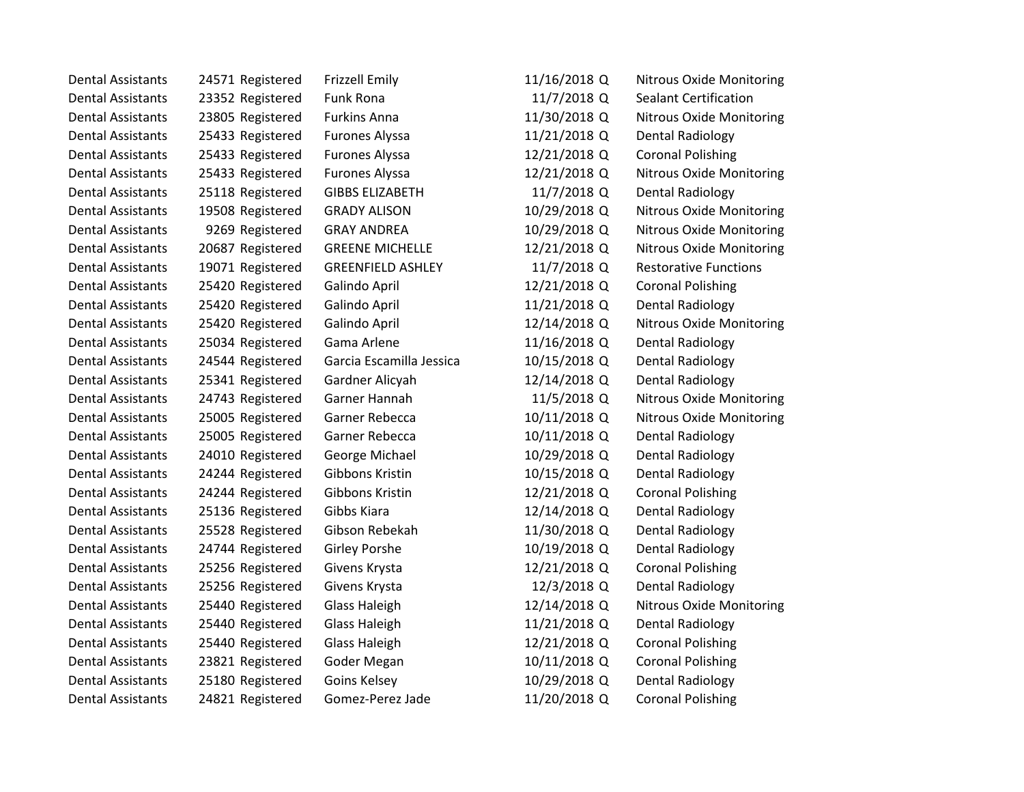| <b>Dental Assistants</b> | 24571 Registered | <b>Frizzell Emily</b>    | 11/16/2018 Q | <b>Nitrous Oxide Monitoring</b> |
|--------------------------|------------------|--------------------------|--------------|---------------------------------|
| <b>Dental Assistants</b> | 23352 Registered | <b>Funk Rona</b>         | 11/7/2018 Q  | <b>Sealant Certification</b>    |
| <b>Dental Assistants</b> | 23805 Registered | <b>Furkins Anna</b>      | 11/30/2018 Q | <b>Nitrous Oxide Monitoring</b> |
| <b>Dental Assistants</b> | 25433 Registered | <b>Furones Alyssa</b>    | 11/21/2018 Q | Dental Radiology                |
| <b>Dental Assistants</b> | 25433 Registered | <b>Furones Alyssa</b>    | 12/21/2018 Q | <b>Coronal Polishing</b>        |
| <b>Dental Assistants</b> | 25433 Registered | <b>Furones Alyssa</b>    | 12/21/2018 Q | <b>Nitrous Oxide Monitoring</b> |
| <b>Dental Assistants</b> | 25118 Registered | <b>GIBBS ELIZABETH</b>   | 11/7/2018 Q  | <b>Dental Radiology</b>         |
| <b>Dental Assistants</b> | 19508 Registered | <b>GRADY ALISON</b>      | 10/29/2018 Q | <b>Nitrous Oxide Monitoring</b> |
| <b>Dental Assistants</b> | 9269 Registered  | <b>GRAY ANDREA</b>       | 10/29/2018 Q | <b>Nitrous Oxide Monitoring</b> |
| <b>Dental Assistants</b> | 20687 Registered | <b>GREENE MICHELLE</b>   | 12/21/2018 Q | <b>Nitrous Oxide Monitoring</b> |
| <b>Dental Assistants</b> | 19071 Registered | <b>GREENFIELD ASHLEY</b> | 11/7/2018 Q  | <b>Restorative Functions</b>    |
| <b>Dental Assistants</b> | 25420 Registered | Galindo April            | 12/21/2018 Q | <b>Coronal Polishing</b>        |
| <b>Dental Assistants</b> | 25420 Registered | Galindo April            | 11/21/2018 Q | Dental Radiology                |
| <b>Dental Assistants</b> | 25420 Registered | Galindo April            | 12/14/2018 Q | <b>Nitrous Oxide Monitoring</b> |
| <b>Dental Assistants</b> | 25034 Registered | Gama Arlene              | 11/16/2018 Q | Dental Radiology                |
| <b>Dental Assistants</b> | 24544 Registered | Garcia Escamilla Jessica | 10/15/2018 Q | Dental Radiology                |
| <b>Dental Assistants</b> | 25341 Registered | Gardner Alicyah          | 12/14/2018 Q | Dental Radiology                |
| <b>Dental Assistants</b> | 24743 Registered | Garner Hannah            | 11/5/2018 Q  | Nitrous Oxide Monitoring        |
| <b>Dental Assistants</b> | 25005 Registered | Garner Rebecca           | 10/11/2018 Q | <b>Nitrous Oxide Monitoring</b> |
| <b>Dental Assistants</b> | 25005 Registered | Garner Rebecca           | 10/11/2018 Q | <b>Dental Radiology</b>         |
| <b>Dental Assistants</b> | 24010 Registered | George Michael           | 10/29/2018 Q | Dental Radiology                |
| <b>Dental Assistants</b> | 24244 Registered | Gibbons Kristin          | 10/15/2018 Q | Dental Radiology                |
| <b>Dental Assistants</b> | 24244 Registered | Gibbons Kristin          | 12/21/2018 Q | <b>Coronal Polishing</b>        |
| <b>Dental Assistants</b> | 25136 Registered | Gibbs Kiara              | 12/14/2018 Q | Dental Radiology                |
| <b>Dental Assistants</b> | 25528 Registered | Gibson Rebekah           | 11/30/2018 Q | <b>Dental Radiology</b>         |
| <b>Dental Assistants</b> | 24744 Registered | <b>Girley Porshe</b>     | 10/19/2018 Q | Dental Radiology                |
| <b>Dental Assistants</b> | 25256 Registered | Givens Krysta            | 12/21/2018 Q | <b>Coronal Polishing</b>        |
| <b>Dental Assistants</b> | 25256 Registered | Givens Krysta            | 12/3/2018 Q  | <b>Dental Radiology</b>         |
| <b>Dental Assistants</b> | 25440 Registered | <b>Glass Haleigh</b>     | 12/14/2018 Q | <b>Nitrous Oxide Monitoring</b> |
| <b>Dental Assistants</b> | 25440 Registered | <b>Glass Haleigh</b>     | 11/21/2018 Q | <b>Dental Radiology</b>         |
| <b>Dental Assistants</b> | 25440 Registered | <b>Glass Haleigh</b>     | 12/21/2018 Q | <b>Coronal Polishing</b>        |
| <b>Dental Assistants</b> | 23821 Registered | Goder Megan              | 10/11/2018 Q | <b>Coronal Polishing</b>        |
| <b>Dental Assistants</b> | 25180 Registered | Goins Kelsey             | 10/29/2018 Q | Dental Radiology                |
| <b>Dental Assistants</b> | 24821 Registered | Gomez-Perez Jade         | 11/20/2018 Q | <b>Coronal Polishing</b>        |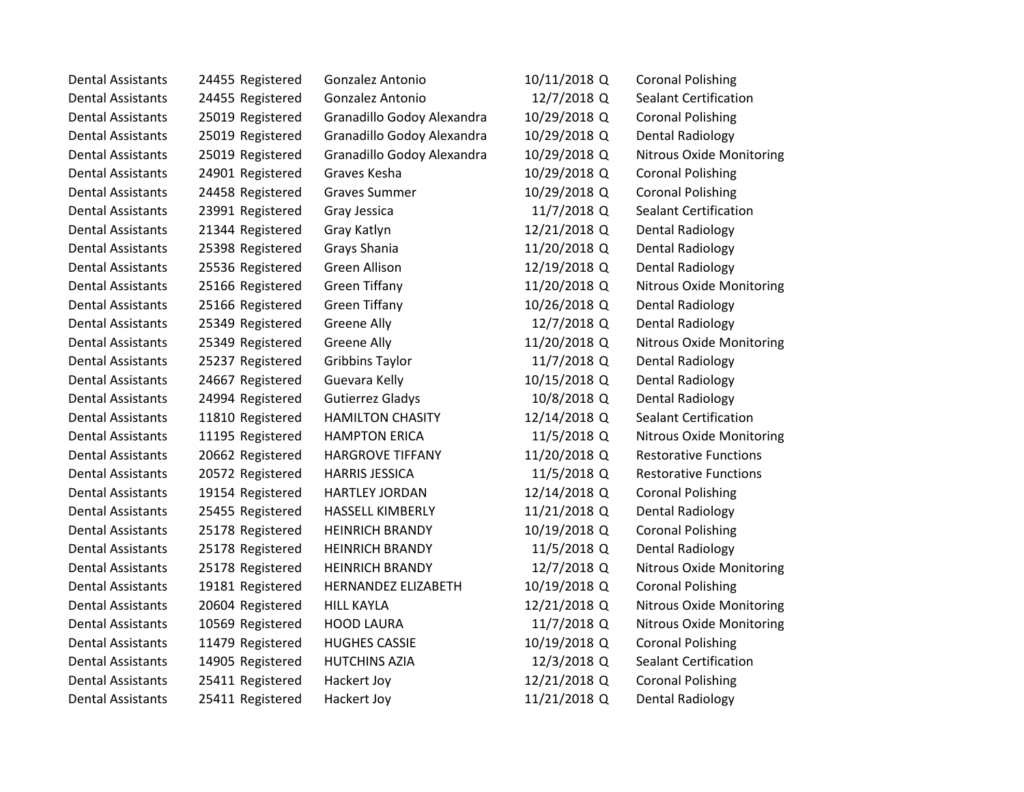| <b>Dental Assistants</b> | 24455 Registered | Gonzalez Antonio           | 10/11/2018 Q | <b>Coronal Polishing</b>        |
|--------------------------|------------------|----------------------------|--------------|---------------------------------|
| <b>Dental Assistants</b> | 24455 Registered | Gonzalez Antonio           | 12/7/2018 Q  | <b>Sealant Certification</b>    |
| <b>Dental Assistants</b> | 25019 Registered | Granadillo Godoy Alexandra | 10/29/2018 Q | <b>Coronal Polishing</b>        |
| <b>Dental Assistants</b> | 25019 Registered | Granadillo Godoy Alexandra | 10/29/2018 Q | Dental Radiology                |
| <b>Dental Assistants</b> | 25019 Registered | Granadillo Godoy Alexandra | 10/29/2018 Q | <b>Nitrous Oxide Monitoring</b> |
| <b>Dental Assistants</b> | 24901 Registered | Graves Kesha               | 10/29/2018 Q | <b>Coronal Polishing</b>        |
| <b>Dental Assistants</b> | 24458 Registered | <b>Graves Summer</b>       | 10/29/2018 Q | <b>Coronal Polishing</b>        |
| <b>Dental Assistants</b> | 23991 Registered | Gray Jessica               | 11/7/2018 Q  | <b>Sealant Certification</b>    |
| <b>Dental Assistants</b> | 21344 Registered | Gray Katlyn                | 12/21/2018 Q | <b>Dental Radiology</b>         |
| <b>Dental Assistants</b> | 25398 Registered | Grays Shania               | 11/20/2018 Q | <b>Dental Radiology</b>         |
| <b>Dental Assistants</b> | 25536 Registered | <b>Green Allison</b>       | 12/19/2018 Q | <b>Dental Radiology</b>         |
| <b>Dental Assistants</b> | 25166 Registered | <b>Green Tiffany</b>       | 11/20/2018 Q | Nitrous Oxide Monitoring        |
| <b>Dental Assistants</b> | 25166 Registered | <b>Green Tiffany</b>       | 10/26/2018 Q | Dental Radiology                |
| <b>Dental Assistants</b> | 25349 Registered | <b>Greene Ally</b>         | 12/7/2018 Q  | <b>Dental Radiology</b>         |
| <b>Dental Assistants</b> | 25349 Registered | <b>Greene Ally</b>         | 11/20/2018 Q | <b>Nitrous Oxide Monitoring</b> |
| <b>Dental Assistants</b> | 25237 Registered | <b>Gribbins Taylor</b>     | 11/7/2018 Q  | Dental Radiology                |
| <b>Dental Assistants</b> | 24667 Registered | Guevara Kelly              | 10/15/2018 Q | <b>Dental Radiology</b>         |
| <b>Dental Assistants</b> | 24994 Registered | <b>Gutierrez Gladys</b>    | 10/8/2018 Q  | Dental Radiology                |
| <b>Dental Assistants</b> | 11810 Registered | <b>HAMILTON CHASITY</b>    | 12/14/2018 Q | <b>Sealant Certification</b>    |
| <b>Dental Assistants</b> | 11195 Registered | <b>HAMPTON ERICA</b>       | 11/5/2018 Q  | <b>Nitrous Oxide Monitoring</b> |
| <b>Dental Assistants</b> | 20662 Registered | <b>HARGROVE TIFFANY</b>    | 11/20/2018 Q | <b>Restorative Functions</b>    |
| <b>Dental Assistants</b> | 20572 Registered | <b>HARRIS JESSICA</b>      | 11/5/2018 Q  | <b>Restorative Functions</b>    |
| <b>Dental Assistants</b> | 19154 Registered | HARTLEY JORDAN             | 12/14/2018 Q | <b>Coronal Polishing</b>        |
| <b>Dental Assistants</b> | 25455 Registered | HASSELL KIMBERLY           | 11/21/2018 Q | <b>Dental Radiology</b>         |
| <b>Dental Assistants</b> | 25178 Registered | <b>HEINRICH BRANDY</b>     | 10/19/2018 Q | <b>Coronal Polishing</b>        |
| <b>Dental Assistants</b> | 25178 Registered | <b>HEINRICH BRANDY</b>     | 11/5/2018 Q  | <b>Dental Radiology</b>         |
| <b>Dental Assistants</b> | 25178 Registered | <b>HEINRICH BRANDY</b>     | 12/7/2018 Q  | <b>Nitrous Oxide Monitoring</b> |
| <b>Dental Assistants</b> | 19181 Registered | HERNANDEZ ELIZABETH        | 10/19/2018 Q | <b>Coronal Polishing</b>        |
| <b>Dental Assistants</b> | 20604 Registered | <b>HILL KAYLA</b>          | 12/21/2018 Q | Nitrous Oxide Monitoring        |
| <b>Dental Assistants</b> | 10569 Registered | <b>HOOD LAURA</b>          | 11/7/2018 Q  | <b>Nitrous Oxide Monitoring</b> |
| <b>Dental Assistants</b> | 11479 Registered | <b>HUGHES CASSIE</b>       | 10/19/2018 Q | <b>Coronal Polishing</b>        |
| <b>Dental Assistants</b> | 14905 Registered | <b>HUTCHINS AZIA</b>       | 12/3/2018 Q  | <b>Sealant Certification</b>    |
| <b>Dental Assistants</b> | 25411 Registered | Hackert Joy                | 12/21/2018 Q | <b>Coronal Polishing</b>        |
| Dental Assistants        | 25411 Registered | Hackert Joy                | 11/21/2018 Q | <b>Dental Radiology</b>         |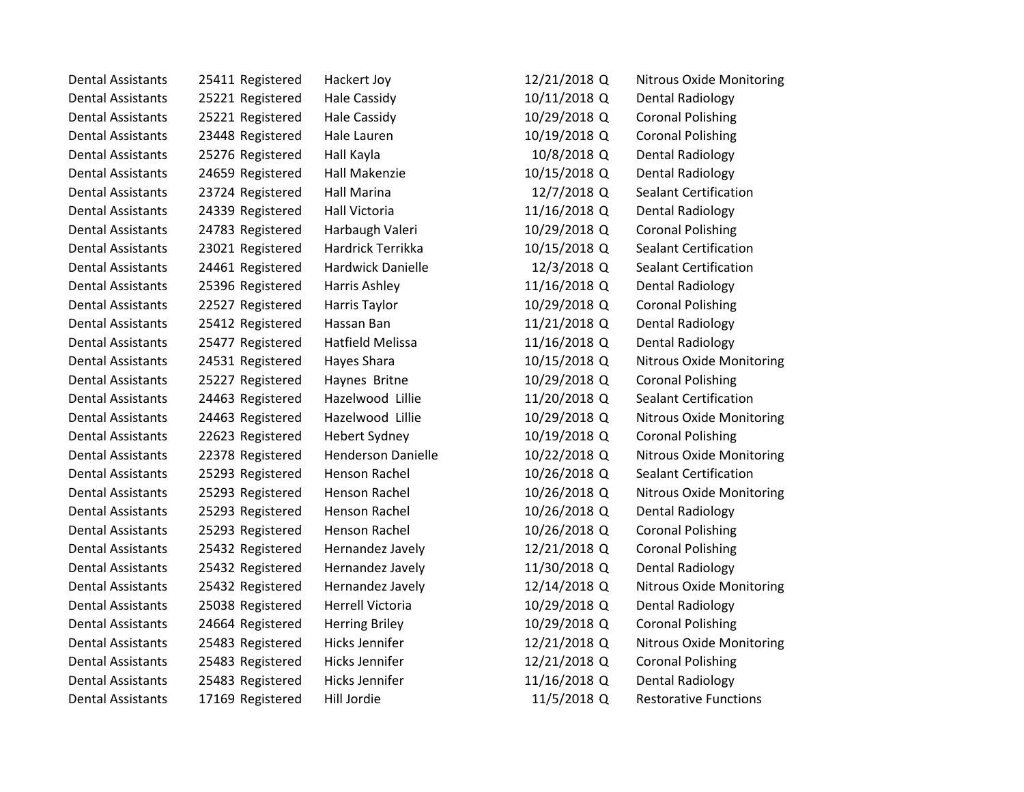| <b>Dental Assistants</b> | 25411 Registered | Hackert Joy               | 12/21/2018 Q | <b>Nitrous Oxide Monitoring</b> |
|--------------------------|------------------|---------------------------|--------------|---------------------------------|
| <b>Dental Assistants</b> | 25221 Registered | Hale Cassidy              | 10/11/2018 Q | Dental Radiology                |
| <b>Dental Assistants</b> | 25221 Registered | <b>Hale Cassidy</b>       | 10/29/2018 Q | <b>Coronal Polishing</b>        |
| <b>Dental Assistants</b> | 23448 Registered | Hale Lauren               | 10/19/2018 Q | <b>Coronal Polishing</b>        |
| <b>Dental Assistants</b> | 25276 Registered | Hall Kayla                | 10/8/2018 Q  | Dental Radiology                |
| <b>Dental Assistants</b> | 24659 Registered | Hall Makenzie             | 10/15/2018 Q | Dental Radiology                |
| <b>Dental Assistants</b> | 23724 Registered | <b>Hall Marina</b>        | 12/7/2018 Q  | <b>Sealant Certification</b>    |
| <b>Dental Assistants</b> | 24339 Registered | <b>Hall Victoria</b>      | 11/16/2018 Q | <b>Dental Radiology</b>         |
| <b>Dental Assistants</b> | 24783 Registered | Harbaugh Valeri           | 10/29/2018 Q | <b>Coronal Polishing</b>        |
| <b>Dental Assistants</b> | 23021 Registered | Hardrick Terrikka         | 10/15/2018 Q | <b>Sealant Certification</b>    |
| <b>Dental Assistants</b> | 24461 Registered | <b>Hardwick Danielle</b>  | 12/3/2018 Q  | <b>Sealant Certification</b>    |
| <b>Dental Assistants</b> | 25396 Registered | Harris Ashley             | 11/16/2018 Q | Dental Radiology                |
| <b>Dental Assistants</b> | 22527 Registered | Harris Taylor             | 10/29/2018 Q | <b>Coronal Polishing</b>        |
| <b>Dental Assistants</b> | 25412 Registered | Hassan Ban                | 11/21/2018 Q | <b>Dental Radiology</b>         |
| <b>Dental Assistants</b> | 25477 Registered | <b>Hatfield Melissa</b>   | 11/16/2018 Q | <b>Dental Radiology</b>         |
| <b>Dental Assistants</b> | 24531 Registered | Hayes Shara               | 10/15/2018 Q | Nitrous Oxide Monitoring        |
| <b>Dental Assistants</b> | 25227 Registered | Haynes Britne             | 10/29/2018 Q | <b>Coronal Polishing</b>        |
| <b>Dental Assistants</b> | 24463 Registered | Hazelwood Lillie          | 11/20/2018 Q | <b>Sealant Certification</b>    |
| <b>Dental Assistants</b> | 24463 Registered | Hazelwood Lillie          | 10/29/2018 Q | <b>Nitrous Oxide Monitoring</b> |
| <b>Dental Assistants</b> | 22623 Registered | <b>Hebert Sydney</b>      | 10/19/2018 Q | <b>Coronal Polishing</b>        |
| <b>Dental Assistants</b> | 22378 Registered | <b>Henderson Danielle</b> | 10/22/2018 Q | <b>Nitrous Oxide Monitoring</b> |
| <b>Dental Assistants</b> | 25293 Registered | Henson Rachel             | 10/26/2018 Q | <b>Sealant Certification</b>    |
| <b>Dental Assistants</b> | 25293 Registered | Henson Rachel             | 10/26/2018 Q | <b>Nitrous Oxide Monitoring</b> |
| <b>Dental Assistants</b> | 25293 Registered | Henson Rachel             | 10/26/2018 Q | Dental Radiology                |
| <b>Dental Assistants</b> | 25293 Registered | Henson Rachel             | 10/26/2018 Q | <b>Coronal Polishing</b>        |
| <b>Dental Assistants</b> | 25432 Registered | Hernandez Javely          | 12/21/2018 Q | <b>Coronal Polishing</b>        |
| <b>Dental Assistants</b> | 25432 Registered | Hernandez Javely          | 11/30/2018 Q | <b>Dental Radiology</b>         |
| <b>Dental Assistants</b> | 25432 Registered | Hernandez Javely          | 12/14/2018 Q | <b>Nitrous Oxide Monitoring</b> |
| <b>Dental Assistants</b> | 25038 Registered | <b>Herrell Victoria</b>   | 10/29/2018 Q | <b>Dental Radiology</b>         |
| <b>Dental Assistants</b> | 24664 Registered | <b>Herring Briley</b>     | 10/29/2018 Q | <b>Coronal Polishing</b>        |
| <b>Dental Assistants</b> | 25483 Registered | Hicks Jennifer            | 12/21/2018 Q | <b>Nitrous Oxide Monitoring</b> |
| <b>Dental Assistants</b> | 25483 Registered | <b>Hicks Jennifer</b>     | 12/21/2018 Q | <b>Coronal Polishing</b>        |
| <b>Dental Assistants</b> | 25483 Registered | <b>Hicks Jennifer</b>     | 11/16/2018 Q | Dental Radiology                |
| <b>Dental Assistants</b> | 17169 Registered | Hill Jordie               | 11/5/2018 Q  | <b>Restorative Functions</b>    |
|                          |                  |                           |              |                                 |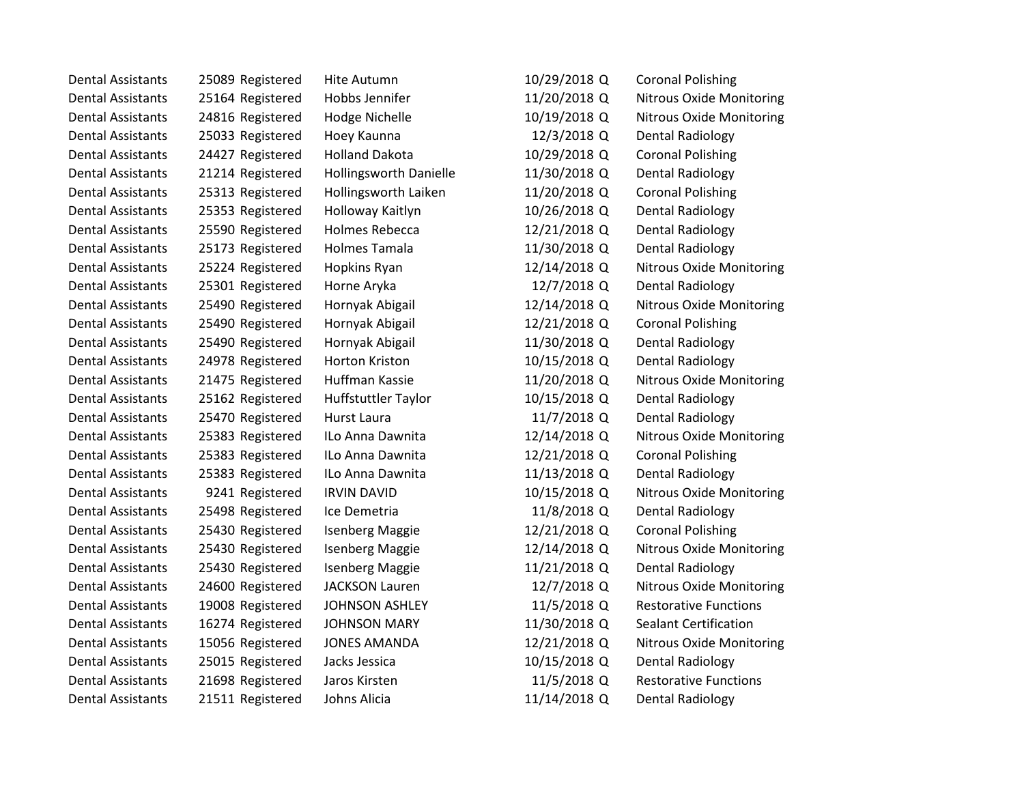| Dental Assistants        | 25089 Registered | Hite Autumn                   | 10/29/2018 Q | <b>Coronal Polishing</b>        |
|--------------------------|------------------|-------------------------------|--------------|---------------------------------|
| <b>Dental Assistants</b> | 25164 Registered | Hobbs Jennifer                | 11/20/2018 Q | Nitrous Oxide Monitoring        |
| <b>Dental Assistants</b> | 24816 Registered | Hodge Nichelle                | 10/19/2018 Q | <b>Nitrous Oxide Monitoring</b> |
| <b>Dental Assistants</b> | 25033 Registered | Hoey Kaunna                   | 12/3/2018 Q  | Dental Radiology                |
| <b>Dental Assistants</b> | 24427 Registered | <b>Holland Dakota</b>         | 10/29/2018 Q | <b>Coronal Polishing</b>        |
| <b>Dental Assistants</b> | 21214 Registered | <b>Hollingsworth Danielle</b> | 11/30/2018 Q | Dental Radiology                |
| <b>Dental Assistants</b> | 25313 Registered | Hollingsworth Laiken          | 11/20/2018 Q | <b>Coronal Polishing</b>        |
| <b>Dental Assistants</b> | 25353 Registered | Holloway Kaitlyn              | 10/26/2018 Q | Dental Radiology                |
| <b>Dental Assistants</b> | 25590 Registered | <b>Holmes Rebecca</b>         | 12/21/2018 Q | <b>Dental Radiology</b>         |
| <b>Dental Assistants</b> | 25173 Registered | <b>Holmes Tamala</b>          | 11/30/2018 Q | Dental Radiology                |
| <b>Dental Assistants</b> | 25224 Registered | Hopkins Ryan                  | 12/14/2018 Q | <b>Nitrous Oxide Monitoring</b> |
| <b>Dental Assistants</b> | 25301 Registered | Horne Aryka                   | 12/7/2018 Q  | Dental Radiology                |
| <b>Dental Assistants</b> | 25490 Registered | Hornyak Abigail               | 12/14/2018 Q | <b>Nitrous Oxide Monitoring</b> |
| <b>Dental Assistants</b> | 25490 Registered | Hornyak Abigail               | 12/21/2018 Q | <b>Coronal Polishing</b>        |
| <b>Dental Assistants</b> | 25490 Registered | Hornyak Abigail               | 11/30/2018 Q | Dental Radiology                |
| <b>Dental Assistants</b> | 24978 Registered | Horton Kriston                | 10/15/2018 Q | <b>Dental Radiology</b>         |
| Dental Assistants        | 21475 Registered | Huffman Kassie                | 11/20/2018 Q | <b>Nitrous Oxide Monitoring</b> |
| <b>Dental Assistants</b> | 25162 Registered | Huffstuttler Taylor           | 10/15/2018 Q | Dental Radiology                |
| <b>Dental Assistants</b> | 25470 Registered | <b>Hurst Laura</b>            | 11/7/2018 Q  | Dental Radiology                |
| <b>Dental Assistants</b> | 25383 Registered | ILo Anna Dawnita              | 12/14/2018 Q | Nitrous Oxide Monitoring        |
| <b>Dental Assistants</b> | 25383 Registered | ILo Anna Dawnita              | 12/21/2018 Q | <b>Coronal Polishing</b>        |
| <b>Dental Assistants</b> | 25383 Registered | ILo Anna Dawnita              | 11/13/2018 Q | <b>Dental Radiology</b>         |
| <b>Dental Assistants</b> | 9241 Registered  | <b>IRVIN DAVID</b>            | 10/15/2018 Q | <b>Nitrous Oxide Monitoring</b> |
| <b>Dental Assistants</b> | 25498 Registered | Ice Demetria                  | 11/8/2018 Q  | Dental Radiology                |
| <b>Dental Assistants</b> | 25430 Registered | <b>Isenberg Maggie</b>        | 12/21/2018 Q | <b>Coronal Polishing</b>        |
| <b>Dental Assistants</b> | 25430 Registered | <b>Isenberg Maggie</b>        | 12/14/2018 Q | <b>Nitrous Oxide Monitoring</b> |
| <b>Dental Assistants</b> | 25430 Registered | <b>Isenberg Maggie</b>        | 11/21/2018 Q | Dental Radiology                |
| <b>Dental Assistants</b> | 24600 Registered | <b>JACKSON Lauren</b>         | 12/7/2018 Q  | <b>Nitrous Oxide Monitoring</b> |
| <b>Dental Assistants</b> | 19008 Registered | <b>JOHNSON ASHLEY</b>         | 11/5/2018 Q  | <b>Restorative Functions</b>    |
| <b>Dental Assistants</b> | 16274 Registered | <b>JOHNSON MARY</b>           | 11/30/2018 Q | <b>Sealant Certification</b>    |
| <b>Dental Assistants</b> | 15056 Registered | <b>JONES AMANDA</b>           | 12/21/2018 Q | <b>Nitrous Oxide Monitoring</b> |
| <b>Dental Assistants</b> | 25015 Registered | Jacks Jessica                 | 10/15/2018 Q | <b>Dental Radiology</b>         |
| <b>Dental Assistants</b> | 21698 Registered | Jaros Kirsten                 | 11/5/2018 Q  | <b>Restorative Functions</b>    |
| <b>Dental Assistants</b> | 21511 Registered | Johns Alicia                  | 11/14/2018 Q | <b>Dental Radiology</b>         |
|                          |                  |                               |              |                                 |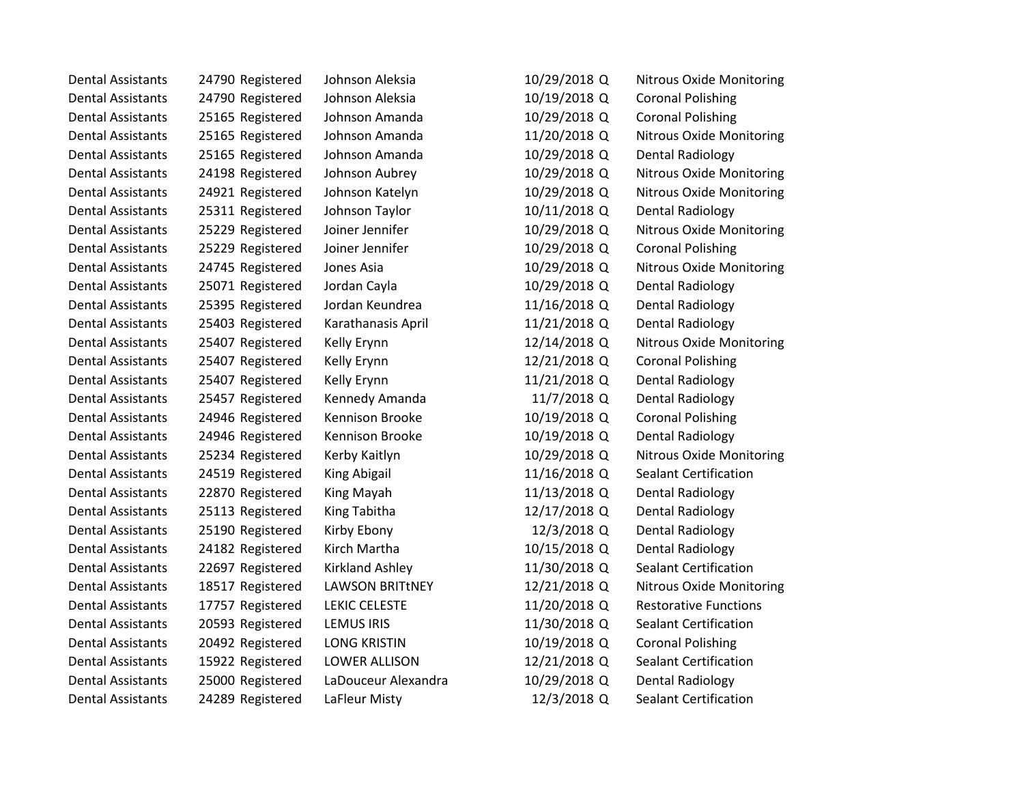| <b>Dental Assistants</b> | 24790 Registered | Johnson Aleksia        | 10/29/2018 Q | <b>Nitrous Oxide Monitoring</b> |
|--------------------------|------------------|------------------------|--------------|---------------------------------|
| <b>Dental Assistants</b> | 24790 Registered | Johnson Aleksia        | 10/19/2018 Q | <b>Coronal Polishing</b>        |
| <b>Dental Assistants</b> | 25165 Registered | Johnson Amanda         | 10/29/2018 Q | <b>Coronal Polishing</b>        |
| <b>Dental Assistants</b> | 25165 Registered | Johnson Amanda         | 11/20/2018 Q | Nitrous Oxide Monitoring        |
| <b>Dental Assistants</b> | 25165 Registered | Johnson Amanda         | 10/29/2018 Q | Dental Radiology                |
| <b>Dental Assistants</b> | 24198 Registered | Johnson Aubrey         | 10/29/2018 Q | Nitrous Oxide Monitoring        |
| <b>Dental Assistants</b> | 24921 Registered | Johnson Katelyn        | 10/29/2018 Q | <b>Nitrous Oxide Monitoring</b> |
| <b>Dental Assistants</b> | 25311 Registered | Johnson Taylor         | 10/11/2018 Q | Dental Radiology                |
| <b>Dental Assistants</b> | 25229 Registered | Joiner Jennifer        | 10/29/2018 Q | <b>Nitrous Oxide Monitoring</b> |
| <b>Dental Assistants</b> | 25229 Registered | Joiner Jennifer        | 10/29/2018 Q | <b>Coronal Polishing</b>        |
| <b>Dental Assistants</b> | 24745 Registered | Jones Asia             | 10/29/2018 Q | <b>Nitrous Oxide Monitoring</b> |
| <b>Dental Assistants</b> | 25071 Registered | Jordan Cayla           | 10/29/2018 Q | <b>Dental Radiology</b>         |
| <b>Dental Assistants</b> | 25395 Registered | Jordan Keundrea        | 11/16/2018 Q | <b>Dental Radiology</b>         |
| <b>Dental Assistants</b> | 25403 Registered | Karathanasis April     | 11/21/2018 Q | <b>Dental Radiology</b>         |
| <b>Dental Assistants</b> | 25407 Registered | Kelly Erynn            | 12/14/2018 Q | Nitrous Oxide Monitoring        |
| <b>Dental Assistants</b> | 25407 Registered | Kelly Erynn            | 12/21/2018 Q | <b>Coronal Polishing</b>        |
| <b>Dental Assistants</b> | 25407 Registered | Kelly Erynn            | 11/21/2018 Q | <b>Dental Radiology</b>         |
| <b>Dental Assistants</b> | 25457 Registered | Kennedy Amanda         | 11/7/2018 Q  | Dental Radiology                |
| <b>Dental Assistants</b> | 24946 Registered | Kennison Brooke        | 10/19/2018 Q | <b>Coronal Polishing</b>        |
| <b>Dental Assistants</b> | 24946 Registered | Kennison Brooke        | 10/19/2018 Q | Dental Radiology                |
| <b>Dental Assistants</b> | 25234 Registered | Kerby Kaitlyn          | 10/29/2018 Q | <b>Nitrous Oxide Monitoring</b> |
| <b>Dental Assistants</b> | 24519 Registered | King Abigail           | 11/16/2018 Q | <b>Sealant Certification</b>    |
| <b>Dental Assistants</b> | 22870 Registered | King Mayah             | 11/13/2018 Q | <b>Dental Radiology</b>         |
| <b>Dental Assistants</b> | 25113 Registered | King Tabitha           | 12/17/2018 Q | Dental Radiology                |
| <b>Dental Assistants</b> | 25190 Registered | Kirby Ebony            | 12/3/2018 Q  | Dental Radiology                |
| <b>Dental Assistants</b> | 24182 Registered | Kirch Martha           | 10/15/2018 Q | Dental Radiology                |
| <b>Dental Assistants</b> | 22697 Registered | Kirkland Ashley        | 11/30/2018 Q | <b>Sealant Certification</b>    |
| <b>Dental Assistants</b> | 18517 Registered | <b>LAWSON BRITtNEY</b> | 12/21/2018 Q | <b>Nitrous Oxide Monitoring</b> |
| <b>Dental Assistants</b> | 17757 Registered | LEKIC CELESTE          | 11/20/2018 Q | <b>Restorative Functions</b>    |
| <b>Dental Assistants</b> | 20593 Registered | <b>LEMUS IRIS</b>      | 11/30/2018 Q | <b>Sealant Certification</b>    |
| <b>Dental Assistants</b> | 20492 Registered | <b>LONG KRISTIN</b>    | 10/19/2018 Q | <b>Coronal Polishing</b>        |
| <b>Dental Assistants</b> | 15922 Registered | LOWER ALLISON          | 12/21/2018 Q | <b>Sealant Certification</b>    |
| <b>Dental Assistants</b> | 25000 Registered | LaDouceur Alexandra    | 10/29/2018 Q | Dental Radiology                |
| <b>Dental Assistants</b> | 24289 Registered | LaFleur Misty          | 12/3/2018 Q  | <b>Sealant Certification</b>    |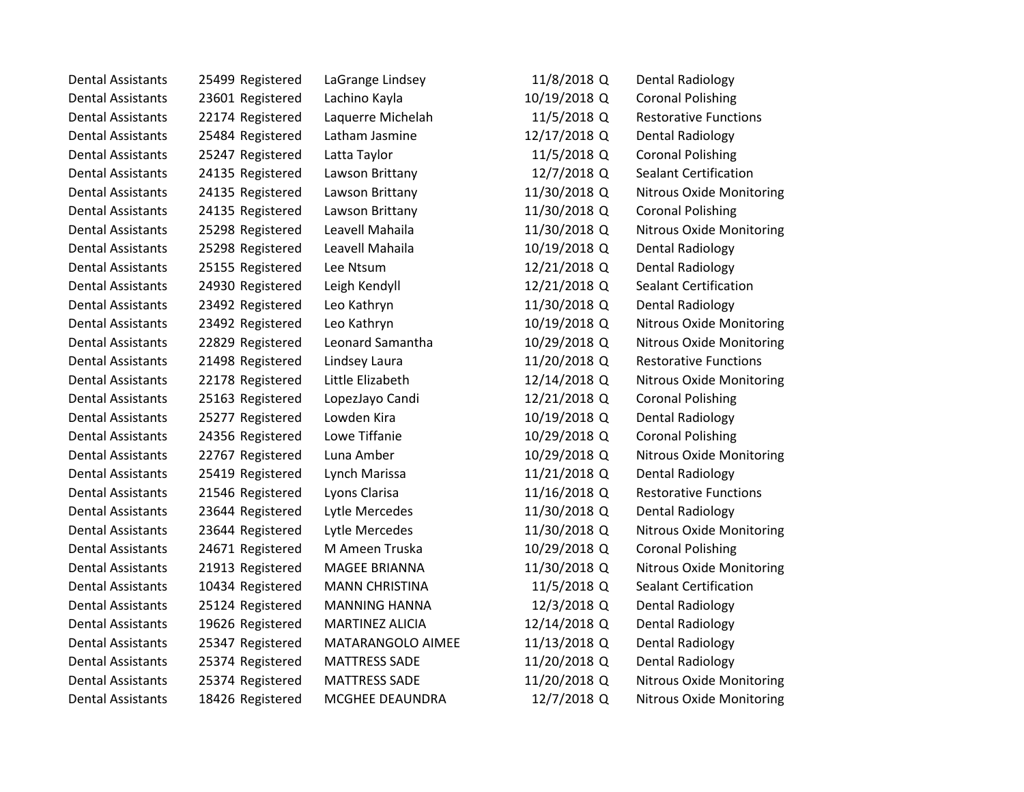| <b>Dental Assistants</b> | 25499 Registered | LaGrange Lindsey       | 11/8/2018 Q  | Dental Radiology                |
|--------------------------|------------------|------------------------|--------------|---------------------------------|
| <b>Dental Assistants</b> | 23601 Registered | Lachino Kayla          | 10/19/2018 Q | <b>Coronal Polishing</b>        |
| <b>Dental Assistants</b> | 22174 Registered | Laquerre Michelah      | 11/5/2018 Q  | <b>Restorative Functions</b>    |
| <b>Dental Assistants</b> | 25484 Registered | Latham Jasmine         | 12/17/2018 Q | Dental Radiology                |
| <b>Dental Assistants</b> | 25247 Registered | Latta Taylor           | 11/5/2018 Q  | <b>Coronal Polishing</b>        |
| <b>Dental Assistants</b> | 24135 Registered | Lawson Brittany        | 12/7/2018 Q  | <b>Sealant Certification</b>    |
| <b>Dental Assistants</b> | 24135 Registered | Lawson Brittany        | 11/30/2018 Q | <b>Nitrous Oxide Monitoring</b> |
| <b>Dental Assistants</b> | 24135 Registered | Lawson Brittany        | 11/30/2018 Q | <b>Coronal Polishing</b>        |
| <b>Dental Assistants</b> | 25298 Registered | Leavell Mahaila        | 11/30/2018 Q | <b>Nitrous Oxide Monitoring</b> |
| <b>Dental Assistants</b> | 25298 Registered | Leavell Mahaila        | 10/19/2018 Q | Dental Radiology                |
| <b>Dental Assistants</b> | 25155 Registered | Lee Ntsum              | 12/21/2018 Q | Dental Radiology                |
| <b>Dental Assistants</b> | 24930 Registered | Leigh Kendyll          | 12/21/2018 Q | <b>Sealant Certification</b>    |
| <b>Dental Assistants</b> | 23492 Registered | Leo Kathryn            | 11/30/2018 Q | <b>Dental Radiology</b>         |
| <b>Dental Assistants</b> | 23492 Registered | Leo Kathryn            | 10/19/2018 Q | Nitrous Oxide Monitoring        |
| <b>Dental Assistants</b> | 22829 Registered | Leonard Samantha       | 10/29/2018 Q | <b>Nitrous Oxide Monitoring</b> |
| <b>Dental Assistants</b> | 21498 Registered | Lindsey Laura          | 11/20/2018 Q | <b>Restorative Functions</b>    |
| <b>Dental Assistants</b> | 22178 Registered | Little Elizabeth       | 12/14/2018 Q | <b>Nitrous Oxide Monitoring</b> |
| <b>Dental Assistants</b> | 25163 Registered | LopezJayo Candi        | 12/21/2018 Q | <b>Coronal Polishing</b>        |
| <b>Dental Assistants</b> | 25277 Registered | Lowden Kira            | 10/19/2018 Q | Dental Radiology                |
| <b>Dental Assistants</b> | 24356 Registered | Lowe Tiffanie          | 10/29/2018 Q | <b>Coronal Polishing</b>        |
| <b>Dental Assistants</b> | 22767 Registered | Luna Amber             | 10/29/2018 Q | Nitrous Oxide Monitoring        |
| <b>Dental Assistants</b> | 25419 Registered | Lynch Marissa          | 11/21/2018 Q | Dental Radiology                |
| <b>Dental Assistants</b> | 21546 Registered | Lyons Clarisa          | 11/16/2018 Q | <b>Restorative Functions</b>    |
| <b>Dental Assistants</b> | 23644 Registered | Lytle Mercedes         | 11/30/2018 Q | Dental Radiology                |
| <b>Dental Assistants</b> | 23644 Registered | Lytle Mercedes         | 11/30/2018 Q | <b>Nitrous Oxide Monitoring</b> |
| <b>Dental Assistants</b> | 24671 Registered | M Ameen Truska         | 10/29/2018 Q | <b>Coronal Polishing</b>        |
| <b>Dental Assistants</b> | 21913 Registered | <b>MAGEE BRIANNA</b>   | 11/30/2018 Q | <b>Nitrous Oxide Monitoring</b> |
| <b>Dental Assistants</b> | 10434 Registered | <b>MANN CHRISTINA</b>  | 11/5/2018 Q  | <b>Sealant Certification</b>    |
| <b>Dental Assistants</b> | 25124 Registered | <b>MANNING HANNA</b>   | 12/3/2018 Q  | <b>Dental Radiology</b>         |
| <b>Dental Assistants</b> | 19626 Registered | <b>MARTINEZ ALICIA</b> | 12/14/2018 Q | Dental Radiology                |
| <b>Dental Assistants</b> | 25347 Registered | MATARANGOLO AIMEE      | 11/13/2018 Q | Dental Radiology                |
| <b>Dental Assistants</b> | 25374 Registered | <b>MATTRESS SADE</b>   | 11/20/2018 Q | Dental Radiology                |
| <b>Dental Assistants</b> | 25374 Registered | <b>MATTRESS SADE</b>   | 11/20/2018 Q | <b>Nitrous Oxide Monitoring</b> |
| <b>Dental Assistants</b> | 18426 Registered | MCGHEE DEAUNDRA        | 12/7/2018 Q  | <b>Nitrous Oxide Monitoring</b> |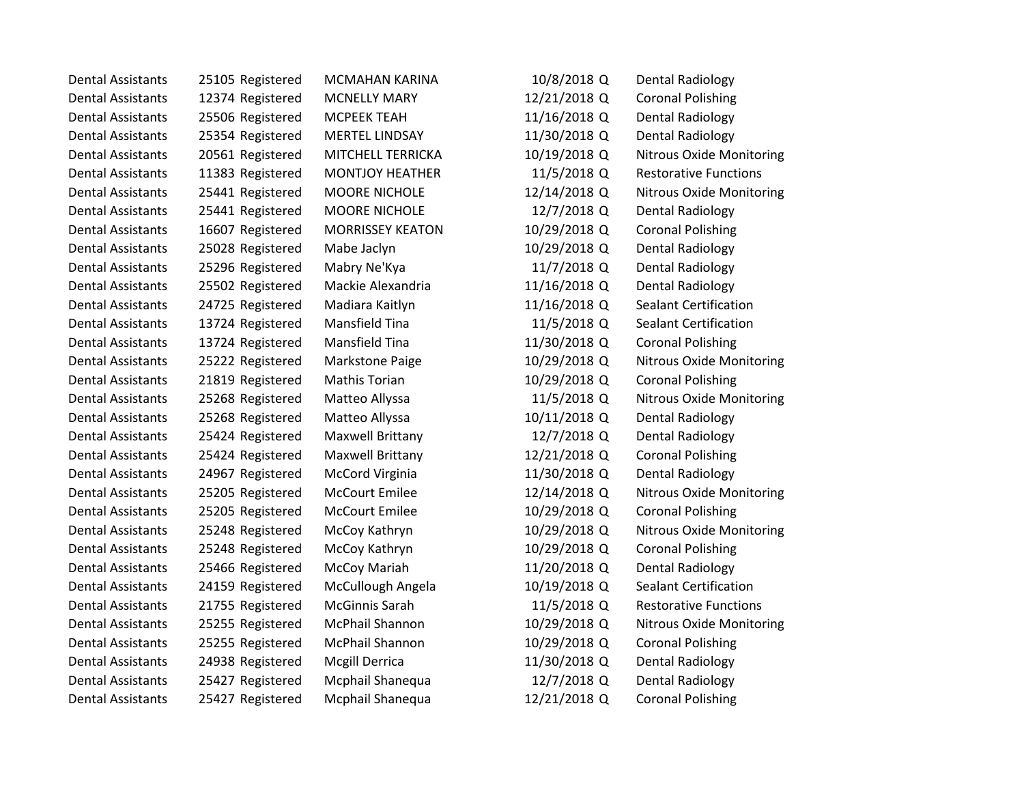| Dental Assistants        | 25105 Registered | <b>MCMAHAN KARINA</b>   | 10/8/2018 Q  | Dental Radiology                |
|--------------------------|------------------|-------------------------|--------------|---------------------------------|
| <b>Dental Assistants</b> | 12374 Registered | <b>MCNELLY MARY</b>     | 12/21/2018 Q | <b>Coronal Polishing</b>        |
| <b>Dental Assistants</b> | 25506 Registered | <b>MCPEEK TEAH</b>      | 11/16/2018 Q | Dental Radiology                |
| <b>Dental Assistants</b> | 25354 Registered | <b>MERTEL LINDSAY</b>   | 11/30/2018 Q | Dental Radiology                |
| <b>Dental Assistants</b> | 20561 Registered | MITCHELL TERRICKA       | 10/19/2018 Q | <b>Nitrous Oxide Monitoring</b> |
| <b>Dental Assistants</b> | 11383 Registered | <b>MONTJOY HEATHER</b>  | 11/5/2018 Q  | <b>Restorative Functions</b>    |
| <b>Dental Assistants</b> | 25441 Registered | <b>MOORE NICHOLE</b>    | 12/14/2018 Q | <b>Nitrous Oxide Monitoring</b> |
| <b>Dental Assistants</b> | 25441 Registered | <b>MOORE NICHOLE</b>    | 12/7/2018 Q  | Dental Radiology                |
| <b>Dental Assistants</b> | 16607 Registered | <b>MORRISSEY KEATON</b> | 10/29/2018 Q | <b>Coronal Polishing</b>        |
| <b>Dental Assistants</b> | 25028 Registered | Mabe Jaclyn             | 10/29/2018 Q | Dental Radiology                |
| <b>Dental Assistants</b> | 25296 Registered | Mabry Ne'Kya            | 11/7/2018 Q  | Dental Radiology                |
| <b>Dental Assistants</b> | 25502 Registered | Mackie Alexandria       | 11/16/2018 Q | Dental Radiology                |
| <b>Dental Assistants</b> | 24725 Registered | Madiara Kaitlyn         | 11/16/2018 Q | <b>Sealant Certification</b>    |
| <b>Dental Assistants</b> | 13724 Registered | Mansfield Tina          | 11/5/2018 Q  | <b>Sealant Certification</b>    |
| <b>Dental Assistants</b> | 13724 Registered | Mansfield Tina          | 11/30/2018 Q | <b>Coronal Polishing</b>        |
| <b>Dental Assistants</b> | 25222 Registered | Markstone Paige         | 10/29/2018 Q | Nitrous Oxide Monitoring        |
| <b>Dental Assistants</b> | 21819 Registered | <b>Mathis Torian</b>    | 10/29/2018 Q | <b>Coronal Polishing</b>        |
| <b>Dental Assistants</b> | 25268 Registered | Matteo Allyssa          | 11/5/2018 Q  | <b>Nitrous Oxide Monitoring</b> |
| <b>Dental Assistants</b> | 25268 Registered | Matteo Allyssa          | 10/11/2018 Q | Dental Radiology                |
| <b>Dental Assistants</b> | 25424 Registered | Maxwell Brittany        | 12/7/2018 Q  | Dental Radiology                |
| <b>Dental Assistants</b> | 25424 Registered | Maxwell Brittany        | 12/21/2018 Q | <b>Coronal Polishing</b>        |
| <b>Dental Assistants</b> | 24967 Registered | <b>McCord Virginia</b>  | 11/30/2018 Q | Dental Radiology                |
| <b>Dental Assistants</b> | 25205 Registered | <b>McCourt Emilee</b>   | 12/14/2018 Q | <b>Nitrous Oxide Monitoring</b> |
| <b>Dental Assistants</b> | 25205 Registered | <b>McCourt Emilee</b>   | 10/29/2018 Q | <b>Coronal Polishing</b>        |
| <b>Dental Assistants</b> | 25248 Registered | McCoy Kathryn           | 10/29/2018 Q | <b>Nitrous Oxide Monitoring</b> |
| <b>Dental Assistants</b> | 25248 Registered | McCoy Kathryn           | 10/29/2018 Q | <b>Coronal Polishing</b>        |
| <b>Dental Assistants</b> | 25466 Registered | McCoy Mariah            | 11/20/2018 Q | Dental Radiology                |
| <b>Dental Assistants</b> | 24159 Registered | McCullough Angela       | 10/19/2018 Q | <b>Sealant Certification</b>    |
| <b>Dental Assistants</b> | 21755 Registered | McGinnis Sarah          | 11/5/2018 Q  | <b>Restorative Functions</b>    |
| <b>Dental Assistants</b> | 25255 Registered | McPhail Shannon         | 10/29/2018 Q | <b>Nitrous Oxide Monitoring</b> |
| <b>Dental Assistants</b> | 25255 Registered | McPhail Shannon         | 10/29/2018 Q | <b>Coronal Polishing</b>        |
| <b>Dental Assistants</b> | 24938 Registered | Mcgill Derrica          | 11/30/2018 Q | Dental Radiology                |
| <b>Dental Assistants</b> | 25427 Registered | Mcphail Shanequa        | 12/7/2018 Q  | <b>Dental Radiology</b>         |
| <b>Dental Assistants</b> | 25427 Registered | Mcphail Shanequa        | 12/21/2018 Q | <b>Coronal Polishing</b>        |
|                          |                  |                         |              |                                 |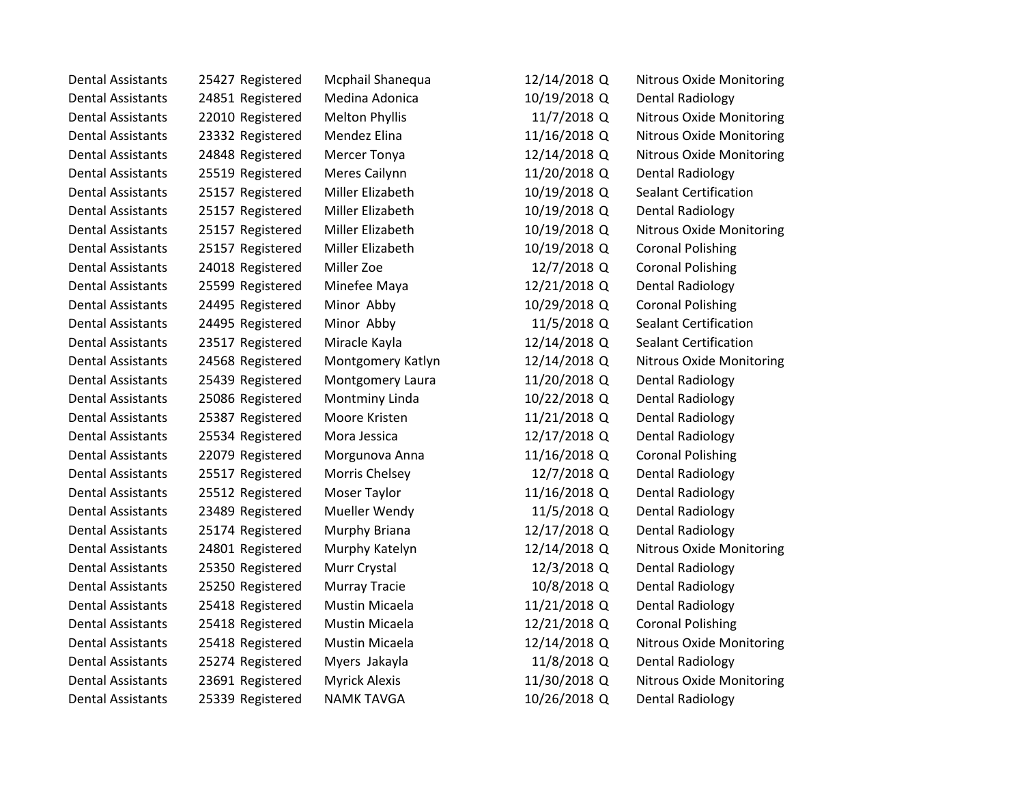| <b>Dental Assistants</b> | 25427 Registered | Mcphail Shanequa      | 12/14/2018 Q | <b>Nitrous Oxide Monitoring</b> |
|--------------------------|------------------|-----------------------|--------------|---------------------------------|
| <b>Dental Assistants</b> | 24851 Registered | Medina Adonica        | 10/19/2018 Q | <b>Dental Radiology</b>         |
| <b>Dental Assistants</b> | 22010 Registered | <b>Melton Phyllis</b> | 11/7/2018 Q  | <b>Nitrous Oxide Monitoring</b> |
| <b>Dental Assistants</b> | 23332 Registered | Mendez Elina          | 11/16/2018 Q | <b>Nitrous Oxide Monitoring</b> |
| <b>Dental Assistants</b> | 24848 Registered | Mercer Tonya          | 12/14/2018 Q | <b>Nitrous Oxide Monitoring</b> |
| <b>Dental Assistants</b> | 25519 Registered | Meres Cailynn         | 11/20/2018 Q | <b>Dental Radiology</b>         |
| <b>Dental Assistants</b> | 25157 Registered | Miller Elizabeth      | 10/19/2018 Q | <b>Sealant Certification</b>    |
| <b>Dental Assistants</b> | 25157 Registered | Miller Elizabeth      | 10/19/2018 Q | <b>Dental Radiology</b>         |
| <b>Dental Assistants</b> | 25157 Registered | Miller Elizabeth      | 10/19/2018 Q | <b>Nitrous Oxide Monitoring</b> |
| <b>Dental Assistants</b> | 25157 Registered | Miller Elizabeth      | 10/19/2018 Q | <b>Coronal Polishing</b>        |
| <b>Dental Assistants</b> | 24018 Registered | Miller Zoe            | 12/7/2018 Q  | <b>Coronal Polishing</b>        |
| <b>Dental Assistants</b> | 25599 Registered | Minefee Maya          | 12/21/2018 Q | Dental Radiology                |
| <b>Dental Assistants</b> | 24495 Registered | Minor Abby            | 10/29/2018 Q | <b>Coronal Polishing</b>        |
| <b>Dental Assistants</b> | 24495 Registered | Minor Abby            | 11/5/2018 Q  | <b>Sealant Certification</b>    |
| <b>Dental Assistants</b> | 23517 Registered | Miracle Kayla         | 12/14/2018 Q | <b>Sealant Certification</b>    |
| <b>Dental Assistants</b> | 24568 Registered | Montgomery Katlyn     | 12/14/2018 Q | <b>Nitrous Oxide Monitoring</b> |
| <b>Dental Assistants</b> | 25439 Registered | Montgomery Laura      | 11/20/2018 Q | <b>Dental Radiology</b>         |
| <b>Dental Assistants</b> | 25086 Registered | Montminy Linda        | 10/22/2018 Q | <b>Dental Radiology</b>         |
| <b>Dental Assistants</b> | 25387 Registered | Moore Kristen         | 11/21/2018 Q | <b>Dental Radiology</b>         |
| <b>Dental Assistants</b> | 25534 Registered | Mora Jessica          | 12/17/2018 Q | <b>Dental Radiology</b>         |
| <b>Dental Assistants</b> | 22079 Registered | Morgunova Anna        | 11/16/2018 Q | <b>Coronal Polishing</b>        |
| <b>Dental Assistants</b> | 25517 Registered | Morris Chelsey        | 12/7/2018 Q  | <b>Dental Radiology</b>         |
| <b>Dental Assistants</b> | 25512 Registered | Moser Taylor          | 11/16/2018 Q | <b>Dental Radiology</b>         |
| <b>Dental Assistants</b> | 23489 Registered | Mueller Wendy         | 11/5/2018 Q  | <b>Dental Radiology</b>         |
| <b>Dental Assistants</b> | 25174 Registered | Murphy Briana         | 12/17/2018 Q | <b>Dental Radiology</b>         |
| <b>Dental Assistants</b> | 24801 Registered | Murphy Katelyn        | 12/14/2018 Q | <b>Nitrous Oxide Monitoring</b> |
| <b>Dental Assistants</b> | 25350 Registered | Murr Crystal          | 12/3/2018 Q  | <b>Dental Radiology</b>         |
| <b>Dental Assistants</b> | 25250 Registered | <b>Murray Tracie</b>  | 10/8/2018 Q  | <b>Dental Radiology</b>         |
| <b>Dental Assistants</b> | 25418 Registered | Mustin Micaela        | 11/21/2018 Q | <b>Dental Radiology</b>         |
| <b>Dental Assistants</b> | 25418 Registered | Mustin Micaela        | 12/21/2018 Q | <b>Coronal Polishing</b>        |
| <b>Dental Assistants</b> | 25418 Registered | Mustin Micaela        | 12/14/2018 Q | <b>Nitrous Oxide Monitoring</b> |
| <b>Dental Assistants</b> | 25274 Registered | Myers Jakayla         | 11/8/2018 Q  | <b>Dental Radiology</b>         |
| <b>Dental Assistants</b> | 23691 Registered | <b>Myrick Alexis</b>  | 11/30/2018 Q | <b>Nitrous Oxide Monitoring</b> |
| <b>Dental Assistants</b> | 25339 Registered | <b>NAMK TAVGA</b>     | 10/26/2018 Q | Dental Radiology                |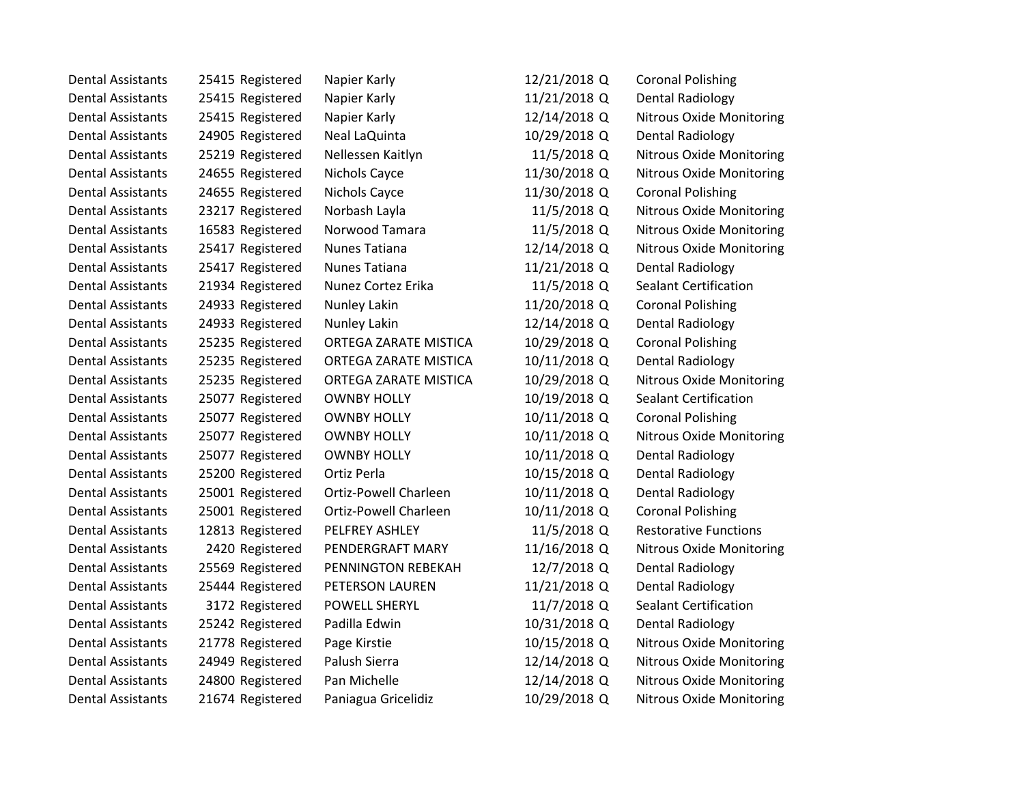| <b>Dental Assistants</b> | 25415 Registered | Napier Karly          | 12/21/2018 Q | <b>Coronal Polishing</b>        |
|--------------------------|------------------|-----------------------|--------------|---------------------------------|
| <b>Dental Assistants</b> | 25415 Registered | Napier Karly          | 11/21/2018 Q | Dental Radiology                |
| <b>Dental Assistants</b> | 25415 Registered | Napier Karly          | 12/14/2018 Q | <b>Nitrous Oxide Monitoring</b> |
| <b>Dental Assistants</b> | 24905 Registered | Neal LaQuinta         | 10/29/2018 Q | Dental Radiology                |
| <b>Dental Assistants</b> | 25219 Registered | Nellessen Kaitlyn     | 11/5/2018 Q  | <b>Nitrous Oxide Monitoring</b> |
| <b>Dental Assistants</b> | 24655 Registered | Nichols Cayce         | 11/30/2018 Q | <b>Nitrous Oxide Monitoring</b> |
| <b>Dental Assistants</b> | 24655 Registered | Nichols Cayce         | 11/30/2018 Q | <b>Coronal Polishing</b>        |
| <b>Dental Assistants</b> | 23217 Registered | Norbash Layla         | 11/5/2018 Q  | <b>Nitrous Oxide Monitoring</b> |
| <b>Dental Assistants</b> | 16583 Registered | Norwood Tamara        | 11/5/2018 Q  | <b>Nitrous Oxide Monitoring</b> |
| <b>Dental Assistants</b> | 25417 Registered | Nunes Tatiana         | 12/14/2018 Q | <b>Nitrous Oxide Monitoring</b> |
| <b>Dental Assistants</b> | 25417 Registered | Nunes Tatiana         | 11/21/2018 Q | <b>Dental Radiology</b>         |
| <b>Dental Assistants</b> | 21934 Registered | Nunez Cortez Erika    | 11/5/2018 Q  | <b>Sealant Certification</b>    |
| <b>Dental Assistants</b> | 24933 Registered | Nunley Lakin          | 11/20/2018 Q | <b>Coronal Polishing</b>        |
| <b>Dental Assistants</b> | 24933 Registered | Nunley Lakin          | 12/14/2018 Q | Dental Radiology                |
| <b>Dental Assistants</b> | 25235 Registered | ORTEGA ZARATE MISTICA | 10/29/2018 Q | <b>Coronal Polishing</b>        |
| <b>Dental Assistants</b> | 25235 Registered | ORTEGA ZARATE MISTICA | 10/11/2018 Q | <b>Dental Radiology</b>         |
| <b>Dental Assistants</b> | 25235 Registered | ORTEGA ZARATE MISTICA | 10/29/2018 Q | <b>Nitrous Oxide Monitoring</b> |
| <b>Dental Assistants</b> | 25077 Registered | <b>OWNBY HOLLY</b>    | 10/19/2018 Q | <b>Sealant Certification</b>    |
| <b>Dental Assistants</b> | 25077 Registered | <b>OWNBY HOLLY</b>    | 10/11/2018 Q | <b>Coronal Polishing</b>        |
| <b>Dental Assistants</b> | 25077 Registered | <b>OWNBY HOLLY</b>    | 10/11/2018 Q | <b>Nitrous Oxide Monitoring</b> |
| <b>Dental Assistants</b> | 25077 Registered | <b>OWNBY HOLLY</b>    | 10/11/2018 Q | Dental Radiology                |
| <b>Dental Assistants</b> | 25200 Registered | Ortiz Perla           | 10/15/2018 Q | <b>Dental Radiology</b>         |
| <b>Dental Assistants</b> | 25001 Registered | Ortiz-Powell Charleen | 10/11/2018 Q | <b>Dental Radiology</b>         |
| <b>Dental Assistants</b> | 25001 Registered | Ortiz-Powell Charleen | 10/11/2018 Q | <b>Coronal Polishing</b>        |
| <b>Dental Assistants</b> | 12813 Registered | PELFREY ASHLEY        | 11/5/2018 Q  | <b>Restorative Functions</b>    |
| <b>Dental Assistants</b> | 2420 Registered  | PENDERGRAFT MARY      | 11/16/2018 Q | <b>Nitrous Oxide Monitoring</b> |
| <b>Dental Assistants</b> | 25569 Registered | PENNINGTON REBEKAH    | 12/7/2018 Q  | <b>Dental Radiology</b>         |
| <b>Dental Assistants</b> | 25444 Registered | PETERSON LAUREN       | 11/21/2018 Q | <b>Dental Radiology</b>         |
| <b>Dental Assistants</b> | 3172 Registered  | <b>POWELL SHERYL</b>  | 11/7/2018 Q  | <b>Sealant Certification</b>    |
| <b>Dental Assistants</b> | 25242 Registered | Padilla Edwin         | 10/31/2018 Q | Dental Radiology                |
| <b>Dental Assistants</b> | 21778 Registered | Page Kirstie          | 10/15/2018 Q | <b>Nitrous Oxide Monitoring</b> |
| <b>Dental Assistants</b> | 24949 Registered | Palush Sierra         | 12/14/2018 Q | <b>Nitrous Oxide Monitoring</b> |
| <b>Dental Assistants</b> | 24800 Registered | Pan Michelle          | 12/14/2018 Q | <b>Nitrous Oxide Monitoring</b> |
| <b>Dental Assistants</b> | 21674 Registered | Paniagua Gricelidiz   | 10/29/2018 Q | <b>Nitrous Oxide Monitoring</b> |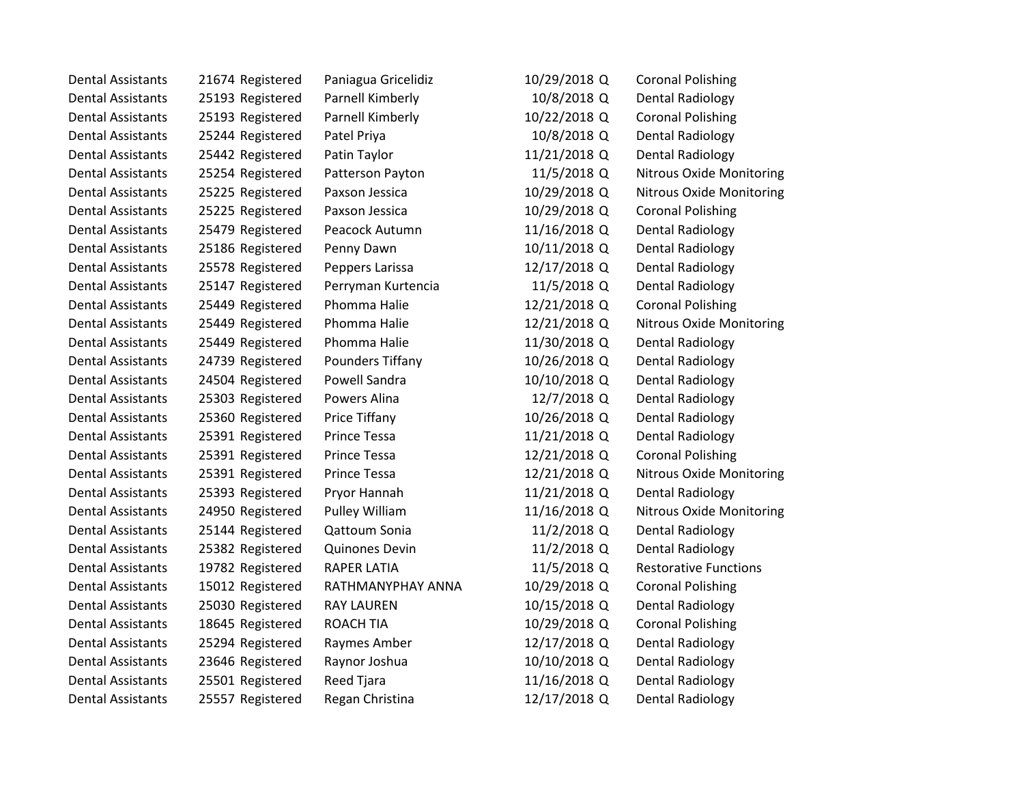| Dental Assistants        | 21674 Registered | Paniagua Gricelidiz | 10/29/2018 Q | <b>Coronal Polishing</b>        |
|--------------------------|------------------|---------------------|--------------|---------------------------------|
| <b>Dental Assistants</b> | 25193 Registered | Parnell Kimberly    | 10/8/2018 Q  | <b>Dental Radiology</b>         |
| <b>Dental Assistants</b> | 25193 Registered | Parnell Kimberly    | 10/22/2018 Q | <b>Coronal Polishing</b>        |
| <b>Dental Assistants</b> | 25244 Registered | Patel Priya         | 10/8/2018 Q  | Dental Radiology                |
| <b>Dental Assistants</b> | 25442 Registered | Patin Taylor        | 11/21/2018 Q | Dental Radiology                |
| <b>Dental Assistants</b> | 25254 Registered | Patterson Payton    | 11/5/2018 Q  | Nitrous Oxide Monitoring        |
| <b>Dental Assistants</b> | 25225 Registered | Paxson Jessica      | 10/29/2018 Q | <b>Nitrous Oxide Monitoring</b> |
| <b>Dental Assistants</b> | 25225 Registered | Paxson Jessica      | 10/29/2018 Q | <b>Coronal Polishing</b>        |
| <b>Dental Assistants</b> | 25479 Registered | Peacock Autumn      | 11/16/2018 Q | <b>Dental Radiology</b>         |
| <b>Dental Assistants</b> | 25186 Registered | Penny Dawn          | 10/11/2018 Q | Dental Radiology                |
| <b>Dental Assistants</b> | 25578 Registered | Peppers Larissa     | 12/17/2018 Q | Dental Radiology                |
| <b>Dental Assistants</b> | 25147 Registered | Perryman Kurtencia  | 11/5/2018 Q  | Dental Radiology                |
| <b>Dental Assistants</b> | 25449 Registered | Phomma Halie        | 12/21/2018 Q | <b>Coronal Polishing</b>        |
| <b>Dental Assistants</b> | 25449 Registered | Phomma Halie        | 12/21/2018 Q | <b>Nitrous Oxide Monitoring</b> |
| <b>Dental Assistants</b> | 25449 Registered | Phomma Halie        | 11/30/2018 Q | Dental Radiology                |
| <b>Dental Assistants</b> | 24739 Registered | Pounders Tiffany    | 10/26/2018 Q | Dental Radiology                |
| <b>Dental Assistants</b> | 24504 Registered | Powell Sandra       | 10/10/2018 Q | <b>Dental Radiology</b>         |
| <b>Dental Assistants</b> | 25303 Registered | Powers Alina        | 12/7/2018 Q  | <b>Dental Radiology</b>         |
| <b>Dental Assistants</b> | 25360 Registered | Price Tiffany       | 10/26/2018 Q | Dental Radiology                |
| <b>Dental Assistants</b> | 25391 Registered | Prince Tessa        | 11/21/2018 Q | Dental Radiology                |
| <b>Dental Assistants</b> | 25391 Registered | Prince Tessa        | 12/21/2018 Q | <b>Coronal Polishing</b>        |
| <b>Dental Assistants</b> | 25391 Registered | Prince Tessa        | 12/21/2018 Q | Nitrous Oxide Monitoring        |
| <b>Dental Assistants</b> | 25393 Registered | Pryor Hannah        | 11/21/2018 Q | <b>Dental Radiology</b>         |
| <b>Dental Assistants</b> | 24950 Registered | Pulley William      | 11/16/2018 Q | <b>Nitrous Oxide Monitoring</b> |
| <b>Dental Assistants</b> | 25144 Registered | Qattoum Sonia       | 11/2/2018 Q  | Dental Radiology                |
| <b>Dental Assistants</b> | 25382 Registered | Quinones Devin      | 11/2/2018 Q  | Dental Radiology                |
| <b>Dental Assistants</b> | 19782 Registered | <b>RAPER LATIA</b>  | 11/5/2018 Q  | <b>Restorative Functions</b>    |
| <b>Dental Assistants</b> | 15012 Registered | RATHMANYPHAY ANNA   | 10/29/2018 Q | <b>Coronal Polishing</b>        |
| <b>Dental Assistants</b> | 25030 Registered | <b>RAY LAUREN</b>   | 10/15/2018 Q | <b>Dental Radiology</b>         |
| <b>Dental Assistants</b> | 18645 Registered | <b>ROACH TIA</b>    | 10/29/2018 Q | <b>Coronal Polishing</b>        |
| <b>Dental Assistants</b> | 25294 Registered | Raymes Amber        | 12/17/2018 Q | Dental Radiology                |
| <b>Dental Assistants</b> | 23646 Registered | Raynor Joshua       | 10/10/2018 Q | Dental Radiology                |
| <b>Dental Assistants</b> | 25501 Registered | Reed Tjara          | 11/16/2018 Q | Dental Radiology                |
| <b>Dental Assistants</b> | 25557 Registered | Regan Christina     | 12/17/2018 Q | <b>Dental Radiology</b>         |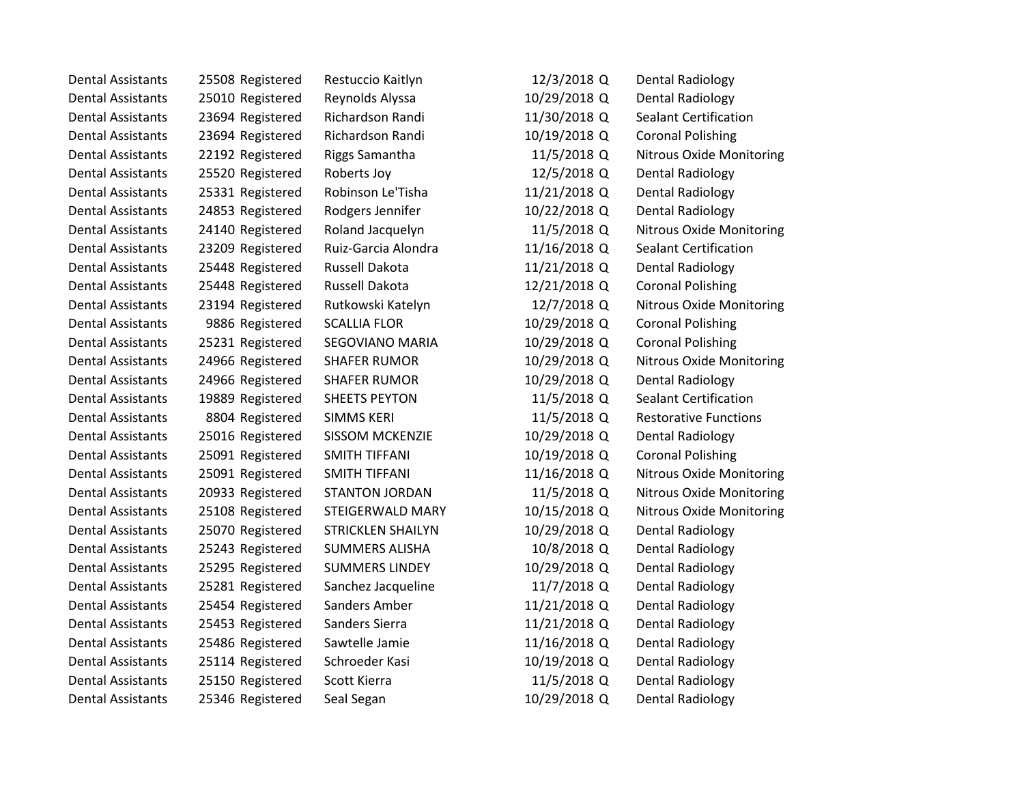| <b>Dental Assistants</b> | 25508 Registered | Restuccio Kaitlyn        | 12/3/2018 Q  | Dental Radiology                |
|--------------------------|------------------|--------------------------|--------------|---------------------------------|
| <b>Dental Assistants</b> | 25010 Registered | Reynolds Alyssa          | 10/29/2018 Q | Dental Radiology                |
| <b>Dental Assistants</b> | 23694 Registered | Richardson Randi         | 11/30/2018 Q | <b>Sealant Certification</b>    |
| <b>Dental Assistants</b> | 23694 Registered | Richardson Randi         | 10/19/2018 Q | <b>Coronal Polishing</b>        |
| <b>Dental Assistants</b> | 22192 Registered | <b>Riggs Samantha</b>    | 11/5/2018 Q  | <b>Nitrous Oxide Monitoring</b> |
| <b>Dental Assistants</b> | 25520 Registered | Roberts Joy              | 12/5/2018 Q  | Dental Radiology                |
| <b>Dental Assistants</b> | 25331 Registered | Robinson Le'Tisha        | 11/21/2018 Q | Dental Radiology                |
| <b>Dental Assistants</b> | 24853 Registered | Rodgers Jennifer         | 10/22/2018 Q | <b>Dental Radiology</b>         |
| <b>Dental Assistants</b> | 24140 Registered | Roland Jacquelyn         | 11/5/2018 Q  | <b>Nitrous Oxide Monitoring</b> |
| <b>Dental Assistants</b> | 23209 Registered | Ruiz-Garcia Alondra      | 11/16/2018 Q | Sealant Certification           |
| <b>Dental Assistants</b> | 25448 Registered | Russell Dakota           | 11/21/2018 Q | Dental Radiology                |
| <b>Dental Assistants</b> | 25448 Registered | Russell Dakota           | 12/21/2018 Q | <b>Coronal Polishing</b>        |
| <b>Dental Assistants</b> | 23194 Registered | Rutkowski Katelyn        | 12/7/2018 Q  | <b>Nitrous Oxide Monitoring</b> |
| <b>Dental Assistants</b> | 9886 Registered  | <b>SCALLIA FLOR</b>      | 10/29/2018 Q | <b>Coronal Polishing</b>        |
| <b>Dental Assistants</b> | 25231 Registered | SEGOVIANO MARIA          | 10/29/2018 Q | <b>Coronal Polishing</b>        |
| <b>Dental Assistants</b> | 24966 Registered | <b>SHAFER RUMOR</b>      | 10/29/2018 Q | <b>Nitrous Oxide Monitoring</b> |
| <b>Dental Assistants</b> | 24966 Registered | <b>SHAFER RUMOR</b>      | 10/29/2018 Q | Dental Radiology                |
| <b>Dental Assistants</b> | 19889 Registered | <b>SHEETS PEYTON</b>     | 11/5/2018 Q  | <b>Sealant Certification</b>    |
| <b>Dental Assistants</b> | 8804 Registered  | <b>SIMMS KERI</b>        | 11/5/2018 Q  | <b>Restorative Functions</b>    |
| <b>Dental Assistants</b> | 25016 Registered | <b>SISSOM MCKENZIE</b>   | 10/29/2018 Q | <b>Dental Radiology</b>         |
| <b>Dental Assistants</b> | 25091 Registered | SMITH TIFFANI            | 10/19/2018 Q | <b>Coronal Polishing</b>        |
| <b>Dental Assistants</b> | 25091 Registered | <b>SMITH TIFFANI</b>     | 11/16/2018 Q | <b>Nitrous Oxide Monitoring</b> |
| <b>Dental Assistants</b> | 20933 Registered | <b>STANTON JORDAN</b>    | 11/5/2018 Q  | <b>Nitrous Oxide Monitoring</b> |
| <b>Dental Assistants</b> | 25108 Registered | STEIGERWALD MARY         | 10/15/2018 Q | <b>Nitrous Oxide Monitoring</b> |
| <b>Dental Assistants</b> | 25070 Registered | <b>STRICKLEN SHAILYN</b> | 10/29/2018 Q | Dental Radiology                |
| <b>Dental Assistants</b> | 25243 Registered | <b>SUMMERS ALISHA</b>    | 10/8/2018 Q  | Dental Radiology                |
| <b>Dental Assistants</b> | 25295 Registered | <b>SUMMERS LINDEY</b>    | 10/29/2018 Q | Dental Radiology                |
| <b>Dental Assistants</b> | 25281 Registered | Sanchez Jacqueline       | 11/7/2018 Q  | <b>Dental Radiology</b>         |
| <b>Dental Assistants</b> | 25454 Registered | Sanders Amber            | 11/21/2018 Q | Dental Radiology                |
| <b>Dental Assistants</b> | 25453 Registered | Sanders Sierra           | 11/21/2018 Q | Dental Radiology                |
| <b>Dental Assistants</b> | 25486 Registered | Sawtelle Jamie           | 11/16/2018 Q | Dental Radiology                |
| <b>Dental Assistants</b> | 25114 Registered | Schroeder Kasi           | 10/19/2018 Q | Dental Radiology                |
| <b>Dental Assistants</b> | 25150 Registered | Scott Kierra             | 11/5/2018 Q  | <b>Dental Radiology</b>         |
| <b>Dental Assistants</b> | 25346 Registered | Seal Segan               | 10/29/2018 Q | Dental Radiology                |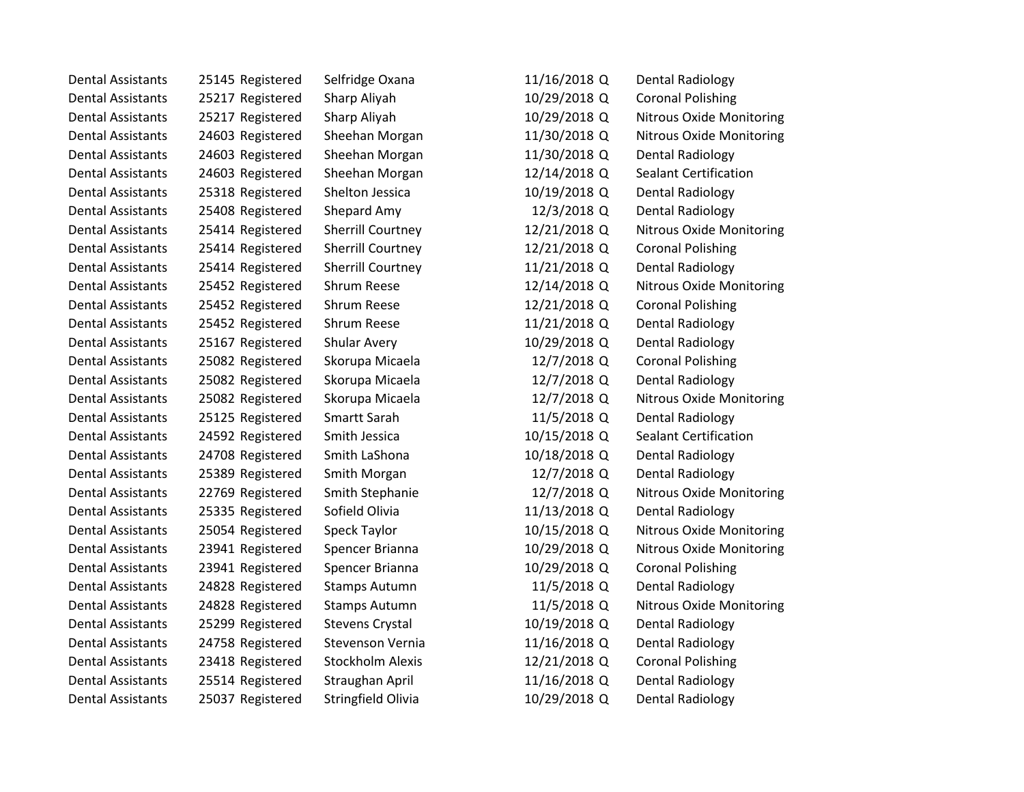| <b>Dental Assistants</b> | 25145 Registered | Selfridge Oxana          | 11/16/2018 Q | Dental Radiology                |
|--------------------------|------------------|--------------------------|--------------|---------------------------------|
| <b>Dental Assistants</b> | 25217 Registered | Sharp Aliyah             | 10/29/2018 Q | <b>Coronal Polishing</b>        |
| <b>Dental Assistants</b> | 25217 Registered | Sharp Aliyah             | 10/29/2018 Q | <b>Nitrous Oxide Monitoring</b> |
| <b>Dental Assistants</b> | 24603 Registered | Sheehan Morgan           | 11/30/2018 Q | <b>Nitrous Oxide Monitoring</b> |
| <b>Dental Assistants</b> | 24603 Registered | Sheehan Morgan           | 11/30/2018 Q | <b>Dental Radiology</b>         |
| <b>Dental Assistants</b> | 24603 Registered | Sheehan Morgan           | 12/14/2018 Q | <b>Sealant Certification</b>    |
| <b>Dental Assistants</b> | 25318 Registered | Shelton Jessica          | 10/19/2018 Q | <b>Dental Radiology</b>         |
| <b>Dental Assistants</b> | 25408 Registered | Shepard Amy              | 12/3/2018 Q  | Dental Radiology                |
| <b>Dental Assistants</b> | 25414 Registered | <b>Sherrill Courtney</b> | 12/21/2018 Q | <b>Nitrous Oxide Monitoring</b> |
| <b>Dental Assistants</b> | 25414 Registered | <b>Sherrill Courtney</b> | 12/21/2018 Q | <b>Coronal Polishing</b>        |
| <b>Dental Assistants</b> | 25414 Registered | <b>Sherrill Courtney</b> | 11/21/2018 Q | <b>Dental Radiology</b>         |
| <b>Dental Assistants</b> | 25452 Registered | Shrum Reese              | 12/14/2018 Q | <b>Nitrous Oxide Monitoring</b> |
| <b>Dental Assistants</b> | 25452 Registered | Shrum Reese              | 12/21/2018 Q | <b>Coronal Polishing</b>        |
| <b>Dental Assistants</b> | 25452 Registered | Shrum Reese              | 11/21/2018 Q | Dental Radiology                |
| <b>Dental Assistants</b> | 25167 Registered | Shular Avery             | 10/29/2018 Q | Dental Radiology                |
| <b>Dental Assistants</b> | 25082 Registered | Skorupa Micaela          | 12/7/2018 Q  | <b>Coronal Polishing</b>        |
| <b>Dental Assistants</b> | 25082 Registered | Skorupa Micaela          | 12/7/2018 Q  | Dental Radiology                |
| <b>Dental Assistants</b> | 25082 Registered | Skorupa Micaela          | 12/7/2018 Q  | <b>Nitrous Oxide Monitoring</b> |
| <b>Dental Assistants</b> | 25125 Registered | Smartt Sarah             | 11/5/2018 Q  | Dental Radiology                |
| <b>Dental Assistants</b> | 24592 Registered | Smith Jessica            | 10/15/2018 Q | Sealant Certification           |
| <b>Dental Assistants</b> | 24708 Registered | Smith LaShona            | 10/18/2018 Q | Dental Radiology                |
| <b>Dental Assistants</b> | 25389 Registered | Smith Morgan             | 12/7/2018 Q  | <b>Dental Radiology</b>         |
| <b>Dental Assistants</b> | 22769 Registered | Smith Stephanie          | 12/7/2018 Q  | <b>Nitrous Oxide Monitoring</b> |
| <b>Dental Assistants</b> | 25335 Registered | Sofield Olivia           | 11/13/2018 Q | Dental Radiology                |
| <b>Dental Assistants</b> | 25054 Registered | Speck Taylor             | 10/15/2018 Q | <b>Nitrous Oxide Monitoring</b> |
| <b>Dental Assistants</b> | 23941 Registered | Spencer Brianna          | 10/29/2018 Q | <b>Nitrous Oxide Monitoring</b> |
| <b>Dental Assistants</b> | 23941 Registered | Spencer Brianna          | 10/29/2018 Q | <b>Coronal Polishing</b>        |
| <b>Dental Assistants</b> | 24828 Registered | <b>Stamps Autumn</b>     | 11/5/2018 Q  | <b>Dental Radiology</b>         |
| <b>Dental Assistants</b> | 24828 Registered | <b>Stamps Autumn</b>     | 11/5/2018 Q  | <b>Nitrous Oxide Monitoring</b> |
| <b>Dental Assistants</b> | 25299 Registered | <b>Stevens Crystal</b>   | 10/19/2018 Q | Dental Radiology                |
| <b>Dental Assistants</b> | 24758 Registered | Stevenson Vernia         | 11/16/2018 Q | Dental Radiology                |
| <b>Dental Assistants</b> | 23418 Registered | <b>Stockholm Alexis</b>  | 12/21/2018 Q | <b>Coronal Polishing</b>        |
| <b>Dental Assistants</b> | 25514 Registered | Straughan April          | 11/16/2018 Q | Dental Radiology                |
| <b>Dental Assistants</b> | 25037 Registered | Stringfield Olivia       | 10/29/2018 Q | <b>Dental Radiology</b>         |
|                          |                  |                          |              |                                 |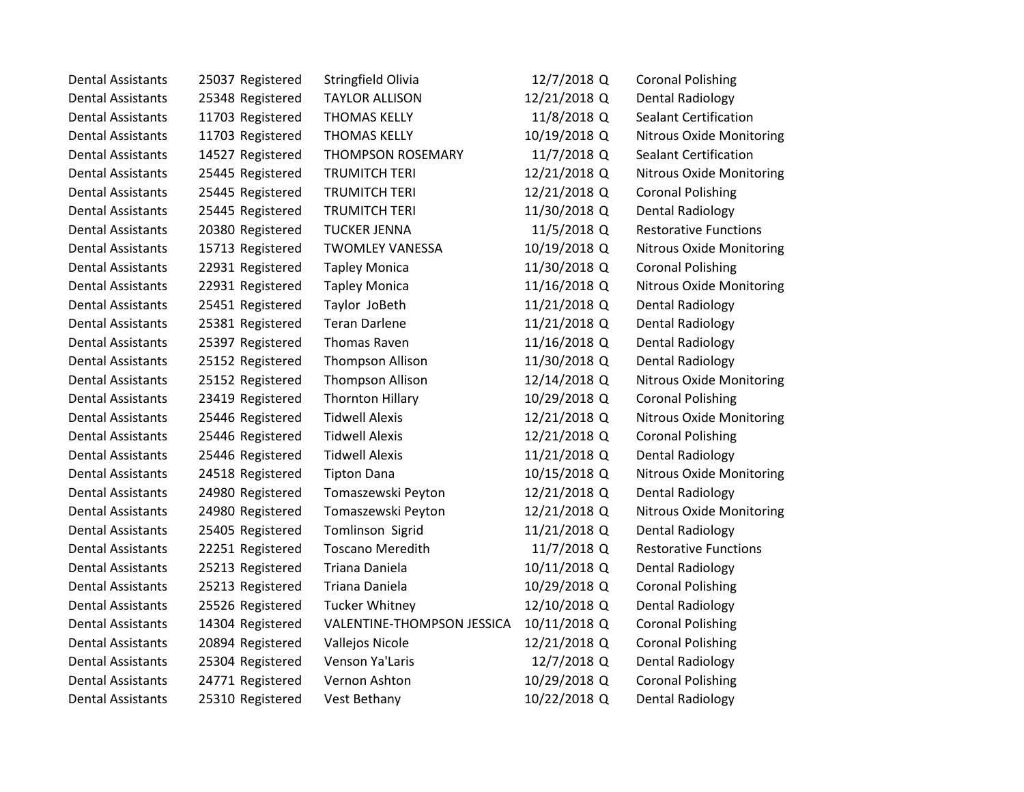| <b>Dental Assistants</b> | 25037 Registered | Stringfield Olivia         | 12/7/2018 Q  | <b>Coronal Polishing</b>        |
|--------------------------|------------------|----------------------------|--------------|---------------------------------|
| <b>Dental Assistants</b> | 25348 Registered | <b>TAYLOR ALLISON</b>      | 12/21/2018 Q | <b>Dental Radiology</b>         |
| <b>Dental Assistants</b> | 11703 Registered | <b>THOMAS KELLY</b>        | 11/8/2018 Q  | <b>Sealant Certification</b>    |
| <b>Dental Assistants</b> | 11703 Registered | <b>THOMAS KELLY</b>        | 10/19/2018 Q | <b>Nitrous Oxide Monitoring</b> |
| <b>Dental Assistants</b> | 14527 Registered | <b>THOMPSON ROSEMARY</b>   | 11/7/2018 Q  | <b>Sealant Certification</b>    |
| <b>Dental Assistants</b> | 25445 Registered | <b>TRUMITCH TERI</b>       | 12/21/2018 Q | <b>Nitrous Oxide Monitoring</b> |
| <b>Dental Assistants</b> | 25445 Registered | <b>TRUMITCH TERI</b>       | 12/21/2018 Q | <b>Coronal Polishing</b>        |
| <b>Dental Assistants</b> | 25445 Registered | <b>TRUMITCH TERI</b>       | 11/30/2018 Q | <b>Dental Radiology</b>         |
| <b>Dental Assistants</b> | 20380 Registered | <b>TUCKER JENNA</b>        | 11/5/2018 Q  | <b>Restorative Functions</b>    |
| <b>Dental Assistants</b> | 15713 Registered | <b>TWOMLEY VANESSA</b>     | 10/19/2018 Q | <b>Nitrous Oxide Monitoring</b> |
| <b>Dental Assistants</b> | 22931 Registered | <b>Tapley Monica</b>       | 11/30/2018 Q | <b>Coronal Polishing</b>        |
| <b>Dental Assistants</b> | 22931 Registered | <b>Tapley Monica</b>       | 11/16/2018 Q | <b>Nitrous Oxide Monitoring</b> |
| <b>Dental Assistants</b> | 25451 Registered | Taylor JoBeth              | 11/21/2018 Q | <b>Dental Radiology</b>         |
| <b>Dental Assistants</b> | 25381 Registered | <b>Teran Darlene</b>       | 11/21/2018 Q | <b>Dental Radiology</b>         |
| <b>Dental Assistants</b> | 25397 Registered | <b>Thomas Raven</b>        | 11/16/2018 Q | Dental Radiology                |
| <b>Dental Assistants</b> | 25152 Registered | <b>Thompson Allison</b>    | 11/30/2018 Q | <b>Dental Radiology</b>         |
| <b>Dental Assistants</b> | 25152 Registered | <b>Thompson Allison</b>    | 12/14/2018 Q | <b>Nitrous Oxide Monitoring</b> |
| <b>Dental Assistants</b> | 23419 Registered | <b>Thornton Hillary</b>    | 10/29/2018 Q | <b>Coronal Polishing</b>        |
| <b>Dental Assistants</b> | 25446 Registered | <b>Tidwell Alexis</b>      | 12/21/2018 Q | <b>Nitrous Oxide Monitoring</b> |
| <b>Dental Assistants</b> | 25446 Registered | <b>Tidwell Alexis</b>      | 12/21/2018 Q | <b>Coronal Polishing</b>        |
| <b>Dental Assistants</b> | 25446 Registered | <b>Tidwell Alexis</b>      | 11/21/2018 Q | <b>Dental Radiology</b>         |
| <b>Dental Assistants</b> | 24518 Registered | <b>Tipton Dana</b>         | 10/15/2018 Q | <b>Nitrous Oxide Monitoring</b> |
| <b>Dental Assistants</b> | 24980 Registered | Tomaszewski Peyton         | 12/21/2018 Q | <b>Dental Radiology</b>         |
| <b>Dental Assistants</b> | 24980 Registered | Tomaszewski Peyton         | 12/21/2018 Q | <b>Nitrous Oxide Monitoring</b> |
| <b>Dental Assistants</b> | 25405 Registered | Tomlinson Sigrid           | 11/21/2018 Q | Dental Radiology                |
| <b>Dental Assistants</b> | 22251 Registered | <b>Toscano Meredith</b>    | 11/7/2018 Q  | <b>Restorative Functions</b>    |
| <b>Dental Assistants</b> | 25213 Registered | Triana Daniela             | 10/11/2018 Q | <b>Dental Radiology</b>         |
| <b>Dental Assistants</b> | 25213 Registered | Triana Daniela             | 10/29/2018 Q | <b>Coronal Polishing</b>        |
| <b>Dental Assistants</b> | 25526 Registered | <b>Tucker Whitney</b>      | 12/10/2018 Q | Dental Radiology                |
| <b>Dental Assistants</b> | 14304 Registered | VALENTINE-THOMPSON JESSICA | 10/11/2018 Q | <b>Coronal Polishing</b>        |
| <b>Dental Assistants</b> | 20894 Registered | Vallejos Nicole            | 12/21/2018 Q | <b>Coronal Polishing</b>        |
| <b>Dental Assistants</b> | 25304 Registered | Venson Ya'Laris            | 12/7/2018 Q  | Dental Radiology                |
| <b>Dental Assistants</b> | 24771 Registered | Vernon Ashton              | 10/29/2018 Q | <b>Coronal Polishing</b>        |
| Dental Assistants        | 25310 Registered | Vest Bethany               | 10/22/2018 Q | <b>Dental Radiology</b>         |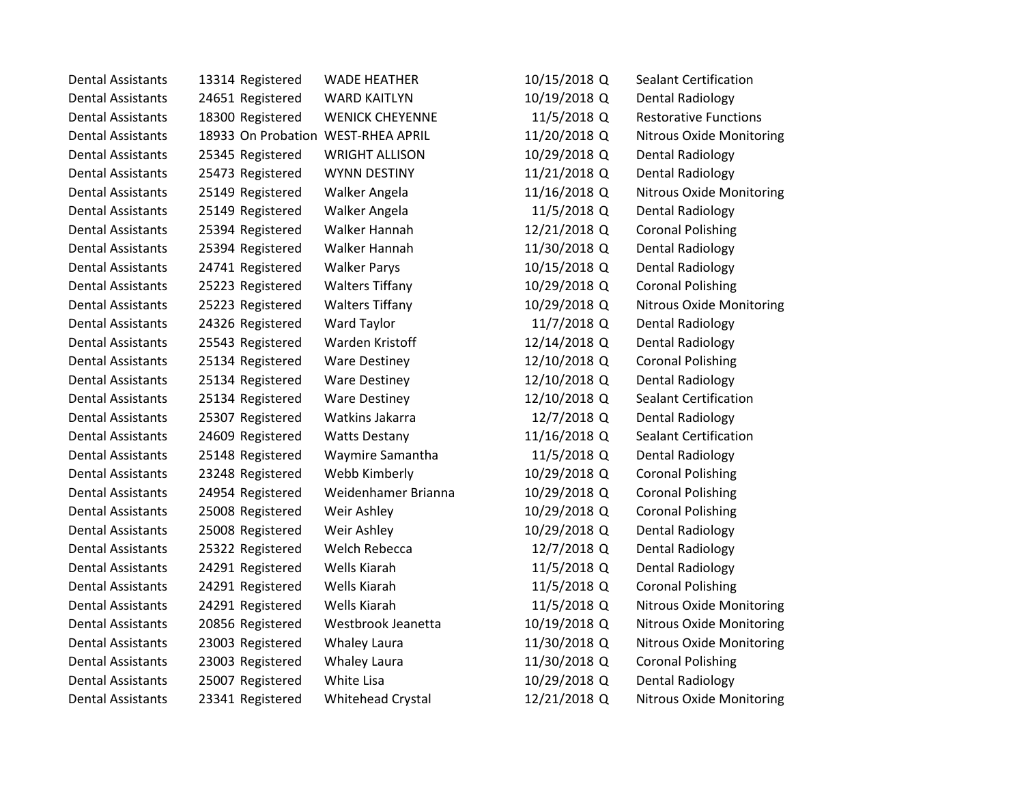| <b>Dental Assistants</b> | 13314 Registered                   | <b>WADE HEATHER</b>    | 10/15/2018 Q | <b>Sealant Certification</b>    |
|--------------------------|------------------------------------|------------------------|--------------|---------------------------------|
| <b>Dental Assistants</b> | 24651 Registered                   | <b>WARD KAITLYN</b>    | 10/19/2018 Q | <b>Dental Radiology</b>         |
| <b>Dental Assistants</b> | 18300 Registered                   | <b>WENICK CHEYENNE</b> | 11/5/2018 Q  | <b>Restorative Functions</b>    |
| <b>Dental Assistants</b> | 18933 On Probation WEST-RHEA APRIL |                        | 11/20/2018 Q | <b>Nitrous Oxide Monitoring</b> |
| <b>Dental Assistants</b> | 25345 Registered                   | <b>WRIGHT ALLISON</b>  | 10/29/2018 Q | <b>Dental Radiology</b>         |
| <b>Dental Assistants</b> | 25473 Registered                   | <b>WYNN DESTINY</b>    | 11/21/2018 Q | <b>Dental Radiology</b>         |
| <b>Dental Assistants</b> | 25149 Registered                   | Walker Angela          | 11/16/2018 Q | <b>Nitrous Oxide Monitoring</b> |
| <b>Dental Assistants</b> | 25149 Registered                   | Walker Angela          | 11/5/2018 Q  | <b>Dental Radiology</b>         |
| <b>Dental Assistants</b> | 25394 Registered                   | Walker Hannah          | 12/21/2018 Q | <b>Coronal Polishing</b>        |
| <b>Dental Assistants</b> | 25394 Registered                   | Walker Hannah          | 11/30/2018 Q | <b>Dental Radiology</b>         |
| <b>Dental Assistants</b> | 24741 Registered                   | <b>Walker Parys</b>    | 10/15/2018 Q | Dental Radiology                |
| <b>Dental Assistants</b> | 25223 Registered                   | <b>Walters Tiffany</b> | 10/29/2018 Q | <b>Coronal Polishing</b>        |
| <b>Dental Assistants</b> | 25223 Registered                   | <b>Walters Tiffany</b> | 10/29/2018 Q | <b>Nitrous Oxide Monitoring</b> |
| <b>Dental Assistants</b> | 24326 Registered                   | Ward Taylor            | 11/7/2018 Q  | <b>Dental Radiology</b>         |
| <b>Dental Assistants</b> | 25543 Registered                   | Warden Kristoff        | 12/14/2018 Q | Dental Radiology                |
| <b>Dental Assistants</b> | 25134 Registered                   | <b>Ware Destiney</b>   | 12/10/2018 Q | <b>Coronal Polishing</b>        |
| <b>Dental Assistants</b> | 25134 Registered                   | <b>Ware Destiney</b>   | 12/10/2018 Q | <b>Dental Radiology</b>         |
| <b>Dental Assistants</b> | 25134 Registered                   | <b>Ware Destiney</b>   | 12/10/2018 Q | <b>Sealant Certification</b>    |
| <b>Dental Assistants</b> | 25307 Registered                   | Watkins Jakarra        | 12/7/2018 Q  | <b>Dental Radiology</b>         |
| <b>Dental Assistants</b> | 24609 Registered                   | <b>Watts Destany</b>   | 11/16/2018 Q | <b>Sealant Certification</b>    |
| <b>Dental Assistants</b> | 25148 Registered                   | Waymire Samantha       | 11/5/2018 Q  | <b>Dental Radiology</b>         |
| <b>Dental Assistants</b> | 23248 Registered                   | Webb Kimberly          | 10/29/2018 Q | <b>Coronal Polishing</b>        |
| <b>Dental Assistants</b> | 24954 Registered                   | Weidenhamer Brianna    | 10/29/2018 Q | <b>Coronal Polishing</b>        |
| <b>Dental Assistants</b> | 25008 Registered                   | Weir Ashley            | 10/29/2018 Q | <b>Coronal Polishing</b>        |
| <b>Dental Assistants</b> | 25008 Registered                   | Weir Ashley            | 10/29/2018 Q | <b>Dental Radiology</b>         |
| <b>Dental Assistants</b> | 25322 Registered                   | <b>Welch Rebecca</b>   | 12/7/2018 Q  | <b>Dental Radiology</b>         |
| <b>Dental Assistants</b> | 24291 Registered                   | Wells Kiarah           | 11/5/2018 Q  | Dental Radiology                |
| <b>Dental Assistants</b> | 24291 Registered                   | Wells Kiarah           | 11/5/2018 Q  | <b>Coronal Polishing</b>        |
| <b>Dental Assistants</b> | 24291 Registered                   | Wells Kiarah           | 11/5/2018 Q  | Nitrous Oxide Monitoring        |
| <b>Dental Assistants</b> | 20856 Registered                   | Westbrook Jeanetta     | 10/19/2018 Q | <b>Nitrous Oxide Monitoring</b> |
| <b>Dental Assistants</b> | 23003 Registered                   | Whaley Laura           | 11/30/2018 Q | <b>Nitrous Oxide Monitoring</b> |
| <b>Dental Assistants</b> | 23003 Registered                   | Whaley Laura           | 11/30/2018 Q | <b>Coronal Polishing</b>        |
| <b>Dental Assistants</b> | 25007 Registered                   | White Lisa             | 10/29/2018 Q | <b>Dental Radiology</b>         |
| <b>Dental Assistants</b> | 23341 Registered                   | Whitehead Crystal      | 12/21/2018 Q | <b>Nitrous Oxide Monitoring</b> |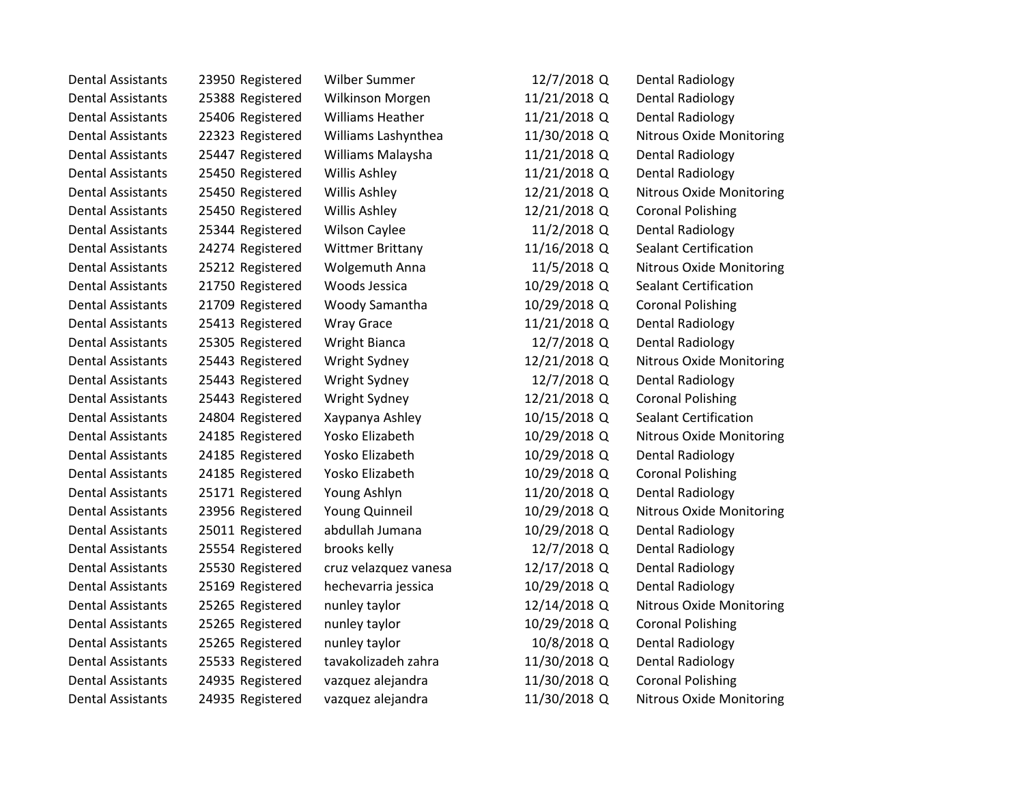| <b>Dental Assistants</b> | 23950 Registered | Wilber Summer           | 12/7/2018 Q  | <b>Dental Radiology</b>         |
|--------------------------|------------------|-------------------------|--------------|---------------------------------|
| <b>Dental Assistants</b> | 25388 Registered | Wilkinson Morgen        | 11/21/2018 Q | <b>Dental Radiology</b>         |
| <b>Dental Assistants</b> | 25406 Registered | <b>Williams Heather</b> | 11/21/2018 Q | <b>Dental Radiology</b>         |
| <b>Dental Assistants</b> | 22323 Registered | Williams Lashynthea     | 11/30/2018 Q | <b>Nitrous Oxide Monitoring</b> |
| <b>Dental Assistants</b> | 25447 Registered | Williams Malaysha       | 11/21/2018 Q | <b>Dental Radiology</b>         |
| <b>Dental Assistants</b> | 25450 Registered | Willis Ashley           | 11/21/2018 Q | <b>Dental Radiology</b>         |
| <b>Dental Assistants</b> | 25450 Registered | Willis Ashley           | 12/21/2018 Q | <b>Nitrous Oxide Monitoring</b> |
| <b>Dental Assistants</b> | 25450 Registered | Willis Ashley           | 12/21/2018 Q | <b>Coronal Polishing</b>        |
| <b>Dental Assistants</b> | 25344 Registered | <b>Wilson Caylee</b>    | 11/2/2018 Q  | <b>Dental Radiology</b>         |
| <b>Dental Assistants</b> | 24274 Registered | <b>Wittmer Brittany</b> | 11/16/2018 Q | Sealant Certification           |
| <b>Dental Assistants</b> | 25212 Registered | <b>Wolgemuth Anna</b>   | 11/5/2018 Q  | <b>Nitrous Oxide Monitoring</b> |
| <b>Dental Assistants</b> | 21750 Registered | Woods Jessica           | 10/29/2018 Q | <b>Sealant Certification</b>    |
| <b>Dental Assistants</b> | 21709 Registered | Woody Samantha          | 10/29/2018 Q | <b>Coronal Polishing</b>        |
| <b>Dental Assistants</b> | 25413 Registered | <b>Wray Grace</b>       | 11/21/2018 Q | Dental Radiology                |
| <b>Dental Assistants</b> | 25305 Registered | <b>Wright Bianca</b>    | 12/7/2018 Q  | <b>Dental Radiology</b>         |
| <b>Dental Assistants</b> | 25443 Registered | Wright Sydney           | 12/21/2018 Q | <b>Nitrous Oxide Monitoring</b> |
| <b>Dental Assistants</b> | 25443 Registered | Wright Sydney           | 12/7/2018 Q  | <b>Dental Radiology</b>         |
| <b>Dental Assistants</b> | 25443 Registered | Wright Sydney           | 12/21/2018 Q | <b>Coronal Polishing</b>        |
| <b>Dental Assistants</b> | 24804 Registered | Xaypanya Ashley         | 10/15/2018 Q | <b>Sealant Certification</b>    |
| <b>Dental Assistants</b> | 24185 Registered | Yosko Elizabeth         | 10/29/2018 Q | <b>Nitrous Oxide Monitoring</b> |
| <b>Dental Assistants</b> | 24185 Registered | Yosko Elizabeth         | 10/29/2018 Q | <b>Dental Radiology</b>         |
| <b>Dental Assistants</b> | 24185 Registered | Yosko Elizabeth         | 10/29/2018 Q | <b>Coronal Polishing</b>        |
| <b>Dental Assistants</b> | 25171 Registered | Young Ashlyn            | 11/20/2018 Q | Dental Radiology                |
| <b>Dental Assistants</b> | 23956 Registered | <b>Young Quinneil</b>   | 10/29/2018 Q | <b>Nitrous Oxide Monitoring</b> |
| <b>Dental Assistants</b> | 25011 Registered | abdullah Jumana         | 10/29/2018 Q | <b>Dental Radiology</b>         |
| <b>Dental Assistants</b> | 25554 Registered | brooks kelly            | 12/7/2018 Q  | Dental Radiology                |
| <b>Dental Assistants</b> | 25530 Registered | cruz velazquez vanesa   | 12/17/2018 Q | <b>Dental Radiology</b>         |
| <b>Dental Assistants</b> | 25169 Registered | hechevarria jessica     | 10/29/2018 Q | <b>Dental Radiology</b>         |
| <b>Dental Assistants</b> | 25265 Registered | nunley taylor           | 12/14/2018 Q | <b>Nitrous Oxide Monitoring</b> |
| <b>Dental Assistants</b> | 25265 Registered | nunley taylor           | 10/29/2018 Q | <b>Coronal Polishing</b>        |
| <b>Dental Assistants</b> | 25265 Registered | nunley taylor           | 10/8/2018 Q  | <b>Dental Radiology</b>         |
| <b>Dental Assistants</b> | 25533 Registered | tavakolizadeh zahra     | 11/30/2018 Q | Dental Radiology                |
| <b>Dental Assistants</b> | 24935 Registered | vazquez alejandra       | 11/30/2018 Q | <b>Coronal Polishing</b>        |
| <b>Dental Assistants</b> | 24935 Registered | vazquez alejandra       | 11/30/2018 Q | <b>Nitrous Oxide Monitoring</b> |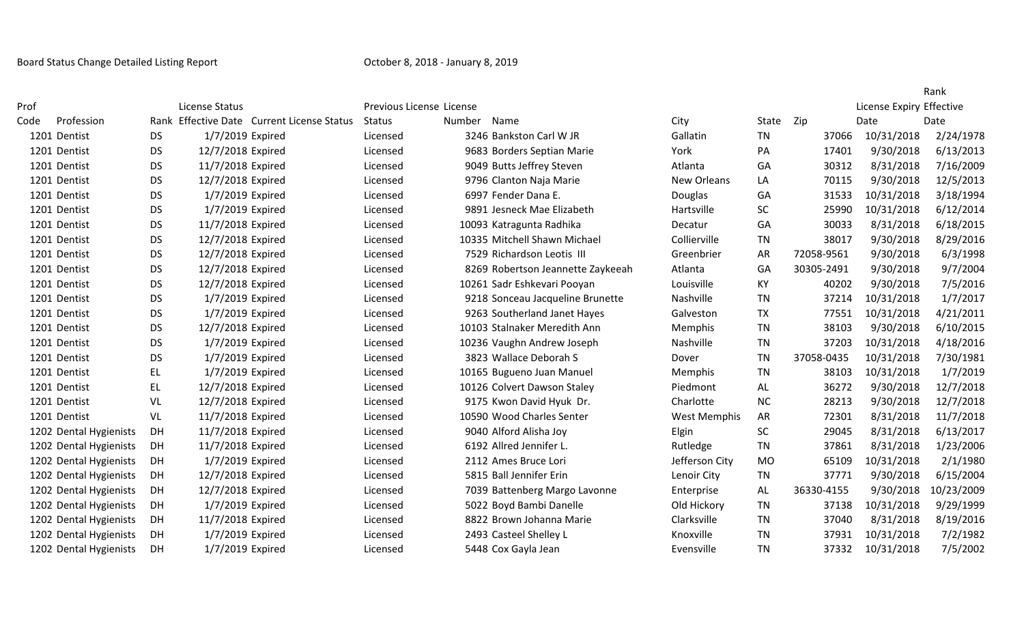|      |                        |           |                                            |               |                                   |                     |           |            |            | Rank                     |  |
|------|------------------------|-----------|--------------------------------------------|---------------|-----------------------------------|---------------------|-----------|------------|------------|--------------------------|--|
| Prof |                        |           | License Status                             |               | Previous License License          |                     |           |            |            | License Expiry Effective |  |
| Code | Profession             |           | Rank Effective Date Current License Status | <b>Status</b> | Number<br>Name                    | City                | State     | Zip        | Date       | Date                     |  |
|      | 1201 Dentist           | <b>DS</b> | 1/7/2019 Expired                           | Licensed      | 3246 Bankston Carl W JR           | Gallatin            | <b>TN</b> | 37066      | 10/31/2018 | 2/24/1978                |  |
|      | 1201 Dentist           | <b>DS</b> | 12/7/2018 Expired                          | Licensed      | 9683 Borders Septian Marie        | York                | PA        | 17401      | 9/30/2018  | 6/13/2013                |  |
|      | 1201 Dentist           | <b>DS</b> | 11/7/2018 Expired                          | Licensed      | 9049 Butts Jeffrey Steven         | Atlanta             | GA        | 30312      | 8/31/2018  | 7/16/2009                |  |
|      | 1201 Dentist           | <b>DS</b> | 12/7/2018 Expired                          | Licensed      | 9796 Clanton Naja Marie           | New Orleans         | LA        | 70115      | 9/30/2018  | 12/5/2013                |  |
|      | 1201 Dentist           | DS        | 1/7/2019 Expired                           | Licensed      | 6997 Fender Dana E.               | Douglas             | GA        | 31533      | 10/31/2018 | 3/18/1994                |  |
|      | 1201 Dentist           | <b>DS</b> | 1/7/2019 Expired                           | Licensed      | 9891 Jesneck Mae Elizabeth        | Hartsville          | SC        | 25990      | 10/31/2018 | 6/12/2014                |  |
|      | 1201 Dentist           | <b>DS</b> | 11/7/2018 Expired                          | Licensed      | 10093 Katragunta Radhika          | Decatur             | GA        | 30033      | 8/31/2018  | 6/18/2015                |  |
|      | 1201 Dentist           | <b>DS</b> | 12/7/2018 Expired                          | Licensed      | 10335 Mitchell Shawn Michael      | Collierville        | <b>TN</b> | 38017      | 9/30/2018  | 8/29/2016                |  |
|      | 1201 Dentist           | <b>DS</b> | 12/7/2018 Expired                          | Licensed      | 7529 Richardson Leotis III        | Greenbrier          | <b>AR</b> | 72058-9561 | 9/30/2018  | 6/3/1998                 |  |
|      | 1201 Dentist           | <b>DS</b> | 12/7/2018 Expired                          | Licensed      | 8269 Robertson Jeannette Zaykeeah | Atlanta             | GA        | 30305-2491 | 9/30/2018  | 9/7/2004                 |  |
|      | 1201 Dentist           | <b>DS</b> | 12/7/2018 Expired                          | Licensed      | 10261 Sadr Eshkevari Pooyan       | Louisville          | KY        | 40202      | 9/30/2018  | 7/5/2016                 |  |
|      | 1201 Dentist           | DS        | 1/7/2019 Expired                           | Licensed      | 9218 Sonceau Jacqueline Brunette  | Nashville           | TN        | 37214      | 10/31/2018 | 1/7/2017                 |  |
|      | 1201 Dentist           | <b>DS</b> | 1/7/2019 Expired                           | Licensed      | 9263 Southerland Janet Hayes      | Galveston           | <b>TX</b> | 77551      | 10/31/2018 | 4/21/2011                |  |
|      | 1201 Dentist           | <b>DS</b> | 12/7/2018 Expired                          | Licensed      | 10103 Stalnaker Meredith Ann      | <b>Memphis</b>      | <b>TN</b> | 38103      | 9/30/2018  | 6/10/2015                |  |
|      | 1201 Dentist           | <b>DS</b> | 1/7/2019 Expired                           | Licensed      | 10236 Vaughn Andrew Joseph        | Nashville           | TN        | 37203      | 10/31/2018 | 4/18/2016                |  |
|      | 1201 Dentist           | <b>DS</b> | 1/7/2019 Expired                           | Licensed      | 3823 Wallace Deborah S            | Dover               | <b>TN</b> | 37058-0435 | 10/31/2018 | 7/30/1981                |  |
|      | 1201 Dentist           | EL        | 1/7/2019 Expired                           | Licensed      | 10165 Bugueno Juan Manuel         | Memphis             | <b>TN</b> | 38103      | 10/31/2018 | 1/7/2019                 |  |
|      | 1201 Dentist           | EL        | 12/7/2018 Expired                          | Licensed      | 10126 Colvert Dawson Staley       | Piedmont            | AL        | 36272      | 9/30/2018  | 12/7/2018                |  |
|      | 1201 Dentist           | VL        | 12/7/2018 Expired                          | Licensed      | 9175 Kwon David Hyuk Dr.          | Charlotte           | <b>NC</b> | 28213      | 9/30/2018  | 12/7/2018                |  |
|      | 1201 Dentist           | VL        | 11/7/2018 Expired                          | Licensed      | 10590 Wood Charles Senter         | <b>West Memphis</b> | AR        | 72301      | 8/31/2018  | 11/7/2018                |  |
|      | 1202 Dental Hygienists | DH        | 11/7/2018 Expired                          | Licensed      | 9040 Alford Alisha Joy            | Elgin               | <b>SC</b> | 29045      | 8/31/2018  | 6/13/2017                |  |
|      | 1202 Dental Hygienists | DH        | 11/7/2018 Expired                          | Licensed      | 6192 Allred Jennifer L.           | Rutledge            | <b>TN</b> | 37861      | 8/31/2018  | 1/23/2006                |  |
|      | 1202 Dental Hygienists | DH        | 1/7/2019 Expired                           | Licensed      | 2112 Ames Bruce Lori              | Jefferson City      | <b>MO</b> | 65109      | 10/31/2018 | 2/1/1980                 |  |
|      | 1202 Dental Hygienists | DH        | 12/7/2018 Expired                          | Licensed      | 5815 Ball Jennifer Erin           | Lenoir City         | <b>TN</b> | 37771      | 9/30/2018  | 6/15/2004                |  |
|      | 1202 Dental Hygienists | DH        | 12/7/2018 Expired                          | Licensed      | 7039 Battenberg Margo Lavonne     | Enterprise          | <b>AL</b> | 36330-4155 | 9/30/2018  | 10/23/2009               |  |
|      | 1202 Dental Hygienists | DH        | 1/7/2019 Expired                           | Licensed      | 5022 Boyd Bambi Danelle           | Old Hickory         | <b>TN</b> | 37138      | 10/31/2018 | 9/29/1999                |  |
|      | 1202 Dental Hygienists | DH        | 11/7/2018 Expired                          | Licensed      | 8822 Brown Johanna Marie          | Clarksville         | <b>TN</b> | 37040      | 8/31/2018  | 8/19/2016                |  |
|      | 1202 Dental Hygienists | DH.       | 1/7/2019 Expired                           | Licensed      | 2493 Casteel Shelley L            | Knoxville           | TN        | 37931      | 10/31/2018 | 7/2/1982                 |  |
|      | 1202 Dental Hygienists | DH        | 1/7/2019 Expired                           | Licensed      | 5448 Cox Gayla Jean               | Evensville          | <b>TN</b> | 37332      | 10/31/2018 | 7/5/2002                 |  |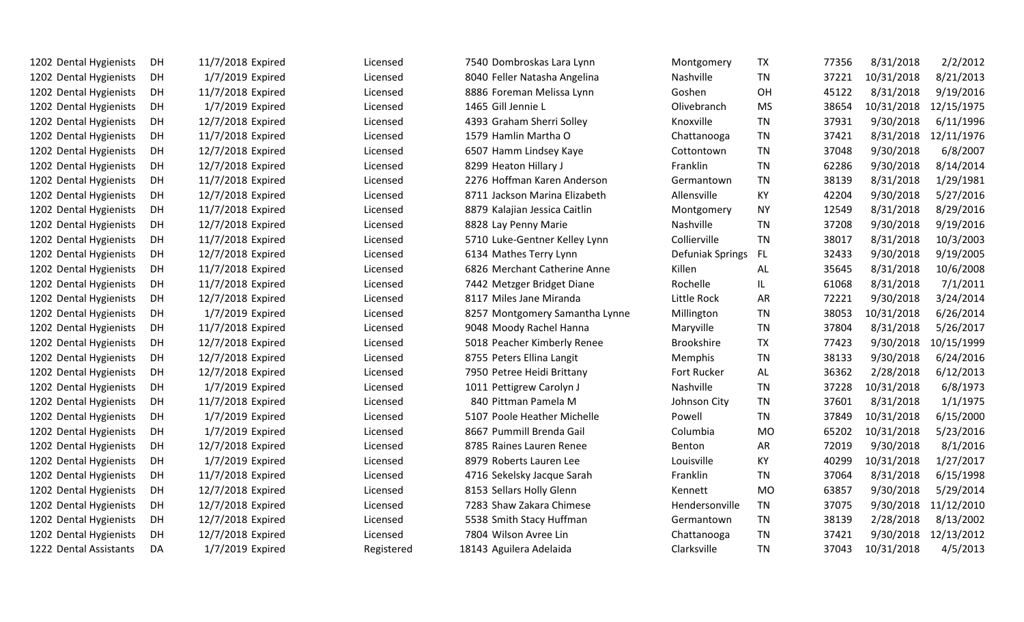| 1202 Dental Hygienists | DH        | 11/7/2018 Expired | Licensed   | 7540 Dombroskas Lara Lynn      | Montgomery        | TX        | 77356 | 8/31/2018  | 2/2/2012   |
|------------------------|-----------|-------------------|------------|--------------------------------|-------------------|-----------|-------|------------|------------|
| 1202 Dental Hygienists | DH        | 1/7/2019 Expired  | Licensed   | 8040 Feller Natasha Angelina   | Nashville         | <b>TN</b> | 37221 | 10/31/2018 | 8/21/2013  |
| 1202 Dental Hygienists | <b>DH</b> | 11/7/2018 Expired | Licensed   | 8886 Foreman Melissa Lynn      | Goshen            | OH        | 45122 | 8/31/2018  | 9/19/2016  |
| 1202 Dental Hygienists | DH        | 1/7/2019 Expired  | Licensed   | 1465 Gill Jennie L             | Olivebranch       | <b>MS</b> | 38654 | 10/31/2018 | 12/15/1975 |
| 1202 Dental Hygienists | DH        | 12/7/2018 Expired | Licensed   | 4393 Graham Sherri Solley      | Knoxville         | <b>TN</b> | 37931 | 9/30/2018  | 6/11/1996  |
| 1202 Dental Hygienists | DH        | 11/7/2018 Expired | Licensed   | 1579 Hamlin Martha O           | Chattanooga       | <b>TN</b> | 37421 | 8/31/2018  | 12/11/1976 |
| 1202 Dental Hygienists | <b>DH</b> | 12/7/2018 Expired | Licensed   | 6507 Hamm Lindsey Kaye         | Cottontown        | <b>TN</b> | 37048 | 9/30/2018  | 6/8/2007   |
| 1202 Dental Hygienists | DH        | 12/7/2018 Expired | Licensed   | 8299 Heaton Hillary J          | Franklin          | <b>TN</b> | 62286 | 9/30/2018  | 8/14/2014  |
| 1202 Dental Hygienists | <b>DH</b> | 11/7/2018 Expired | Licensed   | 2276 Hoffman Karen Anderson    | Germantown        | <b>TN</b> | 38139 | 8/31/2018  | 1/29/1981  |
| 1202 Dental Hygienists | <b>DH</b> | 12/7/2018 Expired | Licensed   | 8711 Jackson Marina Elizabeth  | Allensville       | KY        | 42204 | 9/30/2018  | 5/27/2016  |
| 1202 Dental Hygienists | DH        | 11/7/2018 Expired | Licensed   | 8879 Kalajian Jessica Caitlin  | Montgomery        | <b>NY</b> | 12549 | 8/31/2018  | 8/29/2016  |
| 1202 Dental Hygienists | DH        | 12/7/2018 Expired | Licensed   | 8828 Lay Penny Marie           | Nashville         | <b>TN</b> | 37208 | 9/30/2018  | 9/19/2016  |
| 1202 Dental Hygienists | <b>DH</b> | 11/7/2018 Expired | Licensed   | 5710 Luke-Gentner Kelley Lynn  | Collierville      | <b>TN</b> | 38017 | 8/31/2018  | 10/3/2003  |
| 1202 Dental Hygienists | DH        | 12/7/2018 Expired | Licensed   | 6134 Mathes Terry Lynn         | Defuniak Springs  | FL.       | 32433 | 9/30/2018  | 9/19/2005  |
| 1202 Dental Hygienists | DH        | 11/7/2018 Expired | Licensed   | 6826 Merchant Catherine Anne   | Killen            | AL        | 35645 | 8/31/2018  | 10/6/2008  |
| 1202 Dental Hygienists | DH        | 11/7/2018 Expired | Licensed   | 7442 Metzger Bridget Diane     | Rochelle          | IL        | 61068 | 8/31/2018  | 7/1/2011   |
| 1202 Dental Hygienists | DH        | 12/7/2018 Expired | Licensed   | 8117 Miles Jane Miranda        | Little Rock       | AR        | 72221 | 9/30/2018  | 3/24/2014  |
| 1202 Dental Hygienists | DH        | 1/7/2019 Expired  | Licensed   | 8257 Montgomery Samantha Lynne | Millington        | <b>TN</b> | 38053 | 10/31/2018 | 6/26/2014  |
| 1202 Dental Hygienists | DH        | 11/7/2018 Expired | Licensed   | 9048 Moody Rachel Hanna        | Maryville         | <b>TN</b> | 37804 | 8/31/2018  | 5/26/2017  |
| 1202 Dental Hygienists | <b>DH</b> | 12/7/2018 Expired | Licensed   | 5018 Peacher Kimberly Renee    | <b>Brookshire</b> | <b>TX</b> | 77423 | 9/30/2018  | 10/15/1999 |
| 1202 Dental Hygienists | <b>DH</b> | 12/7/2018 Expired | Licensed   | 8755 Peters Ellina Langit      | Memphis           | <b>TN</b> | 38133 | 9/30/2018  | 6/24/2016  |
| 1202 Dental Hygienists | <b>DH</b> | 12/7/2018 Expired | Licensed   | 7950 Petree Heidi Brittany     | Fort Rucker       | AL        | 36362 | 2/28/2018  | 6/12/2013  |
| 1202 Dental Hygienists | DH        | 1/7/2019 Expired  | Licensed   | 1011 Pettigrew Carolyn J       | Nashville         | <b>TN</b> | 37228 | 10/31/2018 | 6/8/1973   |
| 1202 Dental Hygienists | <b>DH</b> | 11/7/2018 Expired | Licensed   | 840 Pittman Pamela M           | Johnson City      | <b>TN</b> | 37601 | 8/31/2018  | 1/1/1975   |
| 1202 Dental Hygienists | <b>DH</b> | 1/7/2019 Expired  | Licensed   | 5107 Poole Heather Michelle    | Powell            | <b>TN</b> | 37849 | 10/31/2018 | 6/15/2000  |
| 1202 Dental Hygienists | <b>DH</b> | 1/7/2019 Expired  | Licensed   | 8667 Pummill Brenda Gail       | Columbia          | <b>MO</b> | 65202 | 10/31/2018 | 5/23/2016  |
| 1202 Dental Hygienists | <b>DH</b> | 12/7/2018 Expired | Licensed   | 8785 Raines Lauren Renee       | Benton            | AR        | 72019 | 9/30/2018  | 8/1/2016   |
| 1202 Dental Hygienists | <b>DH</b> | 1/7/2019 Expired  | Licensed   | 8979 Roberts Lauren Lee        | Louisville        | KY        | 40299 | 10/31/2018 | 1/27/2017  |
| 1202 Dental Hygienists | DH        | 11/7/2018 Expired | Licensed   | 4716 Sekelsky Jacque Sarah     | Franklin          | <b>TN</b> | 37064 | 8/31/2018  | 6/15/1998  |
| 1202 Dental Hygienists | DH        | 12/7/2018 Expired | Licensed   | 8153 Sellars Holly Glenn       | Kennett           | <b>MO</b> | 63857 | 9/30/2018  | 5/29/2014  |
| 1202 Dental Hygienists | DH        | 12/7/2018 Expired | Licensed   | 7283 Shaw Zakara Chimese       | Hendersonville    | <b>TN</b> | 37075 | 9/30/2018  | 11/12/2010 |
| 1202 Dental Hygienists | <b>DH</b> | 12/7/2018 Expired | Licensed   | 5538 Smith Stacy Huffman       | Germantown        | <b>TN</b> | 38139 | 2/28/2018  | 8/13/2002  |
| 1202 Dental Hygienists | DH        | 12/7/2018 Expired | Licensed   | 7804 Wilson Avree Lin          | Chattanooga       | <b>TN</b> | 37421 | 9/30/2018  | 12/13/2012 |
| 1222 Dental Assistants | DA        | 1/7/2019 Expired  | Registered | 18143 Aguilera Adelaida        | Clarksville       | <b>TN</b> | 37043 | 10/31/2018 | 4/5/2013   |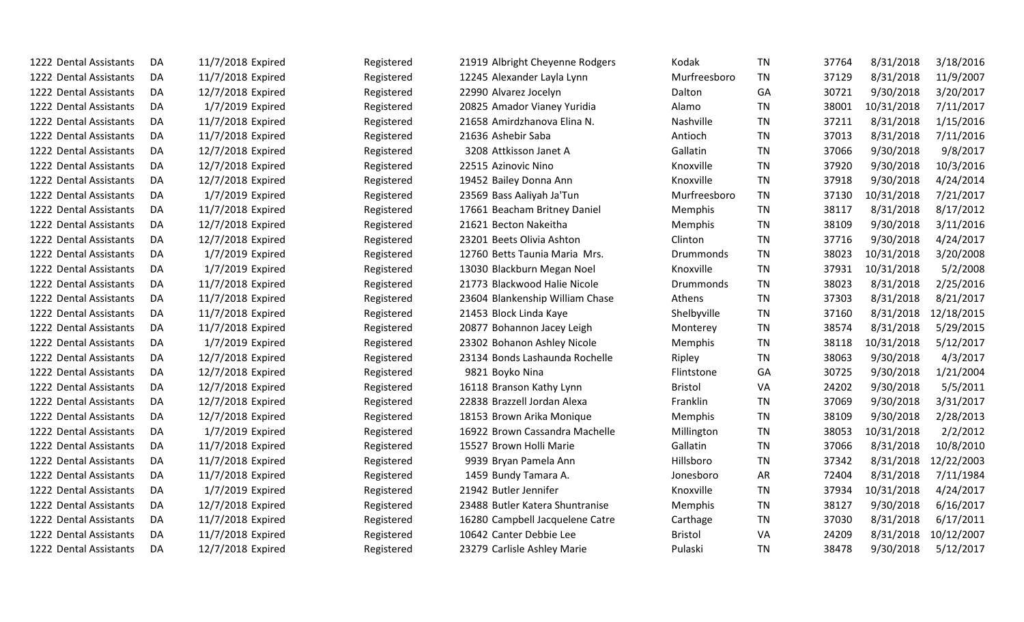| 1222 Dental Assistants | DA  | 11/7/2018 Expired | Registered | 21919 Albright Cheyenne Rodgers | Kodak          | ΤN        | 37764 | 8/31/2018  | 3/18/2016  |
|------------------------|-----|-------------------|------------|---------------------------------|----------------|-----------|-------|------------|------------|
| 1222 Dental Assistants | DA. | 11/7/2018 Expired | Registered | 12245 Alexander Layla Lynn      | Murfreesboro   | <b>TN</b> | 37129 | 8/31/2018  | 11/9/2007  |
| 1222 Dental Assistants | DA. | 12/7/2018 Expired | Registered | 22990 Alvarez Jocelyn           | Dalton         | GA        | 30721 | 9/30/2018  | 3/20/2017  |
| 1222 Dental Assistants | DA  | 1/7/2019 Expired  | Registered | 20825 Amador Vianey Yuridia     | Alamo          | <b>TN</b> | 38001 | 10/31/2018 | 7/11/2017  |
| 1222 Dental Assistants | DA  | 11/7/2018 Expired | Registered | 21658 Amirdzhanova Elina N.     | Nashville      | <b>TN</b> | 37211 | 8/31/2018  | 1/15/2016  |
| 1222 Dental Assistants | DA  | 11/7/2018 Expired | Registered | 21636 Ashebir Saba              | Antioch        | TN        | 37013 | 8/31/2018  | 7/11/2016  |
| 1222 Dental Assistants | DA. | 12/7/2018 Expired | Registered | 3208 Attkisson Janet A          | Gallatin       | <b>TN</b> | 37066 | 9/30/2018  | 9/8/2017   |
| 1222 Dental Assistants | DA. | 12/7/2018 Expired | Registered | 22515 Azinovic Nino             | Knoxville      | <b>TN</b> | 37920 | 9/30/2018  | 10/3/2016  |
| 1222 Dental Assistants | DA  | 12/7/2018 Expired | Registered | 19452 Bailey Donna Ann          | Knoxville      | <b>TN</b> | 37918 | 9/30/2018  | 4/24/2014  |
| 1222 Dental Assistants | DA  | 1/7/2019 Expired  | Registered | 23569 Bass Aaliyah Ja'Tun       | Murfreesboro   | TN        | 37130 | 10/31/2018 | 7/21/2017  |
| 1222 Dental Assistants | DA. | 11/7/2018 Expired | Registered | 17661 Beacham Britney Daniel    | Memphis        | <b>TN</b> | 38117 | 8/31/2018  | 8/17/2012  |
| 1222 Dental Assistants | DA. | 12/7/2018 Expired | Registered | 21621 Becton Nakeitha           | Memphis        | <b>TN</b> | 38109 | 9/30/2018  | 3/11/2016  |
| 1222 Dental Assistants | DA  | 12/7/2018 Expired | Registered | 23201 Beets Olivia Ashton       | Clinton        | <b>TN</b> | 37716 | 9/30/2018  | 4/24/2017  |
| 1222 Dental Assistants | DA  | 1/7/2019 Expired  | Registered | 12760 Betts Taunia Maria Mrs.   | Drummonds      | <b>TN</b> | 38023 | 10/31/2018 | 3/20/2008  |
| 1222 Dental Assistants | DA  | 1/7/2019 Expired  | Registered | 13030 Blackburn Megan Noel      | Knoxville      | <b>TN</b> | 37931 | 10/31/2018 | 5/2/2008   |
| 1222 Dental Assistants | DA  | 11/7/2018 Expired | Registered | 21773 Blackwood Halie Nicole    | Drummonds      | <b>TN</b> | 38023 | 8/31/2018  | 2/25/2016  |
| 1222 Dental Assistants | DA  | 11/7/2018 Expired | Registered | 23604 Blankenship William Chase | Athens         | <b>TN</b> | 37303 | 8/31/2018  | 8/21/2017  |
| 1222 Dental Assistants | DA. | 11/7/2018 Expired | Registered | 21453 Block Linda Kaye          | Shelbyville    | <b>TN</b> | 37160 | 8/31/2018  | 12/18/2015 |
| 1222 Dental Assistants | DA  | 11/7/2018 Expired | Registered | 20877 Bohannon Jacey Leigh      | Monterey       | <b>TN</b> | 38574 | 8/31/2018  | 5/29/2015  |
| 1222 Dental Assistants | DA  | 1/7/2019 Expired  | Registered | 23302 Bohanon Ashley Nicole     | Memphis        | <b>TN</b> | 38118 | 10/31/2018 | 5/12/2017  |
| 1222 Dental Assistants | DA  | 12/7/2018 Expired | Registered | 23134 Bonds Lashaunda Rochelle  | Ripley         | TN        | 38063 | 9/30/2018  | 4/3/2017   |
| 1222 Dental Assistants | DA  | 12/7/2018 Expired | Registered | 9821 Boyko Nina                 | Flintstone     | GA        | 30725 | 9/30/2018  | 1/21/2004  |
| 1222 Dental Assistants | DA  | 12/7/2018 Expired | Registered | 16118 Branson Kathy Lynn        | <b>Bristol</b> | VA        | 24202 | 9/30/2018  | 5/5/2011   |
| 1222 Dental Assistants | DA  | 12/7/2018 Expired | Registered | 22838 Brazzell Jordan Alexa     | Franklin       | <b>TN</b> | 37069 | 9/30/2018  | 3/31/2017  |
| 1222 Dental Assistants | DA  | 12/7/2018 Expired | Registered | 18153 Brown Arika Monique       | Memphis        | TN        | 38109 | 9/30/2018  | 2/28/2013  |
| 1222 Dental Assistants | DA  | 1/7/2019 Expired  | Registered | 16922 Brown Cassandra Machelle  | Millington     | TN        | 38053 | 10/31/2018 | 2/2/2012   |
| 1222 Dental Assistants | DA  | 11/7/2018 Expired | Registered | 15527 Brown Holli Marie         | Gallatin       | <b>TN</b> | 37066 | 8/31/2018  | 10/8/2010  |
| 1222 Dental Assistants | DA  | 11/7/2018 Expired | Registered | 9939 Bryan Pamela Ann           | Hillsboro      | <b>TN</b> | 37342 | 8/31/2018  | 12/22/2003 |
| 1222 Dental Assistants | DA  | 11/7/2018 Expired | Registered | 1459 Bundy Tamara A.            | Jonesboro      | AR        | 72404 | 8/31/2018  | 7/11/1984  |
| 1222 Dental Assistants | DA  | 1/7/2019 Expired  | Registered | 21942 Butler Jennifer           | Knoxville      | TN        | 37934 | 10/31/2018 | 4/24/2017  |
| 1222 Dental Assistants | DA. | 12/7/2018 Expired | Registered | 23488 Butler Katera Shuntranise | Memphis        | <b>TN</b> | 38127 | 9/30/2018  | 6/16/2017  |
| 1222 Dental Assistants | DA  | 11/7/2018 Expired | Registered | 16280 Campbell Jacquelene Catre | Carthage       | TN        | 37030 | 8/31/2018  | 6/17/2011  |
| 1222 Dental Assistants | DA  | 11/7/2018 Expired | Registered | 10642 Canter Debbie Lee         | <b>Bristol</b> | VA        | 24209 | 8/31/2018  | 10/12/2007 |
| 1222 Dental Assistants | DA  | 12/7/2018 Expired | Registered | 23279 Carlisle Ashley Marie     | Pulaski        | <b>TN</b> | 38478 | 9/30/2018  | 5/12/2017  |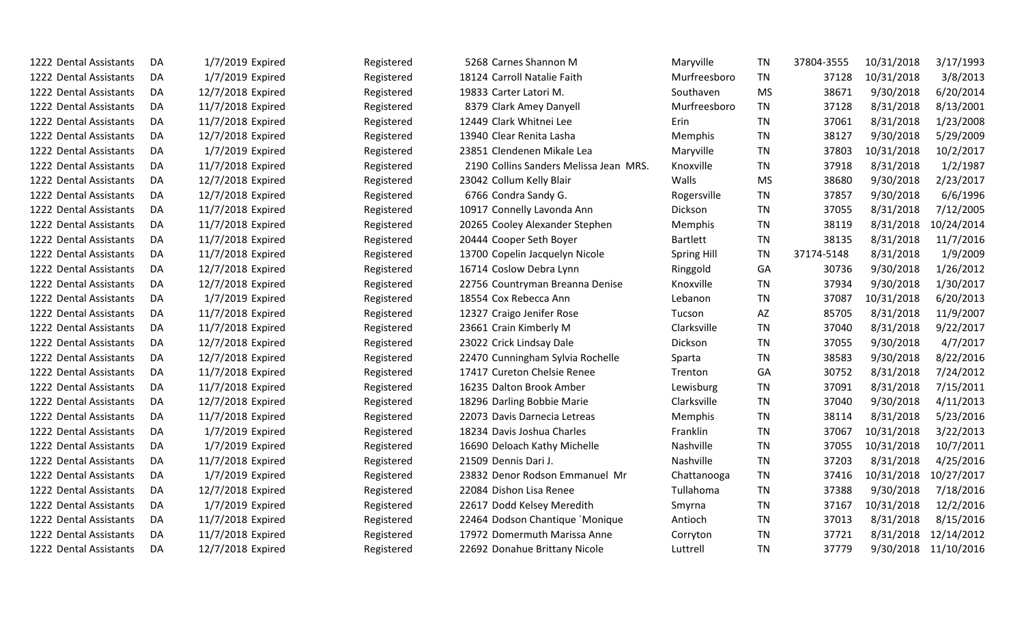| 1222 Dental Assistants | DA  | 1/7/2019 Expired  | Registered | 5268 Carnes Shannon M                  | Maryville          | <b>TN</b> | 37804-3555 | 10/31/2018 | 3/17/1993            |
|------------------------|-----|-------------------|------------|----------------------------------------|--------------------|-----------|------------|------------|----------------------|
| 1222 Dental Assistants | DA  | 1/7/2019 Expired  | Registered | 18124 Carroll Natalie Faith            | Murfreesboro       | <b>TN</b> | 37128      | 10/31/2018 | 3/8/2013             |
| 1222 Dental Assistants | DA. | 12/7/2018 Expired | Registered | 19833 Carter Latori M.                 | Southaven          | <b>MS</b> | 38671      | 9/30/2018  | 6/20/2014            |
| 1222 Dental Assistants | DA  | 11/7/2018 Expired | Registered | 8379 Clark Amey Danyell                | Murfreesboro       | <b>TN</b> | 37128      | 8/31/2018  | 8/13/2001            |
| 1222 Dental Assistants | DA  | 11/7/2018 Expired | Registered | 12449 Clark Whitnei Lee                | Erin               | <b>TN</b> | 37061      | 8/31/2018  | 1/23/2008            |
| 1222 Dental Assistants | DA  | 12/7/2018 Expired | Registered | 13940 Clear Renita Lasha               | Memphis            | <b>TN</b> | 38127      | 9/30/2018  | 5/29/2009            |
| 1222 Dental Assistants | DA  | 1/7/2019 Expired  | Registered | 23851 Clendenen Mikale Lea             | Maryville          | TN        | 37803      | 10/31/2018 | 10/2/2017            |
| 1222 Dental Assistants | DA  | 11/7/2018 Expired | Registered | 2190 Collins Sanders Melissa Jean MRS. | Knoxville          | TN        | 37918      | 8/31/2018  | 1/2/1987             |
| 1222 Dental Assistants | DA  | 12/7/2018 Expired | Registered | 23042 Collum Kelly Blair               | Walls              | <b>MS</b> | 38680      | 9/30/2018  | 2/23/2017            |
| 1222 Dental Assistants | DA  | 12/7/2018 Expired | Registered | 6766 Condra Sandy G.                   | Rogersville        | TN        | 37857      | 9/30/2018  | 6/6/1996             |
| 1222 Dental Assistants | DA  | 11/7/2018 Expired | Registered | 10917 Connelly Lavonda Ann             | Dickson            | <b>TN</b> | 37055      | 8/31/2018  | 7/12/2005            |
| 1222 Dental Assistants | DA  | 11/7/2018 Expired | Registered | 20265 Cooley Alexander Stephen         | Memphis            | TN        | 38119      | 8/31/2018  | 10/24/2014           |
| 1222 Dental Assistants | DA  | 11/7/2018 Expired | Registered | 20444 Cooper Seth Boyer                | <b>Bartlett</b>    | <b>TN</b> | 38135      | 8/31/2018  | 11/7/2016            |
| 1222 Dental Assistants | DA  | 11/7/2018 Expired | Registered | 13700 Copelin Jacquelyn Nicole         | <b>Spring Hill</b> | <b>TN</b> | 37174-5148 | 8/31/2018  | 1/9/2009             |
| 1222 Dental Assistants | DA  | 12/7/2018 Expired | Registered | 16714 Coslow Debra Lynn                | Ringgold           | GA        | 30736      | 9/30/2018  | 1/26/2012            |
| 1222 Dental Assistants | DA  | 12/7/2018 Expired | Registered | 22756 Countryman Breanna Denise        | Knoxville          | <b>TN</b> | 37934      | 9/30/2018  | 1/30/2017            |
| 1222 Dental Assistants | DA  | 1/7/2019 Expired  | Registered | 18554 Cox Rebecca Ann                  | Lebanon            | TN        | 37087      | 10/31/2018 | 6/20/2013            |
| 1222 Dental Assistants | DA. | 11/7/2018 Expired | Registered | 12327 Craigo Jenifer Rose              | Tucson             | AZ        | 85705      | 8/31/2018  | 11/9/2007            |
| 1222 Dental Assistants | DA  | 11/7/2018 Expired | Registered | 23661 Crain Kimberly M                 | Clarksville        | <b>TN</b> | 37040      | 8/31/2018  | 9/22/2017            |
| 1222 Dental Assistants | DA  | 12/7/2018 Expired | Registered | 23022 Crick Lindsay Dale               | Dickson            | <b>TN</b> | 37055      | 9/30/2018  | 4/7/2017             |
| 1222 Dental Assistants | DA  | 12/7/2018 Expired | Registered | 22470 Cunningham Sylvia Rochelle       | Sparta             | TN        | 38583      | 9/30/2018  | 8/22/2016            |
| 1222 Dental Assistants | DA  | 11/7/2018 Expired | Registered | 17417 Cureton Chelsie Renee            | Trenton            | GA        | 30752      | 8/31/2018  | 7/24/2012            |
| 1222 Dental Assistants | DA  | 11/7/2018 Expired | Registered | 16235 Dalton Brook Amber               | Lewisburg          | <b>TN</b> | 37091      | 8/31/2018  | 7/15/2011            |
| 1222 Dental Assistants | DA  | 12/7/2018 Expired | Registered | 18296 Darling Bobbie Marie             | Clarksville        | <b>TN</b> | 37040      | 9/30/2018  | 4/11/2013            |
| 1222 Dental Assistants | DA  | 11/7/2018 Expired | Registered | 22073 Davis Darnecia Letreas           | Memphis            | <b>TN</b> | 38114      | 8/31/2018  | 5/23/2016            |
| 1222 Dental Assistants | DA  | 1/7/2019 Expired  | Registered | 18234 Davis Joshua Charles             | Franklin           | <b>TN</b> | 37067      | 10/31/2018 | 3/22/2013            |
| 1222 Dental Assistants | DA  | 1/7/2019 Expired  | Registered | 16690 Deloach Kathy Michelle           | Nashville          | TN        | 37055      | 10/31/2018 | 10/7/2011            |
| 1222 Dental Assistants | DA  | 11/7/2018 Expired | Registered | 21509 Dennis Dari J.                   | Nashville          | <b>TN</b> | 37203      | 8/31/2018  | 4/25/2016            |
| 1222 Dental Assistants | DA  | 1/7/2019 Expired  | Registered | 23832 Denor Rodson Emmanuel Mr         | Chattanooga        | TN        | 37416      | 10/31/2018 | 10/27/2017           |
| 1222 Dental Assistants | DA  | 12/7/2018 Expired | Registered | 22084 Dishon Lisa Renee                | Tullahoma          | TN        | 37388      | 9/30/2018  | 7/18/2016            |
| 1222 Dental Assistants | DA  | 1/7/2019 Expired  | Registered | 22617 Dodd Kelsey Meredith             | Smyrna             | TN        | 37167      | 10/31/2018 | 12/2/2016            |
| 1222 Dental Assistants | DA  | 11/7/2018 Expired | Registered | 22464 Dodson Chantique `Monique        | Antioch            | ΤN        | 37013      | 8/31/2018  | 8/15/2016            |
| 1222 Dental Assistants | DA  | 11/7/2018 Expired | Registered | 17972 Domermuth Marissa Anne           | Corryton           | TN        | 37721      | 8/31/2018  | 12/14/2012           |
| 1222 Dental Assistants | DA  | 12/7/2018 Expired | Registered | 22692 Donahue Brittany Nicole          | Luttrell           | <b>TN</b> | 37779      |            | 9/30/2018 11/10/2016 |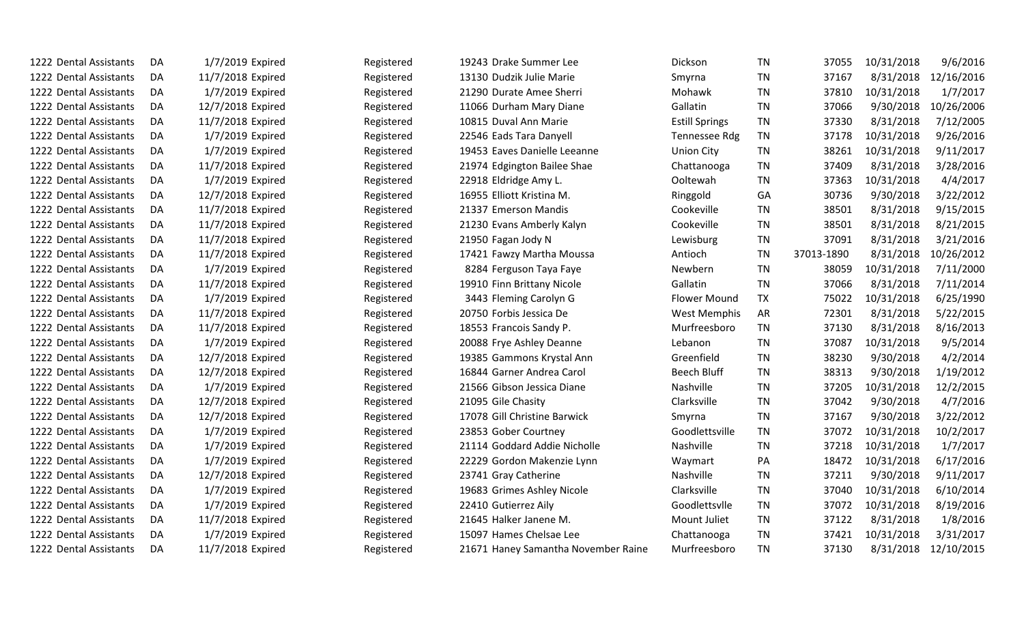| 1222 Dental Assistants | DA  | 1/7/2019 Expired  | Registered | 19243 Drake Summer Lee              | Dickson               | TN        | 37055      | 10/31/2018 | 9/6/2016   |
|------------------------|-----|-------------------|------------|-------------------------------------|-----------------------|-----------|------------|------------|------------|
| 1222 Dental Assistants | DA  | 11/7/2018 Expired | Registered | 13130 Dudzik Julie Marie            | Smyrna                | TN        | 37167      | 8/31/2018  | 12/16/2016 |
| 1222 Dental Assistants | DA  | 1/7/2019 Expired  | Registered | 21290 Durate Amee Sherri            | Mohawk                | <b>TN</b> | 37810      | 10/31/2018 | 1/7/2017   |
| 1222 Dental Assistants | DA  | 12/7/2018 Expired | Registered | 11066 Durham Mary Diane             | Gallatin              | <b>TN</b> | 37066      | 9/30/2018  | 10/26/2006 |
| 1222 Dental Assistants | DA  | 11/7/2018 Expired | Registered | 10815 Duval Ann Marie               | <b>Estill Springs</b> | <b>TN</b> | 37330      | 8/31/2018  | 7/12/2005  |
| 1222 Dental Assistants | DA  | 1/7/2019 Expired  | Registered | 22546 Eads Tara Danyell             | Tennessee Rdg         | <b>TN</b> | 37178      | 10/31/2018 | 9/26/2016  |
| 1222 Dental Assistants | DA  | 1/7/2019 Expired  | Registered | 19453 Eaves Danielle Leeanne        | <b>Union City</b>     | <b>TN</b> | 38261      | 10/31/2018 | 9/11/2017  |
| 1222 Dental Assistants | DA. | 11/7/2018 Expired | Registered | 21974 Edgington Bailee Shae         | Chattanooga           | <b>TN</b> | 37409      | 8/31/2018  | 3/28/2016  |
| 1222 Dental Assistants | DA  | 1/7/2019 Expired  | Registered | 22918 Eldridge Amy L.               | Ooltewah              | <b>TN</b> | 37363      | 10/31/2018 | 4/4/2017   |
| 1222 Dental Assistants | DA  | 12/7/2018 Expired | Registered | 16955 Elliott Kristina M.           | Ringgold              | GA        | 30736      | 9/30/2018  | 3/22/2012  |
| 1222 Dental Assistants | DA  | 11/7/2018 Expired | Registered | 21337 Emerson Mandis                | Cookeville            | <b>TN</b> | 38501      | 8/31/2018  | 9/15/2015  |
| 1222 Dental Assistants | DA  | 11/7/2018 Expired | Registered | 21230 Evans Amberly Kalyn           | Cookeville            | <b>TN</b> | 38501      | 8/31/2018  | 8/21/2015  |
| 1222 Dental Assistants | DA  | 11/7/2018 Expired | Registered | 21950 Fagan Jody N                  | Lewisburg             | <b>TN</b> | 37091      | 8/31/2018  | 3/21/2016  |
| 1222 Dental Assistants | DA  | 11/7/2018 Expired | Registered | 17421 Fawzy Martha Moussa           | Antioch               | <b>TN</b> | 37013-1890 | 8/31/2018  | 10/26/2012 |
| 1222 Dental Assistants | DA  | 1/7/2019 Expired  | Registered | 8284 Ferguson Taya Faye             | Newbern               | <b>TN</b> | 38059      | 10/31/2018 | 7/11/2000  |
| 1222 Dental Assistants | DA  | 11/7/2018 Expired | Registered | 19910 Finn Brittany Nicole          | Gallatin              | <b>TN</b> | 37066      | 8/31/2018  | 7/11/2014  |
| 1222 Dental Assistants | DA  | 1/7/2019 Expired  | Registered | 3443 Fleming Carolyn G              | <b>Flower Mound</b>   | TX        | 75022      | 10/31/2018 | 6/25/1990  |
| 1222 Dental Assistants | DA  | 11/7/2018 Expired | Registered | 20750 Forbis Jessica De             | <b>West Memphis</b>   | <b>AR</b> | 72301      | 8/31/2018  | 5/22/2015  |
| 1222 Dental Assistants | DA  | 11/7/2018 Expired | Registered | 18553 Francois Sandy P.             | Murfreesboro          | <b>TN</b> | 37130      | 8/31/2018  | 8/16/2013  |
| 1222 Dental Assistants | DA  | 1/7/2019 Expired  | Registered | 20088 Frye Ashley Deanne            | Lebanon               | <b>TN</b> | 37087      | 10/31/2018 | 9/5/2014   |
| 1222 Dental Assistants | DA  | 12/7/2018 Expired | Registered | 19385 Gammons Krystal Ann           | Greenfield            | <b>TN</b> | 38230      | 9/30/2018  | 4/2/2014   |
| 1222 Dental Assistants | DA  | 12/7/2018 Expired | Registered | 16844 Garner Andrea Carol           | <b>Beech Bluff</b>    | <b>TN</b> | 38313      | 9/30/2018  | 1/19/2012  |
| 1222 Dental Assistants | DA  | 1/7/2019 Expired  | Registered | 21566 Gibson Jessica Diane          | Nashville             | <b>TN</b> | 37205      | 10/31/2018 | 12/2/2015  |
| 1222 Dental Assistants | DA  | 12/7/2018 Expired | Registered | 21095 Gile Chasity                  | Clarksville           | <b>TN</b> | 37042      | 9/30/2018  | 4/7/2016   |
| 1222 Dental Assistants | DA  | 12/7/2018 Expired | Registered | 17078 Gill Christine Barwick        | Smyrna                | <b>TN</b> | 37167      | 9/30/2018  | 3/22/2012  |
| 1222 Dental Assistants | DA  | 1/7/2019 Expired  | Registered | 23853 Gober Courtney                | Goodlettsville        | <b>TN</b> | 37072      | 10/31/2018 | 10/2/2017  |
| 1222 Dental Assistants | DA  | 1/7/2019 Expired  | Registered | 21114 Goddard Addie Nicholle        | Nashville             | <b>TN</b> | 37218      | 10/31/2018 | 1/7/2017   |
| 1222 Dental Assistants | DA  | 1/7/2019 Expired  | Registered | 22229 Gordon Makenzie Lynn          | Waymart               | PA        | 18472      | 10/31/2018 | 6/17/2016  |
| 1222 Dental Assistants | DA  | 12/7/2018 Expired | Registered | 23741 Gray Catherine                | Nashville             | <b>TN</b> | 37211      | 9/30/2018  | 9/11/2017  |
| 1222 Dental Assistants | DA  | 1/7/2019 Expired  | Registered | 19683 Grimes Ashley Nicole          | Clarksville           | <b>TN</b> | 37040      | 10/31/2018 | 6/10/2014  |
| 1222 Dental Assistants | DA  | 1/7/2019 Expired  | Registered | 22410 Gutierrez Aily                | Goodlettsvlle         | <b>TN</b> | 37072      | 10/31/2018 | 8/19/2016  |
| 1222 Dental Assistants | DA  | 11/7/2018 Expired | Registered | 21645 Halker Janene M.              | Mount Juliet          | TN        | 37122      | 8/31/2018  | 1/8/2016   |
| 1222 Dental Assistants | DA  | 1/7/2019 Expired  | Registered | 15097 Hames Chelsae Lee             | Chattanooga           | <b>TN</b> | 37421      | 10/31/2018 | 3/31/2017  |
| 1222 Dental Assistants | DA  | 11/7/2018 Expired | Registered | 21671 Haney Samantha November Raine | Murfreesboro          | <b>TN</b> | 37130      | 8/31/2018  | 12/10/2015 |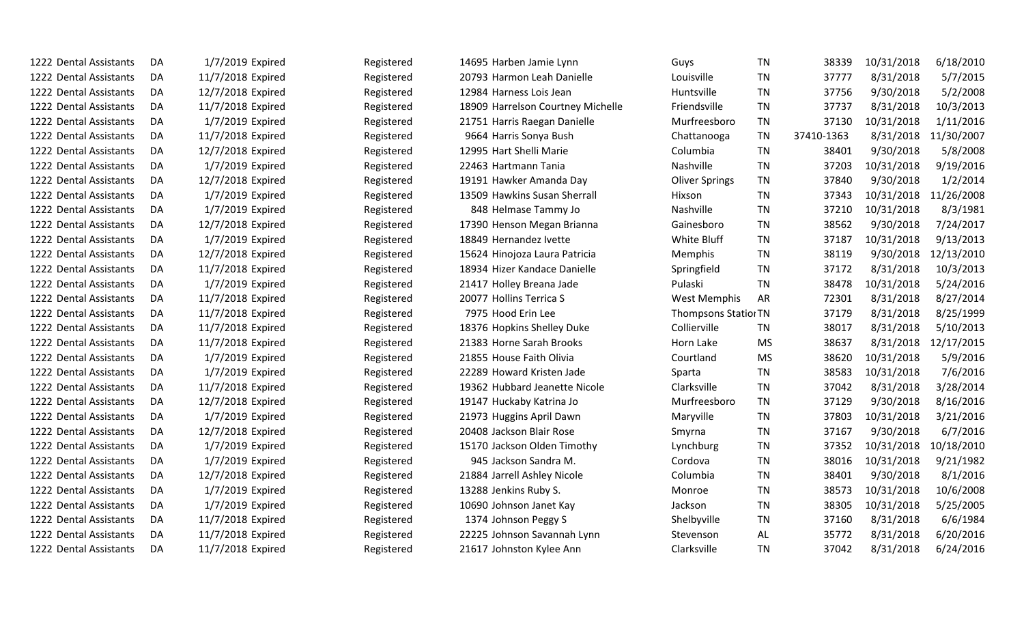| 1222 Dental Assistants | DA | 1/7/2019 Expired  | Registered | 14695 Harben Jamie Lynn           | Guys                        | <b>TN</b> | 38339      | 10/31/2018 | 6/18/2010  |
|------------------------|----|-------------------|------------|-----------------------------------|-----------------------------|-----------|------------|------------|------------|
| 1222 Dental Assistants | DA | 11/7/2018 Expired | Registered | 20793 Harmon Leah Danielle        | Louisville                  | <b>TN</b> | 37777      | 8/31/2018  | 5/7/2015   |
| 1222 Dental Assistants | DA | 12/7/2018 Expired | Registered | 12984 Harness Lois Jean           | Huntsville                  | <b>TN</b> | 37756      | 9/30/2018  | 5/2/2008   |
| 1222 Dental Assistants | DA | 11/7/2018 Expired | Registered | 18909 Harrelson Courtney Michelle | Friendsville                | <b>TN</b> | 37737      | 8/31/2018  | 10/3/2013  |
| 1222 Dental Assistants | DA | 1/7/2019 Expired  | Registered | 21751 Harris Raegan Danielle      | Murfreesboro                | <b>TN</b> | 37130      | 10/31/2018 | 1/11/2016  |
| 1222 Dental Assistants | DA | 11/7/2018 Expired | Registered | 9664 Harris Sonya Bush            | Chattanooga                 | <b>TN</b> | 37410-1363 | 8/31/2018  | 11/30/2007 |
| 1222 Dental Assistants | DA | 12/7/2018 Expired | Registered | 12995 Hart Shelli Marie           | Columbia                    | <b>TN</b> | 38401      | 9/30/2018  | 5/8/2008   |
| 1222 Dental Assistants | DA | 1/7/2019 Expired  | Registered | 22463 Hartmann Tania              | Nashville                   | <b>TN</b> | 37203      | 10/31/2018 | 9/19/2016  |
| 1222 Dental Assistants | DA | 12/7/2018 Expired | Registered | 19191 Hawker Amanda Day           | <b>Oliver Springs</b>       | <b>TN</b> | 37840      | 9/30/2018  | 1/2/2014   |
| 1222 Dental Assistants | DA | 1/7/2019 Expired  | Registered | 13509 Hawkins Susan Sherrall      | Hixson                      | TN        | 37343      | 10/31/2018 | 11/26/2008 |
| 1222 Dental Assistants | DA | 1/7/2019 Expired  | Registered | 848 Helmase Tammy Jo              | Nashville                   | <b>TN</b> | 37210      | 10/31/2018 | 8/3/1981   |
| 1222 Dental Assistants | DA | 12/7/2018 Expired | Registered | 17390 Henson Megan Brianna        | Gainesboro                  | <b>TN</b> | 38562      | 9/30/2018  | 7/24/2017  |
| 1222 Dental Assistants | DA | 1/7/2019 Expired  | Registered | 18849 Hernandez Ivette            | White Bluff                 | <b>TN</b> | 37187      | 10/31/2018 | 9/13/2013  |
| 1222 Dental Assistants | DA | 12/7/2018 Expired | Registered | 15624 Hinojoza Laura Patricia     | Memphis                     | <b>TN</b> | 38119      | 9/30/2018  | 12/13/2010 |
| 1222 Dental Assistants | DA | 11/7/2018 Expired | Registered | 18934 Hizer Kandace Danielle      | Springfield                 | <b>TN</b> | 37172      | 8/31/2018  | 10/3/2013  |
| 1222 Dental Assistants | DA | 1/7/2019 Expired  | Registered | 21417 Holley Breana Jade          | Pulaski                     | <b>TN</b> | 38478      | 10/31/2018 | 5/24/2016  |
| 1222 Dental Assistants | DA | 11/7/2018 Expired | Registered | 20077 Hollins Terrica S           | <b>West Memphis</b>         | <b>AR</b> | 72301      | 8/31/2018  | 8/27/2014  |
| 1222 Dental Assistants | DA | 11/7/2018 Expired | Registered | 7975 Hood Erin Lee                | <b>Thompsons Statior TN</b> |           | 37179      | 8/31/2018  | 8/25/1999  |
| 1222 Dental Assistants | DA | 11/7/2018 Expired | Registered | 18376 Hopkins Shelley Duke        | Collierville                | <b>TN</b> | 38017      | 8/31/2018  | 5/10/2013  |
| 1222 Dental Assistants | DA | 11/7/2018 Expired | Registered | 21383 Horne Sarah Brooks          | Horn Lake                   | <b>MS</b> | 38637      | 8/31/2018  | 12/17/2015 |
| 1222 Dental Assistants | DA | 1/7/2019 Expired  | Registered | 21855 House Faith Olivia          | Courtland                   | <b>MS</b> | 38620      | 10/31/2018 | 5/9/2016   |
| 1222 Dental Assistants | DA | 1/7/2019 Expired  | Registered | 22289 Howard Kristen Jade         | Sparta                      | <b>TN</b> | 38583      | 10/31/2018 | 7/6/2016   |
| 1222 Dental Assistants | DA | 11/7/2018 Expired | Registered | 19362 Hubbard Jeanette Nicole     | Clarksville                 | <b>TN</b> | 37042      | 8/31/2018  | 3/28/2014  |
| 1222 Dental Assistants | DA | 12/7/2018 Expired | Registered | 19147 Huckaby Katrina Jo          | Murfreesboro                | <b>TN</b> | 37129      | 9/30/2018  | 8/16/2016  |
| 1222 Dental Assistants | DA | 1/7/2019 Expired  | Registered | 21973 Huggins April Dawn          | Maryville                   | <b>TN</b> | 37803      | 10/31/2018 | 3/21/2016  |
| 1222 Dental Assistants | DA | 12/7/2018 Expired | Registered | 20408 Jackson Blair Rose          | Smyrna                      | TN        | 37167      | 9/30/2018  | 6/7/2016   |
| 1222 Dental Assistants | DA | 1/7/2019 Expired  | Registered | 15170 Jackson Olden Timothy       | Lynchburg                   | <b>TN</b> | 37352      | 10/31/2018 | 10/18/2010 |
| 1222 Dental Assistants | DA | 1/7/2019 Expired  | Registered | 945 Jackson Sandra M.             | Cordova                     | <b>TN</b> | 38016      | 10/31/2018 | 9/21/1982  |
| 1222 Dental Assistants | DA | 12/7/2018 Expired | Registered | 21884 Jarrell Ashley Nicole       | Columbia                    | <b>TN</b> | 38401      | 9/30/2018  | 8/1/2016   |
| 1222 Dental Assistants | DA | 1/7/2019 Expired  | Registered | 13288 Jenkins Ruby S.             | Monroe                      | <b>TN</b> | 38573      | 10/31/2018 | 10/6/2008  |
| 1222 Dental Assistants | DA | 1/7/2019 Expired  | Registered | 10690 Johnson Janet Kay           | Jackson                     | <b>TN</b> | 38305      | 10/31/2018 | 5/25/2005  |
| 1222 Dental Assistants | DA | 11/7/2018 Expired | Registered | 1374 Johnson Peggy S              | Shelbyville                 | <b>TN</b> | 37160      | 8/31/2018  | 6/6/1984   |
| 1222 Dental Assistants | DA | 11/7/2018 Expired | Registered | 22225 Johnson Savannah Lynn       | Stevenson                   | AL        | 35772      | 8/31/2018  | 6/20/2016  |
| 1222 Dental Assistants | DA | 11/7/2018 Expired | Registered | 21617 Johnston Kylee Ann          | Clarksville                 | <b>TN</b> | 37042      | 8/31/2018  | 6/24/2016  |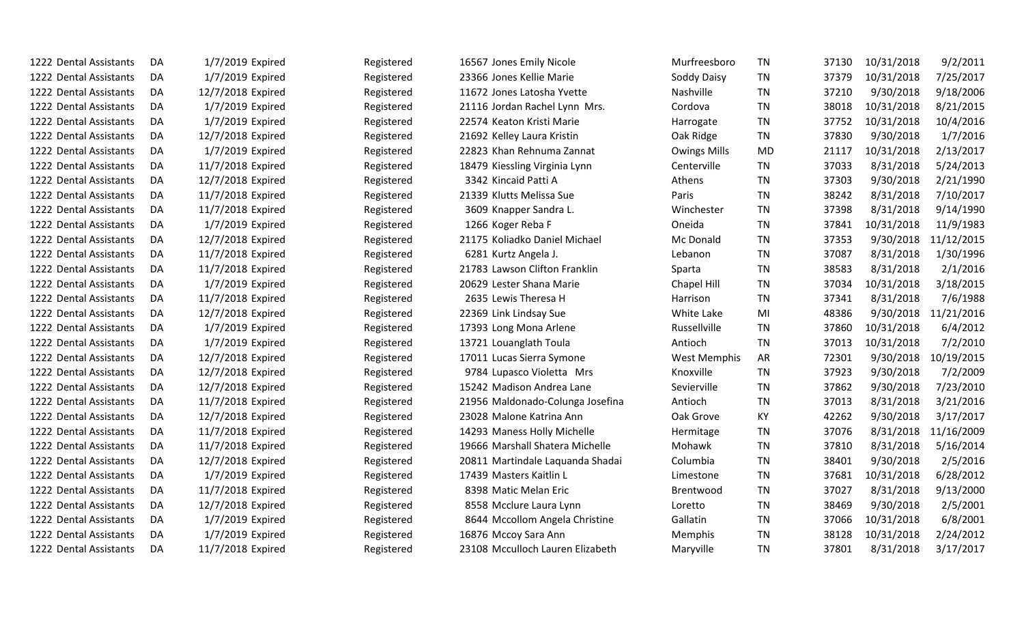| 1222 Dental Assistants | DA  | 1/7/2019 Expired  | Registered | 16567 Jones Emily Nicole         | Murfreesboro        | <b>TN</b> | 37130 | 10/31/2018 | 9/2/2011   |
|------------------------|-----|-------------------|------------|----------------------------------|---------------------|-----------|-------|------------|------------|
| 1222 Dental Assistants | DA  | 1/7/2019 Expired  | Registered | 23366 Jones Kellie Marie         | Soddy Daisy         | <b>TN</b> | 37379 | 10/31/2018 | 7/25/2017  |
| 1222 Dental Assistants | DA. | 12/7/2018 Expired | Registered | 11672 Jones Latosha Yvette       | Nashville           | <b>TN</b> | 37210 | 9/30/2018  | 9/18/2006  |
| 1222 Dental Assistants | DA  | 1/7/2019 Expired  | Registered | 21116 Jordan Rachel Lynn Mrs.    | Cordova             | <b>TN</b> | 38018 | 10/31/2018 | 8/21/2015  |
| 1222 Dental Assistants | DA  | 1/7/2019 Expired  | Registered | 22574 Keaton Kristi Marie        | Harrogate           | <b>TN</b> | 37752 | 10/31/2018 | 10/4/2016  |
| 1222 Dental Assistants | DA  | 12/7/2018 Expired | Registered | 21692 Kelley Laura Kristin       | Oak Ridge           | <b>TN</b> | 37830 | 9/30/2018  | 1/7/2016   |
| 1222 Dental Assistants | DA  | 1/7/2019 Expired  | Registered | 22823 Khan Rehnuma Zannat        | <b>Owings Mills</b> | <b>MD</b> | 21117 | 10/31/2018 | 2/13/2017  |
| 1222 Dental Assistants | DA  | 11/7/2018 Expired | Registered | 18479 Kiessling Virginia Lynn    | Centerville         | <b>TN</b> | 37033 | 8/31/2018  | 5/24/2013  |
| 1222 Dental Assistants | DA. | 12/7/2018 Expired | Registered | 3342 Kincaid Patti A             | Athens              | <b>TN</b> | 37303 | 9/30/2018  | 2/21/1990  |
| 1222 Dental Assistants | DA  | 11/7/2018 Expired | Registered | 21339 Klutts Melissa Sue         | Paris               | <b>TN</b> | 38242 | 8/31/2018  | 7/10/2017  |
| 1222 Dental Assistants | DA  | 11/7/2018 Expired | Registered | 3609 Knapper Sandra L.           | Winchester          | <b>TN</b> | 37398 | 8/31/2018  | 9/14/1990  |
| 1222 Dental Assistants | DA  | 1/7/2019 Expired  | Registered | 1266 Koger Reba F                | Oneida              | <b>TN</b> | 37841 | 10/31/2018 | 11/9/1983  |
| 1222 Dental Assistants | DA  | 12/7/2018 Expired | Registered | 21175 Koliadko Daniel Michael    | Mc Donald           | TN        | 37353 | 9/30/2018  | 11/12/2015 |
| 1222 Dental Assistants | DA  | 11/7/2018 Expired | Registered | 6281 Kurtz Angela J.             | Lebanon             | <b>TN</b> | 37087 | 8/31/2018  | 1/30/1996  |
| 1222 Dental Assistants | DA  | 11/7/2018 Expired | Registered | 21783 Lawson Clifton Franklin    | Sparta              | <b>TN</b> | 38583 | 8/31/2018  | 2/1/2016   |
| 1222 Dental Assistants | DA  | 1/7/2019 Expired  | Registered | 20629 Lester Shana Marie         | Chapel Hill         | <b>TN</b> | 37034 | 10/31/2018 | 3/18/2015  |
| 1222 Dental Assistants | DA  | 11/7/2018 Expired | Registered | 2635 Lewis Theresa H             | Harrison            | <b>TN</b> | 37341 | 8/31/2018  | 7/6/1988   |
| 1222 Dental Assistants | DA  | 12/7/2018 Expired | Registered | 22369 Link Lindsay Sue           | White Lake          | MI        | 48386 | 9/30/2018  | 11/21/2016 |
| 1222 Dental Assistants | DA  | 1/7/2019 Expired  | Registered | 17393 Long Mona Arlene           | Russellville        | <b>TN</b> | 37860 | 10/31/2018 | 6/4/2012   |
| 1222 Dental Assistants | DA  | 1/7/2019 Expired  | Registered | 13721 Louanglath Toula           | Antioch             | <b>TN</b> | 37013 | 10/31/2018 | 7/2/2010   |
| 1222 Dental Assistants | DA  | 12/7/2018 Expired | Registered | 17011 Lucas Sierra Symone        | West Memphis        | AR        | 72301 | 9/30/2018  | 10/19/2015 |
| 1222 Dental Assistants | DA  | 12/7/2018 Expired | Registered | 9784 Lupasco Violetta Mrs        | Knoxville           | <b>TN</b> | 37923 | 9/30/2018  | 7/2/2009   |
| 1222 Dental Assistants | DA  | 12/7/2018 Expired | Registered | 15242 Madison Andrea Lane        | Sevierville         | <b>TN</b> | 37862 | 9/30/2018  | 7/23/2010  |
| 1222 Dental Assistants | DA  | 11/7/2018 Expired | Registered | 21956 Maldonado-Colunga Josefina | Antioch             | <b>TN</b> | 37013 | 8/31/2018  | 3/21/2016  |
| 1222 Dental Assistants | DA  | 12/7/2018 Expired | Registered | 23028 Malone Katrina Ann         | Oak Grove           | KY        | 42262 | 9/30/2018  | 3/17/2017  |
| 1222 Dental Assistants | DA  | 11/7/2018 Expired | Registered | 14293 Maness Holly Michelle      | Hermitage           | <b>TN</b> | 37076 | 8/31/2018  | 11/16/2009 |
| 1222 Dental Assistants | DA  | 11/7/2018 Expired | Registered | 19666 Marshall Shatera Michelle  | Mohawk              | <b>TN</b> | 37810 | 8/31/2018  | 5/16/2014  |
| 1222 Dental Assistants | DA  | 12/7/2018 Expired | Registered | 20811 Martindale Laquanda Shadai | Columbia            | <b>TN</b> | 38401 | 9/30/2018  | 2/5/2016   |
| 1222 Dental Assistants | DA  | 1/7/2019 Expired  | Registered | 17439 Masters Kaitlin L          | Limestone           | <b>TN</b> | 37681 | 10/31/2018 | 6/28/2012  |
| 1222 Dental Assistants | DA  | 11/7/2018 Expired | Registered | 8398 Matic Melan Eric            | Brentwood           | <b>TN</b> | 37027 | 8/31/2018  | 9/13/2000  |
| 1222 Dental Assistants | DA  | 12/7/2018 Expired | Registered | 8558 Mcclure Laura Lynn          | Loretto             | <b>TN</b> | 38469 | 9/30/2018  | 2/5/2001   |
| 1222 Dental Assistants | DA  | 1/7/2019 Expired  | Registered | 8644 Mccollom Angela Christine   | Gallatin            | <b>TN</b> | 37066 | 10/31/2018 | 6/8/2001   |
| 1222 Dental Assistants | DA  | 1/7/2019 Expired  | Registered | 16876 Mccoy Sara Ann             | Memphis             | TN        | 38128 | 10/31/2018 | 2/24/2012  |
| 1222 Dental Assistants | DA  | 11/7/2018 Expired | Registered | 23108 Mcculloch Lauren Elizabeth | Maryville           | <b>TN</b> | 37801 | 8/31/2018  | 3/17/2017  |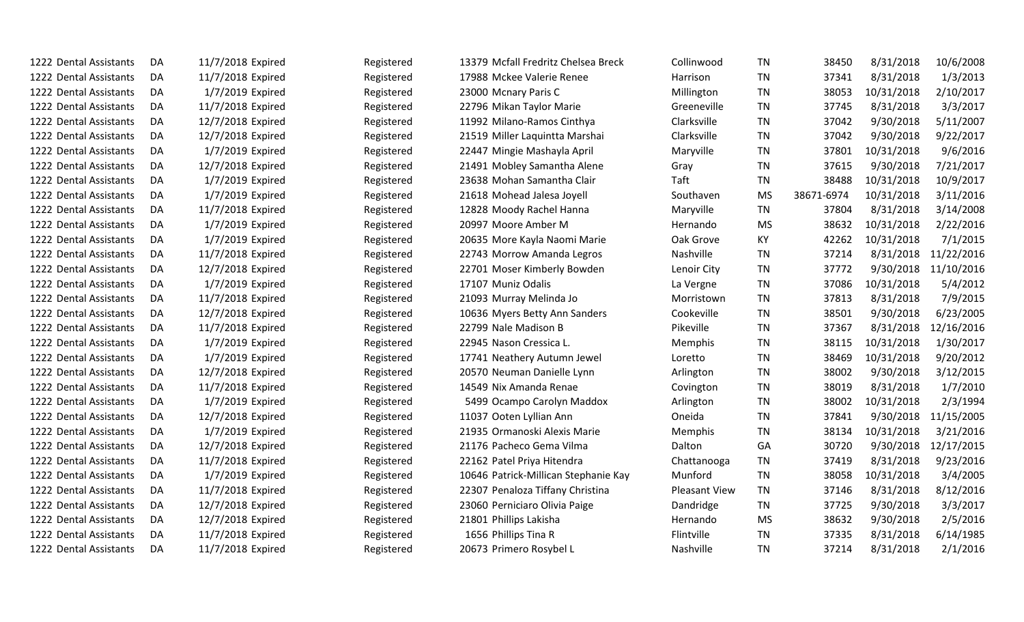| 1222 Dental Assistants | DA  | 11/7/2018 Expired | Registered | 13379 Mcfall Fredritz Chelsea Breck  | Collinwood           | <b>TN</b> | 38450      | 8/31/2018  | 10/6/2008  |
|------------------------|-----|-------------------|------------|--------------------------------------|----------------------|-----------|------------|------------|------------|
| 1222 Dental Assistants | DA  | 11/7/2018 Expired | Registered | 17988 Mckee Valerie Renee            | Harrison             | <b>TN</b> | 37341      | 8/31/2018  | 1/3/2013   |
| 1222 Dental Assistants | DA  | 1/7/2019 Expired  | Registered | 23000 Mcnary Paris C                 | Millington           | <b>TN</b> | 38053      | 10/31/2018 | 2/10/2017  |
| 1222 Dental Assistants | DA  | 11/7/2018 Expired | Registered | 22796 Mikan Taylor Marie             | Greeneville          | <b>TN</b> | 37745      | 8/31/2018  | 3/3/2017   |
| 1222 Dental Assistants | DA  | 12/7/2018 Expired | Registered | 11992 Milano-Ramos Cinthya           | Clarksville          | <b>TN</b> | 37042      | 9/30/2018  | 5/11/2007  |
| 1222 Dental Assistants | DA  | 12/7/2018 Expired | Registered | 21519 Miller Laquintta Marshai       | Clarksville          | <b>TN</b> | 37042      | 9/30/2018  | 9/22/2017  |
| 1222 Dental Assistants | DA  | 1/7/2019 Expired  | Registered | 22447 Mingie Mashayla April          | Maryville            | <b>TN</b> | 37801      | 10/31/2018 | 9/6/2016   |
| 1222 Dental Assistants | DA  | 12/7/2018 Expired | Registered | 21491 Mobley Samantha Alene          | Gray                 | <b>TN</b> | 37615      | 9/30/2018  | 7/21/2017  |
| 1222 Dental Assistants | DA  | 1/7/2019 Expired  | Registered | 23638 Mohan Samantha Clair           | Taft                 | <b>TN</b> | 38488      | 10/31/2018 | 10/9/2017  |
| 1222 Dental Assistants | DA  | 1/7/2019 Expired  | Registered | 21618 Mohead Jalesa Joyell           | Southaven            | <b>MS</b> | 38671-6974 | 10/31/2018 | 3/11/2016  |
| 1222 Dental Assistants | DA  | 11/7/2018 Expired | Registered | 12828 Moody Rachel Hanna             | Maryville            | <b>TN</b> | 37804      | 8/31/2018  | 3/14/2008  |
| 1222 Dental Assistants | DA  | 1/7/2019 Expired  | Registered | 20997 Moore Amber M                  | Hernando             | <b>MS</b> | 38632      | 10/31/2018 | 2/22/2016  |
| 1222 Dental Assistants | DA  | 1/7/2019 Expired  | Registered | 20635 More Kayla Naomi Marie         | Oak Grove            | KY        | 42262      | 10/31/2018 | 7/1/2015   |
| 1222 Dental Assistants | DA  | 11/7/2018 Expired | Registered | 22743 Morrow Amanda Legros           | Nashville            | <b>TN</b> | 37214      | 8/31/2018  | 11/22/2016 |
| 1222 Dental Assistants | DA  | 12/7/2018 Expired | Registered | 22701 Moser Kimberly Bowden          | Lenoir City          | <b>TN</b> | 37772      | 9/30/2018  | 11/10/2016 |
| 1222 Dental Assistants | DA  | 1/7/2019 Expired  | Registered | 17107 Muniz Odalis                   | La Vergne            | <b>TN</b> | 37086      | 10/31/2018 | 5/4/2012   |
| 1222 Dental Assistants | DA  | 11/7/2018 Expired | Registered | 21093 Murray Melinda Jo              | Morristown           | <b>TN</b> | 37813      | 8/31/2018  | 7/9/2015   |
| 1222 Dental Assistants | DA  | 12/7/2018 Expired | Registered | 10636 Myers Betty Ann Sanders        | Cookeville           | <b>TN</b> | 38501      | 9/30/2018  | 6/23/2005  |
| 1222 Dental Assistants | DA  | 11/7/2018 Expired | Registered | 22799 Nale Madison B                 | Pikeville            | <b>TN</b> | 37367      | 8/31/2018  | 12/16/2016 |
| 1222 Dental Assistants | DA. | 1/7/2019 Expired  | Registered | 22945 Nason Cressica L.              | Memphis              | <b>TN</b> | 38115      | 10/31/2018 | 1/30/2017  |
| 1222 Dental Assistants | DA  | 1/7/2019 Expired  | Registered | 17741 Neathery Autumn Jewel          | Loretto              | <b>TN</b> | 38469      | 10/31/2018 | 9/20/2012  |
| 1222 Dental Assistants | DA  | 12/7/2018 Expired | Registered | 20570 Neuman Danielle Lynn           | Arlington            | <b>TN</b> | 38002      | 9/30/2018  | 3/12/2015  |
| 1222 Dental Assistants | DA  | 11/7/2018 Expired | Registered | 14549 Nix Amanda Renae               | Covington            | <b>TN</b> | 38019      | 8/31/2018  | 1/7/2010   |
| 1222 Dental Assistants | DA  | 1/7/2019 Expired  | Registered | 5499 Ocampo Carolyn Maddox           | Arlington            | <b>TN</b> | 38002      | 10/31/2018 | 2/3/1994   |
| 1222 Dental Assistants | DA  | 12/7/2018 Expired | Registered | 11037 Ooten Lyllian Ann              | Oneida               | <b>TN</b> | 37841      | 9/30/2018  | 11/15/2005 |
| 1222 Dental Assistants | DA  | 1/7/2019 Expired  | Registered | 21935 Ormanoski Alexis Marie         | Memphis              | <b>TN</b> | 38134      | 10/31/2018 | 3/21/2016  |
| 1222 Dental Assistants | DA  | 12/7/2018 Expired | Registered | 21176 Pacheco Gema Vilma             | Dalton               | GA        | 30720      | 9/30/2018  | 12/17/2015 |
| 1222 Dental Assistants | DA  | 11/7/2018 Expired | Registered | 22162 Patel Priya Hitendra           | Chattanooga          | <b>TN</b> | 37419      | 8/31/2018  | 9/23/2016  |
| 1222 Dental Assistants | DA  | 1/7/2019 Expired  | Registered | 10646 Patrick-Millican Stephanie Kay | Munford              | <b>TN</b> | 38058      | 10/31/2018 | 3/4/2005   |
| 1222 Dental Assistants | DA  | 11/7/2018 Expired | Registered | 22307 Penaloza Tiffany Christina     | <b>Pleasant View</b> | <b>TN</b> | 37146      | 8/31/2018  | 8/12/2016  |
| 1222 Dental Assistants | DA  | 12/7/2018 Expired | Registered | 23060 Perniciaro Olivia Paige        | Dandridge            | <b>TN</b> | 37725      | 9/30/2018  | 3/3/2017   |
| 1222 Dental Assistants | DA  | 12/7/2018 Expired | Registered | 21801 Phillips Lakisha               | Hernando             | <b>MS</b> | 38632      | 9/30/2018  | 2/5/2016   |
| 1222 Dental Assistants | DA  | 11/7/2018 Expired | Registered | 1656 Phillips Tina R                 | Flintville           | <b>TN</b> | 37335      | 8/31/2018  | 6/14/1985  |
| 1222 Dental Assistants | DA  | 11/7/2018 Expired | Registered | 20673 Primero Rosybel L              | <b>Nashville</b>     | <b>TN</b> | 37214      | 8/31/2018  | 2/1/2016   |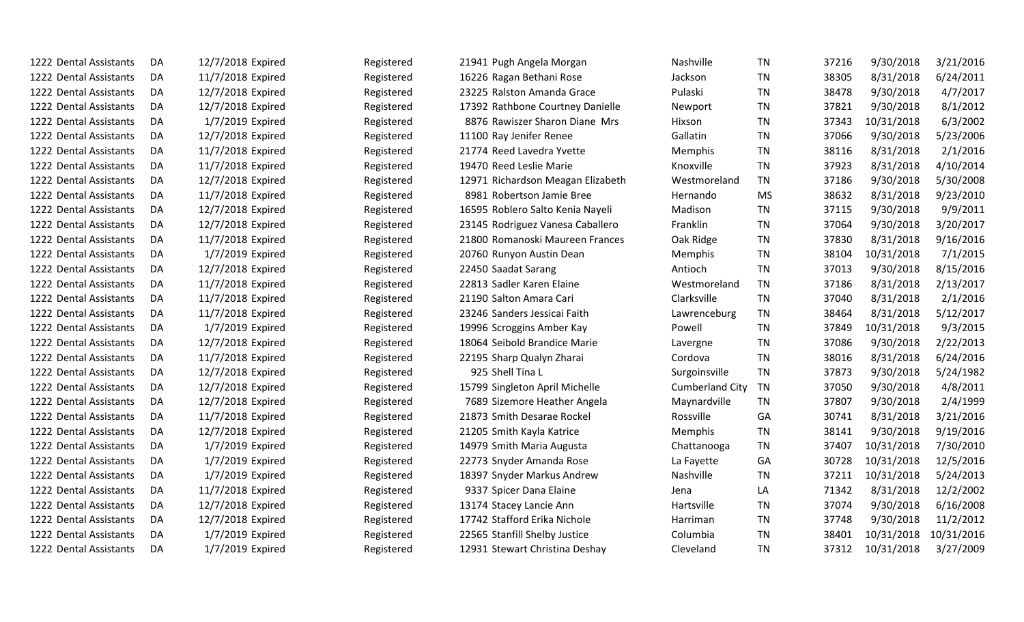| 1222 Dental Assistants | DA. | 12/7/2018 Expired | Registered | 21941 Pugh Angela Morgan          | <b>Nashville</b>       | <b>TN</b> | 37216 | 9/30/2018  | 3/21/2016  |
|------------------------|-----|-------------------|------------|-----------------------------------|------------------------|-----------|-------|------------|------------|
| 1222 Dental Assistants | DA  | 11/7/2018 Expired | Registered | 16226 Ragan Bethani Rose          | Jackson                | <b>TN</b> | 38305 | 8/31/2018  | 6/24/2011  |
| 1222 Dental Assistants | DA  | 12/7/2018 Expired | Registered | 23225 Ralston Amanda Grace        | Pulaski                | <b>TN</b> | 38478 | 9/30/2018  | 4/7/2017   |
| 1222 Dental Assistants | DA  | 12/7/2018 Expired | Registered | 17392 Rathbone Courtney Danielle  | Newport                | <b>TN</b> | 37821 | 9/30/2018  | 8/1/2012   |
| 1222 Dental Assistants | DA  | 1/7/2019 Expired  | Registered | 8876 Rawiszer Sharon Diane Mrs    | Hixson                 | <b>TN</b> | 37343 | 10/31/2018 | 6/3/2002   |
| 1222 Dental Assistants | DA  | 12/7/2018 Expired | Registered | 11100 Ray Jenifer Renee           | Gallatin               | <b>TN</b> | 37066 | 9/30/2018  | 5/23/2006  |
| 1222 Dental Assistants | DA  | 11/7/2018 Expired | Registered | 21774 Reed Lavedra Yvette         | Memphis                | <b>TN</b> | 38116 | 8/31/2018  | 2/1/2016   |
| 1222 Dental Assistants | DA  | 11/7/2018 Expired | Registered | 19470 Reed Leslie Marie           | Knoxville              | <b>TN</b> | 37923 | 8/31/2018  | 4/10/2014  |
| 1222 Dental Assistants | DA  | 12/7/2018 Expired | Registered | 12971 Richardson Meagan Elizabeth | Westmoreland           | <b>TN</b> | 37186 | 9/30/2018  | 5/30/2008  |
| 1222 Dental Assistants | DA  | 11/7/2018 Expired | Registered | 8981 Robertson Jamie Bree         | Hernando               | <b>MS</b> | 38632 | 8/31/2018  | 9/23/2010  |
| 1222 Dental Assistants | DA  | 12/7/2018 Expired | Registered | 16595 Roblero Salto Kenia Nayeli  | Madison                | <b>TN</b> | 37115 | 9/30/2018  | 9/9/2011   |
| 1222 Dental Assistants | DA  | 12/7/2018 Expired | Registered | 23145 Rodriguez Vanesa Caballero  | Franklin               | <b>TN</b> | 37064 | 9/30/2018  | 3/20/2017  |
| 1222 Dental Assistants | DA  | 11/7/2018 Expired | Registered | 21800 Romanoski Maureen Frances   | Oak Ridge              | <b>TN</b> | 37830 | 8/31/2018  | 9/16/2016  |
| 1222 Dental Assistants | DA  | 1/7/2019 Expired  | Registered | 20760 Runyon Austin Dean          | Memphis                | <b>TN</b> | 38104 | 10/31/2018 | 7/1/2015   |
| 1222 Dental Assistants | DA  | 12/7/2018 Expired | Registered | 22450 Saadat Sarang               | Antioch                | <b>TN</b> | 37013 | 9/30/2018  | 8/15/2016  |
| 1222 Dental Assistants | DA  | 11/7/2018 Expired | Registered | 22813 Sadler Karen Elaine         | Westmoreland           | <b>TN</b> | 37186 | 8/31/2018  | 2/13/2017  |
| 1222 Dental Assistants | DA  | 11/7/2018 Expired | Registered | 21190 Salton Amara Cari           | Clarksville            | <b>TN</b> | 37040 | 8/31/2018  | 2/1/2016   |
| 1222 Dental Assistants | DA  | 11/7/2018 Expired | Registered | 23246 Sanders Jessicai Faith      | Lawrenceburg           | <b>TN</b> | 38464 | 8/31/2018  | 5/12/2017  |
| 1222 Dental Assistants | DA  | 1/7/2019 Expired  | Registered | 19996 Scroggins Amber Kay         | Powell                 | <b>TN</b> | 37849 | 10/31/2018 | 9/3/2015   |
| 1222 Dental Assistants | DA  | 12/7/2018 Expired | Registered | 18064 Seibold Brandice Marie      | Lavergne               | <b>TN</b> | 37086 | 9/30/2018  | 2/22/2013  |
| 1222 Dental Assistants | DA  | 11/7/2018 Expired | Registered | 22195 Sharp Qualyn Zharai         | Cordova                | <b>TN</b> | 38016 | 8/31/2018  | 6/24/2016  |
| 1222 Dental Assistants | DA  | 12/7/2018 Expired | Registered | 925 Shell Tina L                  | Surgoinsville          | <b>TN</b> | 37873 | 9/30/2018  | 5/24/1982  |
| 1222 Dental Assistants | DA  | 12/7/2018 Expired | Registered | 15799 Singleton April Michelle    | <b>Cumberland City</b> | TN        | 37050 | 9/30/2018  | 4/8/2011   |
| 1222 Dental Assistants | DA  | 12/7/2018 Expired | Registered | 7689 Sizemore Heather Angela      | Maynardville           | <b>TN</b> | 37807 | 9/30/2018  | 2/4/1999   |
| 1222 Dental Assistants | DA  | 11/7/2018 Expired | Registered | 21873 Smith Desarae Rockel        | Rossville              | GA        | 30741 | 8/31/2018  | 3/21/2016  |
| 1222 Dental Assistants | DA  | 12/7/2018 Expired | Registered | 21205 Smith Kayla Katrice         | Memphis                | <b>TN</b> | 38141 | 9/30/2018  | 9/19/2016  |
| 1222 Dental Assistants | DA  | 1/7/2019 Expired  | Registered | 14979 Smith Maria Augusta         | Chattanooga            | <b>TN</b> | 37407 | 10/31/2018 | 7/30/2010  |
| 1222 Dental Assistants | DA. | 1/7/2019 Expired  | Registered | 22773 Snyder Amanda Rose          | La Fayette             | GA        | 30728 | 10/31/2018 | 12/5/2016  |
| 1222 Dental Assistants | DA  | 1/7/2019 Expired  | Registered | 18397 Snyder Markus Andrew        | Nashville              | <b>TN</b> | 37211 | 10/31/2018 | 5/24/2013  |
| 1222 Dental Assistants | DA  | 11/7/2018 Expired | Registered | 9337 Spicer Dana Elaine           | Jena                   | LA        | 71342 | 8/31/2018  | 12/2/2002  |
| 1222 Dental Assistants | DA  | 12/7/2018 Expired | Registered | 13174 Stacey Lancie Ann           | Hartsville             | TN        | 37074 | 9/30/2018  | 6/16/2008  |
| 1222 Dental Assistants | DA  | 12/7/2018 Expired | Registered | 17742 Stafford Erika Nichole      | Harriman               | <b>TN</b> | 37748 | 9/30/2018  | 11/2/2012  |
| 1222 Dental Assistants | DA  | 1/7/2019 Expired  | Registered | 22565 Stanfill Shelby Justice     | Columbia               | <b>TN</b> | 38401 | 10/31/2018 | 10/31/2016 |
| 1222 Dental Assistants | DA  | 1/7/2019 Expired  | Registered | 12931 Stewart Christina Deshay    | Cleveland              | <b>TN</b> | 37312 | 10/31/2018 | 3/27/2009  |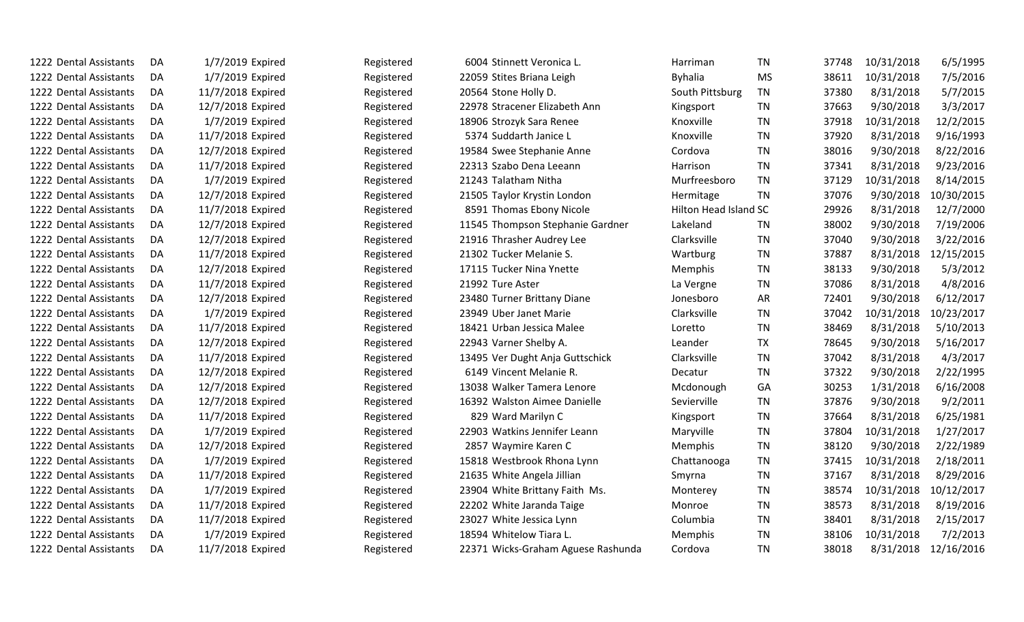| 1222 Dental Assistants | DA  | 1/7/2019 Expired  | Registered | 6004 Stinnett Veronica L.          | Harriman              | <b>TN</b> | 37748 | 10/31/2018 | 6/5/1995   |
|------------------------|-----|-------------------|------------|------------------------------------|-----------------------|-----------|-------|------------|------------|
| 1222 Dental Assistants | DA. | 1/7/2019 Expired  | Registered | 22059 Stites Briana Leigh          | <b>Byhalia</b>        | <b>MS</b> | 38611 | 10/31/2018 | 7/5/2016   |
| 1222 Dental Assistants | DA  | 11/7/2018 Expired | Registered | 20564 Stone Holly D.               | South Pittsburg       | <b>TN</b> | 37380 | 8/31/2018  | 5/7/2015   |
| 1222 Dental Assistants | DA  | 12/7/2018 Expired | Registered | 22978 Stracener Elizabeth Ann      | Kingsport             | <b>TN</b> | 37663 | 9/30/2018  | 3/3/2017   |
| 1222 Dental Assistants | DA  | 1/7/2019 Expired  | Registered | 18906 Strozyk Sara Renee           | Knoxville             | <b>TN</b> | 37918 | 10/31/2018 | 12/2/2015  |
| 1222 Dental Assistants | DA  | 11/7/2018 Expired | Registered | 5374 Suddarth Janice L             | Knoxville             | <b>TN</b> | 37920 | 8/31/2018  | 9/16/1993  |
| 1222 Dental Assistants | DA  | 12/7/2018 Expired | Registered | 19584 Swee Stephanie Anne          | Cordova               | <b>TN</b> | 38016 | 9/30/2018  | 8/22/2016  |
| 1222 Dental Assistants | DA  | 11/7/2018 Expired | Registered | 22313 Szabo Dena Leeann            | Harrison              | <b>TN</b> | 37341 | 8/31/2018  | 9/23/2016  |
| 1222 Dental Assistants | DA  | 1/7/2019 Expired  | Registered | 21243 Talatham Nitha               | Murfreesboro          | <b>TN</b> | 37129 | 10/31/2018 | 8/14/2015  |
| 1222 Dental Assistants | DA  | 12/7/2018 Expired | Registered | 21505 Taylor Krystin London        | Hermitage             | <b>TN</b> | 37076 | 9/30/2018  | 10/30/2015 |
| 1222 Dental Assistants | DA  | 11/7/2018 Expired | Registered | 8591 Thomas Ebony Nicole           | Hilton Head Island SC |           | 29926 | 8/31/2018  | 12/7/2000  |
| 1222 Dental Assistants | DA  | 12/7/2018 Expired | Registered | 11545 Thompson Stephanie Gardner   | Lakeland              | <b>TN</b> | 38002 | 9/30/2018  | 7/19/2006  |
| 1222 Dental Assistants | DA  | 12/7/2018 Expired | Registered | 21916 Thrasher Audrey Lee          | Clarksville           | <b>TN</b> | 37040 | 9/30/2018  | 3/22/2016  |
| 1222 Dental Assistants | DA  | 11/7/2018 Expired | Registered | 21302 Tucker Melanie S.            | Wartburg              | <b>TN</b> | 37887 | 8/31/2018  | 12/15/2015 |
| 1222 Dental Assistants | DA  | 12/7/2018 Expired | Registered | 17115 Tucker Nina Ynette           | Memphis               | <b>TN</b> | 38133 | 9/30/2018  | 5/3/2012   |
| 1222 Dental Assistants | DA  | 11/7/2018 Expired | Registered | 21992 Ture Aster                   | La Vergne             | <b>TN</b> | 37086 | 8/31/2018  | 4/8/2016   |
| 1222 Dental Assistants | DA  | 12/7/2018 Expired | Registered | 23480 Turner Brittany Diane        | Jonesboro             | AR        | 72401 | 9/30/2018  | 6/12/2017  |
| 1222 Dental Assistants | DA  | 1/7/2019 Expired  | Registered | 23949 Uber Janet Marie             | Clarksville           | <b>TN</b> | 37042 | 10/31/2018 | 10/23/2017 |
| 1222 Dental Assistants | DA  | 11/7/2018 Expired | Registered | 18421 Urban Jessica Malee          | Loretto               | TN        | 38469 | 8/31/2018  | 5/10/2013  |
| 1222 Dental Assistants | DA  | 12/7/2018 Expired | Registered | 22943 Varner Shelby A.             | Leander               | <b>TX</b> | 78645 | 9/30/2018  | 5/16/2017  |
| 1222 Dental Assistants | DA  | 11/7/2018 Expired | Registered | 13495 Ver Dught Anja Guttschick    | Clarksville           | <b>TN</b> | 37042 | 8/31/2018  | 4/3/2017   |
| 1222 Dental Assistants | DA  | 12/7/2018 Expired | Registered | 6149 Vincent Melanie R.            | Decatur               | <b>TN</b> | 37322 | 9/30/2018  | 2/22/1995  |
| 1222 Dental Assistants | DA  | 12/7/2018 Expired | Registered | 13038 Walker Tamera Lenore         | Mcdonough             | GA        | 30253 | 1/31/2018  | 6/16/2008  |
| 1222 Dental Assistants | DA  | 12/7/2018 Expired | Registered | 16392 Walston Aimee Danielle       | Sevierville           | <b>TN</b> | 37876 | 9/30/2018  | 9/2/2011   |
| 1222 Dental Assistants | DA  | 11/7/2018 Expired | Registered | 829 Ward Marilyn C                 | Kingsport             | <b>TN</b> | 37664 | 8/31/2018  | 6/25/1981  |
| 1222 Dental Assistants | DA  | 1/7/2019 Expired  | Registered | 22903 Watkins Jennifer Leann       | Maryville             | <b>TN</b> | 37804 | 10/31/2018 | 1/27/2017  |
| 1222 Dental Assistants | DA  | 12/7/2018 Expired | Registered | 2857 Waymire Karen C               | Memphis               | TN        | 38120 | 9/30/2018  | 2/22/1989  |
| 1222 Dental Assistants | DA  | 1/7/2019 Expired  | Registered | 15818 Westbrook Rhona Lynn         | Chattanooga           | TN        | 37415 | 10/31/2018 | 2/18/2011  |
| 1222 Dental Assistants | DA  | 11/7/2018 Expired | Registered | 21635 White Angela Jillian         | Smyrna                | <b>TN</b> | 37167 | 8/31/2018  | 8/29/2016  |
| 1222 Dental Assistants | DA  | 1/7/2019 Expired  | Registered | 23904 White Brittany Faith Ms.     | Monterey              | TN        | 38574 | 10/31/2018 | 10/12/2017 |
| 1222 Dental Assistants | DA  | 11/7/2018 Expired | Registered | 22202 White Jaranda Taige          | Monroe                | <b>TN</b> | 38573 | 8/31/2018  | 8/19/2016  |
| 1222 Dental Assistants | DA  | 11/7/2018 Expired | Registered | 23027 White Jessica Lynn           | Columbia              | TN        | 38401 | 8/31/2018  | 2/15/2017  |
| 1222 Dental Assistants | DA  | 1/7/2019 Expired  | Registered | 18594 Whitelow Tiara L.            | Memphis               | <b>TN</b> | 38106 | 10/31/2018 | 7/2/2013   |
| 1222 Dental Assistants | DA  | 11/7/2018 Expired | Registered | 22371 Wicks-Graham Aguese Rashunda | Cordova               | <b>TN</b> | 38018 | 8/31/2018  | 12/16/2016 |